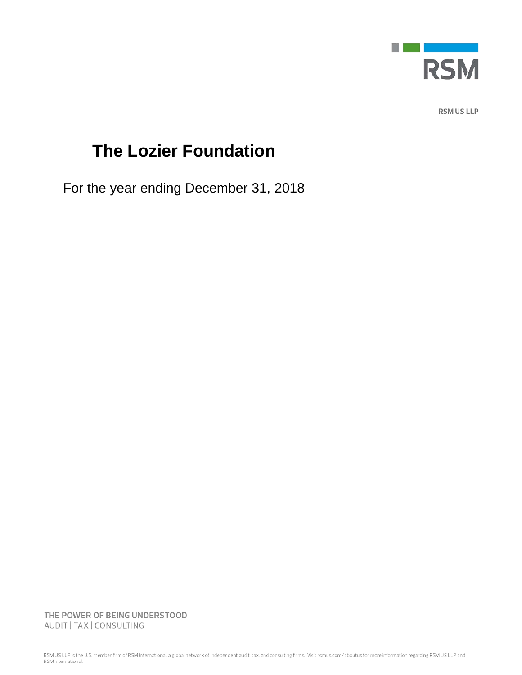

RSM US LLP

# **The Lozier Foundation**

For the year ending December 31, 2018

THE POWER OF BEING UNDERSTOOD AUDIT | TAX | CONSULTING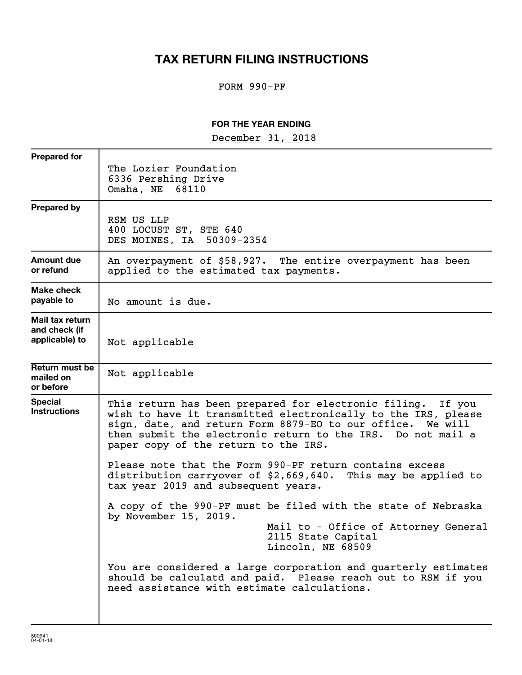## **TAX RETURN FILING INSTRUCTIONS**

### FORM 990-PF

#### **FOR THE YEAR ENDING**

December 31, 2018

| <b>Prepared for</b>                                |                                                                                                                                                                                                                                                                                                      |
|----------------------------------------------------|------------------------------------------------------------------------------------------------------------------------------------------------------------------------------------------------------------------------------------------------------------------------------------------------------|
|                                                    | The Lozier Foundation<br>6336 Pershing Drive<br>Omaha, NE 68110                                                                                                                                                                                                                                      |
| <b>Prepared by</b>                                 | RSM US LLP<br>400 LOCUST ST, STE 640<br>DES MOINES, IA 50309-2354                                                                                                                                                                                                                                    |
| <b>Amount due</b><br>or refund                     | An overpayment of \$58,927. The entire overpayment has been<br>applied to the estimated tax payments.                                                                                                                                                                                                |
| Make check<br>payable to                           | No amount is due.                                                                                                                                                                                                                                                                                    |
| Mail tax return<br>and check (if<br>applicable) to | Not applicable                                                                                                                                                                                                                                                                                       |
| Return must be<br>mailed on<br>or before           | Not applicable                                                                                                                                                                                                                                                                                       |
| <b>Special</b><br><b>Instructions</b>              | This return has been prepared for electronic filing.<br>If you<br>wish to have it transmitted electronically to the IRS, please<br>sign, date, and return Form 8879-EO to our office. We will<br>then submit the electronic return to the IRS. Do not mail a<br>paper copy of the return to the IRS. |
|                                                    | Please note that the Form 990-PF return contains excess<br>distribution carryover of \$2,669,640. This may be applied to<br>tax year 2019 and subsequent years.                                                                                                                                      |
|                                                    | A copy of the 990-PF must be filed with the state of Nebraska<br>by November 15, 2019.<br>Mail to - Office of Attorney General<br>2115 State Capital<br>Lincoln, NE 68509                                                                                                                            |
|                                                    | You are considered a large corporation and quarterly estimates<br>should be calculatd and paid. Please reach out to RSM if you<br>need assistance with estimate calculations.                                                                                                                        |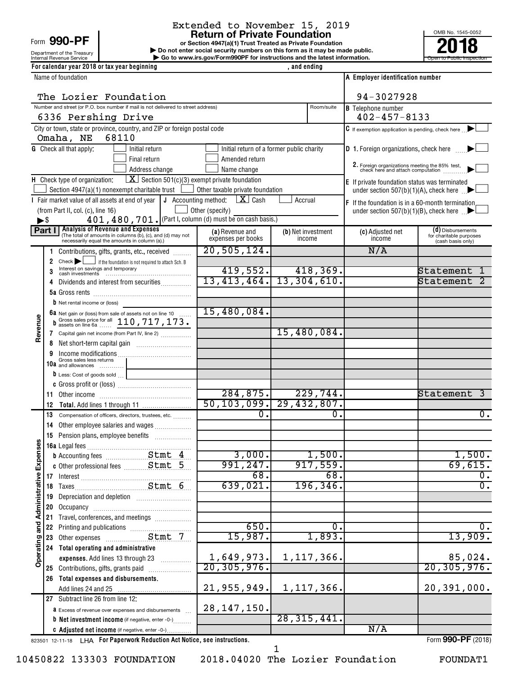Form 990-PI

# Extended to November 15, 2019<br>Return of Private Foundation

**or Section 4947(a)(1) Trust Treated as Private Foundation | Do not enter social security numbers on this form as it may be made public. POO-PF**<br> **Return of Private Foundation**<br> **Pound the Treasury Private Foundation**<br> **Revenue Service**<br> **Pound terms and the latest information.**<br> **Revenue Service**<br> **Pound terms and the latest information.** 

OMB No. 1545-0052

|                                       |        | Department of the Treasury                                    |                                                                                                            |                      | Do not enter social security numbers on this form as it may be made public. |              |                    |                                                                                  |                                              |
|---------------------------------------|--------|---------------------------------------------------------------|------------------------------------------------------------------------------------------------------------|----------------------|-----------------------------------------------------------------------------|--------------|--------------------|----------------------------------------------------------------------------------|----------------------------------------------|
|                                       |        | Internal Revenue Service                                      |                                                                                                            |                      | Go to www.irs.gov/Form990PF for instructions and the latest information.    |              |                    |                                                                                  | Open to Public Inspection                    |
|                                       |        |                                                               | For calendar year 2018 or tax year beginning                                                               |                      |                                                                             | , and ending |                    |                                                                                  |                                              |
|                                       |        | Name of foundation                                            |                                                                                                            |                      |                                                                             |              |                    | A Employer identification number                                                 |                                              |
|                                       |        |                                                               |                                                                                                            |                      |                                                                             |              |                    |                                                                                  |                                              |
|                                       |        |                                                               | The Lozier Foundation                                                                                      |                      |                                                                             |              |                    | 94-3027928                                                                       |                                              |
|                                       |        |                                                               | Number and street (or P.O. box number if mail is not delivered to street address)                          |                      |                                                                             |              | Room/suite         | <b>B</b> Telephone number                                                        |                                              |
|                                       |        |                                                               | 6336 Pershing Drive                                                                                        |                      |                                                                             |              |                    | $402 - 457 - 8133$                                                               |                                              |
|                                       |        |                                                               | City or town, state or province, country, and ZIP or foreign postal code                                   |                      |                                                                             |              |                    | $ C $ If exemption application is pending, check here                            |                                              |
|                                       |        | Omaha, NE                                                     | 68110                                                                                                      |                      |                                                                             |              |                    |                                                                                  |                                              |
|                                       |        | <b>G</b> Check all that apply:                                | Initial return                                                                                             |                      | Initial return of a former public charity                                   |              |                    | D 1. Foreign organizations, check here                                           |                                              |
|                                       |        |                                                               | Final return                                                                                               |                      | Amended return                                                              |              |                    |                                                                                  |                                              |
|                                       |        |                                                               | Address change                                                                                             |                      | Name change                                                                 |              |                    | 2. Foreign organizations meeting the 85% test, check here and attach computation |                                              |
|                                       |        | H Check type of organization:                                 |                                                                                                            |                      | $\boxed{\mathbf{X}}$ Section 501(c)(3) exempt private foundation            |              |                    | E If private foundation status was terminated                                    |                                              |
|                                       |        |                                                               | Section 4947(a)(1) nonexempt charitable trust                                                              |                      | Other taxable private foundation                                            |              |                    | under section $507(b)(1)(A)$ , check here $\Box$                                 |                                              |
|                                       |        |                                                               | I Fair market value of all assets at end of year                                                           | J Accounting method: | $X$ Cash                                                                    | Accrual      |                    | F If the foundation is in a 60-month termination                                 |                                              |
|                                       |        | (from Part II, col. (c), line 16)                             |                                                                                                            |                      | Other (specify)                                                             |              |                    | under section 507(b)(1)(B), check here $\Box$                                    |                                              |
| ►\$                                   |        |                                                               |                                                                                                            |                      | 401, 480, 701. (Part I, column (d) must be on cash basis.)                  |              |                    |                                                                                  |                                              |
|                                       | Part I |                                                               | Analysis of Revenue and Expenses                                                                           |                      | (a) Revenue and                                                             |              | (b) Net investment | (c) Adjusted net                                                                 | (d) Disbursements                            |
|                                       |        |                                                               | The total of amounts in columns (b), (c), and (d) may not<br>necessarily equal the amounts in column (a).) |                      | expenses per books                                                          |              | income             | income                                                                           | for charitable purposes<br>(cash basis only) |
|                                       | 1.     |                                                               | Contributions, gifts, grants, etc., received                                                               |                      | 20,505,124.                                                                 |              |                    | N/A                                                                              |                                              |
|                                       | 2      | $Check \rightarrow$                                           | if the foundation is not required to attach Sch. B                                                         |                      |                                                                             |              |                    |                                                                                  |                                              |
|                                       | 3      |                                                               | Interest on savings and temporary<br>cash investments                                                      |                      | 419,552.                                                                    |              | 418,369.           |                                                                                  | Statement                                    |
|                                       | 4      |                                                               | Dividends and interest from securities                                                                     |                      | 13,413,464.                                                                 |              | 13,304,610.        |                                                                                  | Statement                                    |
|                                       |        |                                                               |                                                                                                            |                      |                                                                             |              |                    |                                                                                  |                                              |
|                                       |        | <b>b</b> Net rental income or (loss)                          |                                                                                                            |                      |                                                                             |              |                    |                                                                                  |                                              |
|                                       |        |                                                               | 6a Net gain or (loss) from sale of assets not on line 10                                                   |                      | 15,480,084.                                                                 |              |                    |                                                                                  |                                              |
|                                       | b      |                                                               | Gross sales price for all 110, 717, 173.                                                                   |                      |                                                                             |              |                    |                                                                                  |                                              |
| Revenue                               |        |                                                               | 7 Capital gain net income (from Part IV, line 2)                                                           |                      |                                                                             |              | 15,480,084.        |                                                                                  |                                              |
|                                       | 8      |                                                               |                                                                                                            |                      |                                                                             |              |                    |                                                                                  |                                              |
|                                       | 9      |                                                               |                                                                                                            |                      |                                                                             |              |                    |                                                                                  |                                              |
|                                       |        | Gross sales less returns                                      |                                                                                                            |                      |                                                                             |              |                    |                                                                                  |                                              |
|                                       |        | <b><math>\mathbf b</math></b> Less: Cost of goods sold $\Box$ |                                                                                                            |                      |                                                                             |              |                    |                                                                                  |                                              |
|                                       |        |                                                               |                                                                                                            |                      |                                                                             |              |                    |                                                                                  |                                              |
|                                       | 11     |                                                               |                                                                                                            |                      | 284, 875.                                                                   |              | 229,744.           |                                                                                  | Statement<br>3                               |
|                                       | 12     |                                                               |                                                                                                            |                      | $\overline{50, 103, 099.}$ 29, 432, 807.                                    |              |                    |                                                                                  |                                              |
|                                       | 13     |                                                               | Compensation of officers, directors, trustees, etc.                                                        |                      | $\overline{0}$ .                                                            |              | 0.                 |                                                                                  | 0.                                           |
|                                       | 14     |                                                               | Other employee salaries and wages                                                                          |                      |                                                                             |              |                    |                                                                                  |                                              |
|                                       |        |                                                               | 15 Pension plans, employee benefits                                                                        |                      |                                                                             |              |                    |                                                                                  |                                              |
|                                       |        | 16a Legal fees                                                |                                                                                                            |                      |                                                                             |              |                    |                                                                                  |                                              |
|                                       |        |                                                               |                                                                                                            |                      | 3,000.                                                                      |              | 1,500.             |                                                                                  | 1,500.                                       |
|                                       |        |                                                               |                                                                                                            |                      | 991,247.                                                                    |              | 917,559.           |                                                                                  | 69,615.                                      |
|                                       |        |                                                               |                                                                                                            |                      | 68.                                                                         |              | 68.                |                                                                                  | 0.                                           |
|                                       | 17     |                                                               |                                                                                                            |                      | 639,021.                                                                    |              | 196, 346.          |                                                                                  | $\overline{0}$ .                             |
|                                       | 18     |                                                               |                                                                                                            |                      |                                                                             |              |                    |                                                                                  |                                              |
|                                       | 19     |                                                               | Depreciation and depletion [11] Depreciation and depletion                                                 |                      |                                                                             |              |                    |                                                                                  |                                              |
|                                       | 20     |                                                               |                                                                                                            |                      |                                                                             |              |                    |                                                                                  |                                              |
|                                       | 21     |                                                               | Travel, conferences, and meetings                                                                          |                      | 650.                                                                        |              | 0.                 |                                                                                  | 0.                                           |
|                                       | 22     |                                                               |                                                                                                            |                      |                                                                             |              |                    |                                                                                  |                                              |
| Operating and Administrative Expenses | 23     |                                                               | Other expenses <b>Stmt</b> 7                                                                               |                      | 15,987.                                                                     |              | 1,893.             |                                                                                  | 13,909.                                      |
|                                       | 24     |                                                               | Total operating and administrative                                                                         |                      |                                                                             |              |                    |                                                                                  |                                              |
|                                       |        |                                                               | expenses. Add lines 13 through 23                                                                          |                      | 1,649,973.                                                                  |              | $1,117,366$ .      |                                                                                  | 85,024.                                      |
|                                       |        |                                                               | 25 Contributions, gifts, grants paid                                                                       |                      | 20, 305, 976.                                                               |              |                    |                                                                                  | 20, 305, 976.                                |
|                                       | 26     |                                                               | Total expenses and disbursements.                                                                          |                      |                                                                             |              |                    |                                                                                  |                                              |
|                                       |        |                                                               |                                                                                                            |                      | 21, 955, 949.                                                               |              | 1,117,366.         |                                                                                  | 20, 391, 000.                                |
|                                       |        | 27 Subtract line 26 from line 12:                             |                                                                                                            |                      |                                                                             |              |                    |                                                                                  |                                              |
|                                       |        |                                                               | <b>a</b> Excess of revenue over expenses and disbursements                                                 |                      | 28, 147, 150.                                                               |              |                    |                                                                                  |                                              |
|                                       |        |                                                               | <b>b</b> Net investment income (if negative, enter -0-)                                                    |                      |                                                                             |              | 28, 315, 441.      |                                                                                  |                                              |
|                                       |        |                                                               | C Adjusted net income (if negative, enter -0-)                                                             |                      |                                                                             |              |                    | N/A                                                                              |                                              |

823501 12-11-18 **For Paperwork Reduction Act Notice, see instructions.** LHA Form (2018)

. . . . . . . . . . . . .

Form **990-PF** (2018)

10450822 133303 FOUNDATION 2018.04020 The Lozier Foundation FOUNDAT1

G Adjusted net income (if negative, enter -0-)

1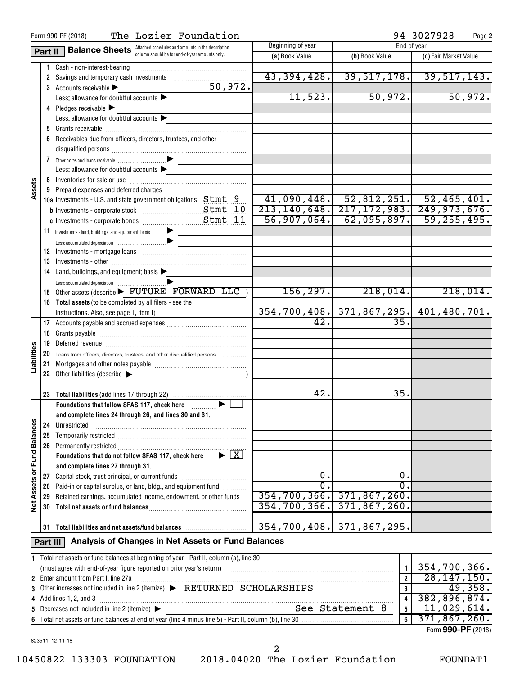|                             |          | The Lozier Foundation<br>Form 990-PF (2018)                                             |                                  |                                                               | 94-3027928            | Page 2   |
|-----------------------------|----------|-----------------------------------------------------------------------------------------|----------------------------------|---------------------------------------------------------------|-----------------------|----------|
|                             | Part II  | Balance Sheets Attached schedules and amounts in the description                        | Beginning of year                | End of year                                                   |                       |          |
|                             |          |                                                                                         | (a) Book Value                   | (b) Book Value                                                | (c) Fair Market Value |          |
|                             |          | 1 Cash - non-interest-bearing                                                           |                                  |                                                               |                       |          |
|                             |          |                                                                                         | 43, 394, 428.                    | 39,517,178.                                                   | 39,517,143.           |          |
|                             |          | 50,972.<br>3 Accounts receivable $\blacktriangleright$                                  | 11,523.                          | 50,972.                                                       |                       | 50,972.  |
|                             |          | Less: allowance for doubtful accounts                                                   |                                  |                                                               |                       |          |
|                             |          | 4 Pledges receivable<br>Less: allowance for doubtful accounts                           |                                  |                                                               |                       |          |
|                             |          |                                                                                         |                                  |                                                               |                       |          |
|                             |          | 6 Receivables due from officers, directors, trustees, and other                         |                                  |                                                               |                       |          |
|                             |          |                                                                                         |                                  |                                                               |                       |          |
|                             |          |                                                                                         |                                  |                                                               |                       |          |
|                             |          | Less: allowance for doubtful accounts $\blacktriangleright$                             |                                  |                                                               |                       |          |
|                             |          |                                                                                         |                                  |                                                               |                       |          |
| Assets                      |          |                                                                                         |                                  |                                                               |                       |          |
|                             |          | 10a Investments - U.S. and state government obligations Stmt 9                          | 41,090,448.                      | $\begin{bmatrix} 52,812,251 \end{bmatrix}$ , 52,465,401.      |                       |          |
|                             |          |                                                                                         | 213, 140, 648.                   | $217, 172, 983.$ 249, 973, 676.                               |                       |          |
|                             |          |                                                                                         | 56,907,064.                      | 62,095,897.                                                   | 59, 255, 495.         |          |
|                             |          | 11 Investments - land, buildings, and equipment: basis                                  |                                  |                                                               |                       |          |
|                             |          |                                                                                         |                                  |                                                               |                       |          |
|                             |          |                                                                                         |                                  |                                                               |                       |          |
|                             |          |                                                                                         |                                  |                                                               |                       |          |
|                             |          | 14 Land, buildings, and equipment: basis                                                |                                  |                                                               |                       |          |
|                             |          |                                                                                         |                                  |                                                               |                       |          |
|                             |          | 15 Other assets (describe FUTURE FORWARD LLC)                                           | 156, 297.                        | 218,014.                                                      |                       | 218,014. |
|                             |          | 16 Total assets (to be completed by all filers - see the                                |                                  |                                                               |                       |          |
|                             |          |                                                                                         |                                  | 354,700,408. 371,867,295. 401,480,701.                        |                       |          |
|                             |          |                                                                                         | $\overline{42}$ .                | 35.                                                           |                       |          |
|                             |          |                                                                                         |                                  |                                                               |                       |          |
|                             |          |                                                                                         |                                  |                                                               |                       |          |
|                             |          | 20 Loans from officers, directors, trustees, and other disqualified persons             |                                  |                                                               |                       |          |
| Liabilities                 | 21       |                                                                                         |                                  |                                                               |                       |          |
|                             |          | 22 Other liabilities (describe                                                          |                                  |                                                               |                       |          |
|                             |          |                                                                                         | 42.                              | 35.                                                           |                       |          |
|                             |          | Foundations that follow SFAS 117, check here <b>Fig. 1. 1. 1. 1. 1.</b>                 |                                  |                                                               |                       |          |
|                             |          | and complete lines 24 through 26, and lines 30 and 31.                                  |                                  |                                                               |                       |          |
|                             | 24       | Unrestricted                                                                            |                                  |                                                               |                       |          |
|                             | 25       |                                                                                         |                                  |                                                               |                       |          |
|                             |          |                                                                                         |                                  |                                                               |                       |          |
| Net Assets or Fund Balances |          | Foundations that do not follow SFAS 117, check here $\mathbb{R}$                        |                                  |                                                               |                       |          |
|                             |          | and complete lines 27 through 31.                                                       |                                  |                                                               |                       |          |
|                             | 27       | Capital stock, trust principal, or current funds                                        | О.<br>σ.                         | 0.<br>$\overline{0}$ .                                        |                       |          |
|                             | 28       | Paid-in or capital surplus, or land, bldg., and equipment fund                          |                                  |                                                               |                       |          |
|                             |          | 29 Retained earnings, accumulated income, endowment, or other funds                     | 354, 700, 366.<br>354, 700, 366. | 371,867,260.<br>371,867,260.                                  |                       |          |
|                             | 30       |                                                                                         |                                  |                                                               |                       |          |
|                             |          |                                                                                         | 354,700,408. 371,867,295.        |                                                               |                       |          |
|                             |          | Analysis of Changes in Net Assets or Fund Balances                                      |                                  |                                                               |                       |          |
|                             | Part III |                                                                                         |                                  |                                                               |                       |          |
|                             |          | 1 Total net assets or fund balances at beginning of year - Part II, column (a), line 30 |                                  |                                                               |                       |          |
|                             |          |                                                                                         |                                  | $\mathbf{1}$                                                  | 354,700,366.          |          |
|                             |          | 2 Enter amount from Part I, line 27a                                                    |                                  | $\overline{2}$                                                | 28, 147, 150.         |          |
| 3                           |          | Other increases not included in line 2 (itemize) EXETURNED SCHOLARSHIPS                 |                                  | $\overline{\mathbf{3}}$                                       | 382, 896, 874.        | 49,358.  |
| 4                           |          | Add lines 1, 2, and 3<br>Decreases not included in line 2 (itemize) ▶                   |                                  | $\overline{\mathbf{4}}$<br>See Statement 8<br>$5\phantom{.0}$ | 11,029,614.           |          |
| 5<br>6                      |          |                                                                                         |                                  | 6                                                             | 371,867,260.          |          |
|                             |          |                                                                                         |                                  |                                                               | Form 990-PF (2018)    |          |
|                             |          |                                                                                         |                                  |                                                               |                       |          |

823511 12-11-18

10450822 133303 FOUNDATION 2018.04020 The Lozier Foundation FOUNDAT1 2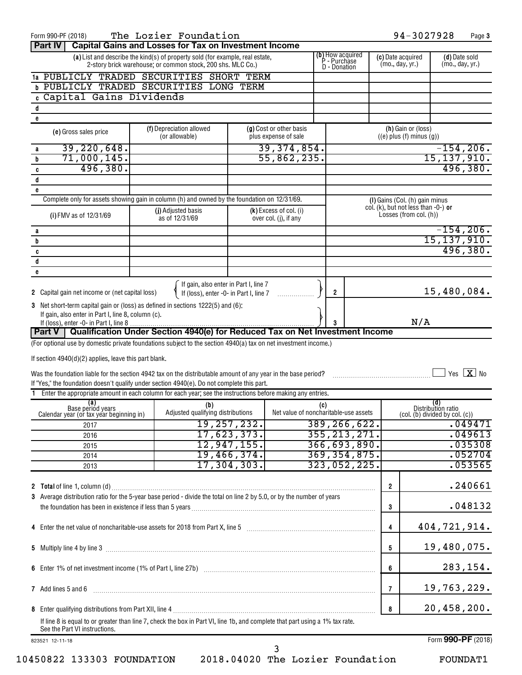| Form 990-PF (2018)                                                                                                                                            |  | The Lozier Foundation                                                           |               |                                                 |     |                                  |                                      | 94-3027928                                           |                           | Page 3                           |
|---------------------------------------------------------------------------------------------------------------------------------------------------------------|--|---------------------------------------------------------------------------------|---------------|-------------------------------------------------|-----|----------------------------------|--------------------------------------|------------------------------------------------------|---------------------------|----------------------------------|
| Part IV                                                                                                                                                       |  | <b>Capital Gains and Losses for Tax on Investment Income</b>                    |               |                                                 |     |                                  |                                      |                                                      |                           |                                  |
|                                                                                                                                                               |  | (a) List and describe the kind(s) of property sold (for example, real estate,   |               |                                                 |     | (b) How acquired<br>P - Purchase | (c) Date acquired<br>(mo., day, yr.) |                                                      |                           | (d) Date sold<br>(mo., day, yr.) |
| 2-story brick warehouse; or common stock, 200 shs. MLC Co.)<br>D - Donation<br>1a PUBLICLY TRADED SECURITIES SHORT TERM                                       |  |                                                                                 |               |                                                 |     |                                  |                                      |                                                      |                           |                                  |
| <b>b PUBLICLY TRADED SECURITIES LONG TERM</b>                                                                                                                 |  |                                                                                 |               |                                                 |     |                                  |                                      |                                                      |                           |                                  |
| c Capital Gains Dividends                                                                                                                                     |  |                                                                                 |               |                                                 |     |                                  |                                      |                                                      |                           |                                  |
| d                                                                                                                                                             |  |                                                                                 |               |                                                 |     |                                  |                                      |                                                      |                           |                                  |
| e                                                                                                                                                             |  |                                                                                 |               |                                                 |     |                                  |                                      |                                                      |                           |                                  |
| (e) Gross sales price                                                                                                                                         |  | (f) Depreciation allowed<br>(or allowable)                                      |               | (g) Cost or other basis<br>plus expense of sale |     |                                  |                                      | (h) Gain or (loss)<br>$((e)$ plus $(f)$ minus $(g))$ |                           |                                  |
| 39, 220, 648.<br>a                                                                                                                                            |  |                                                                                 |               | 39,374,854.                                     |     |                                  |                                      |                                                      |                           | $-154, 206.$                     |
| 71,000,145.<br>b                                                                                                                                              |  |                                                                                 |               | 55,862,235.                                     |     |                                  |                                      |                                                      |                           | 15,137,910.                      |
| 496,380.<br>C<br>$\mathsf d$                                                                                                                                  |  |                                                                                 |               |                                                 |     |                                  |                                      |                                                      |                           | 496,380.                         |
| e                                                                                                                                                             |  |                                                                                 |               |                                                 |     |                                  |                                      |                                                      |                           |                                  |
| Complete only for assets showing gain in column (h) and owned by the foundation on 12/31/69.                                                                  |  |                                                                                 |               |                                                 |     |                                  |                                      | (I) Gains (Col. (h) gain minus                       |                           |                                  |
|                                                                                                                                                               |  | (j) Adjusted basis                                                              |               | $(k)$ Excess of col. (i)                        |     |                                  |                                      | col. (k), but not less than $-0$ -) or               |                           |                                  |
| (i) FMV as of 12/31/69                                                                                                                                        |  | as of 12/31/69                                                                  |               | over col. (j), if any                           |     |                                  |                                      | Losses (from col. (h))                               |                           |                                  |
| а                                                                                                                                                             |  |                                                                                 |               |                                                 |     |                                  |                                      |                                                      |                           | $-154, 206.$                     |
| b                                                                                                                                                             |  |                                                                                 |               |                                                 |     |                                  |                                      |                                                      |                           | 15, 137, 910.                    |
| c                                                                                                                                                             |  |                                                                                 |               |                                                 |     |                                  |                                      |                                                      |                           | 496,380.                         |
| d<br>e                                                                                                                                                        |  |                                                                                 |               |                                                 |     |                                  |                                      |                                                      |                           |                                  |
|                                                                                                                                                               |  |                                                                                 |               |                                                 |     |                                  |                                      |                                                      |                           |                                  |
| 2 Capital gain net income or (net capital loss)                                                                                                               |  | If gain, also enter in Part I, line 7<br>If (loss), enter -0- in Part I, line 7 |               |                                                 |     | $\overline{2}$                   |                                      |                                                      |                           | 15,480,084.                      |
| 3 Net short-term capital gain or (loss) as defined in sections 1222(5) and (6):                                                                               |  |                                                                                 |               |                                                 |     |                                  |                                      |                                                      |                           |                                  |
| If gain, also enter in Part I, line 8, column (c).                                                                                                            |  |                                                                                 |               |                                                 |     |                                  |                                      |                                                      |                           |                                  |
|                                                                                                                                                               |  |                                                                                 |               |                                                 | 3   |                                  |                                      | N/A                                                  |                           |                                  |
| Part V   Qualification Under Section 4940(e) for Reduced Tax on Net Investment Income                                                                         |  |                                                                                 |               |                                                 |     |                                  |                                      |                                                      |                           |                                  |
| (For optional use by domestic private foundations subject to the section 4940(a) tax on net investment income.)                                               |  |                                                                                 |               |                                                 |     |                                  |                                      |                                                      |                           |                                  |
| If section 4940(d)(2) applies, leave this part blank.                                                                                                         |  |                                                                                 |               |                                                 |     |                                  |                                      |                                                      |                           |                                  |
| Was the foundation liable for the section 4942 tax on the distributable amount of any year in the base period?                                                |  |                                                                                 |               |                                                 |     |                                  |                                      |                                                      |                           | Yes $X$ No                       |
| If "Yes," the foundation doesn't qualify under section 4940(e). Do not complete this part.                                                                    |  |                                                                                 |               |                                                 |     |                                  |                                      |                                                      |                           |                                  |
| 1 Enter the appropriate amount in each column for each year; see the instructions before making any entries.                                                  |  |                                                                                 |               |                                                 |     |                                  |                                      |                                                      |                           |                                  |
| (a)<br>Base periód years<br>Calendar year (or tax year beginning in)                                                                                          |  | (b)<br>Adjusted qualifying distributions                                        |               | Net value of noncharitable-use assets           | (C) |                                  |                                      | (col. (b) divided by col. (c))                       | (d)<br>Distribution ratio |                                  |
| 2017                                                                                                                                                          |  |                                                                                 | 19, 257, 232. |                                                 |     | 389, 266, 622.                   |                                      |                                                      |                           | .049471                          |
| 2016                                                                                                                                                          |  |                                                                                 | 17,623,373.   |                                                 |     | 355, 213, 271.                   |                                      |                                                      |                           | .049613                          |
| 2015                                                                                                                                                          |  |                                                                                 | 12,947,155.   |                                                 |     | 366, 693, 890.                   |                                      |                                                      |                           | .035308                          |
| 2014                                                                                                                                                          |  |                                                                                 | 19,466,374.   |                                                 |     | 369, 354, 875.                   |                                      |                                                      |                           | .052704                          |
| 2013                                                                                                                                                          |  |                                                                                 | 17, 304, 303. |                                                 |     | 323,052,225.                     |                                      |                                                      |                           | .053565                          |
|                                                                                                                                                               |  |                                                                                 |               |                                                 |     |                                  |                                      |                                                      |                           | .240661                          |
| 3 Average distribution ratio for the 5-year base period - divide the total on line 2 by 5.0, or by the number of years                                        |  |                                                                                 |               |                                                 |     |                                  | $\overline{2}$                       |                                                      |                           |                                  |
|                                                                                                                                                               |  |                                                                                 |               |                                                 |     |                                  | 3                                    |                                                      |                           | .048132                          |
|                                                                                                                                                               |  |                                                                                 |               |                                                 |     |                                  |                                      |                                                      |                           |                                  |
|                                                                                                                                                               |  |                                                                                 |               |                                                 |     |                                  | 4                                    |                                                      |                           | 404,721,914.                     |
|                                                                                                                                                               |  |                                                                                 |               |                                                 |     |                                  |                                      |                                                      |                           |                                  |
|                                                                                                                                                               |  |                                                                                 |               |                                                 |     |                                  | 5                                    |                                                      |                           | 19,480,075.                      |
|                                                                                                                                                               |  |                                                                                 |               |                                                 |     |                                  |                                      |                                                      |                           |                                  |
|                                                                                                                                                               |  |                                                                                 |               |                                                 |     |                                  | 6                                    |                                                      |                           | 283,154.                         |
| 7 Add lines 5 and 6                                                                                                                                           |  |                                                                                 |               |                                                 |     |                                  | 7                                    |                                                      |                           | 19,763,229.                      |
|                                                                                                                                                               |  |                                                                                 |               |                                                 |     |                                  |                                      |                                                      |                           |                                  |
|                                                                                                                                                               |  |                                                                                 |               |                                                 |     |                                  | 8                                    |                                                      |                           | 20,458,200.                      |
| If line 8 is equal to or greater than line 7, check the box in Part VI, line 1b, and complete that part using a 1% tax rate.<br>See the Part VI instructions. |  |                                                                                 |               |                                                 |     |                                  |                                      |                                                      |                           |                                  |
|                                                                                                                                                               |  |                                                                                 |               |                                                 |     |                                  |                                      |                                                      |                           |                                  |
| 823521 12-11-18                                                                                                                                               |  |                                                                                 |               |                                                 |     |                                  |                                      |                                                      |                           | Form 990-PF (2018)               |

10450822 133303 FOUNDATION 2018.04020 The Lozier Foundation FOUNDAT1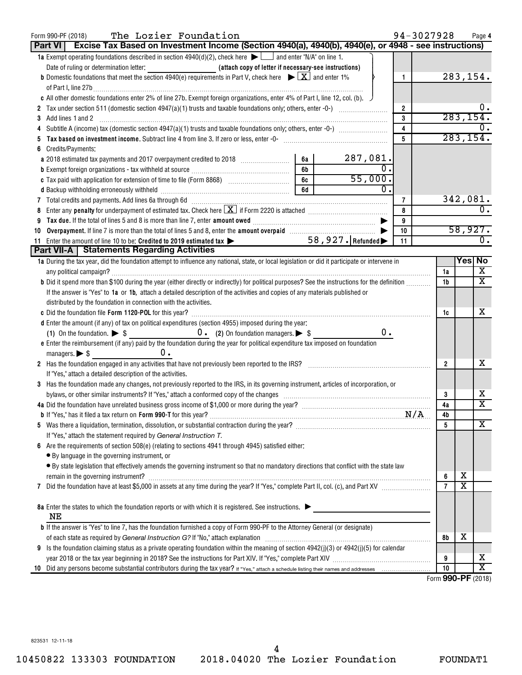| The Lozier Foundation<br>Form 990-PF (2018)<br>Excise Tax Based on Investment Income (Section 4940(a), 4940(b), 4940(e), or 4948 - see instructions)<br><b>Part VI</b>                                                                                                                                                                                                          |    |                     |                         | 94-3027928 |                      |                         | Page 4                  |
|---------------------------------------------------------------------------------------------------------------------------------------------------------------------------------------------------------------------------------------------------------------------------------------------------------------------------------------------------------------------------------|----|---------------------|-------------------------|------------|----------------------|-------------------------|-------------------------|
| 1a Exempt operating foundations described in section $4940(d)(2)$ , check here $\blacktriangleright$ and enter "N/A" on line 1.                                                                                                                                                                                                                                                 |    |                     |                         |            |                      |                         |                         |
|                                                                                                                                                                                                                                                                                                                                                                                 |    |                     |                         |            |                      |                         |                         |
| <b>b</b> Domestic foundations that meet the section 4940(e) requirements in Part V, check here $\blacktriangleright \boxed{\mathbf{X}}$ and enter 1%                                                                                                                                                                                                                            |    |                     | $\mathbf{1}$            |            |                      | 283,154.                |                         |
| of Part I, line 27b $\frac{1}{2}$                                                                                                                                                                                                                                                                                                                                               |    |                     |                         |            |                      |                         |                         |
| c All other domestic foundations enter 2% of line 27b. Exempt foreign organizations, enter 4% of Part I, line 12, col. (b).                                                                                                                                                                                                                                                     |    |                     |                         |            |                      |                         |                         |
|                                                                                                                                                                                                                                                                                                                                                                                 |    |                     | $\overline{2}$          |            |                      |                         | υ.                      |
| Add lines 1 and 2<br>3                                                                                                                                                                                                                                                                                                                                                          |    |                     | 3                       |            |                      | 283, 154.               |                         |
| 4                                                                                                                                                                                                                                                                                                                                                                               |    |                     | $\overline{\mathbf{4}}$ |            |                      |                         |                         |
| 5                                                                                                                                                                                                                                                                                                                                                                               |    |                     | 5                       |            |                      | 283, 154.               |                         |
| Credits/Payments:<br>6                                                                                                                                                                                                                                                                                                                                                          |    |                     |                         |            |                      |                         |                         |
|                                                                                                                                                                                                                                                                                                                                                                                 | 6а | $\frac{287,081}{0}$ |                         |            |                      |                         |                         |
|                                                                                                                                                                                                                                                                                                                                                                                 | 6b |                     |                         |            |                      |                         |                         |
|                                                                                                                                                                                                                                                                                                                                                                                 | 6c | 55,000.             |                         |            |                      |                         |                         |
|                                                                                                                                                                                                                                                                                                                                                                                 | 6d |                     |                         |            |                      |                         |                         |
| 7 Total credits and payments. Add lines 6a through 6d [11] [11] Total Conservation material credits and payments. Add lines 6a through 6d [11] [11] Total minimum materials and payments.                                                                                                                                                                                       |    |                     | $\overline{7}$          |            |                      | 342,081.                |                         |
| Enter any <b>penalty</b> for underpayment of estimated tax. Check here $\boxed{\mathbf{X}}$ if Form 2220 is attached <i>manumumumumum</i><br>8                                                                                                                                                                                                                                  |    |                     | 8                       |            |                      |                         | $\overline{0}$ .        |
| 9                                                                                                                                                                                                                                                                                                                                                                               |    |                     | 9                       |            |                      |                         |                         |
| 10                                                                                                                                                                                                                                                                                                                                                                              |    |                     | 10                      |            |                      | 58,927.                 |                         |
| 11 Enter the amount of line 10 to be: Credited to 2019 estimated tax $\blacktriangleright$                                                                                                                                                                                                                                                                                      |    | 58, 927. Refunded   | 11                      |            |                      |                         | $\overline{0}$ .        |
| <b>Part VII-A   Statements Regarding Activities</b>                                                                                                                                                                                                                                                                                                                             |    |                     |                         |            |                      | Yes∣ No                 |                         |
| 1a During the tax year, did the foundation attempt to influence any national, state, or local legislation or did it participate or intervene in                                                                                                                                                                                                                                 |    |                     |                         |            |                      |                         | $\overline{\mathbf{x}}$ |
| any political campaign? [111] The contract of the contract of the contract of the contract of the contract of the contract of the contract of the contract of the contract of the contract of the contract of the contract of<br>b Did it spend more than \$100 during the year (either directly or indirectly) for political purposes? See the instructions for the definition |    |                     |                         |            | 1a<br>1 <sub>b</sub> |                         | $\overline{\mathbf{X}}$ |
|                                                                                                                                                                                                                                                                                                                                                                                 |    |                     |                         |            |                      |                         |                         |
| If the answer is "Yes" to 1a or 1b, attach a detailed description of the activities and copies of any materials published or<br>distributed by the foundation in connection with the activities.                                                                                                                                                                                |    |                     |                         |            |                      |                         |                         |
|                                                                                                                                                                                                                                                                                                                                                                                 |    |                     |                         |            | 1c                   |                         | x                       |
| d Enter the amount (if any) of tax on political expenditures (section 4955) imposed during the year:                                                                                                                                                                                                                                                                            |    |                     |                         |            |                      |                         |                         |
| (1) On the foundation. $\triangleright$ \$ 0. (2) On foundation managers. $\triangleright$ \$                                                                                                                                                                                                                                                                                   |    |                     | 0.                      |            |                      |                         |                         |
| e Enter the reimbursement (if any) paid by the foundation during the year for political expenditure tax imposed on foundation                                                                                                                                                                                                                                                   |    |                     |                         |            |                      |                         |                         |
| $0$ .<br>managers. $\triangleright$ \$                                                                                                                                                                                                                                                                                                                                          |    |                     |                         |            |                      |                         |                         |
| 2 Has the foundation engaged in any activities that have not previously been reported to the IRS?                                                                                                                                                                                                                                                                               |    |                     |                         |            | $\mathbf{2}$         |                         | x                       |
| If "Yes," attach a detailed description of the activities.                                                                                                                                                                                                                                                                                                                      |    |                     |                         |            |                      |                         |                         |
| 3 Has the foundation made any changes, not previously reported to the IRS, in its governing instrument, articles of incorporation, or                                                                                                                                                                                                                                           |    |                     |                         |            |                      |                         |                         |
| bylaws, or other similar instruments? If "Yes," attach a conformed copy of the changes                                                                                                                                                                                                                                                                                          |    |                     |                         |            | 3                    |                         | x                       |
|                                                                                                                                                                                                                                                                                                                                                                                 |    |                     |                         |            | 4a                   |                         | $\overline{\mathtt{x}}$ |
| <b>b</b> If "Yes," has it filed a tax return on <b>Form 990-T</b> for this year?                                                                                                                                                                                                                                                                                                |    |                     |                         | N/A        | 4b                   |                         |                         |
| 5                                                                                                                                                                                                                                                                                                                                                                               |    |                     |                         |            | 5                    |                         | x                       |
| If "Yes," attach the statement required by General Instruction T.                                                                                                                                                                                                                                                                                                               |    |                     |                         |            |                      |                         |                         |
| Are the requirements of section 508(e) (relating to sections 4941 through 4945) satisfied either:                                                                                                                                                                                                                                                                               |    |                     |                         |            |                      |                         |                         |
| • By language in the governing instrument, or                                                                                                                                                                                                                                                                                                                                   |    |                     |                         |            |                      |                         |                         |
| · By state legislation that effectively amends the governing instrument so that no mandatory directions that conflict with the state law                                                                                                                                                                                                                                        |    |                     |                         |            |                      |                         |                         |
|                                                                                                                                                                                                                                                                                                                                                                                 |    |                     |                         |            | 6                    | х                       |                         |
| 7                                                                                                                                                                                                                                                                                                                                                                               |    |                     |                         |            | $\overline{7}$       | $\overline{\textbf{x}}$ |                         |
|                                                                                                                                                                                                                                                                                                                                                                                 |    |                     |                         |            |                      |                         |                         |
| 8a Enter the states to which the foundation reports or with which it is registered. See instructions.                                                                                                                                                                                                                                                                           |    |                     |                         |            |                      |                         |                         |
| ΝE                                                                                                                                                                                                                                                                                                                                                                              |    |                     |                         |            |                      |                         |                         |
| <b>b</b> If the answer is "Yes" to line 7, has the foundation furnished a copy of Form 990-PF to the Attorney General (or designate)                                                                                                                                                                                                                                            |    |                     |                         |            |                      |                         |                         |
|                                                                                                                                                                                                                                                                                                                                                                                 |    |                     |                         |            | 8b                   | х                       |                         |
| Is the foundation claiming status as a private operating foundation within the meaning of section $4942(j)(3)$ or $4942(j)(5)$ for calendar<br>9                                                                                                                                                                                                                                |    |                     |                         |            |                      |                         |                         |
|                                                                                                                                                                                                                                                                                                                                                                                 |    |                     |                         |            | 9                    |                         | x<br>X                  |
| 10                                                                                                                                                                                                                                                                                                                                                                              |    |                     |                         | $F = 1$    | 10                   | $000 \nF(0010)$         |                         |

Form (2018) **990-PF**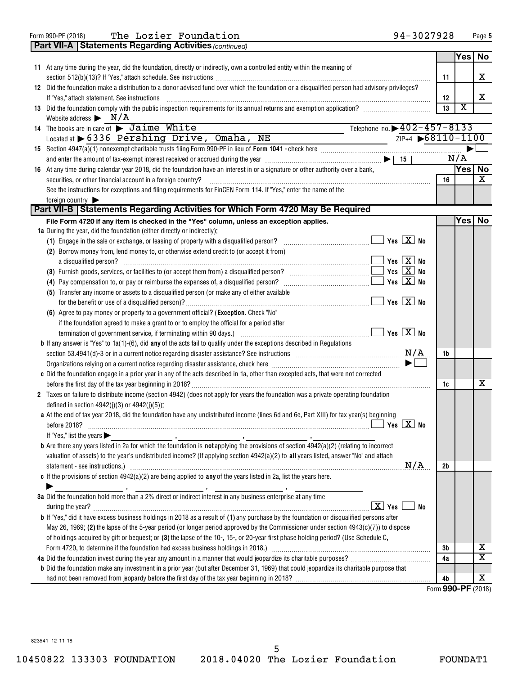Form 990-PF (2018) **The Lozier Foundation** 94-3027928 Page

|  | <b>Part VII-A   Statements Regarding Activities (continued)</b>                                                                                                                                                                |                |                         |                       |
|--|--------------------------------------------------------------------------------------------------------------------------------------------------------------------------------------------------------------------------------|----------------|-------------------------|-----------------------|
|  |                                                                                                                                                                                                                                |                | Yes                     | No                    |
|  | 11 At any time during the year, did the foundation, directly or indirectly, own a controlled entity within the meaning of                                                                                                      |                |                         |                       |
|  |                                                                                                                                                                                                                                | 11             |                         | X                     |
|  | 12 Did the foundation make a distribution to a donor advised fund over which the foundation or a disqualified person had advisory privileges?                                                                                  |                |                         |                       |
|  | If "Yes," attach statement. See instructions                                                                                                                                                                                   | 12             |                         | X                     |
|  | 13 Did the foundation comply with the public inspection requirements for its annual returns and exemption application?                                                                                                         | 13             | $\overline{\textbf{X}}$ |                       |
|  | Website address $\triangleright$ N/A                                                                                                                                                                                           |                |                         |                       |
|  | Telephone no. $\rightarrow$ 402-457-8133<br>14 The books are in care of<br>> Jaime White                                                                                                                                       |                |                         |                       |
|  | $ZIP+4$ $\rightarrow$ 68110-1100<br>Located at $\triangleright$ 6336 Pershing Drive, Omaha, NE                                                                                                                                 |                |                         |                       |
|  | <u> 1980 - John Barn Barn, amerikansk politiker</u>                                                                                                                                                                            |                |                         |                       |
|  | and enter the amount of tax-exempt interest received or accrued during the year $\ldots$ $\ldots$ $\ldots$ $\ldots$ $\ldots$ $\ldots$ $\ldots$ $\ldots$ $\ldots$ $\blacksquare$ 15                                             |                | N/A                     |                       |
|  |                                                                                                                                                                                                                                |                | Yes No                  |                       |
|  | 16 At any time during calendar year 2018, did the foundation have an interest in or a signature or other authority over a bank,                                                                                                | 16             |                         | X                     |
|  | securities, or other financial account in a foreign country?                                                                                                                                                                   |                |                         |                       |
|  | See the instructions for exceptions and filing requirements for FinCEN Form 114. If "Yes," enter the name of the                                                                                                               |                |                         |                       |
|  | foreign country<br>Part VII-B   Statements Regarding Activities for Which Form 4720 May Be Required                                                                                                                            |                |                         |                       |
|  | File Form 4720 if any item is checked in the "Yes" column, unless an exception applies.                                                                                                                                        |                | Yes                     | No                    |
|  | 1a During the year, did the foundation (either directly or indirectly):                                                                                                                                                        |                |                         |                       |
|  |                                                                                                                                                                                                                                |                |                         |                       |
|  | (2) Borrow money from, lend money to, or otherwise extend credit to (or accept it from)                                                                                                                                        |                |                         |                       |
|  | a disqualified person? $\ldots$ No                                                                                                                                                                                             |                |                         |                       |
|  |                                                                                                                                                                                                                                |                |                         |                       |
|  | $\blacksquare$ Yes $\boxed{\mathrm{X}}$ No                                                                                                                                                                                     |                |                         |                       |
|  |                                                                                                                                                                                                                                |                |                         |                       |
|  | (5) Transfer any income or assets to a disqualified person (or make any of either available                                                                                                                                    |                |                         |                       |
|  | $\blacksquare$ Yes $\boxed{\mathrm{X}}$ No                                                                                                                                                                                     |                |                         |                       |
|  | (6) Agree to pay money or property to a government official? (Exception. Check "No"                                                                                                                                            |                |                         |                       |
|  | if the foundation agreed to make a grant to or to employ the official for a period after                                                                                                                                       |                |                         |                       |
|  |                                                                                                                                                                                                                                |                |                         |                       |
|  | <b>b</b> If any answer is "Yes" to $1a(1)$ -(6), did any of the acts fail to qualify under the exceptions described in Regulations                                                                                             |                |                         |                       |
|  | section 53.4941(d)-3 or in a current notice regarding disaster assistance? See instructions $M/A$                                                                                                                              | 1b             |                         |                       |
|  |                                                                                                                                                                                                                                |                |                         |                       |
|  | c Did the foundation engage in a prior year in any of the acts described in 1a, other than excepted acts, that were not corrected                                                                                              |                |                         |                       |
|  |                                                                                                                                                                                                                                | 1c             |                         | x                     |
|  | 2 Taxes on failure to distribute income (section 4942) (does not apply for years the foundation was a private operating foundation                                                                                             |                |                         |                       |
|  | defined in section $4942(j)(3)$ or $4942(j)(5)$ :                                                                                                                                                                              |                |                         |                       |
|  | a At the end of tax year 2018, did the foundation have any undistributed income (lines 6d and 6e, Part XIII) for tax year(s) beginning                                                                                         |                |                         |                       |
|  |                                                                                                                                                                                                                                |                |                         |                       |
|  | If "Yes," list the years $\blacktriangleright$                                                                                                                                                                                 |                |                         |                       |
|  | <b>b</b> Are there any years listed in 2a for which the foundation is <b>not</b> applying the provisions of section $4942(a)(2)$ (relating to incorrect                                                                        |                |                         |                       |
|  | valuation of assets) to the year's undistributed income? (If applying section 4942(a)(2) to all years listed, answer "No" and attach                                                                                           |                |                         |                       |
|  | N/A                                                                                                                                                                                                                            | 2 <sub>b</sub> |                         |                       |
|  | c If the provisions of section $4942(a)(2)$ are being applied to any of the years listed in 2a, list the years here.                                                                                                           |                |                         |                       |
|  |                                                                                                                                                                                                                                |                |                         |                       |
|  | 3a Did the foundation hold more than a 2% direct or indirect interest in any business enterprise at any time                                                                                                                   |                |                         |                       |
|  | $\boxed{\text{X}}$ Yes<br>No                                                                                                                                                                                                   |                |                         |                       |
|  | <b>b</b> If "Yes," did it have excess business holdings in 2018 as a result of (1) any purchase by the foundation or disqualified persons after                                                                                |                |                         |                       |
|  | May 26, 1969; (2) the lapse of the 5-year period (or longer period approved by the Commissioner under section $4943(c)(7)$ ) to dispose                                                                                        |                |                         |                       |
|  | of holdings acquired by gift or bequest; or (3) the lapse of the 10-, 15-, or 20-year first phase holding period? (Use Schedule C,                                                                                             |                |                         |                       |
|  | Form 4720, to determine if the foundation had excess business holdings in 2018.) [11] content and accordination and according to the foundation had excess business holdings in 2018.) [11] contents according to the form and | 3 <sub>b</sub> |                         | х                     |
|  | 4a Did the foundation invest during the year any amount in a manner that would jeopardize its charitable purposes?                                                                                                             | 4a             |                         | $\overline{\text{X}}$ |
|  | <b>b</b> Did the foundation make any investment in a prior year (but after December 31, 1969) that could jeopardize its charitable purpose that                                                                                |                |                         |                       |
|  |                                                                                                                                                                                                                                | 4b             |                         | х                     |
|  |                                                                                                                                                                                                                                |                |                         |                       |

Form (2018) **990-PF**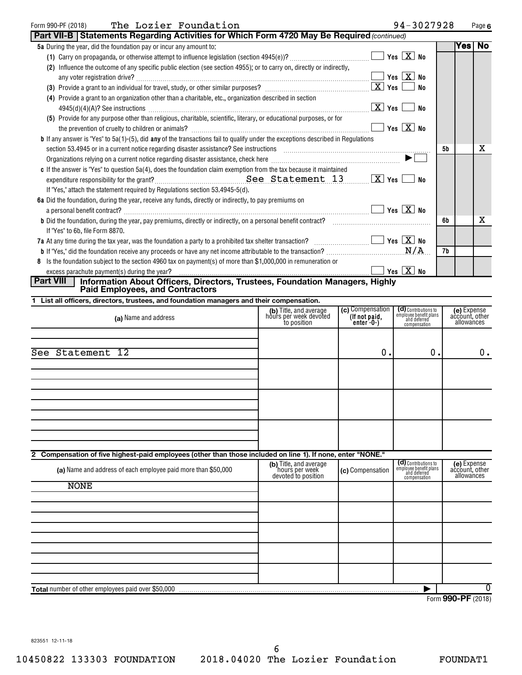#### Form 990-PF (2018) The <code>Lozier Foundation</code> 94-3027928 Page

| 94-3027928 |  | Page 6 |
|------------|--|--------|
|            |  |        |

|                  | Part VII-B   Statements Regarding Activities for Which Form 4720 May Be Required (continued)                                                                                    |                                                                 |                                                  |                                                                                |            |                                             |    |
|------------------|---------------------------------------------------------------------------------------------------------------------------------------------------------------------------------|-----------------------------------------------------------------|--------------------------------------------------|--------------------------------------------------------------------------------|------------|---------------------------------------------|----|
|                  | 5a During the year, did the foundation pay or incur any amount to:                                                                                                              |                                                                 |                                                  |                                                                                |            | Yes                                         | No |
|                  |                                                                                                                                                                                 |                                                                 |                                                  |                                                                                |            |                                             |    |
|                  | (2) Influence the outcome of any specific public election (see section 4955); or to carry on, directly or indirectly,                                                           |                                                                 |                                                  |                                                                                |            |                                             |    |
|                  |                                                                                                                                                                                 |                                                                 |                                                  |                                                                                |            |                                             |    |
|                  |                                                                                                                                                                                 |                                                                 |                                                  | No                                                                             |            |                                             |    |
|                  | (4) Provide a grant to an organization other than a charitable, etc., organization described in section                                                                         |                                                                 |                                                  |                                                                                |            |                                             |    |
|                  | $4945(d)(4)(A)?$ See instructions $\Box$ Yes $\Box$                                                                                                                             |                                                                 |                                                  | No                                                                             |            |                                             |    |
|                  | (5) Provide for any purpose other than religious, charitable, scientific, literary, or educational purposes, or for                                                             |                                                                 |                                                  |                                                                                |            |                                             |    |
|                  | the prevention of cruelty to children or animals? $\ldots$ $\ldots$ $\ldots$ $\ldots$ $\ldots$ $\ldots$ $\ldots$ $\ldots$ $\ldots$ $\ldots$ $\ldots$ $\ldots$ $\ldots$ $\ldots$ |                                                                 |                                                  |                                                                                |            |                                             |    |
|                  | <b>b</b> If any answer is "Yes" to $5a(1)$ -(5), did any of the transactions fail to qualify under the exceptions described in Regulations                                      |                                                                 |                                                  |                                                                                |            |                                             |    |
|                  |                                                                                                                                                                                 |                                                                 |                                                  |                                                                                | 5 <b>b</b> |                                             | x  |
|                  |                                                                                                                                                                                 |                                                                 |                                                  | $\blacktriangleright$                                                          |            |                                             |    |
|                  | c If the answer is "Yes" to question $5a(4)$ , does the foundation claim exemption from the tax because it maintained                                                           |                                                                 |                                                  |                                                                                |            |                                             |    |
|                  |                                                                                                                                                                                 |                                                                 |                                                  |                                                                                |            |                                             |    |
|                  | If "Yes," attach the statement required by Regulations section 53.4945-5(d).                                                                                                    |                                                                 |                                                  |                                                                                |            |                                             |    |
|                  | 6a Did the foundation, during the year, receive any funds, directly or indirectly, to pay premiums on                                                                           |                                                                 |                                                  |                                                                                |            |                                             |    |
|                  | a personal benefit contract? $\ldots$ No                                                                                                                                        |                                                                 |                                                  |                                                                                |            |                                             |    |
|                  | <b>b</b> Did the foundation, during the year, pay premiums, directly or indirectly, on a personal benefit contract?                                                             |                                                                 |                                                  |                                                                                | 6b         |                                             | x  |
|                  | If "Yes" to 6b, file Form 8870.                                                                                                                                                 |                                                                 |                                                  |                                                                                |            |                                             |    |
|                  | 7a At any time during the tax year, was the foundation a party to a prohibited tax shelter transaction? $\Box$ $\Box$ Yes $\Box$ Yes $\Box$ No                                  |                                                                 |                                                  |                                                                                |            |                                             |    |
|                  | <b>b</b> If "Yes," did the foundation receive any proceeds or have any net income attributable to the transaction?                                                              |                                                                 |                                                  | N/A                                                                            | 7b         |                                             |    |
|                  | 8 Is the foundation subject to the section 4960 tax on payment(s) of more than \$1,000,000 in remuneration or                                                                   |                                                                 |                                                  |                                                                                |            |                                             |    |
|                  |                                                                                                                                                                                 |                                                                 |                                                  |                                                                                |            |                                             |    |
| <b>Part VIII</b> | Information About Officers, Directors, Trustees, Foundation Managers, Highly<br><b>Paid Employees, and Contractors</b>                                                          |                                                                 |                                                  |                                                                                |            |                                             |    |
|                  | 1 List all officers, directors, trustees, and foundation managers and their compensation.                                                                                       |                                                                 |                                                  |                                                                                |            |                                             |    |
|                  | (a) Name and address                                                                                                                                                            | (b) Title, and average<br>hours per week devoted<br>to position | (c) Compensation<br>(If not paid,<br>$enter-0-)$ | (d) Contributions to<br>employee benefit plans<br>and deferred<br>compensation |            | (e) Expense<br>account, other<br>allowances |    |

| (a) Name and address                                                                                        | (b) Title, and average<br>hours per week devoted<br>to position | (c) Compensation<br>(If not paid,<br>enter -0-) | (CI) Contributions to<br>employee benefit plans<br>and deferred<br>compensation | <b>(e)</b> Expense<br>account, other<br>allowances |
|-------------------------------------------------------------------------------------------------------------|-----------------------------------------------------------------|-------------------------------------------------|---------------------------------------------------------------------------------|----------------------------------------------------|
| See Statement 12                                                                                            |                                                                 | 0.                                              | 0.                                                                              | $0$ .                                              |
|                                                                                                             |                                                                 |                                                 |                                                                                 |                                                    |
|                                                                                                             |                                                                 |                                                 |                                                                                 |                                                    |
|                                                                                                             |                                                                 |                                                 |                                                                                 |                                                    |
| 2 Compensation of five highest-paid employees (other than those included on line 1). If none, enter "NONE." |                                                                 |                                                 |                                                                                 |                                                    |
| (a) Name and address of each employee paid more than \$50,000                                               | (b) Title, and average<br>hours per week<br>devoted to position | (c) Compensation                                | (d) Contributions to<br>employee benefit plans<br>and deferred<br>compensation  | (e) Expense<br>account, other<br>allowances        |
| <b>NONE</b>                                                                                                 |                                                                 |                                                 |                                                                                 |                                                    |
|                                                                                                             |                                                                 |                                                 |                                                                                 |                                                    |
|                                                                                                             |                                                                 |                                                 |                                                                                 |                                                    |
|                                                                                                             |                                                                 |                                                 |                                                                                 |                                                    |
|                                                                                                             |                                                                 |                                                 |                                                                                 |                                                    |
| Total number of other employees paid over \$50,000                                                          |                                                                 |                                                 |                                                                                 | 0                                                  |

Form (2018) **990-PF**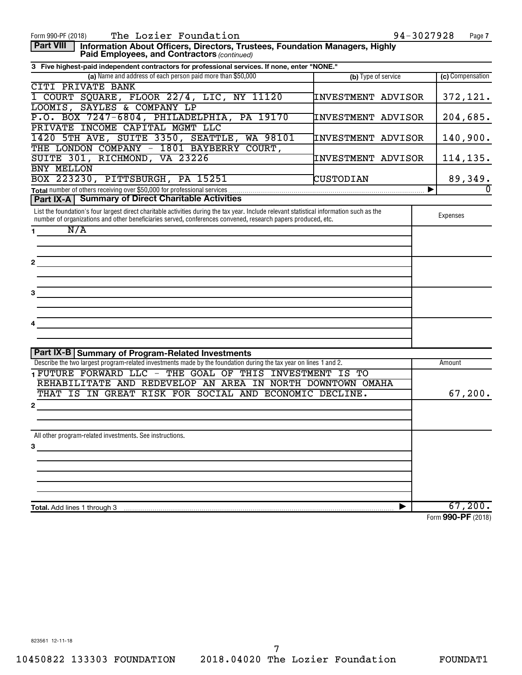| The Lozier Foundation<br>Form 990-PF (2018)                                                                                                     |                           | 94-3027928<br>Page 7 |
|-------------------------------------------------------------------------------------------------------------------------------------------------|---------------------------|----------------------|
| <b>Part VIII</b><br>Information About Officers, Directors, Trustees, Foundation Managers, Highly<br>Paid Employees, and Contractors (continued) |                           |                      |
| 3 Five highest-paid independent contractors for professional services. If none, enter "NONE."                                                   |                           |                      |
| (a) Name and address of each person paid more than \$50,000                                                                                     | (b) Type of service       | (c) Compensation     |
| CITI PRIVATE BANK                                                                                                                               |                           |                      |
| 1 COURT SQUARE, FLOOR 22/4, LIC, NY 11120                                                                                                       | INVESTMENT ADVISOR        | 372,121.             |
| LOOMIS, SAYLES & COMPANY LP                                                                                                                     |                           |                      |
| P.O. BOX 7247-6804, PHILADELPHIA,<br>PA 19170                                                                                                   | <b>INVESTMENT ADVISOR</b> | 204,685.             |
| PRIVATE INCOME CAPITAL MGMT LLC                                                                                                                 |                           |                      |
|                                                                                                                                                 |                           |                      |
| 1420 5TH AVE, SUITE 3350, SEATTLE,<br>WA 98101                                                                                                  | INVESTMENT ADVISOR        | 140,900.             |
| THE LONDON COMPANY - 1801 BAYBERRY COURT,                                                                                                       |                           |                      |
| SUITE 301, RICHMOND, VA 23226                                                                                                                   | <b>INVESTMENT ADVISOR</b> | 114, 135.            |
| BNY MELLON                                                                                                                                      |                           |                      |
| BOX 223230, PITTSBURGH, PA 15251                                                                                                                | CUSTODIAN                 | 89,349.              |
|                                                                                                                                                 |                           | $\Omega$             |
| Part IX-A   Summary of Direct Charitable Activities                                                                                             |                           |                      |
| List the foundation's four largest direct charitable activities during the tax year. Include relevant statistical information such as the       |                           |                      |
| number of organizations and other beneficiaries served, conferences convened, research papers produced, etc.                                    |                           | Expenses             |
| N/A<br>1.                                                                                                                                       |                           |                      |
|                                                                                                                                                 |                           |                      |
|                                                                                                                                                 |                           |                      |
|                                                                                                                                                 |                           |                      |
|                                                                                                                                                 |                           |                      |
|                                                                                                                                                 |                           |                      |
|                                                                                                                                                 |                           |                      |
| З                                                                                                                                               |                           |                      |
|                                                                                                                                                 |                           |                      |
|                                                                                                                                                 |                           |                      |
|                                                                                                                                                 |                           |                      |
|                                                                                                                                                 |                           |                      |
|                                                                                                                                                 |                           |                      |
|                                                                                                                                                 |                           |                      |
| <b>Part IX-B Summary of Program-Related Investments</b>                                                                                         |                           |                      |
| Describe the two largest program-related investments made by the foundation during the tax year on lines 1 and 2.                               |                           | Amount               |
| TEUTURE FORWARD LLC - THE GOAL OF THIS INVESTMENT IS TO                                                                                         |                           |                      |
| REHABILITATE AND REDEVELOP AN AREA IN NORTH DOWNTOWN OMAHA                                                                                      |                           |                      |
| THAT IS IN GREAT RISK FOR SOCIAL AND ECONOMIC DECLINE.                                                                                          |                           | 67, 200.             |
| 2                                                                                                                                               |                           |                      |
|                                                                                                                                                 |                           |                      |
|                                                                                                                                                 |                           |                      |
| All other program-related investments. See instructions.                                                                                        |                           |                      |
|                                                                                                                                                 |                           |                      |
| З                                                                                                                                               |                           |                      |
|                                                                                                                                                 |                           |                      |
|                                                                                                                                                 |                           |                      |
|                                                                                                                                                 |                           |                      |
|                                                                                                                                                 |                           |                      |
|                                                                                                                                                 |                           |                      |
| <b>Total.</b> Add lines 1 through 3                                                                                                             | ▶                         | 67,200.              |
|                                                                                                                                                 |                           | Form 990-PF (2018)   |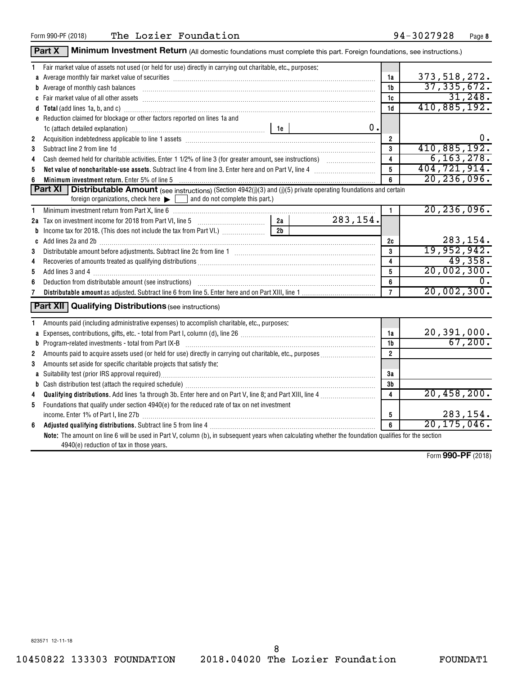|                | Part X   Minimum Investment Return (All domestic foundations must complete this part. Foreign foundations, see instructions.)                                                                                                                                                                                                                                                      |          |                               |                |
|----------------|------------------------------------------------------------------------------------------------------------------------------------------------------------------------------------------------------------------------------------------------------------------------------------------------------------------------------------------------------------------------------------|----------|-------------------------------|----------------|
|                | 1 Fair market value of assets not used (or held for use) directly in carrying out charitable, etc., purposes:                                                                                                                                                                                                                                                                      |          |                               |                |
|                | a Average monthly fair market value of securities [11] match match match match of the contract match match match match match match match match match match match match match match match match match match match match match m                                                                                                                                                     |          | 1a                            | 373, 518, 272. |
|                | <b>b</b> Average of monthly cash balances<br>$\begin{bmatrix} \begin{bmatrix} 0 & 0 & 0 & 0 \\ 0 & 0 & 0 & 0 \\ 0 & 0 & 0 & 0 \\ 0 & 0 & 0 & 0 \\ 0 & 0 & 0 & 0 \\ 0 & 0 & 0 & 0 \\ 0 & 0 & 0 & 0 \\ 0 & 0 & 0 & 0 & 0 \\ 0 & 0 & 0 & 0 & 0 \\ 0 & 0 & 0 & 0 & 0 \\ 0 & 0 & 0 & 0 & 0 \\ 0 & 0 & 0 & 0 & 0 \\ 0 & 0 & 0 & 0 & 0 \\ 0 & 0 & 0 & 0 & 0 \\ 0 & 0 & 0 & 0 & 0 \\ 0 & $ |          | 1 <sub>b</sub>                | 37, 335, 672.  |
|                |                                                                                                                                                                                                                                                                                                                                                                                    |          | 1c                            | 31,248.        |
|                | d Total (add lines 1a, b, and c) Mathematical Annual Contract and Total (add lines 1a, b, and c)                                                                                                                                                                                                                                                                                   |          | 1 <sub>d</sub>                | 410,885,192.   |
|                | e Reduction claimed for blockage or other factors reported on lines 1a and                                                                                                                                                                                                                                                                                                         |          |                               |                |
|                | 1c (attach detailed explanation) manufactured and according to the last of the last series and the last series of the last series of the last series of the last series of the last series of the last series of the last seri                                                                                                                                                     | 0.       |                               |                |
| $\overline{2}$ |                                                                                                                                                                                                                                                                                                                                                                                    |          | $\overline{2}$                | 0.             |
| 3              | Subtract line 2 from line 1d <b>matures and the contract of the 1d</b> matures and the 1d matures and the 2 from line 1d                                                                                                                                                                                                                                                           |          | $\overline{\mathbf{3}}$       | 410,885,192.   |
| 4              |                                                                                                                                                                                                                                                                                                                                                                                    |          | $\overline{\mathbf{4}}$       | 6, 163, 278.   |
| 5              | Net value of noncharitable-use assets. Subtract line 4 from line 3. Enter here and on Part V, line 4 [11, 1111] Net value of noncharitable-use assets. Subtract line 4 [12] $\mu$                                                                                                                                                                                                  |          | $\overline{5}$                | 404, 721, 914. |
| 6              | Minimum investment return. Enter 5% of line 5 [11] Minimum material contracts and the state of the state of the state of the state of the state of the state of the state of the state of the state of the state of the state                                                                                                                                                      |          | 6                             | 20, 236, 096.  |
|                | <b>Part XI</b> Distributable Amount (see instructions) (Section 4942(j)(3) and (j)(5) private operating foundations and certain                                                                                                                                                                                                                                                    |          |                               |                |
|                | foreign organizations, check here $\blacktriangleright$ $\Box$ and do not complete this part.)                                                                                                                                                                                                                                                                                     |          |                               |                |
| 1              |                                                                                                                                                                                                                                                                                                                                                                                    |          | $\mathbf{1}$                  | 20, 236, 096.  |
|                | 2a<br>2a Tax on investment income for 2018 from Part VI, line 5 [100] [100] [100] [100] [100] [100] [100] [100] [100                                                                                                                                                                                                                                                               | 283,154. |                               |                |
|                | $\overline{2b}$                                                                                                                                                                                                                                                                                                                                                                    |          |                               |                |
|                | $c$ Add lines 2a and 2b $\ldots$ $\ldots$ $\ldots$ $\ldots$ $\ldots$ $\ldots$ $\ldots$ $\ldots$ $\ldots$ $\ldots$ $\ldots$ $\ldots$ $\ldots$ $\ldots$ $\ldots$ $\ldots$                                                                                                                                                                                                            |          | 2c                            | 283, 154.      |
| 3              |                                                                                                                                                                                                                                                                                                                                                                                    |          | $\mathbf{3}$                  | 19,952,942.    |
| 4              |                                                                                                                                                                                                                                                                                                                                                                                    |          | $\overline{\mathbf{4}}$       | 49,358.        |
| 5              |                                                                                                                                                                                                                                                                                                                                                                                    |          | 5                             | 20,002,300.    |
| 6              |                                                                                                                                                                                                                                                                                                                                                                                    |          | 6                             | 0.             |
|                |                                                                                                                                                                                                                                                                                                                                                                                    |          | $\overline{7}$                | 20,002,300.    |
|                | <b>Part XII</b> Qualifying Distributions (see instructions)                                                                                                                                                                                                                                                                                                                        |          |                               |                |
| 1              | Amounts paid (including administrative expenses) to accomplish charitable, etc., purposes:                                                                                                                                                                                                                                                                                         |          |                               | 20, 391, 000.  |
|                |                                                                                                                                                                                                                                                                                                                                                                                    |          | 1a                            | 67,200.        |
|                |                                                                                                                                                                                                                                                                                                                                                                                    |          | 1b<br>$\overline{2}$          |                |
| 2              |                                                                                                                                                                                                                                                                                                                                                                                    |          |                               |                |
| 3              | Amounts set aside for specific charitable projects that satisfy the:                                                                                                                                                                                                                                                                                                               |          |                               |                |
|                |                                                                                                                                                                                                                                                                                                                                                                                    |          | За                            |                |
|                |                                                                                                                                                                                                                                                                                                                                                                                    |          | 3b<br>$\overline{\mathbf{4}}$ | 20,458,200.    |
| 4              |                                                                                                                                                                                                                                                                                                                                                                                    |          |                               |                |
| 5              | Foundations that qualify under section 4940(e) for the reduced rate of tax on net investment                                                                                                                                                                                                                                                                                       |          |                               | 283, 154.      |
|                | income. Enter 1% of Part I, line 27b [ with the with the contract the contract of Part I, line 27b [ with the w                                                                                                                                                                                                                                                                    |          | 5<br>6                        | 20, 175, 046.  |
| 6              |                                                                                                                                                                                                                                                                                                                                                                                    |          |                               |                |
|                | Note: The amount on line 6 will be used in Part V, column (b), in subsequent years when calculating whether the foundation qualifies for the section<br>4940(e) reduction of tax in those years.                                                                                                                                                                                   |          |                               |                |

Form (2018) **990-PF**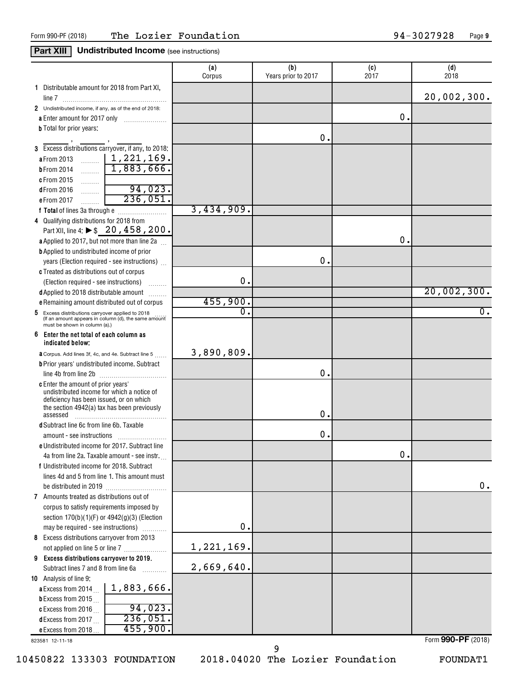## **Part XIII Undistributed Income** (see instructions)

|                                                                                       | (a)<br>Corpus | (b)<br>Years prior to 2017 | (c)<br>2017   | (d)<br>2018 |
|---------------------------------------------------------------------------------------|---------------|----------------------------|---------------|-------------|
| 1 Distributable amount for 2018 from Part XI,                                         |               |                            |               | 20,002,300. |
| 2 Undistributed income, if any, as of the end of 2018:                                |               |                            |               |             |
| a Enter amount for 2017 only                                                          |               |                            | 0.            |             |
| <b>b</b> Total for prior years:                                                       |               |                            |               |             |
|                                                                                       |               | 0.                         |               |             |
| 3 Excess distributions carryover, if any, to 2018:                                    |               |                            |               |             |
| $\sim$   1,221,169.<br>a From 2013                                                    |               |                            |               |             |
| 1,883,666.<br><b>b</b> From 2014<br>$\frac{1}{2}$                                     |               |                            |               |             |
| c From 2015                                                                           |               |                            |               |             |
| $\ldots \ldots \ldots$<br>94,023.<br>$d$ From 2016                                    |               |                            |               |             |
| $\overline{236,051}$ .<br>e From 2017<br>. 1                                          |               |                            |               |             |
|                                                                                       | 3,434,909.    |                            |               |             |
| 4 Qualifying distributions for 2018 from                                              |               |                            |               |             |
| Part XII, line 4: ▶ \$ 20, 458, 200.                                                  |               |                            |               |             |
| a Applied to 2017, but not more than line 2a                                          |               |                            | О.            |             |
| <b>b</b> Applied to undistributed income of prior                                     |               |                            |               |             |
| years (Election required - see instructions)                                          |               | 0.                         |               |             |
|                                                                                       |               |                            |               |             |
| c Treated as distributions out of corpus                                              | 0.            |                            |               |             |
| (Election required - see instructions)<br>d Applied to 2018 distributable amount      |               |                            |               | 20,002,300. |
| e Remaining amount distributed out of corpus                                          | 455,900.      |                            |               |             |
| 5 Excess distributions carryover applied to 2018                                      | 0.            |                            |               | 0.          |
| (If an amount appears in column (d), the same amount<br>must be shown in column (a).) |               |                            |               |             |
| 6<br>Enter the net total of each column as<br>indicated below;                        |               |                            |               |             |
| a Corpus. Add lines 3f, 4c, and 4e. Subtract line 5                                   | 3,890,809.    |                            |               |             |
| <b>b</b> Prior years' undistributed income. Subtract                                  |               |                            |               |             |
|                                                                                       |               | 0.                         |               |             |
| c Enter the amount of prior years'                                                    |               |                            |               |             |
| undistributed income for which a notice of<br>deficiency has been issued, or on which |               |                            |               |             |
| the section 4942(a) tax has been previously                                           |               |                            |               |             |
| assessed                                                                              |               | 0.                         |               |             |
| <b>d</b> Subtract line 6c from line 6b. Taxable                                       |               |                            |               |             |
| amount - see instructions                                                             |               | 0                          |               |             |
| e Undistributed income for 2017. Subtract line                                        |               |                            |               |             |
| 4a from line 2a. Taxable amount - see instr.                                          |               |                            | $\mathbf 0$ . |             |
| f Undistributed income for 2018. Subtract                                             |               |                            |               |             |
| lines 4d and 5 from line 1. This amount must                                          |               |                            |               |             |
|                                                                                       |               |                            |               | 0.          |
| 7 Amounts treated as distributions out of                                             |               |                            |               |             |
| corpus to satisfy requirements imposed by                                             |               |                            |               |             |
| section 170(b)(1)(F) or 4942(g)(3) (Election                                          | 0.            |                            |               |             |
| may be required - see instructions)                                                   |               |                            |               |             |
| 8 Excess distributions carryover from 2013                                            | 1,221,169.    |                            |               |             |
| not applied on line 5 or line 7                                                       |               |                            |               |             |
| 9 Excess distributions carryover to 2019.                                             | 2,669,640.    |                            |               |             |
| Subtract lines 7 and 8 from line 6a<br>.<br>10 Analysis of line 9:                    |               |                            |               |             |
| 1,883,666.<br>a Excess from 2014.                                                     |               |                            |               |             |
| <b>b</b> Excess from 2015.                                                            |               |                            |               |             |
| 94,023.<br>c Excess from 2016                                                         |               |                            |               |             |
| 236,051<br>dExcess from 2017                                                          |               |                            |               |             |
| 455,900.<br>e Excess from 2018                                                        |               |                            |               |             |

823581 12-11-18

10450822 133303 FOUNDATION 2018.04020 The Lozier Foundation FOUNDAT1

9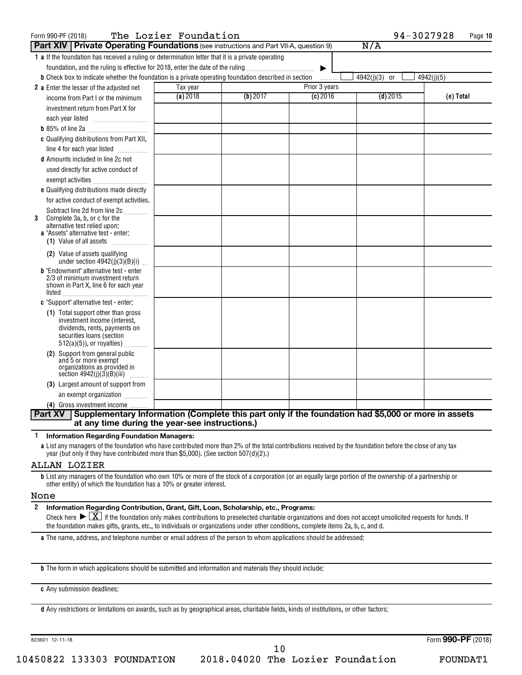| Form 990-PF (2018)                                                                                                                                                            | The Lozier Foundation |          |               | 94-3027928    | Page 10    |
|-------------------------------------------------------------------------------------------------------------------------------------------------------------------------------|-----------------------|----------|---------------|---------------|------------|
| <b>Part XIV Private Operating Foundations</b> (see instructions and Part VII-A, question 9)                                                                                   |                       |          |               | N/A           |            |
| 1 a If the foundation has received a ruling or determination letter that it is a private operating                                                                            |                       |          |               |               |            |
| foundation, and the ruling is effective for 2018, enter the date of the ruling                                                                                                |                       |          | ▶             |               |            |
| <b>b</b> Check box to indicate whether the foundation is a private operating foundation described in section                                                                  |                       |          | 1.1.1.1.1.1   | 4942(j)(3) or | 4942(j)(5) |
| 2 a Enter the lesser of the adjusted net                                                                                                                                      | Tax year              |          | Prior 3 years |               |            |
| income from Part I or the minimum                                                                                                                                             | (a) 2018              | (b) 2017 | $(c)$ 2016    | $(d)$ 2015    | (e) Total  |
| investment return from Part X for                                                                                                                                             |                       |          |               |               |            |
|                                                                                                                                                                               |                       |          |               |               |            |
|                                                                                                                                                                               |                       |          |               |               |            |
| c Qualifying distributions from Part XII,<br>line 4 for each year listed                                                                                                      |                       |          |               |               |            |
| <b>d</b> Amounts included in line 2c not                                                                                                                                      |                       |          |               |               |            |
| used directly for active conduct of                                                                                                                                           |                       |          |               |               |            |
| exempt activities                                                                                                                                                             |                       |          |               |               |            |
| e Qualifying distributions made directly                                                                                                                                      |                       |          |               |               |            |
| for active conduct of exempt activities.                                                                                                                                      |                       |          |               |               |            |
| Subtract line 2d from line 2c<br>Complete 3a, b, or c for the<br>3<br>alternative test relied upon:<br><b>a</b> "Assets" alternative test - enter:<br>(1) Value of all assets |                       |          |               |               |            |
| (2) Value of assets qualifying<br>under section $4942(j)(3)(B)(i)$                                                                                                            |                       |          |               |               |            |
| <b>b</b> "Endowment" alternative test - enter<br>2/3 of minimum investment return<br>shown in Part X, line 6 for each year                                                    |                       |          |               |               |            |
| c "Support" alternative test - enter:                                                                                                                                         |                       |          |               |               |            |
| (1) Total support other than gross<br>investment income (interest,<br>dividends, rents, payments on<br>securities loans (section<br>$512(a)(5)$ , or royalties)               |                       |          |               |               |            |
| (2) Support from general public<br>and 5 or more exempt<br>organizations as provided in<br>section 4942(j)(3)(B)(iii)                                                         |                       |          |               |               |            |
| (3) Largest amount of support from                                                                                                                                            |                       |          |               |               |            |
| an exempt organization                                                                                                                                                        |                       |          |               |               |            |
| (4) Gross investment income                                                                                                                                                   |                       |          |               |               |            |
| Supplementary Information (Complete this part only if the foundation had \$5,000 or more in assets<br><b>Part XV</b>                                                          |                       |          |               |               |            |
| at any time during the year-see instructions.)                                                                                                                                |                       |          |               |               |            |

#### **1 Information Regarding Foundation Managers:**

**a** List any managers of the foundation who have contributed more than 2% of the total contributions received by the foundation before the close of any tax year (but only if they have contributed more than \$5,000). (See section 507(d)(2).)

#### ALLAN LOZIER

**b** List any managers of the foundation who own 10% or more of the stock of a corporation (or an equally large portion of the ownership of a partnership or other entity) of which the foundation has a 10% or greater interest.

#### None

#### **2 Information Regarding Contribution, Grant, Gift, Loan, Scholarship, etc., Programs:**

Check here  $\sum X_i$  if the foundation only makes contributions to preselected charitable organizations and does not accept unsolicited requests for funds. If the foundation makes gifts, grants, etc., to individuals or organizations under other conditions, complete items 2a, b, c, and d.

**a** The name, address, and telephone number or email address of the person to whom applications should be addressed:

**b** The form in which applications should be submitted and information and materials they should include:

**c** Any submission deadlines:

**d** Any restrictions or limitations on awards, such as by geographical areas, charitable fields, kinds of institutions, or other factors:

823601 12-11-18

Form (2018) **990-PF**

10450822 133303 FOUNDATION 2018.04020 The Lozier Foundation FOUNDAT1 10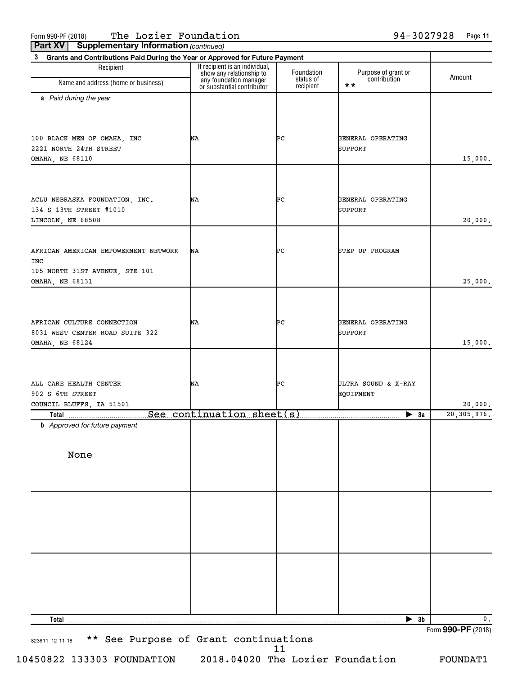Form 990-PF (2018) The <code>Lozier Foundation</code> 94-3027928 Page

| Part XV<br><b>Supplementary Information (continued)</b>                           |                                                                                                                    |                         |                                     |                                     |
|-----------------------------------------------------------------------------------|--------------------------------------------------------------------------------------------------------------------|-------------------------|-------------------------------------|-------------------------------------|
| 3 Grants and Contributions Paid During the Year or Approved for Future Payment    |                                                                                                                    |                         |                                     |                                     |
| Recipient<br>Name and address (home or business)                                  | If recipient is an individual,<br>show any relationship to<br>any foundation manager<br>or substantial contributor | Foundation<br>status of | Purpose of grant or<br>contribution | Amount                              |
|                                                                                   |                                                                                                                    | recipient               | $\star\star$                        |                                     |
| a Paid during the year                                                            |                                                                                                                    |                         |                                     |                                     |
| 100 BLACK MEN OF OMAHA, INC<br>2221 NORTH 24TH STREET                             | ΝA                                                                                                                 | ÞС                      | GENERAL OPERATING<br>SUPPORT        |                                     |
| OMAHA, NE 68110                                                                   |                                                                                                                    |                         |                                     | 15,000.                             |
| ACLU NEBRASKA FOUNDATION, INC.<br>134 S 13TH STREET #1010<br>LINCOLN, NE 68508    | ΝA                                                                                                                 | ÞС                      | GENERAL OPERATING<br>SUPPORT        | 20,000.                             |
| AFRICAN AMERICAN EMPOWERMENT NETWORK<br>INC<br>105 NORTH 31ST AVENUE, STE 101     | ΝA                                                                                                                 | ÞС                      | STEP UP PROGRAM                     |                                     |
| OMAHA, NE 68131                                                                   |                                                                                                                    |                         |                                     | 25,000.                             |
| AFRICAN CULTURE CONNECTION<br>8031 WEST CENTER ROAD SUITE 322<br>OMAHA, NE 68124  | ΝA                                                                                                                 | ÞС                      | GENERAL OPERATING<br>SUPPORT        | 15,000.                             |
| ALL CARE HEALTH CENTER<br>902 S 6TH STREET<br>COUNCIL BLUFFS, IA 51501            | ΝA                                                                                                                 | ÞС                      | ULTRA SOUND & X-RAY<br>EQUIPMENT    | 20,000.                             |
| Total ___________________________See_continuation_sheet(s) ______________________ |                                                                                                                    |                         | $\blacktriangleright$ 3a            | 20, 305, 976.                       |
| <b>b</b> Approved for future payment                                              |                                                                                                                    |                         |                                     |                                     |
| None                                                                              |                                                                                                                    |                         |                                     |                                     |
|                                                                                   |                                                                                                                    |                         |                                     |                                     |
|                                                                                   |                                                                                                                    |                         |                                     |                                     |
|                                                                                   |                                                                                                                    |                         |                                     |                                     |
|                                                                                   |                                                                                                                    |                         |                                     |                                     |
| <b>Total</b>                                                                      |                                                                                                                    |                         | $\blacktriangleright$ 3b            | $\mathbf 0$ .<br>Form 990-PF (2018) |

823611 12-11-18 \*\* See Purpose of Grant continuations 11

10450822 133303 FOUNDATION 2018.04020 The Lozier Foundation FOUNDAT1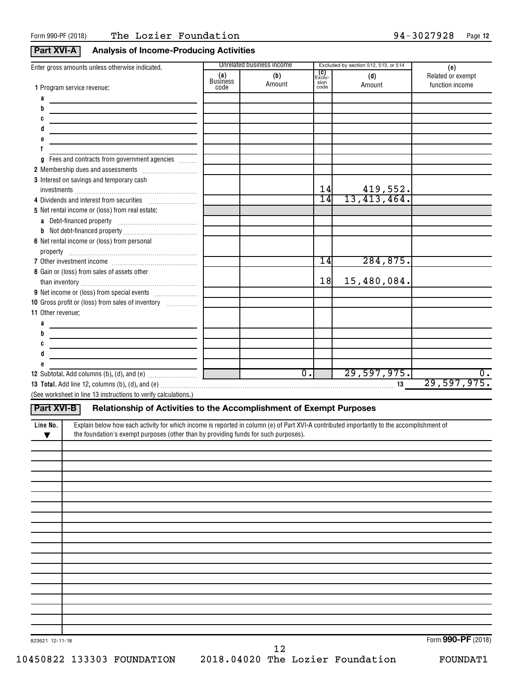## **Part XVI-A Analysis of Income-Producing Activities**

|                                                                                                                                                                                                                                              |                        | Unrelated business income       |                       | Excluded by section 512, 513, or 514 |                          |
|----------------------------------------------------------------------------------------------------------------------------------------------------------------------------------------------------------------------------------------------|------------------------|---------------------------------|-----------------------|--------------------------------------|--------------------------|
| Enter gross amounts unless otherwise indicated.                                                                                                                                                                                              | (a)<br><b>Business</b> | (b)                             | <b>(C)</b><br>Exclu-  | (d)                                  | (e)<br>Related or exempt |
| 1 Program service revenue:                                                                                                                                                                                                                   | code                   | Amount                          | sion<br>code          | Amount                               | function income          |
| a                                                                                                                                                                                                                                            |                        |                                 |                       |                                      |                          |
| b                                                                                                                                                                                                                                            |                        |                                 |                       |                                      |                          |
| C                                                                                                                                                                                                                                            |                        |                                 |                       |                                      |                          |
|                                                                                                                                                                                                                                              |                        |                                 |                       |                                      |                          |
|                                                                                                                                                                                                                                              |                        |                                 |                       |                                      |                          |
|                                                                                                                                                                                                                                              |                        |                                 |                       |                                      |                          |
|                                                                                                                                                                                                                                              |                        |                                 |                       |                                      |                          |
| Fees and contracts from government agencies<br>g                                                                                                                                                                                             |                        |                                 |                       |                                      |                          |
| 2 Membership dues and assessments [111] Membership dues and assessments                                                                                                                                                                      |                        |                                 |                       |                                      |                          |
| 3 Interest on savings and temporary cash                                                                                                                                                                                                     |                        |                                 |                       |                                      |                          |
|                                                                                                                                                                                                                                              |                        |                                 | 14<br>$\overline{14}$ | $\frac{419,552}{13,413,464}$         |                          |
| 4 Dividends and interest from securities                                                                                                                                                                                                     |                        |                                 |                       |                                      |                          |
| 5 Net rental income or (loss) from real estate:                                                                                                                                                                                              |                        |                                 |                       |                                      |                          |
|                                                                                                                                                                                                                                              |                        |                                 |                       |                                      |                          |
|                                                                                                                                                                                                                                              |                        |                                 |                       |                                      |                          |
| 6 Net rental income or (loss) from personal                                                                                                                                                                                                  |                        |                                 |                       |                                      |                          |
|                                                                                                                                                                                                                                              |                        |                                 |                       |                                      |                          |
|                                                                                                                                                                                                                                              |                        |                                 | 14                    | 284, 875.                            |                          |
| 8 Gain or (loss) from sales of assets other                                                                                                                                                                                                  |                        |                                 |                       |                                      |                          |
|                                                                                                                                                                                                                                              |                        |                                 | 18                    | 15,480,084.                          |                          |
|                                                                                                                                                                                                                                              |                        |                                 |                       |                                      |                          |
| 10 Gross profit or (loss) from sales of inventory                                                                                                                                                                                            |                        |                                 |                       |                                      |                          |
| 11 Other revenue:                                                                                                                                                                                                                            |                        |                                 |                       |                                      |                          |
|                                                                                                                                                                                                                                              |                        |                                 |                       |                                      |                          |
| b                                                                                                                                                                                                                                            |                        |                                 |                       |                                      |                          |
| C                                                                                                                                                                                                                                            |                        |                                 |                       |                                      |                          |
|                                                                                                                                                                                                                                              |                        |                                 |                       |                                      |                          |
|                                                                                                                                                                                                                                              |                        |                                 |                       |                                      |                          |
|                                                                                                                                                                                                                                              |                        | $\overline{\mathfrak{o}}$ .     |                       | 29,597,975.                          | $\overline{0}$ .         |
|                                                                                                                                                                                                                                              |                        | the contract of the contract of |                       |                                      | 29,597,975.              |
|                                                                                                                                                                                                                                              |                        |                                 |                       |                                      |                          |
| (See worksheet in line 13 instructions to verify calculations.)                                                                                                                                                                              |                        |                                 |                       |                                      |                          |
| Part XVI-B<br>Relationship of Activities to the Accomplishment of Exempt Purposes                                                                                                                                                            |                        |                                 |                       |                                      |                          |
|                                                                                                                                                                                                                                              |                        |                                 |                       |                                      |                          |
| Explain below how each activity for which income is reported in column (e) of Part XVI-A contributed importantly to the accomplishment of<br>Line No.<br>the foundation's exempt purposes (other than by providing funds for such purposes). |                        |                                 |                       |                                      |                          |
| ▼                                                                                                                                                                                                                                            |                        |                                 |                       |                                      |                          |
|                                                                                                                                                                                                                                              |                        |                                 |                       |                                      |                          |
|                                                                                                                                                                                                                                              |                        |                                 |                       |                                      |                          |
|                                                                                                                                                                                                                                              |                        |                                 |                       |                                      |                          |
|                                                                                                                                                                                                                                              |                        |                                 |                       |                                      |                          |
|                                                                                                                                                                                                                                              |                        |                                 |                       |                                      |                          |
|                                                                                                                                                                                                                                              |                        |                                 |                       |                                      |                          |
|                                                                                                                                                                                                                                              |                        |                                 |                       |                                      |                          |
|                                                                                                                                                                                                                                              |                        |                                 |                       |                                      |                          |
|                                                                                                                                                                                                                                              |                        |                                 |                       |                                      |                          |
|                                                                                                                                                                                                                                              |                        |                                 |                       |                                      |                          |
|                                                                                                                                                                                                                                              |                        |                                 |                       |                                      |                          |
|                                                                                                                                                                                                                                              |                        |                                 |                       |                                      |                          |
|                                                                                                                                                                                                                                              |                        |                                 |                       |                                      |                          |
|                                                                                                                                                                                                                                              |                        |                                 |                       |                                      |                          |
|                                                                                                                                                                                                                                              |                        |                                 |                       |                                      |                          |
|                                                                                                                                                                                                                                              |                        |                                 |                       |                                      |                          |
|                                                                                                                                                                                                                                              |                        |                                 |                       |                                      |                          |
|                                                                                                                                                                                                                                              |                        |                                 |                       |                                      |                          |
|                                                                                                                                                                                                                                              |                        |                                 |                       |                                      |                          |

12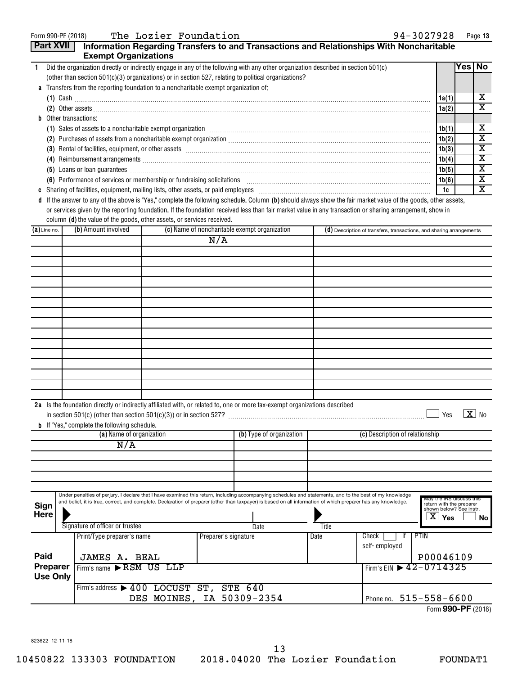| Form 990-PF (2018) |                                                                                      | The Lozier Foundation     |                      |                                                                                                                                                               |       | 94-3027928                                                                                                                                                                                                                         |                                                       | Page 13                 |
|--------------------|--------------------------------------------------------------------------------------|---------------------------|----------------------|---------------------------------------------------------------------------------------------------------------------------------------------------------------|-------|------------------------------------------------------------------------------------------------------------------------------------------------------------------------------------------------------------------------------------|-------------------------------------------------------|-------------------------|
| Part XVII          |                                                                                      |                           |                      |                                                                                                                                                               |       | Information Regarding Transfers to and Transactions and Relationships With Noncharitable                                                                                                                                           |                                                       |                         |
|                    | <b>Exempt Organizations</b>                                                          |                           |                      |                                                                                                                                                               |       |                                                                                                                                                                                                                                    |                                                       |                         |
| 1                  |                                                                                      |                           |                      | Did the organization directly or indirectly engage in any of the following with any other organization described in section 501(c)                            |       |                                                                                                                                                                                                                                    |                                                       | Yes   No                |
|                    |                                                                                      |                           |                      | (other than section $501(c)(3)$ organizations) or in section 527, relating to political organizations?                                                        |       |                                                                                                                                                                                                                                    |                                                       |                         |
|                    | a Transfers from the reporting foundation to a noncharitable exempt organization of: |                           |                      |                                                                                                                                                               |       |                                                                                                                                                                                                                                    |                                                       |                         |
|                    |                                                                                      |                           |                      |                                                                                                                                                               |       | $(1)$ Cash                                                                                                                                                                                                                         | 1a(1)                                                 | х                       |
|                    |                                                                                      |                           |                      |                                                                                                                                                               |       |                                                                                                                                                                                                                                    | 1a(2)                                                 | x                       |
|                    | <b>b</b> Other transactions:                                                         |                           |                      |                                                                                                                                                               |       |                                                                                                                                                                                                                                    |                                                       |                         |
|                    |                                                                                      |                           |                      |                                                                                                                                                               |       | (1) Sales of assets to a noncharitable exempt organization [1] [1] Sales of assets to a noncharitable exempt organization [1] [1] $\sim$                                                                                           | 1b(1)                                                 | х                       |
|                    |                                                                                      |                           |                      |                                                                                                                                                               |       | (2) Purchases of assets from a noncharitable exempt organization [11] match material material material material material material material material material material material material material material material material ma     | 1b(2)                                                 | $\overline{\textbf{x}}$ |
|                    |                                                                                      |                           |                      |                                                                                                                                                               |       | (3) Rental of facilities, equipment, or other assets [1] rental material material material material material material material material material material material material material material material material material mater     | 1b(3)                                                 | х                       |
|                    |                                                                                      |                           |                      |                                                                                                                                                               |       |                                                                                                                                                                                                                                    | 1b(4)                                                 | х                       |
|                    |                                                                                      |                           |                      |                                                                                                                                                               |       | (5) Loans or loan guarantees <b>commissions</b> and a construction of the construction of the construction of the construction of the construction of the construction of the construction of the construction of the construction | 1b(5)                                                 | х                       |
|                    |                                                                                      |                           |                      |                                                                                                                                                               |       | (6) Performance of services or membership or fundraising solicitations [11] matches and the content of services or membership or fundraising solicitations [11] matches and the content of the content of the content of the c     | 1b(6)                                                 | х                       |
|                    |                                                                                      |                           |                      |                                                                                                                                                               |       |                                                                                                                                                                                                                                    | 1c                                                    | X                       |
|                    |                                                                                      |                           |                      |                                                                                                                                                               |       | d If the answer to any of the above is "Yes," complete the following schedule. Column (b) should always show the fair market value of the goods, other assets,                                                                     |                                                       |                         |
|                    |                                                                                      |                           |                      |                                                                                                                                                               |       | or services given by the reporting foundation. If the foundation received less than fair market value in any transaction or sharing arrangement, show in                                                                           |                                                       |                         |
|                    | column (d) the value of the goods, other assets, or services received.               |                           |                      |                                                                                                                                                               |       |                                                                                                                                                                                                                                    |                                                       |                         |
| $(a)$ Line no.     | (b) Amount involved                                                                  |                           |                      | (c) Name of noncharitable exempt organization                                                                                                                 |       | (d) Description of transfers, transactions, and sharing arrangements                                                                                                                                                               |                                                       |                         |
|                    |                                                                                      |                           | N/A                  |                                                                                                                                                               |       |                                                                                                                                                                                                                                    |                                                       |                         |
|                    |                                                                                      |                           |                      |                                                                                                                                                               |       |                                                                                                                                                                                                                                    |                                                       |                         |
|                    |                                                                                      |                           |                      |                                                                                                                                                               |       |                                                                                                                                                                                                                                    |                                                       |                         |
|                    |                                                                                      |                           |                      |                                                                                                                                                               |       |                                                                                                                                                                                                                                    |                                                       |                         |
|                    |                                                                                      |                           |                      |                                                                                                                                                               |       |                                                                                                                                                                                                                                    |                                                       |                         |
|                    |                                                                                      |                           |                      |                                                                                                                                                               |       |                                                                                                                                                                                                                                    |                                                       |                         |
|                    |                                                                                      |                           |                      |                                                                                                                                                               |       |                                                                                                                                                                                                                                    |                                                       |                         |
|                    |                                                                                      |                           |                      |                                                                                                                                                               |       |                                                                                                                                                                                                                                    |                                                       |                         |
|                    |                                                                                      |                           |                      |                                                                                                                                                               |       |                                                                                                                                                                                                                                    |                                                       |                         |
|                    |                                                                                      |                           |                      |                                                                                                                                                               |       |                                                                                                                                                                                                                                    |                                                       |                         |
|                    |                                                                                      |                           |                      |                                                                                                                                                               |       |                                                                                                                                                                                                                                    |                                                       |                         |
|                    |                                                                                      |                           |                      |                                                                                                                                                               |       |                                                                                                                                                                                                                                    |                                                       |                         |
|                    |                                                                                      |                           |                      |                                                                                                                                                               |       |                                                                                                                                                                                                                                    |                                                       |                         |
|                    |                                                                                      |                           |                      |                                                                                                                                                               |       |                                                                                                                                                                                                                                    |                                                       |                         |
|                    |                                                                                      |                           |                      |                                                                                                                                                               |       |                                                                                                                                                                                                                                    |                                                       |                         |
|                    |                                                                                      |                           |                      |                                                                                                                                                               |       |                                                                                                                                                                                                                                    |                                                       |                         |
|                    |                                                                                      |                           |                      | 2a Is the foundation directly or indirectly affiliated with, or related to, one or more tax-exempt organizations described                                    |       |                                                                                                                                                                                                                                    |                                                       |                         |
|                    | in section $501(c)$ (other than section $501(c)(3)$ ) or in section 527?             |                           |                      |                                                                                                                                                               |       |                                                                                                                                                                                                                                    | $\blacksquare$ Yes $\blacksquare$ X $\blacksquare$ No |                         |
|                    | <b>b</b> If "Yes," complete the following schedule.                                  |                           |                      |                                                                                                                                                               |       |                                                                                                                                                                                                                                    |                                                       |                         |
|                    | (a) Name of organization                                                             |                           |                      | (b) Type of organization                                                                                                                                      |       | (c) Description of relationship                                                                                                                                                                                                    |                                                       |                         |
|                    | N/A                                                                                  |                           |                      |                                                                                                                                                               |       |                                                                                                                                                                                                                                    |                                                       |                         |
|                    |                                                                                      |                           |                      |                                                                                                                                                               |       |                                                                                                                                                                                                                                    |                                                       |                         |
|                    |                                                                                      |                           |                      |                                                                                                                                                               |       |                                                                                                                                                                                                                                    |                                                       |                         |
|                    |                                                                                      |                           |                      |                                                                                                                                                               |       |                                                                                                                                                                                                                                    |                                                       |                         |
|                    |                                                                                      |                           |                      |                                                                                                                                                               |       |                                                                                                                                                                                                                                    |                                                       |                         |
|                    |                                                                                      |                           |                      | Under penalties of perjury, I declare that I have examined this return, including accompanying schedules and statements, and to the best of my knowledge      |       |                                                                                                                                                                                                                                    |                                                       |                         |
| Sign               |                                                                                      |                           |                      | and belief, it is true, correct, and complete. Declaration of preparer (other than taxpayer) is based on all information of which preparer has any knowledge. |       |                                                                                                                                                                                                                                    | May the IRS discuss this<br>return with the preparer  |                         |
| Here               |                                                                                      |                           |                      |                                                                                                                                                               |       |                                                                                                                                                                                                                                    | shown below? See instr.                               |                         |
|                    | Signature of officer or trustee                                                      |                           |                      | Date                                                                                                                                                          | Title |                                                                                                                                                                                                                                    | $\overline{X}$ Yes                                    | No l                    |
|                    | Print/Type preparer's name                                                           |                           | Preparer's signature |                                                                                                                                                               | Date  | PTIN<br>Check<br>if                                                                                                                                                                                                                |                                                       |                         |
|                    |                                                                                      |                           |                      |                                                                                                                                                               |       | self-employed                                                                                                                                                                                                                      |                                                       |                         |
| Paid               |                                                                                      |                           |                      |                                                                                                                                                               |       |                                                                                                                                                                                                                                    | P00046109                                             |                         |
| Preparer           | JAMES A. BEAL                                                                        |                           |                      |                                                                                                                                                               |       | Firm's EIN 12-0714325                                                                                                                                                                                                              |                                                       |                         |
| <b>Use Only</b>    | Firm's name RSM US LLP                                                               |                           |                      |                                                                                                                                                               |       |                                                                                                                                                                                                                                    |                                                       |                         |
|                    |                                                                                      |                           |                      |                                                                                                                                                               |       |                                                                                                                                                                                                                                    |                                                       |                         |
|                    | Firm's address > 400 LOCUST ST, STE 640                                              |                           |                      |                                                                                                                                                               |       |                                                                                                                                                                                                                                    |                                                       |                         |
|                    |                                                                                      | DES MOINES, IA 50309-2354 |                      |                                                                                                                                                               |       | Phone no. 515-558-6600                                                                                                                                                                                                             |                                                       |                         |

Phone no.  $515 - 558 - 6600$ 

Form (2018) **990-PF**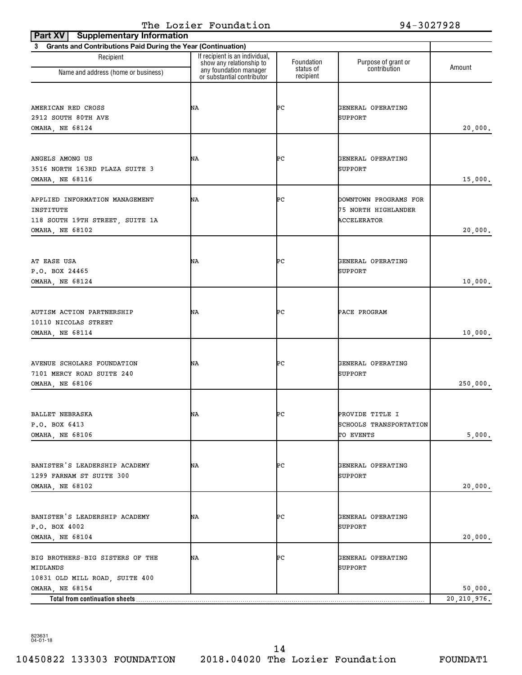| <b>Supplementary Information</b><br>Part XV                    |                                                                                      |                         |                                              |               |
|----------------------------------------------------------------|--------------------------------------------------------------------------------------|-------------------------|----------------------------------------------|---------------|
| 3 Grants and Contributions Paid During the Year (Continuation) |                                                                                      |                         |                                              |               |
| Recipient                                                      | If recipient is an individual,<br>show any relationship to<br>any foundation manager | Foundation<br>status of | Purpose of grant or<br>contribution          | Amount        |
| Name and address (home or business)                            | or substantial contributor                                                           | recipient               |                                              |               |
|                                                                |                                                                                      |                         |                                              |               |
| AMERICAN RED CROSS                                             | ΝA                                                                                   | ÞС                      | GENERAL OPERATING                            |               |
| 2912 SOUTH 80TH AVE                                            |                                                                                      |                         | <b>SUPPORT</b>                               |               |
| OMAHA, NE 68124                                                |                                                                                      |                         |                                              | 20,000.       |
|                                                                |                                                                                      |                         |                                              |               |
| ANGELS AMONG US                                                | ΝA                                                                                   | ÞС                      | GENERAL OPERATING                            |               |
| 3516 NORTH 163RD PLAZA SUITE 3                                 |                                                                                      |                         | <b>SUPPORT</b>                               |               |
| OMAHA, NE 68116                                                |                                                                                      |                         |                                              | 15,000.       |
|                                                                |                                                                                      |                         |                                              |               |
| APPLIED INFORMATION MANAGEMENT<br>INSTITUTE                    | ΝA                                                                                   | ÞС                      | DOWNTOWN PROGRAMS FOR<br>75 NORTH HIGHLANDER |               |
| 118 SOUTH 19TH STREET, SUITE 1A                                |                                                                                      |                         | <b>ACCELERATOR</b>                           |               |
| OMAHA, NE 68102                                                |                                                                                      |                         |                                              | 20,000.       |
|                                                                |                                                                                      |                         |                                              |               |
|                                                                |                                                                                      |                         |                                              |               |
| AT EASE USA                                                    | ΝA                                                                                   | ÞС                      | GENERAL OPERATING                            |               |
| P.O. BOX 24465                                                 |                                                                                      |                         | <b>SUPPORT</b>                               |               |
| OMAHA, NE 68124                                                |                                                                                      |                         |                                              | 10,000.       |
|                                                                |                                                                                      |                         |                                              |               |
| AUTISM ACTION PARTNERSHIP                                      | ΝA                                                                                   | ÞС                      | PACE PROGRAM                                 |               |
| 10110 NICOLAS STREET                                           |                                                                                      |                         |                                              |               |
| OMAHA, NE 68114                                                |                                                                                      |                         |                                              | 10,000.       |
|                                                                |                                                                                      |                         |                                              |               |
| AVENUE SCHOLARS FOUNDATION                                     | ΝA                                                                                   | ÞС                      | GENERAL OPERATING                            |               |
| 7101 MERCY ROAD SUITE 240                                      |                                                                                      |                         | <b>SUPPORT</b>                               |               |
| OMAHA, NE 68106                                                |                                                                                      |                         |                                              | 250,000.      |
|                                                                |                                                                                      |                         |                                              |               |
| <b>BALLET NEBRASKA</b>                                         | NA                                                                                   | ÞС                      | PROVIDE TITLE I                              |               |
| P.O. BOX 6413                                                  |                                                                                      |                         | SCHOOLS TRANSPORTATION                       |               |
| OMAHA, NE 68106                                                |                                                                                      |                         | TO EVENTS                                    | 5,000.        |
|                                                                |                                                                                      |                         |                                              |               |
|                                                                |                                                                                      |                         |                                              |               |
| BANISTER'S LEADERSHIP ACADEMY                                  | ΝA                                                                                   | ÞС                      | GENERAL OPERATING                            |               |
| 1299 FARNAM ST SUITE 300<br>OMAHA, NE 68102                    |                                                                                      |                         | SUPPORT                                      | 20,000.       |
|                                                                |                                                                                      |                         |                                              |               |
|                                                                |                                                                                      |                         |                                              |               |
| BANISTER'S LEADERSHIP ACADEMY                                  | NA                                                                                   | ÞС                      | GENERAL OPERATING                            |               |
| P.O. BOX 4002                                                  |                                                                                      |                         | SUPPORT                                      |               |
| OMAHA, NE 68104                                                |                                                                                      |                         |                                              | 20,000.       |
| BIG BROTHERS-BIG SISTERS OF THE                                | ΝA                                                                                   | ÞС                      | GENERAL OPERATING                            |               |
| MIDLANDS                                                       |                                                                                      |                         | SUPPORT                                      |               |
| 10831 OLD MILL ROAD, SUITE 400                                 |                                                                                      |                         |                                              |               |
| OMAHA, NE 68154                                                |                                                                                      |                         |                                              | 50,000.       |
| Total from continuation sheets                                 |                                                                                      |                         |                                              | 20, 210, 976. |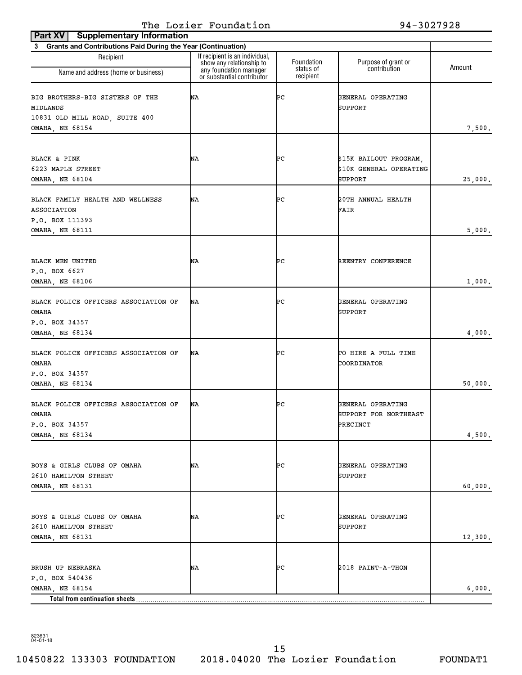| <b>Supplementary Information</b><br>Part XV                    |                                                                                      |                         |                                     |         |
|----------------------------------------------------------------|--------------------------------------------------------------------------------------|-------------------------|-------------------------------------|---------|
| 3 Grants and Contributions Paid During the Year (Continuation) |                                                                                      |                         |                                     |         |
| Recipient<br>Name and address (home or business)               | If recipient is an individual,<br>show any relationship to<br>any foundation manager | Foundation<br>status of | Purpose of grant or<br>contribution | Amount  |
|                                                                | or substantial contributor                                                           | recipient               |                                     |         |
| BIG BROTHERS-BIG SISTERS OF THE<br>MIDLANDS                    | ΝA                                                                                   | ÞС                      | GENERAL OPERATING<br><b>SUPPORT</b> |         |
| 10831 OLD MILL ROAD, SUITE 400                                 |                                                                                      |                         |                                     |         |
| OMAHA, NE 68154                                                |                                                                                      |                         |                                     | 7,500.  |
|                                                                |                                                                                      |                         |                                     |         |
| BLACK & PINK                                                   | ΝA                                                                                   | ÞС                      | \$15K BAILOUT PROGRAM,              |         |
| 6223 MAPLE STREET                                              |                                                                                      |                         | \$10K GENERAL OPERATING             |         |
| OMAHA, NE 68104                                                |                                                                                      |                         | SUPPORT                             | 25,000. |
| BLACK FAMILY HEALTH AND WELLNESS<br>ASSOCIATION                | ΝA                                                                                   | ÞС                      | 20TH ANNUAL HEALTH<br>FAIR          |         |
| P.O. BOX 111393<br><b>OMAHA, NE 68111</b>                      |                                                                                      |                         |                                     | 5,000.  |
|                                                                |                                                                                      |                         |                                     |         |
| BLACK MEN UNITED                                               | ΝA                                                                                   | ÞС                      |                                     |         |
| P.O. BOX 6627                                                  |                                                                                      |                         | REENTRY CONFERENCE                  |         |
| OMAHA, NE 68106                                                |                                                                                      |                         |                                     | 1,000.  |
|                                                                |                                                                                      |                         |                                     |         |
| BLACK POLICE OFFICERS ASSOCIATION OF<br>OMAHA                  | ΝA                                                                                   | ÞС                      | GENERAL OPERATING<br><b>SUPPORT</b> |         |
| P.O. BOX 34357                                                 |                                                                                      |                         |                                     |         |
| OMAHA, NE 68134                                                |                                                                                      |                         |                                     | 4,000.  |
| BLACK POLICE OFFICERS ASSOCIATION OF<br>OMAHA                  | ΝA                                                                                   | ÞС                      | TO HIRE A FULL TIME<br>COORDINATOR  |         |
| P.O. BOX 34357                                                 |                                                                                      |                         |                                     |         |
| OMAHA, NE 68134                                                |                                                                                      |                         |                                     | 50,000. |
| BLACK POLICE OFFICERS ASSOCIATION OF                           | ΝA                                                                                   | ÞС                      | GENERAL OPERATING                   |         |
| <b>OMAHA</b>                                                   |                                                                                      |                         | SUPPORT FOR NORTHEAST               |         |
| P.O. BOX 34357                                                 |                                                                                      |                         | PRECINCT                            |         |
| OMAHA, NE 68134                                                |                                                                                      |                         |                                     | 4,500.  |
|                                                                |                                                                                      |                         |                                     |         |
| BOYS & GIRLS CLUBS OF OMAHA                                    | NA                                                                                   | ÞС                      | GENERAL OPERATING                   |         |
| 2610 HAMILTON STREET                                           |                                                                                      |                         | <b>SUPPORT</b>                      |         |
| OMAHA, NE 68131                                                |                                                                                      |                         |                                     | 60,000. |
|                                                                |                                                                                      |                         |                                     |         |
| BOYS & GIRLS CLUBS OF OMAHA                                    | ΝA                                                                                   | ÞС                      | GENERAL OPERATING                   |         |
| 2610 HAMILTON STREET                                           |                                                                                      |                         | <b>SUPPORT</b>                      |         |
| OMAHA, NE 68131                                                |                                                                                      |                         |                                     | 12,300. |
|                                                                |                                                                                      |                         |                                     |         |
|                                                                |                                                                                      |                         |                                     |         |
| BRUSH UP NEBRASKA<br>P.O. BOX 540436                           | NA                                                                                   | ÞС                      | 2018 PAINT-A-THON                   |         |
| OMAHA, NE 68154                                                |                                                                                      |                         |                                     | 6,000.  |
| Total from continuation sheets                                 |                                                                                      |                         |                                     |         |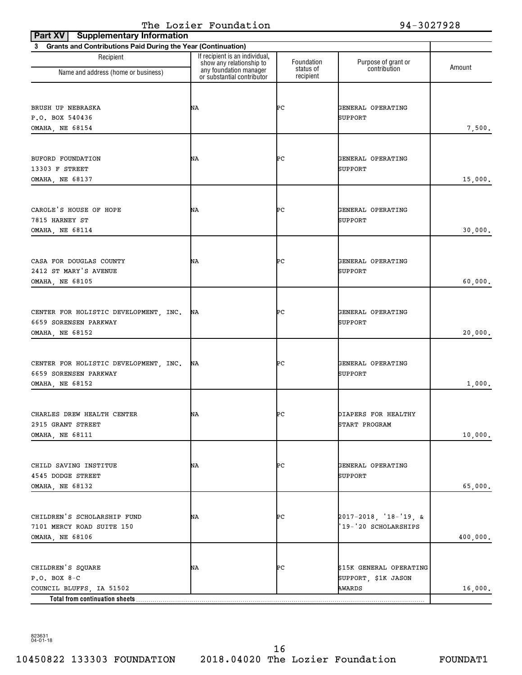| <b>Supplementary Information</b><br>Part XV                                                       |                                                                                      |                         |                                                          |          |
|---------------------------------------------------------------------------------------------------|--------------------------------------------------------------------------------------|-------------------------|----------------------------------------------------------|----------|
| 3 Grants and Contributions Paid During the Year (Continuation)                                    |                                                                                      |                         |                                                          |          |
| Recipient<br>Name and address (home or business)                                                  | If recipient is an individual,<br>show any relationship to<br>any foundation manager | Foundation<br>status of | Purpose of grant or<br>contribution                      | Amount   |
|                                                                                                   | or substantial contributor                                                           | recipient               |                                                          |          |
| BRUSH UP NEBRASKA<br>P.O. BOX 540436<br><b>OMAHA, NE 68154</b>                                    | ΝA                                                                                   | ÞС                      | GENERAL OPERATING<br>SUPPORT                             | 7,500.   |
| BUFORD FOUNDATION<br>13303 F STREET<br>OMAHA, NE 68137                                            | ΝA                                                                                   | ÞС                      | GENERAL OPERATING<br><b>SUPPORT</b>                      | 15,000.  |
| CAROLE'S HOUSE OF HOPE<br>7815 HARNEY ST<br>OMAHA, NE 68114                                       | ΝA                                                                                   | ÞС                      | GENERAL OPERATING<br>SUPPORT                             | 30,000.  |
| CASA FOR DOUGLAS COUNTY<br>2412 ST MARY'S AVENUE<br>OMAHA, NE 68105                               | ΝA                                                                                   | ÞС                      | GENERAL OPERATING<br><b>SUPPORT</b>                      | 60,000.  |
| CENTER FOR HOLISTIC DEVELOPMENT, INC.<br>6659 SORENSEN PARKWAY<br>OMAHA, NE 68152                 | ΝA                                                                                   | ÞС                      | GENERAL OPERATING<br>SUPPORT                             | 20,000.  |
| CENTER FOR HOLISTIC DEVELOPMENT, INC.<br>6659 SORENSEN PARKWAY<br>OMAHA, NE 68152                 | ΝA                                                                                   | ÞС                      | GENERAL OPERATING<br><b>SUPPORT</b>                      | 1,000.   |
| CHARLES DREW HEALTH CENTER<br>2915 GRANT STREET<br><b>OMAHA, NE 68111</b>                         | ΝA                                                                                   | ÞС                      | DIAPERS FOR HEALTHY<br>START PROGRAM                     | 10,000.  |
| CHILD SAVING INSTITUE<br>4545 DODGE STREET<br>OMAHA, NE 68132                                     | NA                                                                                   | ÞС                      | GENERAL OPERATING<br>SUPPORT                             | 65,000.  |
| CHILDREN'S SCHOLARSHIP FUND<br>7101 MERCY ROAD SUITE 150<br>OMAHA, NE 68106                       | ΝA                                                                                   | ÞС                      | $2017 - 2018$ , '18-'19, &<br>'19-'20 SCHOLARSHIPS       | 400,000. |
| CHILDREN'S SQUARE<br>$P.O. BOX 8-C$<br>COUNCIL BLUFFS, IA 51502<br>Total from continuation sheets | NA                                                                                   | ÞС                      | \$15K GENERAL OPERATING<br>SUPPORT, \$1K JASON<br>AWARDS | 16,000.  |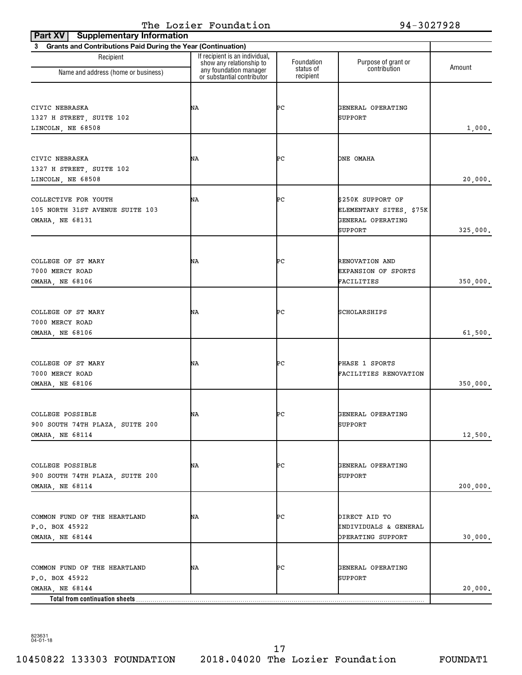| <b>Supplementary Information</b><br>Part XV                                                         |                                                                                      |                         |                                                                              |          |
|-----------------------------------------------------------------------------------------------------|--------------------------------------------------------------------------------------|-------------------------|------------------------------------------------------------------------------|----------|
| 3 Grants and Contributions Paid During the Year (Continuation)                                      |                                                                                      |                         |                                                                              |          |
| Recipient                                                                                           | If recipient is an individual,<br>show any relationship to<br>any foundation manager | Foundation<br>status of | Purpose of grant or<br>contribution                                          | Amount   |
| Name and address (home or business)                                                                 | or substantial contributor                                                           | recipient               |                                                                              |          |
| CIVIC NEBRASKA<br>1327 H STREET, SUITE 102<br>LINCOLN, NE 68508                                     | ΝA                                                                                   | ÞС                      | GENERAL OPERATING<br>SUPPORT                                                 | 1,000.   |
| CIVIC NEBRASKA<br>1327 H STREET, SUITE 102<br>LINCOLN, NE 68508                                     | ΝA                                                                                   | ÞС                      | ONE OMAHA                                                                    | 20,000.  |
| COLLECTIVE FOR YOUTH<br>105 NORTH 31ST AVENUE SUITE 103<br>OMAHA, NE 68131                          | ΝA                                                                                   | ÞС                      | \$250K SUPPORT OF<br>ELEMENTARY SITES, \$75K<br>GENERAL OPERATING<br>SUPPORT | 325,000. |
| COLLEGE OF ST MARY<br>7000 MERCY ROAD<br>OMAHA, NE 68106                                            | ΝA                                                                                   | ÞС                      | RENOVATION AND<br><b>EXPANSION OF SPORTS</b><br>FACILITIES                   | 350,000. |
| COLLEGE OF ST MARY<br>7000 MERCY ROAD<br>OMAHA, NE 68106                                            | ΝA                                                                                   | ÞС                      | SCHOLARSHIPS                                                                 | 61,500.  |
| COLLEGE OF ST MARY<br>7000 MERCY ROAD<br>OMAHA, NE 68106                                            | ΝA                                                                                   | ÞС                      | PHASE 1 SPORTS<br>FACILITIES RENOVATION                                      | 350,000. |
| COLLEGE POSSIBLE<br>900 SOUTH 74TH PLAZA, SUITE 200<br>OMAHA, NE 68114                              | NΑ                                                                                   | ÞС                      | GENERAL OPERATING<br>SUPPORT                                                 | 12,500.  |
| COLLEGE POSSIBLE<br>900 SOUTH 74TH PLAZA, SUITE 200<br>OMAHA, NE 68114                              | ΝA                                                                                   | ÞС                      | GENERAL OPERATING<br>SUPPORT                                                 | 200,000. |
| COMMON FUND OF THE HEARTLAND<br>P.O. BOX 45922<br>OMAHA, NE 68144                                   | NA                                                                                   | ÞС                      | DIRECT AID TO<br>INDIVIDUALS & GENERAL<br>OPERATING SUPPORT                  | 30,000.  |
| COMMON FUND OF THE HEARTLAND<br>P.O. BOX 45922<br>OMAHA, NE 68144<br>Total from continuation sheets | NA                                                                                   | ÞС                      | GENERAL OPERATING<br>SUPPORT                                                 | 20,000.  |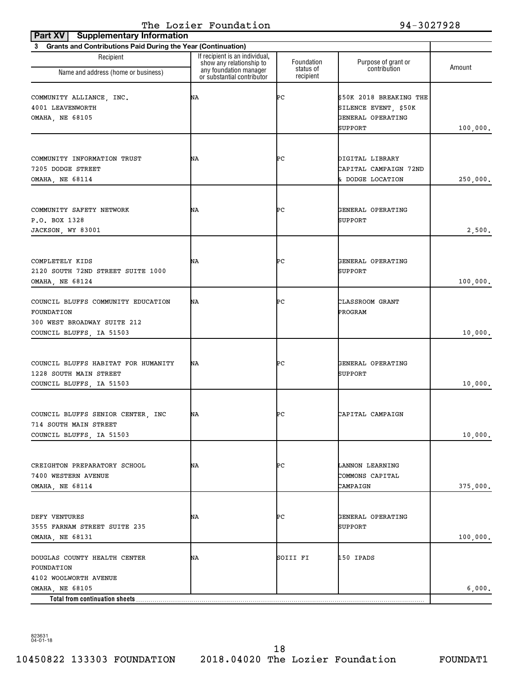| <b>Supplementary Information</b><br>Part XV                                               |                                                                                                                    |                         |                                                                                 |          |
|-------------------------------------------------------------------------------------------|--------------------------------------------------------------------------------------------------------------------|-------------------------|---------------------------------------------------------------------------------|----------|
| 3 Grants and Contributions Paid During the Year (Continuation)                            |                                                                                                                    |                         |                                                                                 |          |
| Recipient<br>Name and address (home or business)                                          | If recipient is an individual,<br>show any relationship to<br>any foundation manager<br>or substantial contributor | Foundation<br>status of | Purpose of grant or<br>contribution                                             | Amount   |
|                                                                                           |                                                                                                                    | recipient               |                                                                                 |          |
| COMMUNITY ALLIANCE, INC.<br>4001 LEAVENWORTH<br><b>OMAHA, NE 68105</b>                    | ΝA                                                                                                                 | ÞС                      | \$50K 2018 BREAKING THE<br>SILENCE EVENT, \$50K<br>GENERAL OPERATING<br>SUPPORT | 100,000. |
|                                                                                           |                                                                                                                    |                         |                                                                                 |          |
| COMMUNITY INFORMATION TRUST<br>7205 DODGE STREET<br>OMAHA, NE 68114                       | ΝA                                                                                                                 | ÞС                      | DIGITAL LIBRARY<br>CAPITAL CAMPAIGN 72ND<br>& DODGE LOCATION                    | 250,000. |
|                                                                                           |                                                                                                                    |                         |                                                                                 |          |
| COMMUNITY SAFETY NETWORK<br>P.O. BOX 1328<br>JACKSON, WY 83001                            | ΝA                                                                                                                 | ÞС                      | GENERAL OPERATING<br>SUPPORT                                                    | 2,500.   |
|                                                                                           |                                                                                                                    |                         |                                                                                 |          |
| COMPLETELY KIDS<br>2120 SOUTH 72ND STREET SUITE 1000<br>OMAHA, NE 68124                   | ΝA                                                                                                                 | ÞС                      | GENERAL OPERATING<br>SUPPORT                                                    | 100,000. |
|                                                                                           |                                                                                                                    |                         |                                                                                 |          |
| COUNCIL BLUFFS COMMUNITY EDUCATION<br>FOUNDATION<br>300 WEST BROADWAY SUITE 212           | ΝA                                                                                                                 | ÞС                      | CLASSROOM GRANT<br>PROGRAM                                                      |          |
| COUNCIL BLUFFS, IA 51503                                                                  |                                                                                                                    |                         |                                                                                 | 10,000.  |
| COUNCIL BLUFFS HABITAT FOR HUMANITY<br>1228 SOUTH MAIN STREET<br>COUNCIL BLUFFS, IA 51503 | ΝA                                                                                                                 | ÞС                      | GENERAL OPERATING<br>SUPPORT                                                    | 10,000.  |
| COUNCIL BLUFFS SENIOR CENTER, INC<br>714 SOUTH MAIN STREET                                | NA                                                                                                                 | ÞС                      | CAPITAL CAMPAIGN                                                                |          |
| COUNCIL BLUFFS, IA 51503                                                                  |                                                                                                                    |                         |                                                                                 | 10,000.  |
| CREIGHTON PREPARATORY SCHOOL<br>7400 WESTERN AVENUE<br>OMAHA, NE 68114                    | NA                                                                                                                 | ÞС                      | LANNON LEARNING<br>COMMONS CAPITAL<br>CAMPAIGN                                  | 375,000. |
|                                                                                           |                                                                                                                    |                         |                                                                                 |          |
| DEFY VENTURES<br>3555 FARNAM STREET SUITE 235<br>OMAHA, NE 68131                          | NΑ                                                                                                                 | ÞС                      | GENERAL OPERATING<br>SUPPORT                                                    | 100,000. |
| DOUGLAS COUNTY HEALTH CENTER<br>FOUNDATION                                                | ΝA                                                                                                                 | SOIII FI                | 150 IPADS                                                                       |          |
| 4102 WOOLWORTH AVENUE<br>OMAHA, NE 68105                                                  |                                                                                                                    |                         |                                                                                 | 6,000.   |
| Total from continuation sheets                                                            |                                                                                                                    |                         |                                                                                 |          |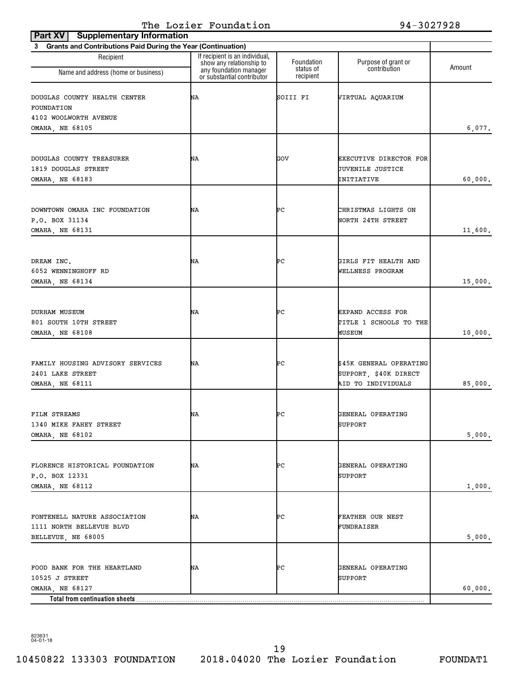| Part XV<br><b>Supplementary Information</b>                    |                                                            |                         |                                             |         |  |
|----------------------------------------------------------------|------------------------------------------------------------|-------------------------|---------------------------------------------|---------|--|
| 3 Grants and Contributions Paid During the Year (Continuation) |                                                            |                         |                                             |         |  |
| Recipient                                                      | If recipient is an individual,<br>show any relationship to | Foundation<br>status of | Purpose of grant or<br>contribution         | Amount  |  |
| Name and address (home or business)                            | any foundation manager<br>or substantial contributor       | recipient               |                                             |         |  |
| DOUGLAS COUNTY HEALTH CENTER<br>FOUNDATION                     | NΑ                                                         | SOIII FI                | VIRTUAL AQUARIUM                            |         |  |
| 4102 WOOLWORTH AVENUE                                          |                                                            |                         |                                             |         |  |
| OMAHA, NE 68105                                                |                                                            |                         |                                             | 6,077.  |  |
|                                                                |                                                            |                         |                                             |         |  |
| DOUGLAS COUNTY TREASURER                                       | ΝA                                                         | GOV                     | EXECUTIVE DIRECTOR FOR                      |         |  |
| 1819 DOUGLAS STREET                                            |                                                            |                         | JUVENILE JUSTICE                            |         |  |
| OMAHA, NE 68183                                                |                                                            |                         | INITIATIVE                                  | 60,000. |  |
|                                                                |                                                            |                         |                                             |         |  |
| DOWNTOWN OMAHA INC FOUNDATION                                  | ΝA                                                         | ÞС                      | CHRISTMAS LIGHTS ON                         |         |  |
| P.O. BOX 31134                                                 |                                                            |                         | NORTH 24TH STREET                           |         |  |
| <b>OMAHA, NE 68131</b>                                         |                                                            |                         |                                             | 11,600. |  |
|                                                                |                                                            |                         |                                             |         |  |
|                                                                | NΑ                                                         | ÞС                      | GIRLS FIT HEALTH AND                        |         |  |
| DREAM INC.<br>6052 WENNINGHOFF RD                              |                                                            |                         | WELLNESS PROGRAM                            |         |  |
| OMAHA, NE 68134                                                |                                                            |                         |                                             | 15,000. |  |
|                                                                |                                                            |                         |                                             |         |  |
|                                                                |                                                            |                         |                                             |         |  |
| DURHAM MUSEUM                                                  | NΑ                                                         | ÞС                      | <b>EXPAND ACCESS FOR</b>                    |         |  |
| 801 SOUTH 10TH STREET<br>OMAHA, NE 68108                       |                                                            |                         | TITLE 1 SCHOOLS TO THE<br>MUSEUM            | 10,000. |  |
|                                                                |                                                            |                         |                                             |         |  |
|                                                                |                                                            |                         |                                             |         |  |
| FAMILY HOUSING ADVISORY SERVICES                               | NA                                                         | ÞС                      | \$45K GENERAL OPERATING                     |         |  |
| 2401 LAKE STREET<br><b>OMAHA, NE 68111</b>                     |                                                            |                         | SUPPORT, \$40K DIRECT<br>AID TO INDIVIDUALS |         |  |
|                                                                |                                                            |                         |                                             | 85,000. |  |
|                                                                |                                                            |                         |                                             |         |  |
| FILM STREAMS                                                   | NΑ                                                         | ÞС                      | GENERAL OPERATING                           |         |  |
| 1340 MIKE FAHEY STREET                                         |                                                            |                         | SUPPORT                                     |         |  |
| <b>OMAHA, NE 68102</b>                                         |                                                            |                         |                                             | 5,000.  |  |
|                                                                |                                                            |                         |                                             |         |  |
| FLORENCE HISTORICAL FOUNDATION                                 | NA                                                         | ÞС                      | GENERAL OPERATING                           |         |  |
| P.O. BOX 12331                                                 |                                                            |                         | SUPPORT                                     |         |  |
| OMAHA, NE 68112                                                |                                                            |                         |                                             | 1,000.  |  |
|                                                                |                                                            |                         |                                             |         |  |
| FONTENELL NATURE ASSOCIATION                                   | NΑ                                                         | ÞС                      | FEATHER OUR NEST                            |         |  |
| 1111 NORTH BELLEVUE BLVD                                       |                                                            |                         | FUNDRAISER                                  |         |  |
| BELLEVUE, NE 68005                                             |                                                            |                         |                                             | 5,000.  |  |
|                                                                |                                                            |                         |                                             |         |  |
| FOOD BANK FOR THE HEARTLAND                                    | NΑ                                                         | ÞС                      | GENERAL OPERATING                           |         |  |
| 10525 J STREET                                                 |                                                            |                         | SUPPORT                                     |         |  |
| OMAHA, NE 68127                                                |                                                            |                         |                                             | 60,000. |  |
| Total from continuation sheets                                 |                                                            |                         |                                             |         |  |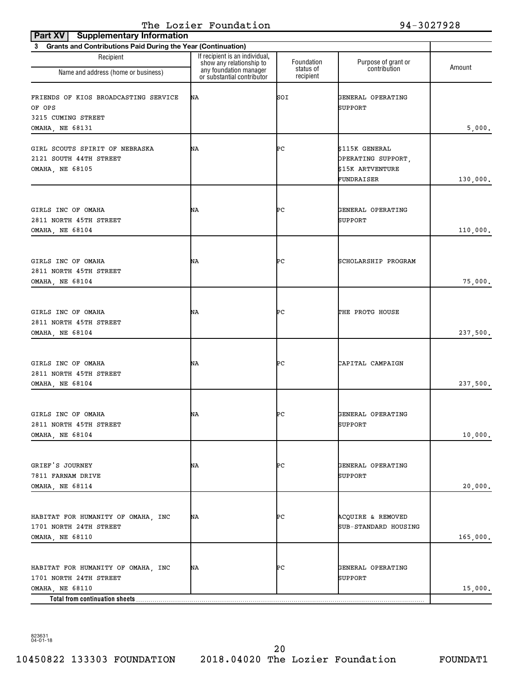| <b>Supplementary Information</b><br>Part XV                                                                       |                                                                                      |                         |                                                                        |          |
|-------------------------------------------------------------------------------------------------------------------|--------------------------------------------------------------------------------------|-------------------------|------------------------------------------------------------------------|----------|
| 3 Grants and Contributions Paid During the Year (Continuation)                                                    |                                                                                      |                         |                                                                        |          |
| Recipient<br>Name and address (home or business)                                                                  | If recipient is an individual,<br>show any relationship to<br>any foundation manager | Foundation<br>status of | Purpose of grant or<br>contribution                                    | Amount   |
| FRIENDS OF KIOS BROADCASTING SERVICE<br>OF OPS                                                                    | or substantial contributor<br>ΝA                                                     | recipient<br>SOI        | GENERAL OPERATING<br>SUPPORT                                           |          |
| 3215 CUMING STREET<br>OMAHA, NE 68131                                                                             |                                                                                      |                         |                                                                        | 5,000.   |
| GIRL SCOUTS SPIRIT OF NEBRASKA<br>2121 SOUTH 44TH STREET<br>OMAHA, NE 68105                                       | ΝA                                                                                   | ÞС                      | \$115K GENERAL<br>OPERATING SUPPORT,<br>\$15K ARTVENTURE<br>FUNDRAISER | 130,000. |
| GIRLS INC OF OMAHA<br>2811 NORTH 45TH STREET<br>OMAHA, NE 68104                                                   | ΝA                                                                                   | ÞС                      | GENERAL OPERATING<br>SUPPORT                                           | 110,000. |
| GIRLS INC OF OMAHA<br>2811 NORTH 45TH STREET<br>OMAHA, NE 68104                                                   | ΝA                                                                                   | ÞС                      | SCHOLARSHIP PROGRAM                                                    | 75,000.  |
| GIRLS INC OF OMAHA<br>2811 NORTH 45TH STREET<br>OMAHA, NE 68104                                                   | ΝA                                                                                   | ÞС                      | THE PROTG HOUSE                                                        | 237,500. |
| GIRLS INC OF OMAHA<br>2811 NORTH 45TH STREET<br>OMAHA, NE 68104                                                   | ΝA                                                                                   | ÞС                      | CAPITAL CAMPAIGN                                                       | 237,500. |
| GIRLS INC OF OMAHA<br>2811 NORTH 45TH STREET<br>OMAHA, NE 68104                                                   | ΝA                                                                                   | ÞС                      | GENERAL OPERATING<br>SUPPORT                                           | 10,000.  |
| GRIEF'S JOURNEY<br>7811 FARNAM DRIVE<br>OMAHA, NE 68114                                                           | NA                                                                                   | ÞС                      | GENERAL OPERATING<br>SUPPORT                                           | 20,000.  |
| HABITAT FOR HUMANITY OF OMAHA, INC<br>1701 NORTH 24TH STREET<br>OMAHA, NE 68110                                   | ΝA                                                                                   | ÞС                      | ACQUIRE & REMOVED<br>SUB-STANDARD HOUSING                              | 165,000. |
| HABITAT FOR HUMANITY OF OMAHA, INC<br>1701 NORTH 24TH STREET<br>OMAHA, NE 68110<br>Total from continuation sheets | ΝA                                                                                   | ÞС                      | GENERAL OPERATING<br>SUPPORT                                           | 15,000.  |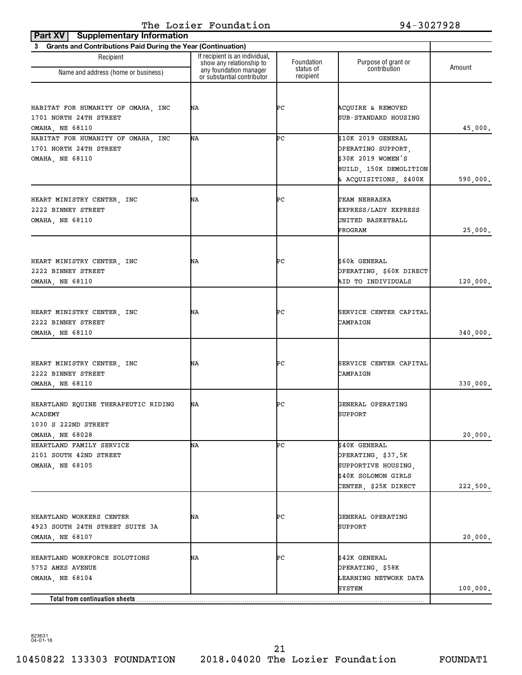| <b>Supplementary Information</b><br>Part XV<br>3 Grants and Contributions Paid During the Year (Continuation) |                                                    |                         |                                           |          |
|---------------------------------------------------------------------------------------------------------------|----------------------------------------------------|-------------------------|-------------------------------------------|----------|
| Recipient                                                                                                     | If recipient is an individual,                     |                         |                                           |          |
| Name and address (home or business)                                                                           | show any relationship to<br>any foundation manager | Foundation<br>status of | Purpose of grant or<br>contribution       | Amount   |
|                                                                                                               | or substantial contributor                         | recipient               |                                           |          |
|                                                                                                               |                                                    |                         |                                           |          |
| HABITAT FOR HUMANITY OF OMAHA, INC                                                                            | ΝA                                                 | ÞС                      | ACQUIRE & REMOVED                         |          |
| 1701 NORTH 24TH STREET<br>OMAHA, NE 68110                                                                     |                                                    |                         | SUB-STANDARD HOUSING                      | 45,000.  |
| HABITAT FOR HUMANITY OF OMAHA, INC                                                                            | ΝA                                                 | ÞС                      | \$10K 2019 GENERAL                        |          |
| 1701 NORTH 24TH STREET                                                                                        |                                                    |                         | OPERATING SUPPORT.                        |          |
| OMAHA, NE 68110                                                                                               |                                                    |                         | \$30K 2019 WOMEN'S                        |          |
|                                                                                                               |                                                    |                         | BUILD, 150K DEMOLITION                    |          |
|                                                                                                               |                                                    |                         | & ACQUISITIONS, \$400K                    | 590,000. |
|                                                                                                               |                                                    |                         |                                           |          |
| HEART MINISTRY CENTER, INC                                                                                    | ΝA                                                 | ÞС                      | TEAM NEBRASKA                             |          |
| 2222 BINNEY STREET                                                                                            |                                                    |                         | EXPRESS/LADY EXPRESS<br>UNITED BASKETBALL |          |
| <b>OMAHA, NE 68110</b>                                                                                        |                                                    |                         | PROGRAM                                   | 25,000.  |
|                                                                                                               |                                                    |                         |                                           |          |
|                                                                                                               |                                                    |                         |                                           |          |
| HEART MINISTRY CENTER, INC                                                                                    | ΝA                                                 | ÞС                      | \$60k GENERAL                             |          |
| 2222 BINNEY STREET                                                                                            |                                                    |                         | OPERATING, \$60K DIRECT                   |          |
| OMAHA, NE 68110                                                                                               |                                                    |                         | AID TO INDIVIDUALS                        | 120,000. |
|                                                                                                               |                                                    |                         |                                           |          |
| HEART MINISTRY CENTER, INC                                                                                    | ΝA                                                 | ÞС                      | SERVICE CENTER CAPITAL                    |          |
| 2222 BINNEY STREET                                                                                            |                                                    |                         | CAMPAIGN                                  |          |
| OMAHA, NE 68110                                                                                               |                                                    |                         |                                           | 340,000. |
|                                                                                                               |                                                    |                         |                                           |          |
| HEART MINISTRY CENTER, INC                                                                                    | ΝA                                                 | ÞС                      | SERVICE CENTER CAPITAL                    |          |
| 2222 BINNEY STREET                                                                                            |                                                    |                         | CAMPAIGN                                  |          |
| <b>OMAHA, NE 68110</b>                                                                                        |                                                    |                         |                                           | 330,000. |
| HEARTLAND EQUINE THERAPEUTIC RIDING                                                                           | ΝA                                                 | ÞС                      | GENERAL OPERATING                         |          |
| ACADEMY                                                                                                       |                                                    |                         | SUPPORT                                   |          |
| 1030 S 222ND STREET                                                                                           |                                                    |                         |                                           |          |
| OMAHA, NE 68028                                                                                               |                                                    |                         |                                           | 20,000.  |
| HEARTLAND FAMILY SERVICE                                                                                      | ΝA                                                 | ÞС                      | \$40K GENERAL                             |          |
| 2101 SOUTH 42ND STREET                                                                                        |                                                    |                         | OPERATING, \$37.5K                        |          |
| <b>OMAHA, NE 68105</b>                                                                                        |                                                    |                         | SUPPORTIVE HOUSING,                       |          |
|                                                                                                               |                                                    |                         | \$40K SOLOMON GIRLS                       |          |
|                                                                                                               |                                                    |                         | CENTER, \$25K DIRECT                      | 222,500. |
|                                                                                                               |                                                    |                         |                                           |          |
| HEARTLAND WORKERS CENTER                                                                                      | NA                                                 | ÞС                      | GENERAL OPERATING                         |          |
| 4923 SOUTH 24TH STREET SUITE 3A                                                                               |                                                    |                         | SUPPORT                                   |          |
| OMAHA, NE 68107                                                                                               |                                                    |                         |                                           | 20,000.  |
| HEARTLAND WORKFORCE SOLUTIONS                                                                                 | NA                                                 | ÞС                      | \$42K GENERAL                             |          |
| 5752 AMES AVENUE                                                                                              |                                                    |                         | OPERATING, \$58K                          |          |
| OMAHA, NE 68104                                                                                               |                                                    |                         | LEARNING NETWORK DATA                     |          |
|                                                                                                               |                                                    |                         | SYSTEM                                    | 100,000. |
| Total from continuation sheets                                                                                |                                                    |                         |                                           |          |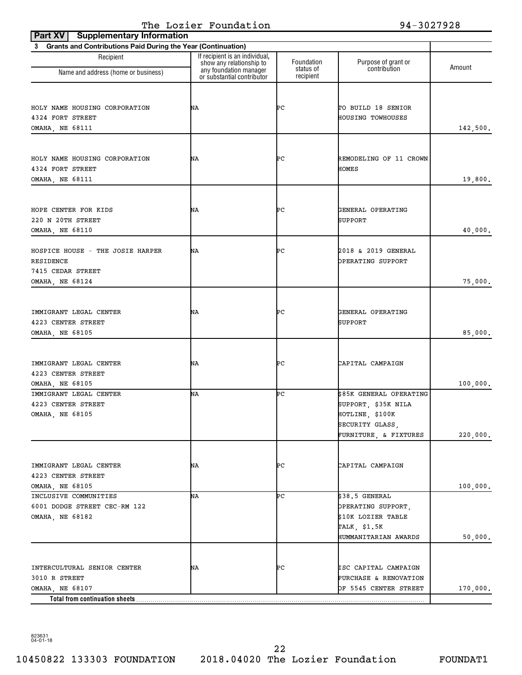| 3 Grants and Contributions Paid During the Year (Continuation)<br>If recipient is an individual,<br>Recipient<br>Foundation<br>Purpose of grant or<br>show any relationship to<br>Amount<br>contribution<br>any foundation manager<br>status of<br>Name and address (home or business)<br>or substantial contributor<br>recipient<br>ÞС<br>HOLY NAME HOUSING CORPORATION<br>ΝA<br>TO BUILD 18 SENIOR<br>4324 FORT STREET<br>HOUSING TOWHOUSES<br>142,500.<br>OMAHA, NE 68111<br>ÞС<br>ΝA<br>REMODELING OF 11 CROWN<br>HOMES<br>19,800.<br>OMAHA, NE 68111<br>ÞС<br>ΝA<br>GENERAL OPERATING<br>SUPPORT<br>ÞС<br>2018 & 2019 GENERAL<br>ΝA<br>OPERATING SUPPORT<br>75,000.<br>OMAHA, NE 68124<br>ÞС<br>IMMIGRANT LEGAL CENTER<br>ΝA<br>GENERAL OPERATING<br>4223 CENTER STREET<br>SUPPORT<br>85,000.<br>OMAHA, NE 68105<br>ÞС<br>ΝA<br>CAPITAL CAMPAIGN<br>100,000.<br>OMAHA, NE 68105<br>NΑ<br>ÞС<br>\$85K GENERAL OPERATING<br>SUPPORT, \$35K NILA<br>HOTLINE, \$100K<br>OMAHA, NE 68105<br>SECURITY GLASS,<br>FURNITURE, & FIXTURES<br>ÞС<br>CAPITAL CAMPAIGN<br>NA<br><b>OMAHA, NE 68105</b><br>100,000.<br>\$38.5 GENERAL<br>ÞС<br>NΑ<br>6001 DODGE STREET CEC-RM 122<br>OPERATING SUPPORT,<br>\$10K LOZIER TABLE<br>TALK, \$1.5K<br>50,000.<br>HUMMANITARIAN AWARDS<br>INTERCULTURAL SENIOR CENTER<br>ÞС<br>ISC CAPITAL CAMPAIGN<br>NA<br>PURCHASE & RENOVATION<br>3010 R STREET<br>OMAHA, NE 68107<br>OF 5545 CENTER STREET<br>170,000. | <b>Supplementary Information</b><br>Part XV |  |          |
|----------------------------------------------------------------------------------------------------------------------------------------------------------------------------------------------------------------------------------------------------------------------------------------------------------------------------------------------------------------------------------------------------------------------------------------------------------------------------------------------------------------------------------------------------------------------------------------------------------------------------------------------------------------------------------------------------------------------------------------------------------------------------------------------------------------------------------------------------------------------------------------------------------------------------------------------------------------------------------------------------------------------------------------------------------------------------------------------------------------------------------------------------------------------------------------------------------------------------------------------------------------------------------------------------------------------------------------------------------------------------------------------------------------------------------------------|---------------------------------------------|--|----------|
|                                                                                                                                                                                                                                                                                                                                                                                                                                                                                                                                                                                                                                                                                                                                                                                                                                                                                                                                                                                                                                                                                                                                                                                                                                                                                                                                                                                                                                              |                                             |  |          |
|                                                                                                                                                                                                                                                                                                                                                                                                                                                                                                                                                                                                                                                                                                                                                                                                                                                                                                                                                                                                                                                                                                                                                                                                                                                                                                                                                                                                                                              |                                             |  |          |
|                                                                                                                                                                                                                                                                                                                                                                                                                                                                                                                                                                                                                                                                                                                                                                                                                                                                                                                                                                                                                                                                                                                                                                                                                                                                                                                                                                                                                                              |                                             |  |          |
|                                                                                                                                                                                                                                                                                                                                                                                                                                                                                                                                                                                                                                                                                                                                                                                                                                                                                                                                                                                                                                                                                                                                                                                                                                                                                                                                                                                                                                              |                                             |  |          |
|                                                                                                                                                                                                                                                                                                                                                                                                                                                                                                                                                                                                                                                                                                                                                                                                                                                                                                                                                                                                                                                                                                                                                                                                                                                                                                                                                                                                                                              |                                             |  |          |
|                                                                                                                                                                                                                                                                                                                                                                                                                                                                                                                                                                                                                                                                                                                                                                                                                                                                                                                                                                                                                                                                                                                                                                                                                                                                                                                                                                                                                                              |                                             |  |          |
|                                                                                                                                                                                                                                                                                                                                                                                                                                                                                                                                                                                                                                                                                                                                                                                                                                                                                                                                                                                                                                                                                                                                                                                                                                                                                                                                                                                                                                              |                                             |  |          |
|                                                                                                                                                                                                                                                                                                                                                                                                                                                                                                                                                                                                                                                                                                                                                                                                                                                                                                                                                                                                                                                                                                                                                                                                                                                                                                                                                                                                                                              |                                             |  |          |
|                                                                                                                                                                                                                                                                                                                                                                                                                                                                                                                                                                                                                                                                                                                                                                                                                                                                                                                                                                                                                                                                                                                                                                                                                                                                                                                                                                                                                                              |                                             |  |          |
|                                                                                                                                                                                                                                                                                                                                                                                                                                                                                                                                                                                                                                                                                                                                                                                                                                                                                                                                                                                                                                                                                                                                                                                                                                                                                                                                                                                                                                              | HOLY NAME HOUSING CORPORATION               |  |          |
|                                                                                                                                                                                                                                                                                                                                                                                                                                                                                                                                                                                                                                                                                                                                                                                                                                                                                                                                                                                                                                                                                                                                                                                                                                                                                                                                                                                                                                              | 4324 FORT STREET                            |  |          |
|                                                                                                                                                                                                                                                                                                                                                                                                                                                                                                                                                                                                                                                                                                                                                                                                                                                                                                                                                                                                                                                                                                                                                                                                                                                                                                                                                                                                                                              |                                             |  |          |
|                                                                                                                                                                                                                                                                                                                                                                                                                                                                                                                                                                                                                                                                                                                                                                                                                                                                                                                                                                                                                                                                                                                                                                                                                                                                                                                                                                                                                                              |                                             |  |          |
|                                                                                                                                                                                                                                                                                                                                                                                                                                                                                                                                                                                                                                                                                                                                                                                                                                                                                                                                                                                                                                                                                                                                                                                                                                                                                                                                                                                                                                              |                                             |  |          |
|                                                                                                                                                                                                                                                                                                                                                                                                                                                                                                                                                                                                                                                                                                                                                                                                                                                                                                                                                                                                                                                                                                                                                                                                                                                                                                                                                                                                                                              | HOPE CENTER FOR KIDS                        |  |          |
|                                                                                                                                                                                                                                                                                                                                                                                                                                                                                                                                                                                                                                                                                                                                                                                                                                                                                                                                                                                                                                                                                                                                                                                                                                                                                                                                                                                                                                              | 220 N 20TH STREET                           |  |          |
|                                                                                                                                                                                                                                                                                                                                                                                                                                                                                                                                                                                                                                                                                                                                                                                                                                                                                                                                                                                                                                                                                                                                                                                                                                                                                                                                                                                                                                              | OMAHA, NE 68110                             |  | 40,000.  |
|                                                                                                                                                                                                                                                                                                                                                                                                                                                                                                                                                                                                                                                                                                                                                                                                                                                                                                                                                                                                                                                                                                                                                                                                                                                                                                                                                                                                                                              |                                             |  |          |
|                                                                                                                                                                                                                                                                                                                                                                                                                                                                                                                                                                                                                                                                                                                                                                                                                                                                                                                                                                                                                                                                                                                                                                                                                                                                                                                                                                                                                                              | HOSPICE HOUSE - THE JOSIE HARPER            |  |          |
|                                                                                                                                                                                                                                                                                                                                                                                                                                                                                                                                                                                                                                                                                                                                                                                                                                                                                                                                                                                                                                                                                                                                                                                                                                                                                                                                                                                                                                              | RESIDENCE                                   |  |          |
|                                                                                                                                                                                                                                                                                                                                                                                                                                                                                                                                                                                                                                                                                                                                                                                                                                                                                                                                                                                                                                                                                                                                                                                                                                                                                                                                                                                                                                              | 7415 CEDAR STREET                           |  |          |
|                                                                                                                                                                                                                                                                                                                                                                                                                                                                                                                                                                                                                                                                                                                                                                                                                                                                                                                                                                                                                                                                                                                                                                                                                                                                                                                                                                                                                                              |                                             |  |          |
|                                                                                                                                                                                                                                                                                                                                                                                                                                                                                                                                                                                                                                                                                                                                                                                                                                                                                                                                                                                                                                                                                                                                                                                                                                                                                                                                                                                                                                              |                                             |  |          |
|                                                                                                                                                                                                                                                                                                                                                                                                                                                                                                                                                                                                                                                                                                                                                                                                                                                                                                                                                                                                                                                                                                                                                                                                                                                                                                                                                                                                                                              |                                             |  |          |
|                                                                                                                                                                                                                                                                                                                                                                                                                                                                                                                                                                                                                                                                                                                                                                                                                                                                                                                                                                                                                                                                                                                                                                                                                                                                                                                                                                                                                                              |                                             |  |          |
|                                                                                                                                                                                                                                                                                                                                                                                                                                                                                                                                                                                                                                                                                                                                                                                                                                                                                                                                                                                                                                                                                                                                                                                                                                                                                                                                                                                                                                              |                                             |  |          |
|                                                                                                                                                                                                                                                                                                                                                                                                                                                                                                                                                                                                                                                                                                                                                                                                                                                                                                                                                                                                                                                                                                                                                                                                                                                                                                                                                                                                                                              |                                             |  |          |
|                                                                                                                                                                                                                                                                                                                                                                                                                                                                                                                                                                                                                                                                                                                                                                                                                                                                                                                                                                                                                                                                                                                                                                                                                                                                                                                                                                                                                                              |                                             |  |          |
|                                                                                                                                                                                                                                                                                                                                                                                                                                                                                                                                                                                                                                                                                                                                                                                                                                                                                                                                                                                                                                                                                                                                                                                                                                                                                                                                                                                                                                              | IMMIGRANT LEGAL CENTER                      |  |          |
|                                                                                                                                                                                                                                                                                                                                                                                                                                                                                                                                                                                                                                                                                                                                                                                                                                                                                                                                                                                                                                                                                                                                                                                                                                                                                                                                                                                                                                              | 4223 CENTER STREET                          |  |          |
|                                                                                                                                                                                                                                                                                                                                                                                                                                                                                                                                                                                                                                                                                                                                                                                                                                                                                                                                                                                                                                                                                                                                                                                                                                                                                                                                                                                                                                              |                                             |  |          |
|                                                                                                                                                                                                                                                                                                                                                                                                                                                                                                                                                                                                                                                                                                                                                                                                                                                                                                                                                                                                                                                                                                                                                                                                                                                                                                                                                                                                                                              | IMMIGRANT LEGAL CENTER                      |  |          |
|                                                                                                                                                                                                                                                                                                                                                                                                                                                                                                                                                                                                                                                                                                                                                                                                                                                                                                                                                                                                                                                                                                                                                                                                                                                                                                                                                                                                                                              | 4223 CENTER STREET                          |  |          |
|                                                                                                                                                                                                                                                                                                                                                                                                                                                                                                                                                                                                                                                                                                                                                                                                                                                                                                                                                                                                                                                                                                                                                                                                                                                                                                                                                                                                                                              |                                             |  |          |
|                                                                                                                                                                                                                                                                                                                                                                                                                                                                                                                                                                                                                                                                                                                                                                                                                                                                                                                                                                                                                                                                                                                                                                                                                                                                                                                                                                                                                                              |                                             |  |          |
|                                                                                                                                                                                                                                                                                                                                                                                                                                                                                                                                                                                                                                                                                                                                                                                                                                                                                                                                                                                                                                                                                                                                                                                                                                                                                                                                                                                                                                              |                                             |  | 220,000. |
|                                                                                                                                                                                                                                                                                                                                                                                                                                                                                                                                                                                                                                                                                                                                                                                                                                                                                                                                                                                                                                                                                                                                                                                                                                                                                                                                                                                                                                              |                                             |  |          |
|                                                                                                                                                                                                                                                                                                                                                                                                                                                                                                                                                                                                                                                                                                                                                                                                                                                                                                                                                                                                                                                                                                                                                                                                                                                                                                                                                                                                                                              |                                             |  |          |
|                                                                                                                                                                                                                                                                                                                                                                                                                                                                                                                                                                                                                                                                                                                                                                                                                                                                                                                                                                                                                                                                                                                                                                                                                                                                                                                                                                                                                                              | IMMIGRANT LEGAL CENTER                      |  |          |
|                                                                                                                                                                                                                                                                                                                                                                                                                                                                                                                                                                                                                                                                                                                                                                                                                                                                                                                                                                                                                                                                                                                                                                                                                                                                                                                                                                                                                                              | 4223 CENTER STREET                          |  |          |
|                                                                                                                                                                                                                                                                                                                                                                                                                                                                                                                                                                                                                                                                                                                                                                                                                                                                                                                                                                                                                                                                                                                                                                                                                                                                                                                                                                                                                                              |                                             |  |          |
|                                                                                                                                                                                                                                                                                                                                                                                                                                                                                                                                                                                                                                                                                                                                                                                                                                                                                                                                                                                                                                                                                                                                                                                                                                                                                                                                                                                                                                              | INCLUSIVE COMMUNITIES                       |  |          |
|                                                                                                                                                                                                                                                                                                                                                                                                                                                                                                                                                                                                                                                                                                                                                                                                                                                                                                                                                                                                                                                                                                                                                                                                                                                                                                                                                                                                                                              |                                             |  |          |
|                                                                                                                                                                                                                                                                                                                                                                                                                                                                                                                                                                                                                                                                                                                                                                                                                                                                                                                                                                                                                                                                                                                                                                                                                                                                                                                                                                                                                                              | OMAHA, NE 68182                             |  |          |
|                                                                                                                                                                                                                                                                                                                                                                                                                                                                                                                                                                                                                                                                                                                                                                                                                                                                                                                                                                                                                                                                                                                                                                                                                                                                                                                                                                                                                                              |                                             |  |          |
|                                                                                                                                                                                                                                                                                                                                                                                                                                                                                                                                                                                                                                                                                                                                                                                                                                                                                                                                                                                                                                                                                                                                                                                                                                                                                                                                                                                                                                              |                                             |  |          |
|                                                                                                                                                                                                                                                                                                                                                                                                                                                                                                                                                                                                                                                                                                                                                                                                                                                                                                                                                                                                                                                                                                                                                                                                                                                                                                                                                                                                                                              |                                             |  |          |
|                                                                                                                                                                                                                                                                                                                                                                                                                                                                                                                                                                                                                                                                                                                                                                                                                                                                                                                                                                                                                                                                                                                                                                                                                                                                                                                                                                                                                                              |                                             |  |          |
|                                                                                                                                                                                                                                                                                                                                                                                                                                                                                                                                                                                                                                                                                                                                                                                                                                                                                                                                                                                                                                                                                                                                                                                                                                                                                                                                                                                                                                              |                                             |  |          |
|                                                                                                                                                                                                                                                                                                                                                                                                                                                                                                                                                                                                                                                                                                                                                                                                                                                                                                                                                                                                                                                                                                                                                                                                                                                                                                                                                                                                                                              |                                             |  |          |
|                                                                                                                                                                                                                                                                                                                                                                                                                                                                                                                                                                                                                                                                                                                                                                                                                                                                                                                                                                                                                                                                                                                                                                                                                                                                                                                                                                                                                                              | Total from continuation sheets              |  |          |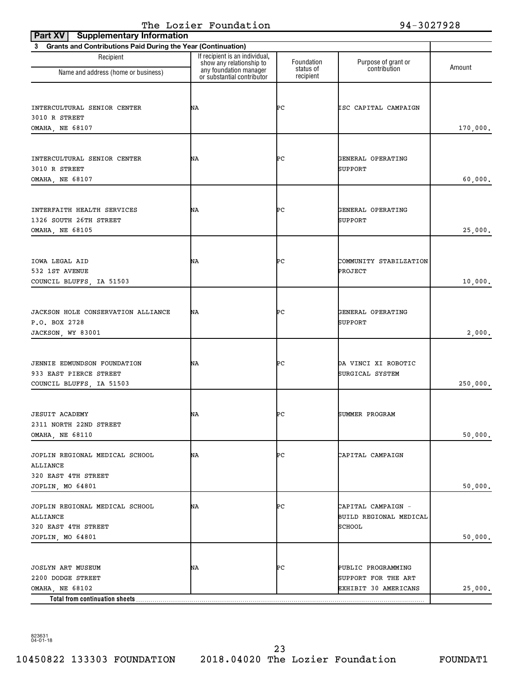| <b>Supplementary Information</b><br>Part XV                                                 |                                                            |                         |                                                                   |          |
|---------------------------------------------------------------------------------------------|------------------------------------------------------------|-------------------------|-------------------------------------------------------------------|----------|
| 3 Grants and Contributions Paid During the Year (Continuation)                              |                                                            |                         |                                                                   |          |
| Recipient<br>Name and address (home or business)                                            | If recipient is an individual,<br>show any relationship to | Foundation<br>status of | Purpose of grant or<br>contribution                               | Amount   |
|                                                                                             | any foundation manager<br>or substantial contributor       | recipient               |                                                                   |          |
| INTERCULTURAL SENIOR CENTER<br>3010 R STREET                                                | ΝA                                                         | ÞС                      | ISC CAPITAL CAMPAIGN                                              |          |
| OMAHA, NE 68107                                                                             |                                                            |                         |                                                                   | 170,000. |
| INTERCULTURAL SENIOR CENTER<br>3010 R STREET<br>OMAHA, NE 68107                             | ΝA                                                         | ÞС                      | GENERAL OPERATING<br><b>SUPPORT</b>                               | 60,000.  |
| INTERFAITH HEALTH SERVICES<br>1326 SOUTH 26TH STREET<br>OMAHA, NE 68105                     | ΝA                                                         | ÞС                      | GENERAL OPERATING<br><b>SUPPORT</b>                               | 25,000.  |
| IOWA LEGAL AID<br>532 1ST AVENUE<br>COUNCIL BLUFFS, IA 51503                                | ΝA                                                         | ÞС                      | COMMUNITY STABILZATION<br><b>PROJECT</b>                          | 10,000.  |
| JACKSON HOLE CONSERVATION ALLIANCE<br>P.O. BOX 2728<br>JACKSON, WY 83001                    | ΝA                                                         | ÞС                      | GENERAL OPERATING<br><b>SUPPORT</b>                               | 2,000.   |
| JENNIE EDMUNDSON FOUNDATION<br>933 EAST PIERCE STREET<br>COUNCIL BLUFFS, IA 51503           | ΝA                                                         | ÞС                      | DA VINCI XI ROBOTIC<br>SURGICAL SYSTEM                            | 250,000. |
| <b>JESUIT ACADEMY</b><br>2311 NORTH 22ND STREET<br>OMAHA, NE 68110                          | NA                                                         | ÞС                      | SUMMER PROGRAM                                                    | 50,000.  |
| JOPLIN REGIONAL MEDICAL SCHOOL<br>ALLIANCE<br>320 EAST 4TH STREET<br>JOPLIN, MO 64801       | NA                                                         | ÞС                      | CAPITAL CAMPAIGN                                                  | 50,000.  |
| JOPLIN REGIONAL MEDICAL SCHOOL<br>ALLIANCE<br>320 EAST 4TH STREET<br>JOPLIN, MO 64801       | NA                                                         | ÞС                      | CAPITAL CAMPAIGN -<br>BUILD REGIONAL MEDICAL<br><b>SCHOOL</b>     | 50,000.  |
| JOSLYN ART MUSEUM<br>2200 DODGE STREET<br>OMAHA, NE 68102<br>Total from continuation sheets | NA                                                         | ÞС                      | PUBLIC PROGRAMMING<br>SUPPORT FOR THE ART<br>EXHIBIT 30 AMERICANS | 25,000.  |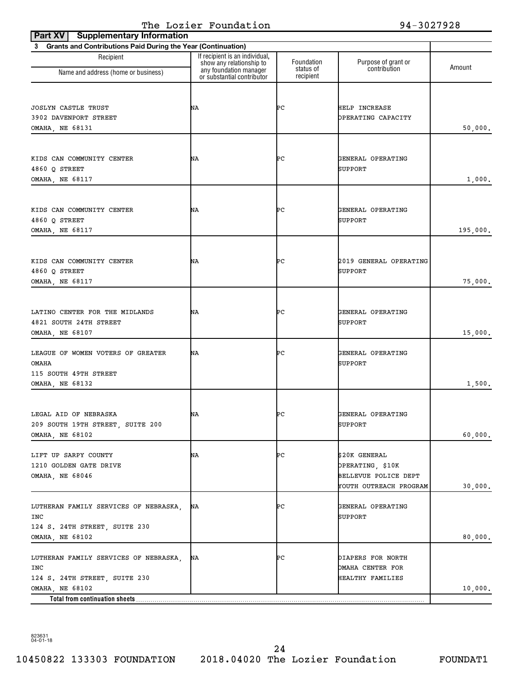| <b>Supplementary Information</b><br>Part XV                                                      |                                                                                      |                         |                                                                                     |          |
|--------------------------------------------------------------------------------------------------|--------------------------------------------------------------------------------------|-------------------------|-------------------------------------------------------------------------------------|----------|
| 3 Grants and Contributions Paid During the Year (Continuation)                                   |                                                                                      |                         |                                                                                     |          |
| Recipient<br>Name and address (home or business)                                                 | If recipient is an individual,<br>show any relationship to<br>any foundation manager | Foundation<br>status of | Purpose of grant or<br>contribution                                                 | Amount   |
|                                                                                                  | or substantial contributor                                                           | recipient               |                                                                                     |          |
| JOSLYN CASTLE TRUST<br>3902 DAVENPORT STREET<br><b>OMAHA, NE 68131</b>                           | ΝA                                                                                   | ÞС                      | HELP INCREASE<br>OPERATING CAPACITY                                                 | 50,000.  |
| KIDS CAN COMMUNITY CENTER<br>4860 Q STREET<br>OMAHA, NE 68117                                    | ΝA                                                                                   | ÞС                      | GENERAL OPERATING<br>SUPPORT                                                        | 1,000.   |
| KIDS CAN COMMUNITY CENTER<br>4860 O STREET<br>OMAHA, NE 68117                                    | ΝA                                                                                   | ÞС                      | GENERAL OPERATING<br>SUPPORT                                                        | 195,000. |
| KIDS CAN COMMUNITY CENTER<br>4860 O STREET<br>OMAHA, NE 68117                                    | ΝA                                                                                   | ÞС                      | 2019 GENERAL OPERATING<br>SUPPORT                                                   | 75,000.  |
| LATINO CENTER FOR THE MIDLANDS<br>4821 SOUTH 24TH STREET<br>OMAHA, NE 68107                      | ΝA                                                                                   | ÞС                      | GENERAL OPERATING<br>SUPPORT                                                        | 15,000.  |
| LEAGUE OF WOMEN VOTERS OF GREATER<br>OMAHA<br>115 SOUTH 49TH STREET                              | ΝA                                                                                   | ÞС                      | GENERAL OPERATING<br><b>SUPPORT</b>                                                 |          |
| OMAHA, NE 68132                                                                                  |                                                                                      |                         |                                                                                     | 1,500.   |
| LEGAL AID OF NEBRASKA<br>209 SOUTH 19TH STREET, SUITE 200<br>OMAHA, NE 68102                     | ΝA                                                                                   | ÞС                      | GENERAL OPERATING<br>SUPPORT                                                        | 60,000.  |
| LIFT UP SARPY COUNTY<br>1210 GOLDEN GATE DRIVE<br>OMAHA, NE 68046                                | NA                                                                                   | ÞС                      | \$20K GENERAL<br>OPERATING, \$10K<br>BELLEVUE POLICE DEPT<br>YOUTH OUTREACH PROGRAM | 30,000.  |
| LUTHERAN FAMILY SERVICES OF NEBRASKA,<br>INC<br>124 S. 24TH STREET, SUITE 230<br>OMAHA, NE 68102 | NA                                                                                   | ÞС                      | GENERAL OPERATING<br>SUPPORT                                                        | 80,000.  |
| LUTHERAN FAMILY SERVICES OF NEBRASKA,<br>INC<br>124 S. 24TH STREET, SUITE 230<br>OMAHA, NE 68102 | ΝA                                                                                   | ÞС                      | DIAPERS FOR NORTH<br><b>DMAHA CENTER FOR</b><br>HEALTHY FAMILIES                    |          |
|                                                                                                  |                                                                                      |                         |                                                                                     | 10,000.  |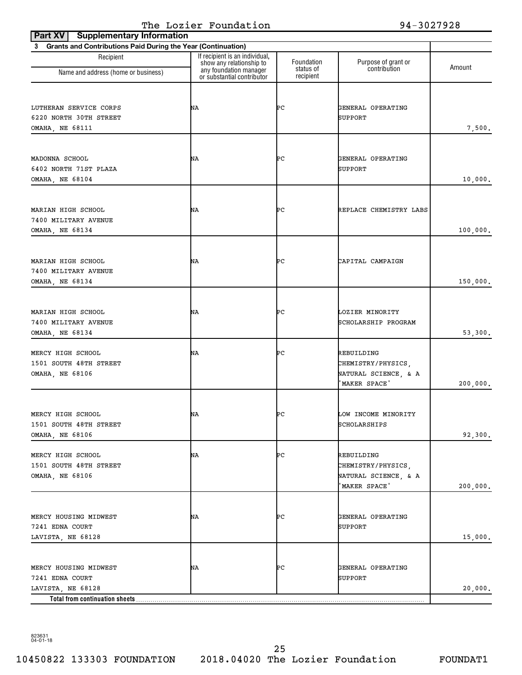| Part XV<br><b>Supplementary Information</b>                                                     |                                                            |                         |                                                                           |          |
|-------------------------------------------------------------------------------------------------|------------------------------------------------------------|-------------------------|---------------------------------------------------------------------------|----------|
| <b>Grants and Contributions Paid During the Year (Continuation)</b><br>3                        |                                                            |                         |                                                                           |          |
| Recipient                                                                                       | If recipient is an individual,<br>show any relationship to | Foundation<br>status of | Purpose of grant or<br>contribution                                       | Amount   |
| Name and address (home or business)                                                             | any foundation manager<br>or substantial contributor       | recipient               |                                                                           |          |
| LUTHERAN SERVICE CORPS<br>6220 NORTH 30TH STREET<br>OMAHA, NE 68111                             | ΝA                                                         | ÞС                      | GENERAL OPERATING<br><b>SUPPORT</b>                                       | 7,500.   |
| MADONNA SCHOOL<br>6402 NORTH 71ST PLAZA<br>OMAHA, NE 68104                                      | ΝA                                                         | ÞС                      | GENERAL OPERATING<br>SUPPORT                                              | 10,000.  |
| MARIAN HIGH SCHOOL<br>7400 MILITARY AVENUE<br>OMAHA, NE 68134                                   | ΝA                                                         | ÞС                      | REPLACE CHEMISTRY LABS                                                    | 100,000. |
| MARIAN HIGH SCHOOL<br>7400 MILITARY AVENUE<br>OMAHA, NE 68134                                   | ΝA                                                         | ÞС                      | CAPITAL CAMPAIGN                                                          | 150,000. |
| MARIAN HIGH SCHOOL<br>7400 MILITARY AVENUE<br>OMAHA, NE 68134                                   | ΝA                                                         | ÞС                      | LOZIER MINORITY<br>SCHOLARSHIP PROGRAM                                    | 53,300.  |
| MERCY HIGH SCHOOL<br>1501 SOUTH 48TH STREET<br>OMAHA, NE 68106                                  | ΝA                                                         | ÞС                      | REBUILDING<br>CHEMISTRY/PHYSICS,<br>NATURAL SCIENCE, & A<br>'MAKER SPACE' | 200,000. |
| MERCY HIGH SCHOOL<br>1501 SOUTH 48TH STREET<br>OMAHA, NE 68106                                  | ΝA                                                         | ÞС                      | LOW INCOME MINORITY<br>SCHOLARSHIPS                                       | 92,300.  |
| MERCY HIGH SCHOOL<br>1501 SOUTH 48TH STREET<br>OMAHA, NE 68106                                  | NA                                                         | ÞС                      | REBUILDING<br>CHEMISTRY/PHYSICS,<br>NATURAL SCIENCE, & A<br>MAKER SPACE'  | 200,000. |
| MERCY HOUSING MIDWEST<br>7241 EDNA COURT<br>LAVISTA, NE 68128                                   | NA                                                         | ÞС                      | GENERAL OPERATING<br>SUPPORT                                              | 15,000.  |
| MERCY HOUSING MIDWEST<br>7241 EDNA COURT<br>LAVISTA, NE 68128<br>Total from continuation sheets | NA                                                         | ÞС                      | GENERAL OPERATING<br>SUPPORT                                              | 20,000.  |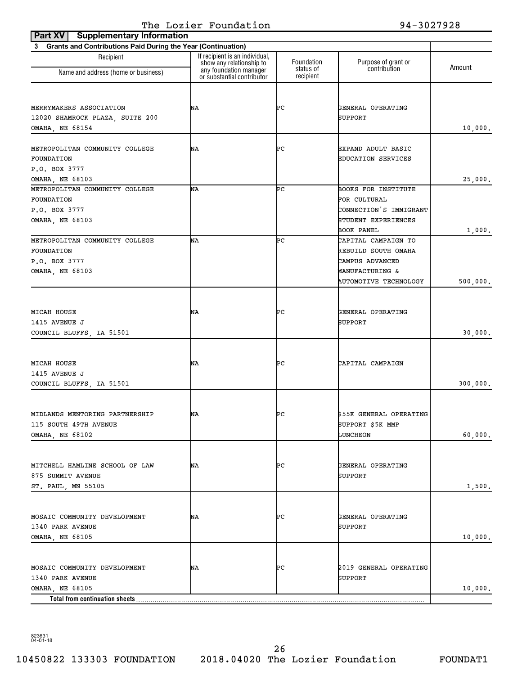| <b>Supplementary Information</b><br>Part XV                    |                                                            |                        |                                                 |          |
|----------------------------------------------------------------|------------------------------------------------------------|------------------------|-------------------------------------------------|----------|
| 3 Grants and Contributions Paid During the Year (Continuation) |                                                            |                        |                                                 |          |
| Recipient                                                      | If recipient is an individual,<br>show any relationship to | Foundation             | Purpose of grant or                             | Amount   |
| Name and address (home or business)                            | any foundation manager<br>or substantial contributor       | status of<br>recipient | contribution                                    |          |
|                                                                |                                                            |                        |                                                 |          |
| MERRYMAKERS ASSOCIATION                                        | ΝA                                                         | ÞС                     | GENERAL OPERATING                               |          |
| 12020 SHAMROCK PLAZA, SUITE 200                                |                                                            |                        | SUPPORT                                         |          |
| OMAHA, NE 68154                                                |                                                            |                        |                                                 | 10,000.  |
|                                                                |                                                            |                        |                                                 |          |
| METROPOLITAN COMMUNITY COLLEGE<br>FOUNDATION                   | ΝA                                                         | ÞС                     | EXPAND ADULT BASIC<br><b>EDUCATION SERVICES</b> |          |
| P.O. BOX 3777                                                  |                                                            |                        |                                                 |          |
| OMAHA, NE 68103                                                |                                                            |                        |                                                 | 25,000.  |
| METROPOLITAN COMMUNITY COLLEGE                                 | ΝA                                                         | ÞС                     | <b>BOOKS FOR INSTITUTE</b>                      |          |
| FOUNDATION                                                     |                                                            |                        | FOR CULTURAL                                    |          |
| P.O. BOX 3777                                                  |                                                            |                        | CONNECTION'S IMMIGRANT                          |          |
| OMAHA, NE 68103                                                |                                                            |                        | STUDENT EXPERIENCES                             |          |
|                                                                |                                                            |                        | BOOK PANEL                                      | 1,000.   |
| METROPOLITAN COMMUNITY COLLEGE                                 | ΝA                                                         | ÞС                     | CAPITAL CAMPAIGN TO                             |          |
| FOUNDATION                                                     |                                                            |                        | REBUILD SOUTH OMAHA                             |          |
| P.O. BOX 3777                                                  |                                                            |                        | CAMPUS ADVANCED                                 |          |
| OMAHA, NE 68103                                                |                                                            |                        | MANUFACTURING &                                 |          |
|                                                                |                                                            |                        | <b>AUTOMOTIVE TECHNOLOGY</b>                    | 500,000. |
|                                                                |                                                            |                        |                                                 |          |
| MICAH HOUSE                                                    | ΝA                                                         | ÞС                     | GENERAL OPERATING                               |          |
| 1415 AVENUE J                                                  |                                                            |                        | SUPPORT                                         |          |
| COUNCIL BLUFFS, IA 51501                                       |                                                            |                        |                                                 | 30,000.  |
|                                                                |                                                            |                        |                                                 |          |
|                                                                |                                                            |                        |                                                 |          |
| MICAH HOUSE                                                    | ΝA                                                         | ÞС                     | CAPITAL CAMPAIGN                                |          |
| 1415 AVENUE J                                                  |                                                            |                        |                                                 |          |
| COUNCIL BLUFFS, IA 51501                                       |                                                            |                        |                                                 | 300,000. |
|                                                                |                                                            |                        |                                                 |          |
| MIDLANDS MENTORING PARTNERSHIP                                 | ΝA                                                         | ÞС                     | \$55K GENERAL OPERATING                         |          |
| 115 SOUTH 49TH AVENUE                                          |                                                            |                        | SUPPORT \$5K MMP                                |          |
| OMAHA, NE 68102                                                |                                                            |                        | LUNCHEON                                        | 60,000.  |
|                                                                |                                                            |                        |                                                 |          |
|                                                                |                                                            |                        |                                                 |          |
| MITCHELL HAMLINE SCHOOL OF LAW                                 | ΝA                                                         | ÞС                     | GENERAL OPERATING                               |          |
| 875 SUMMIT AVENUE                                              |                                                            |                        | SUPPORT                                         |          |
| ST. PAUL, MN 55105                                             |                                                            |                        |                                                 | 1,500.   |
|                                                                |                                                            |                        |                                                 |          |
| MOSAIC COMMUNITY DEVELOPMENT                                   | ΝA                                                         | ÞС                     | GENERAL OPERATING                               |          |
| 1340 PARK AVENUE                                               |                                                            |                        | SUPPORT                                         |          |
| OMAHA, NE 68105                                                |                                                            |                        |                                                 | 10,000.  |
|                                                                |                                                            |                        |                                                 |          |
|                                                                |                                                            |                        |                                                 |          |
| MOSAIC COMMUNITY DEVELOPMENT                                   | NA                                                         | ÞС                     | 2019 GENERAL OPERATING                          |          |
| 1340 PARK AVENUE<br>OMAHA, NE 68105                            |                                                            |                        | SUPPORT                                         | 10,000.  |
| Total from continuation sheets                                 |                                                            |                        |                                                 |          |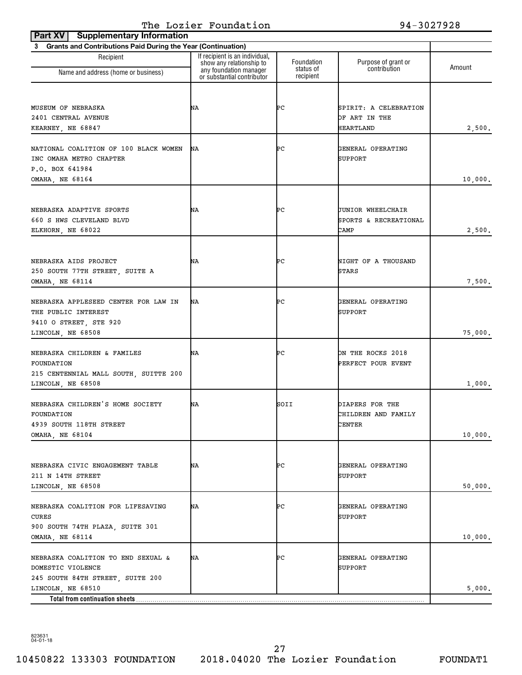| <b>Part XV   Supplementary Information</b>                     |                                                                                      |                         |                                         |         |
|----------------------------------------------------------------|--------------------------------------------------------------------------------------|-------------------------|-----------------------------------------|---------|
| 3 Grants and Contributions Paid During the Year (Continuation) |                                                                                      |                         |                                         |         |
| Recipient                                                      | If recipient is an individual,<br>show any relationship to<br>any foundation manager | Foundation<br>status of | Purpose of grant or<br>contribution     | Amount  |
| Name and address (home or business)                            | or substantial contributor                                                           | recipient               |                                         |         |
|                                                                |                                                                                      |                         |                                         |         |
| MUSEUM OF NEBRASKA                                             | ΝA                                                                                   | ÞС                      | SPIRIT: A CELEBRATION                   |         |
| 2401 CENTRAL AVENUE                                            |                                                                                      |                         | OF ART IN THE                           |         |
| KEARNEY, NE 68847                                              |                                                                                      |                         | HEARTLAND                               | 2,500.  |
|                                                                |                                                                                      |                         |                                         |         |
| NATIONAL COALITION OF 100 BLACK WOMEN                          | ΝA                                                                                   | ÞС                      | GENERAL OPERATING                       |         |
| INC OMAHA METRO CHAPTER                                        |                                                                                      |                         | <b>SUPPORT</b>                          |         |
| P.O. BOX 641984<br>OMAHA, NE 68164                             |                                                                                      |                         |                                         | 10,000. |
|                                                                |                                                                                      |                         |                                         |         |
|                                                                |                                                                                      |                         |                                         |         |
| NEBRASKA ADAPTIVE SPORTS                                       | ΝA                                                                                   | ÞС                      | <b>JUNIOR WHEELCHAIR</b>                |         |
| 660 S HWS CLEVELAND BLVD                                       |                                                                                      |                         | SPORTS & RECREATIONAL                   |         |
| ELKHORN, NE 68022                                              |                                                                                      |                         | CAMP                                    | 2,500.  |
|                                                                |                                                                                      |                         |                                         |         |
| NEBRASKA AIDS PROJECT                                          | ΝA                                                                                   | ÞС                      | NIGHT OF A THOUSAND                     |         |
| 250 SOUTH 77TH STREET, SUITE A                                 |                                                                                      |                         | STARS                                   |         |
| <b>OMAHA, NE 68114</b>                                         |                                                                                      |                         |                                         | 7,500.  |
|                                                                |                                                                                      |                         |                                         |         |
| NEBRASKA APPLESEED CENTER FOR LAW IN<br>THE PUBLIC INTEREST    | ΝA                                                                                   | ÞС                      | GENERAL OPERATING<br>SUPPORT            |         |
| 9410 O STREET, STE 920                                         |                                                                                      |                         |                                         |         |
| LINCOLN, NE 68508                                              |                                                                                      |                         |                                         | 75,000. |
|                                                                |                                                                                      |                         |                                         |         |
| NEBRASKA CHILDREN & FAMILES<br>FOUNDATION                      | ΝA                                                                                   | ÞС                      | ON THE ROCKS 2018<br>PERFECT POUR EVENT |         |
| 215 CENTENNIAL MALL SOUTH, SUITTE 200                          |                                                                                      |                         |                                         |         |
| LINCOLN, NE 68508                                              |                                                                                      |                         |                                         | 1,000.  |
|                                                                |                                                                                      |                         |                                         |         |
| NEBRASKA CHILDREN'S HOME SOCIETY                               | ΝA                                                                                   | SOII                    | DIAPERS FOR THE                         |         |
| FOUNDATION<br>4939 SOUTH 118TH STREET                          |                                                                                      |                         | CHILDREN AND FAMILY<br>CENTER           |         |
| OMAHA, NE 68104                                                |                                                                                      |                         |                                         | 10,000. |
|                                                                |                                                                                      |                         |                                         |         |
|                                                                |                                                                                      |                         |                                         |         |
| NEBRASKA CIVIC ENGAGEMENT TABLE                                | NA                                                                                   | ÞС                      | GENERAL OPERATING                       |         |
| 211 N 14TH STREET                                              |                                                                                      |                         | SUPPORT                                 |         |
| LINCOLN, NE 68508                                              |                                                                                      |                         |                                         | 50,000. |
| NEBRASKA COALITION FOR LIFESAVING                              | ΝA                                                                                   | ÞС                      | GENERAL OPERATING                       |         |
| CURES                                                          |                                                                                      |                         | SUPPORT                                 |         |
| 900 SOUTH 74TH PLAZA, SUITE 301                                |                                                                                      |                         |                                         |         |
| OMAHA, NE 68114                                                |                                                                                      |                         |                                         | 10,000. |
| NEBRASKA COALITION TO END SEXUAL &                             | NA                                                                                   | ÞС                      | GENERAL OPERATING                       |         |
| DOMESTIC VIOLENCE                                              |                                                                                      |                         | SUPPORT                                 |         |
| 245 SOUTH 84TH STREET, SUITE 200                               |                                                                                      |                         |                                         |         |
| LINCOLN, NE 68510                                              |                                                                                      |                         |                                         | 5,000.  |
|                                                                |                                                                                      |                         |                                         |         |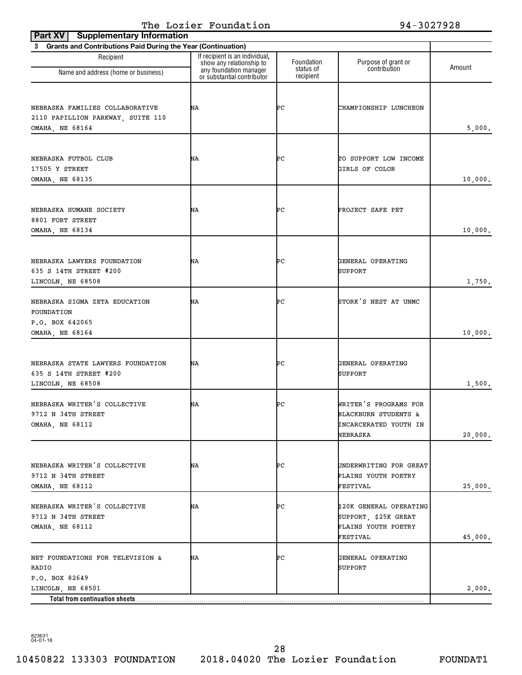| <b>Supplementary Information</b><br>Part XV                                             |                                                                                      |                         |                                                                                               |         |
|-----------------------------------------------------------------------------------------|--------------------------------------------------------------------------------------|-------------------------|-----------------------------------------------------------------------------------------------|---------|
| 3 Grants and Contributions Paid During the Year (Continuation)                          |                                                                                      |                         |                                                                                               |         |
| Recipient                                                                               | If recipient is an individual,<br>show any relationship to<br>any foundation manager | Foundation<br>status of | Purpose of grant or<br>contribution                                                           | Amount  |
| Name and address (home or business)                                                     | or substantial contributor                                                           | recipient               |                                                                                               |         |
| NEBRASKA FAMILIES COLLABORATIVE<br>2110 PAPILLION PARKWAY, SUITE 110<br>OMAHA, NE 68164 | ΝA                                                                                   | ÞС                      | CHAMPIONSHIP LUNCHEON                                                                         | 5,000.  |
| NEBRASKA FUTBOL CLUB<br>17505 Y STREET<br>OMAHA, NE 68135                               | ΝA                                                                                   | ÞС                      | TO SUPPORT LOW INCOME<br>GIRLS OF COLOR                                                       | 10,000. |
| NEBRASKA HUMANE SOCIETY<br>8801 FORT STREET<br>OMAHA, NE 68134                          | ΝA                                                                                   | ÞС                      | PROJECT SAFE PET                                                                              | 10,000. |
| NEBRASKA LAWYERS FOUNDATION<br>635 S 14TH STREET #200<br>LINCOLN, NE 68508              | ΝA                                                                                   | ÞС                      | GENERAL OPERATING<br><b>SUPPORT</b>                                                           | 1,750.  |
| NEBRASKA SIGMA ZETA EDUCATION<br>FOUNDATION<br>P.O. BOX 642065<br>OMAHA, NE 68164       | ΝA                                                                                   | ÞС                      | STORK'S NEST AT UNMC                                                                          | 10,000. |
| NEBRASKA STATE LAWYERS FOUNDATION<br>635 S 14TH STREET #200<br>LINCOLN, NE 68508        | ΝA                                                                                   | ÞС                      | GENERAL OPERATING<br><b>SUPPORT</b>                                                           | 1,500.  |
| NEBRASKA WRITER'S COLLECTIVE<br>9712 N 34TH STREET<br><b>OMAHA, NE 68112</b>            | ΝA                                                                                   | ÞС                      | WRITER'S PROGRAMS FOR<br><b>BLACKBURN STUDENTS &amp;</b><br>INCARCERATED YOUTH IN<br>NEBRASKA | 20,000. |
| NEBRASKA WRITER'S COLLECTIVE<br>9712 N 34TH STREET<br><b>OMAHA, NE 68112</b>            | NΑ                                                                                   | ÞС                      | UNDERWRITING FOR GREAT<br>PLAINS YOUTH POETRY<br>FESTIVAL                                     | 25,000. |
| NEBRASKA WRITER'S COLLECTIVE<br>9712 N 34TH STREET<br>OMAHA, NE 68112                   | ΝA                                                                                   | ÞС                      | \$20K GENERAL OPERATING<br>SUPPORT, \$25K GREAT<br>PLAINS YOUTH POETRY<br><b>FESTIVAL</b>     | 45,000. |
| NET FOUNDATIONS FOR TELEVISION &<br>RADIO<br>P.O. BOX 82649                             | NA                                                                                   | ÞС                      | GENERAL OPERATING<br>SUPPORT                                                                  |         |
| LINCOLN, NE 68501                                                                       |                                                                                      |                         |                                                                                               | 2,000.  |
| Total from continuation sheets                                                          |                                                                                      |                         |                                                                                               |         |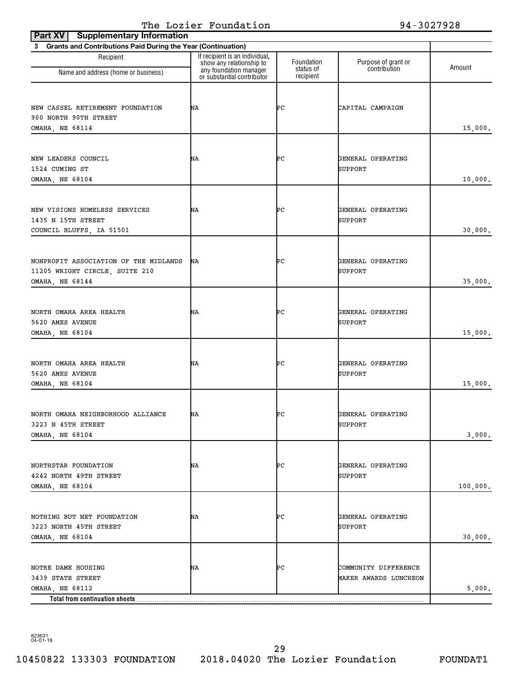| <b>Supplementary Information</b><br>Part XV                                                  |                                                                                      |                         |                                               |          |
|----------------------------------------------------------------------------------------------|--------------------------------------------------------------------------------------|-------------------------|-----------------------------------------------|----------|
| 3 Grants and Contributions Paid During the Year (Continuation)                               |                                                                                      |                         |                                               |          |
| Recipient<br>Name and address (home or business)                                             | If recipient is an individual,<br>show any relationship to<br>any foundation manager | Foundation<br>status of | Purpose of grant or<br>contribution           | Amount   |
|                                                                                              | or substantial contributor                                                           | recipient               |                                               |          |
| NEW CASSEL RETIREMENT FOUNDATION<br>900 NORTH 90TH STREET<br>OMAHA, NE 68114                 | ΝA                                                                                   | ÞС                      | CAPITAL CAMPAIGN                              | 15,000.  |
| NEW LEADERS COUNCIL<br>1524 CUMING ST<br>OMAHA, NE 68104                                     | ΝA                                                                                   | ÞС                      | GENERAL OPERATING<br>SUPPORT                  | 10,000.  |
| NEW VISIONS HOMELESS SERVICES<br>1435 N 15TH STREET<br>COUNCIL BLUFFS, IA 51501              | ΝA                                                                                   | ÞС                      | GENERAL OPERATING<br>SUPPORT                  | 30,000.  |
| NONPROFIT ASSOCIATION OF THE MIDLANDS<br>11205 WRIGHT CIRCLE, SUITE 210<br>OMAHA, NE 68144   | ΝA                                                                                   | ÞС                      | GENERAL OPERATING<br>SUPPORT                  | 35,000.  |
| NORTH OMAHA AREA HEALTH<br>5620 AMES AVENUE<br>OMAHA, NE 68104                               | ΝA                                                                                   | ÞС                      | GENERAL OPERATING<br>SUPPORT                  | 15,000.  |
| NORTH OMAHA AREA HEALTH<br>5620 AMES AVENUE<br>OMAHA, NE 68104                               | ΝA                                                                                   | ÞС                      | GENERAL OPERATING<br>SUPPORT                  | 15,000.  |
| NORTH OMAHA NEIGHBORHOOD ALLIANCE<br>3223 N 45TH STREET<br>OMAHA, NE 68104                   | ΝA                                                                                   | ÞС                      | GENERAL OPERATING<br>SUPPORT                  | 3,000.   |
| NORTHSTAR FOUNDATION<br>4242 NORTH 49TH STREET<br>OMAHA, NE 68104                            | ΝA                                                                                   | ÞС                      | GENERAL OPERATING<br>SUPPORT                  | 100,000. |
| NOTHING BUT NET FOUNDATION<br>3223 NORTH 45TH STREET<br>OMAHA, NE 68104                      | ΝA                                                                                   | ÞС                      | GENERAL OPERATING<br>SUPPORT                  | 30,000.  |
| NOTRE DAME HOUSING<br>3439 STATE STREET<br>OMAHA, NE 68112<br>Total from continuation sheets | ΝA                                                                                   | ÞС                      | COMMUNITY DIFFERENCE<br>MAKER AWARDS LUNCHEON | 5,000.   |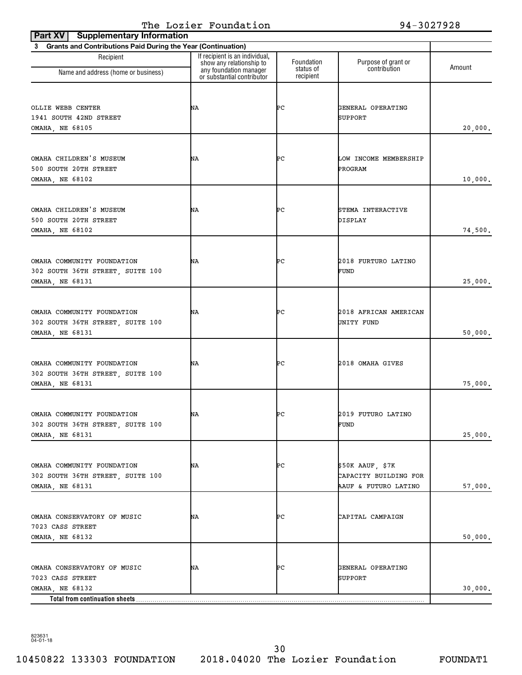| <b>Supplementary Information</b><br>Part XV                                       |                                                                                      |                         |                                                                     |         |
|-----------------------------------------------------------------------------------|--------------------------------------------------------------------------------------|-------------------------|---------------------------------------------------------------------|---------|
| 3 Grants and Contributions Paid During the Year (Continuation)                    |                                                                                      |                         |                                                                     |         |
| Recipient                                                                         | If recipient is an individual,<br>show any relationship to<br>any foundation manager | Foundation<br>status of | Purpose of grant or<br>contribution                                 | Amount  |
| Name and address (home or business)                                               | or substantial contributor                                                           | recipient               |                                                                     |         |
| OLLIE WEBB CENTER<br>1941 SOUTH 42ND STREET<br><b>OMAHA, NE 68105</b>             | ΝA                                                                                   | ÞС                      | GENERAL OPERATING<br>SUPPORT                                        | 20,000. |
| OMAHA CHILDREN'S MUSEUM<br>500 SOUTH 20TH STREET<br>OMAHA, NE 68102               | ΝA                                                                                   | ÞС                      | LOW INCOME MEMBERSHIP<br>PROGRAM                                    | 10,000. |
| OMAHA CHILDREN'S MUSEUM<br>500 SOUTH 20TH STREET<br>OMAHA, NE 68102               | ΝA                                                                                   | ÞС                      | STEMA INTERACTIVE<br>DISPLAY                                        | 74,500. |
| OMAHA COMMUNITY FOUNDATION<br>302 SOUTH 36TH STREET, SUITE 100<br>OMAHA, NE 68131 | ΝA                                                                                   | ÞС                      | 2018 FURTURO LATINO<br>FUND                                         | 25,000. |
| OMAHA COMMUNITY FOUNDATION<br>302 SOUTH 36TH STREET, SUITE 100<br>OMAHA, NE 68131 | ΝA                                                                                   | ÞС                      | 2018 AFRICAN AMERICAN<br>UNITY FUND                                 | 50,000. |
| OMAHA COMMUNITY FOUNDATION<br>302 SOUTH 36TH STREET, SUITE 100<br>OMAHA, NE 68131 | ΝA                                                                                   | ÞС                      | 2018 OMAHA GIVES                                                    | 75,000. |
| OMAHA COMMUNITY FOUNDATION<br>302 SOUTH 36TH STREET, SUITE 100<br>OMAHA, NE 68131 | ΝA                                                                                   | ÞС                      | 2019 FUTURO LATINO<br>FUND                                          | 25,000. |
| OMAHA COMMUNITY FOUNDATION<br>302 SOUTH 36TH STREET, SUITE 100<br>OMAHA, NE 68131 | NA                                                                                   | ÞС                      | $$50K$ AAUF, $$7K$<br>CAPACITY BUILDING FOR<br>AAUF & FUTURO LATINO | 57,000. |
| OMAHA CONSERVATORY OF MUSIC<br>7023 CASS STREET<br>OMAHA, NE 68132                | NA                                                                                   | ÞС                      | CAPITAL CAMPAIGN                                                    | 50,000. |
| OMAHA CONSERVATORY OF MUSIC<br>7023 CASS STREET<br>OMAHA, NE 68132                | NA                                                                                   | ÞС                      | GENERAL OPERATING<br>SUPPORT                                        | 30,000. |
| Total from continuation sheets                                                    |                                                                                      |                         |                                                                     |         |

10450822 133303 FOUNDATION 2018.04020 The Lozier Foundation FOUNDAT1 30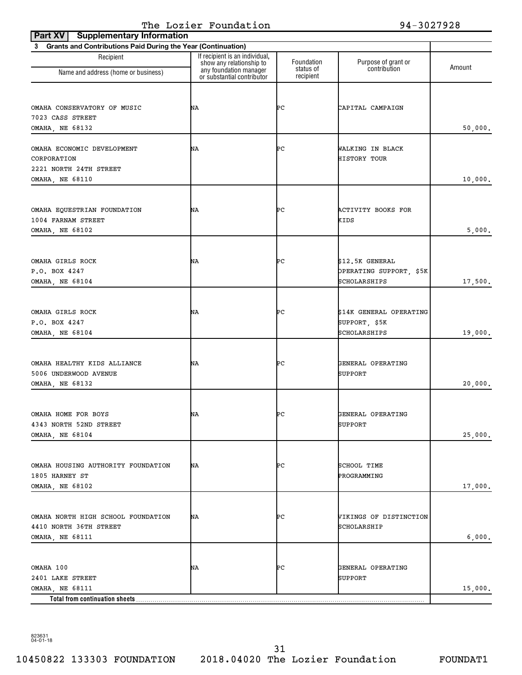| <b>Supplementary Information</b><br>Part XV                    |                                                                                      |                         |                                            |         |
|----------------------------------------------------------------|--------------------------------------------------------------------------------------|-------------------------|--------------------------------------------|---------|
| 3 Grants and Contributions Paid During the Year (Continuation) |                                                                                      |                         |                                            |         |
| Recipient                                                      | If recipient is an individual,<br>show any relationship to<br>any foundation manager | Foundation<br>status of | Purpose of grant or<br>contribution        | Amount  |
| Name and address (home or business)                            | or substantial contributor                                                           | recipient               |                                            |         |
|                                                                |                                                                                      |                         |                                            |         |
| OMAHA CONSERVATORY OF MUSIC                                    | ΝA                                                                                   | ÞС                      | CAPITAL CAMPAIGN                           |         |
| 7023 CASS STREET                                               |                                                                                      |                         |                                            |         |
| OMAHA, NE 68132                                                |                                                                                      |                         |                                            | 50,000. |
|                                                                |                                                                                      |                         |                                            |         |
| OMAHA ECONOMIC DEVELOPMENT                                     | ΝA                                                                                   | ÞС                      | WALKING IN BLACK                           |         |
| CORPORATION                                                    |                                                                                      |                         | <b>HISTORY TOUR</b>                        |         |
| 2221 NORTH 24TH STREET                                         |                                                                                      |                         |                                            |         |
| OMAHA, NE 68110                                                |                                                                                      |                         |                                            | 10,000. |
|                                                                |                                                                                      |                         |                                            |         |
| OMAHA EQUESTRIAN FOUNDATION                                    | ΝA                                                                                   | ÞС                      | ACTIVITY BOOKS FOR                         |         |
| 1004 FARNAM STREET                                             |                                                                                      |                         | KIDS                                       |         |
| <b>OMAHA, NE 68102</b>                                         |                                                                                      |                         |                                            | 5,000.  |
|                                                                |                                                                                      |                         |                                            |         |
|                                                                |                                                                                      |                         |                                            |         |
| OMAHA GIRLS ROCK<br>P.O. BOX 4247                              | ΝA                                                                                   | ÞС                      | \$12.5K GENERAL<br>OPERATING SUPPORT, \$5K |         |
| OMAHA, NE 68104                                                |                                                                                      |                         | SCHOLARSHIPS                               | 17,500. |
|                                                                |                                                                                      |                         |                                            |         |
|                                                                |                                                                                      |                         |                                            |         |
| OMAHA GIRLS ROCK                                               | ΝA                                                                                   | ÞС                      | \$14K GENERAL OPERATING                    |         |
| P.O. BOX 4247                                                  |                                                                                      |                         | SUPPORT, \$5K                              |         |
| OMAHA, NE 68104                                                |                                                                                      |                         | SCHOLARSHIPS                               | 19,000. |
|                                                                |                                                                                      |                         |                                            |         |
| OMAHA HEALTHY KIDS ALLIANCE                                    | ΝA                                                                                   | ÞС                      | GENERAL OPERATING                          |         |
| 5006 UNDERWOOD AVENUE                                          |                                                                                      |                         | SUPPORT                                    |         |
| OMAHA, NE 68132                                                |                                                                                      |                         |                                            | 20,000. |
|                                                                |                                                                                      |                         |                                            |         |
|                                                                |                                                                                      |                         |                                            |         |
| OMAHA HOME FOR BOYS                                            | NΑ                                                                                   | ÞС                      | GENERAL OPERATING                          |         |
| 4343 NORTH 52ND STREET<br>OMAHA, NE 68104                      |                                                                                      |                         | SUPPORT                                    | 25,000. |
|                                                                |                                                                                      |                         |                                            |         |
|                                                                |                                                                                      |                         |                                            |         |
| OMAHA HOUSING AUTHORITY FOUNDATION                             | NA                                                                                   | ÞС                      | SCHOOL TIME                                |         |
| 1805 HARNEY ST                                                 |                                                                                      |                         | PROGRAMMING                                |         |
| <b>OMAHA, NE 68102</b>                                         |                                                                                      |                         |                                            | 17,000. |
|                                                                |                                                                                      |                         |                                            |         |
| OMAHA NORTH HIGH SCHOOL FOUNDATION                             | ΝA                                                                                   | ÞС                      | VIKINGS OF DISTINCTION                     |         |
| 4410 NORTH 36TH STREET                                         |                                                                                      |                         | SCHOLARSHIP                                |         |
| <b>OMAHA, NE 68111</b>                                         |                                                                                      |                         |                                            | 6,000.  |
|                                                                |                                                                                      |                         |                                            |         |
|                                                                |                                                                                      |                         |                                            |         |
| OMAHA 100                                                      | NA                                                                                   | ÞС                      | GENERAL OPERATING                          |         |
| 2401 LAKE STREET                                               |                                                                                      |                         | SUPPORT                                    |         |
| OMAHA, NE 68111<br>Total from continuation sheets              |                                                                                      |                         |                                            | 15,000. |
|                                                                |                                                                                      |                         |                                            |         |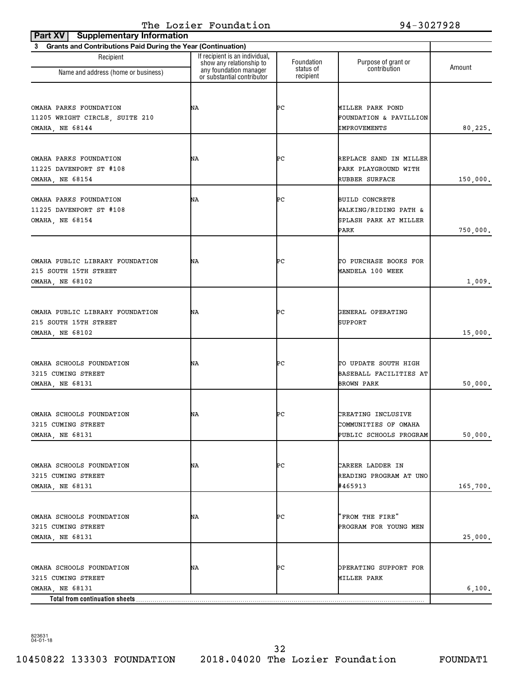|                                                                | The Lozier Foundation                                                                                              |                                      | 94-3027928                                 |          |
|----------------------------------------------------------------|--------------------------------------------------------------------------------------------------------------------|--------------------------------------|--------------------------------------------|----------|
| Part XV   Supplementary Information                            |                                                                                                                    |                                      |                                            |          |
| 3 Grants and Contributions Paid During the Year (Continuation) |                                                                                                                    |                                      |                                            |          |
| Recipient<br>Name and address (home or business)               | If recipient is an individual,<br>show any relationship to<br>any foundation manager<br>or substantial contributor | Foundation<br>status of<br>recipient | Purpose of grant or<br>contribution        | Amount   |
|                                                                |                                                                                                                    |                                      |                                            |          |
| OMAHA PARKS FOUNDATION                                         | ΝA                                                                                                                 | ÞС                                   | MILLER PARK POND                           |          |
| 11205 WRIGHT CIRCLE, SUITE 210                                 |                                                                                                                    |                                      | FOUNDATION & PAVILLION                     |          |
| OMAHA, NE 68144                                                |                                                                                                                    |                                      | IMPROVEMENTS                               | 80, 225. |
|                                                                |                                                                                                                    |                                      |                                            |          |
| OMAHA PARKS FOUNDATION                                         | ΝA                                                                                                                 | ÞС                                   | REPLACE SAND IN MILLER                     |          |
| 11225 DAVENPORT ST #108                                        |                                                                                                                    |                                      | PARK PLAYGROUND WITH                       |          |
| OMAHA, NE 68154                                                |                                                                                                                    |                                      | RUBBER SURFACE                             | 150,000. |
| OMAHA PARKS FOUNDATION                                         | NΑ                                                                                                                 | ÞС                                   | <b>BUILD CONCRETE</b>                      |          |
| 11225 DAVENPORT ST #108                                        |                                                                                                                    |                                      | WALKING/RIDING PATH &                      |          |
| OMAHA, NE 68154                                                |                                                                                                                    |                                      | SPLASH PARK AT MILLER                      |          |
|                                                                |                                                                                                                    |                                      | PARK                                       | 750,000. |
|                                                                |                                                                                                                    |                                      |                                            |          |
| OMAHA PUBLIC LIBRARY FOUNDATION                                | ΝA                                                                                                                 | ÞС                                   | TO PURCHASE BOOKS FOR                      |          |
| 215 SOUTH 15TH STREET                                          |                                                                                                                    |                                      | MANDELA 100 WEEK                           |          |
| OMAHA, NE 68102                                                |                                                                                                                    |                                      |                                            | 1,009.   |
|                                                                |                                                                                                                    |                                      |                                            |          |
| OMAHA PUBLIC LIBRARY FOUNDATION                                | ΝA                                                                                                                 | ÞС                                   | GENERAL OPERATING                          |          |
| 215 SOUTH 15TH STREET                                          |                                                                                                                    |                                      | SUPPORT                                    |          |
| OMAHA, NE 68102                                                |                                                                                                                    |                                      |                                            | 15,000.  |
|                                                                |                                                                                                                    |                                      |                                            |          |
| OMAHA SCHOOLS FOUNDATION                                       | ΝA                                                                                                                 | ÞС                                   | TO UPDATE SOUTH HIGH                       |          |
| 3215 CUMING STREET<br><b>OMAHA, NE 68131</b>                   |                                                                                                                    |                                      | BASEBALL FACILITIES AT<br>BROWN PARK       | 50,000.  |
|                                                                |                                                                                                                    |                                      |                                            |          |
| OMAHA SCHOOLS FOUNDATION                                       |                                                                                                                    |                                      |                                            |          |
| 3215 CUMING STREET                                             | NΑ                                                                                                                 | ÞС                                   | CREATING INCLUSIVE<br>COMMUNITIES OF OMAHA |          |
| OMAHA, NE 68131                                                |                                                                                                                    |                                      | PUBLIC SCHOOLS PROGRAM                     | 50,000.  |
|                                                                |                                                                                                                    |                                      |                                            |          |
| OMAHA SCHOOLS FOUNDATION                                       | ΝA                                                                                                                 | ÞС                                   | CAREER LADDER IN                           |          |
| 3215 CUMING STREET                                             |                                                                                                                    |                                      | READING PROGRAM AT UNO                     |          |
| OMAHA, NE 68131                                                |                                                                                                                    |                                      | #465913                                    | 165,700. |
|                                                                |                                                                                                                    |                                      |                                            |          |
| OMAHA SCHOOLS FOUNDATION                                       | ΝA                                                                                                                 | ÞС                                   | 'FROM THE FIRE"                            |          |
| 3215 CUMING STREET                                             |                                                                                                                    |                                      | PROGRAM FOR YOUNG MEN                      |          |
| OMAHA, NE 68131                                                |                                                                                                                    |                                      |                                            | 25,000.  |
|                                                                |                                                                                                                    |                                      |                                            |          |
| OMAHA SCHOOLS FOUNDATION                                       | ΝA                                                                                                                 | ÞС                                   | OPERATING SUPPORT FOR                      |          |
| 3215 CUMING STREET                                             |                                                                                                                    |                                      | MILLER PARK                                |          |
| OMAHA, NE 68131<br>Total from continuation sheets              |                                                                                                                    |                                      |                                            | 6,100.   |
|                                                                |                                                                                                                    |                                      |                                            |          |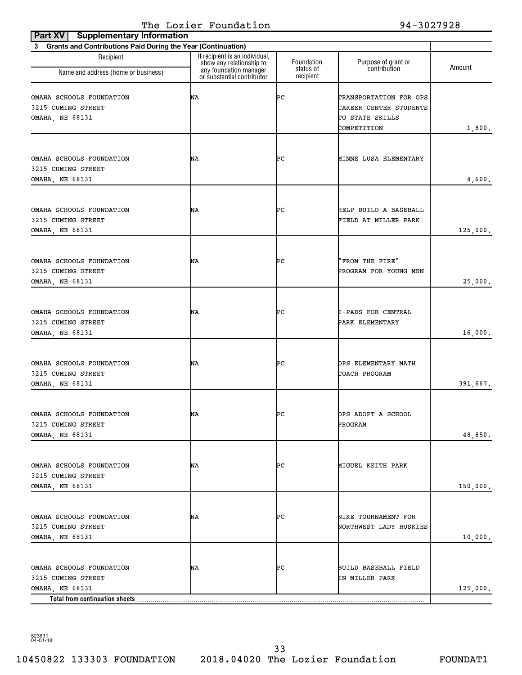| <b>Supplementary Information</b><br>Part XV                                                         |                                                                                      |                         |                                                                                    |          |
|-----------------------------------------------------------------------------------------------------|--------------------------------------------------------------------------------------|-------------------------|------------------------------------------------------------------------------------|----------|
| 3 Grants and Contributions Paid During the Year (Continuation)                                      |                                                                                      |                         |                                                                                    |          |
| Recipient<br>Name and address (home or business)                                                    | If recipient is an individual,<br>show any relationship to<br>any foundation manager | Foundation<br>status of | Purpose of grant or<br>contribution                                                | Amount   |
|                                                                                                     | or substantial contributor                                                           | recipient               |                                                                                    |          |
| OMAHA SCHOOLS FOUNDATION<br>3215 CUMING STREET<br>OMAHA, NE 68131                                   | ΝA                                                                                   | ÞС                      | TRANSPORTATION FOR OPS<br>CAREER CENTER STUDENTS<br>TO STATE SKILLS<br>COMPETITION | 1,800.   |
| OMAHA SCHOOLS FOUNDATION<br>3215 CUMING STREET<br>OMAHA, NE 68131                                   | ΝA                                                                                   | ÞС                      | MINNE LUSA ELEMENTARY                                                              | 4,600.   |
| OMAHA SCHOOLS FOUNDATION<br>3215 CUMING STREET<br><b>OMAHA, NE 68131</b>                            | ΝA                                                                                   | ÞС                      | HELP BUILD A BASEBALL<br>FIELD AT MILLER PARK                                      | 125,000. |
| OMAHA SCHOOLS FOUNDATION<br>3215 CUMING STREET<br>OMAHA, NE 68131                                   | ΝA                                                                                   | ÞС                      | "FROM THE FIRE"<br>PROGRAM FOR YOUNG MEN                                           | 25,000.  |
| OMAHA SCHOOLS FOUNDATION<br>3215 CUMING STREET<br>OMAHA, NE 68131                                   | ΝA                                                                                   | ÞС                      | I-PADS FOR CENTRAL<br>PARK ELEMENTARY                                              | 16,000.  |
| OMAHA SCHOOLS FOUNDATION<br>3215 CUMING STREET<br>OMAHA, NE 68131                                   | ΝA                                                                                   | ÞС                      | OPS ELEMENTARY MATH<br>COACH PROGRAM                                               | 391,667. |
| OMAHA SCHOOLS FOUNDATION<br>3215 CUMING STREET<br>OMAHA, NE 68131                                   | ΝA                                                                                   | ÞС                      | OPS ADOPT A SCHOOL<br>PROGRAM                                                      | 48,850.  |
| OMAHA SCHOOLS FOUNDATION<br>3215 CUMING STREET<br><b>OMAHA, NE 68131</b>                            | ΝA                                                                                   | ÞС                      | MIGUEL KEITH PARK                                                                  | 150,000. |
| OMAHA SCHOOLS FOUNDATION<br>3215 CUMING STREET<br>OMAHA, NE 68131                                   | NA                                                                                   | ÞС                      | NIKE TOURNAMENT FOR<br>NORTHWEST LADY HUSKIES                                      | 10,000.  |
| OMAHA SCHOOLS FOUNDATION<br>3215 CUMING STREET<br>OMAHA, NE 68131<br>Total from continuation sheets | ΝA                                                                                   | ÞС                      | BUILD BASEBALL FIELD<br>IN MILLER PARK                                             | 125,000. |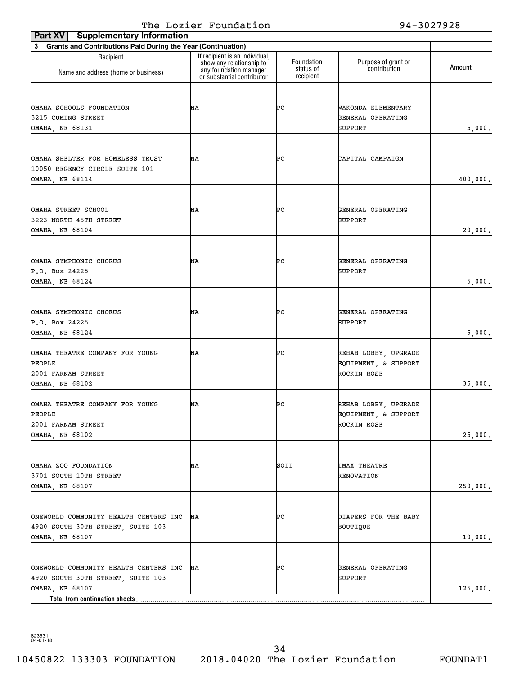| <b>Supplementary Information</b><br>Part XV                                                   |                                                                                      |                         |                                                             |          |
|-----------------------------------------------------------------------------------------------|--------------------------------------------------------------------------------------|-------------------------|-------------------------------------------------------------|----------|
| 3 Grants and Contributions Paid During the Year (Continuation)                                |                                                                                      |                         |                                                             |          |
| Recipient                                                                                     | If recipient is an individual,<br>show any relationship to<br>any foundation manager | Foundation<br>status of | Purpose of grant or<br>contribution                         | Amount   |
| Name and address (home or business)                                                           | or substantial contributor                                                           | recipient               |                                                             |          |
| OMAHA SCHOOLS FOUNDATION<br>3215 CUMING STREET<br>OMAHA, NE 68131                             | ΝA                                                                                   | ÞС                      | WAKONDA ELEMENTARY<br>GENERAL OPERATING<br>SUPPORT          | 5,000.   |
|                                                                                               |                                                                                      |                         |                                                             |          |
| OMAHA SHELTER FOR HOMELESS TRUST<br>10050 REGENCY CIRCLE SUITE 101<br>OMAHA, NE 68114         | ΝA                                                                                   | ÞС                      | CAPITAL CAMPAIGN                                            | 400,000. |
| OMAHA STREET SCHOOL<br>3223 NORTH 45TH STREET<br>OMAHA, NE 68104                              | NΑ                                                                                   | ÞС                      | GENERAL OPERATING<br>SUPPORT                                | 20,000.  |
| OMAHA SYMPHONIC CHORUS<br>P.O. Box 24225<br>OMAHA, NE 68124                                   | ΝA                                                                                   | ÞС                      | GENERAL OPERATING<br>SUPPORT                                | 5,000.   |
| OMAHA SYMPHONIC CHORUS<br>P.O. Box 24225<br>OMAHA, NE 68124                                   | ΝA                                                                                   | ÞС                      | GENERAL OPERATING<br>SUPPORT                                | 5,000.   |
| OMAHA THEATRE COMPANY FOR YOUNG<br>PEOPLE<br>2001 FARNAM STREET<br><b>OMAHA, NE 68102</b>     | ΝA                                                                                   | ÞС                      | REHAB LOBBY, UPGRADE<br>EQUIPMENT, & SUPPORT<br>ROCKIN ROSE | 35,000.  |
| OMAHA THEATRE COMPANY FOR YOUNG<br>PEOPLE<br>2001 FARNAM STREET<br>OMAHA, NE 68102            | ΝA                                                                                   | ÞС                      | REHAB LOBBY, UPGRADE<br>EQUIPMENT, & SUPPORT<br>ROCKIN ROSE | 25,000.  |
| OMAHA ZOO FOUNDATION<br>3701 SOUTH 10TH STREET<br>OMAHA, NE 68107                             | NA                                                                                   | SOII                    | IMAX THEATRE<br>RENOVATION                                  | 250,000. |
| ONEWORLD COMMUNITY HEALTH CENTERS INC<br>4920 SOUTH 30TH STREET, SUITE 103<br>OMAHA, NE 68107 | ΝA                                                                                   | ÞС                      | DIAPERS FOR THE BABY<br>BOUTIQUE                            | 10,000.  |
| ONEWORLD COMMUNITY HEALTH CENTERS INC<br>4920 SOUTH 30TH STREET, SUITE 103<br>OMAHA, NE 68107 | ΝA                                                                                   | ÞС                      | GENERAL OPERATING<br>SUPPORT                                | 125,000. |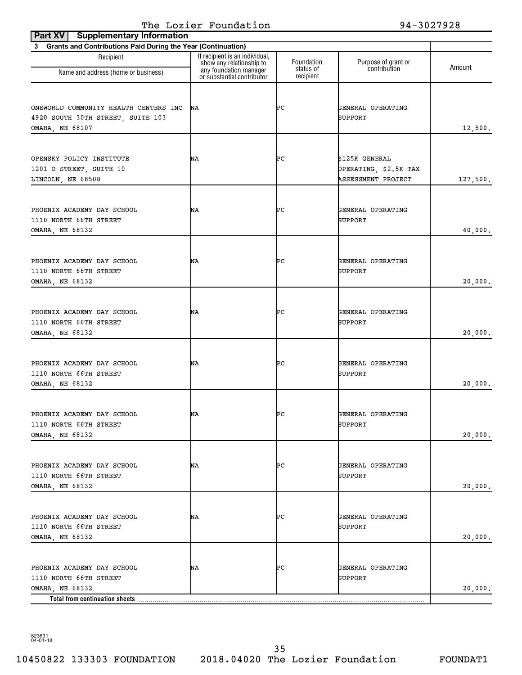| <b>Supplementary Information</b><br>Part XV                                                               |                                                                                      |                         |                                                               |          |
|-----------------------------------------------------------------------------------------------------------|--------------------------------------------------------------------------------------|-------------------------|---------------------------------------------------------------|----------|
| 3 Grants and Contributions Paid During the Year (Continuation)                                            |                                                                                      |                         |                                                               |          |
| Recipient<br>Name and address (home or business)                                                          | If recipient is an individual,<br>show any relationship to<br>any foundation manager | Foundation<br>status of | Purpose of grant or<br>contribution                           | Amount   |
|                                                                                                           | or substantial contributor                                                           | recipient               |                                                               |          |
| ONEWORLD COMMUNITY HEALTH CENTERS INC<br>4920 SOUTH 30TH STREET, SUITE 103<br>OMAHA, NE 68107             | ΝA                                                                                   | ÞС                      | GENERAL OPERATING<br>SUPPORT                                  | 12,500.  |
| OPENSKY POLICY INSTITUTE<br>1201 O STREET, SUITE 10<br>LINCOLN, NE 68508                                  | ΝA                                                                                   | ÞС                      | \$125K GENERAL<br>OPERATING, \$2.5K TAX<br>ASSESSMENT PROJECT | 127,500. |
| PHOENIX ACADEMY DAY SCHOOL<br>1110 NORTH 66TH STREET<br>OMAHA, NE 68132                                   | ΝA                                                                                   | ÞС                      | GENERAL OPERATING<br>SUPPORT                                  | 40,000.  |
| PHOENIX ACADEMY DAY SCHOOL<br>1110 NORTH 66TH STREET<br>OMAHA, NE 68132                                   | ΝA                                                                                   | ÞС                      | GENERAL OPERATING<br>SUPPORT                                  | 20,000.  |
| PHOENIX ACADEMY DAY SCHOOL<br>1110 NORTH 66TH STREET<br>OMAHA, NE 68132                                   | ΝA                                                                                   | ÞС                      | GENERAL OPERATING<br>SUPPORT                                  | 20,000.  |
| PHOENIX ACADEMY DAY SCHOOL<br>1110 NORTH 66TH STREET<br><b>OMAHA, NE 68132</b>                            | ΝA                                                                                   | ÞС                      | GENERAL OPERATING<br>SUPPORT                                  | 20,000.  |
| PHOENIX ACADEMY DAY SCHOOL<br>1110 NORTH 66TH STREET<br>OMAHA, NE 68132                                   | ΝA                                                                                   | ÞС                      | GENERAL OPERATING<br>SUPPORT                                  | 20,000.  |
| PHOENIX ACADEMY DAY SCHOOL<br>1110 NORTH 66TH STREET<br>OMAHA, NE 68132                                   | ΝA                                                                                   | ÞС                      | GENERAL OPERATING<br>SUPPORT                                  | 20,000.  |
| PHOENIX ACADEMY DAY SCHOOL<br>1110 NORTH 66TH STREET<br>OMAHA, NE 68132                                   | ΝA                                                                                   | ÞС                      | GENERAL OPERATING<br>SUPPORT                                  | 20,000.  |
| PHOENIX ACADEMY DAY SCHOOL<br>1110 NORTH 66TH STREET<br>OMAHA, NE 68132<br>Total from continuation sheets | ΝA                                                                                   | ÞС                      | GENERAL OPERATING<br>SUPPORT                                  | 20,000.  |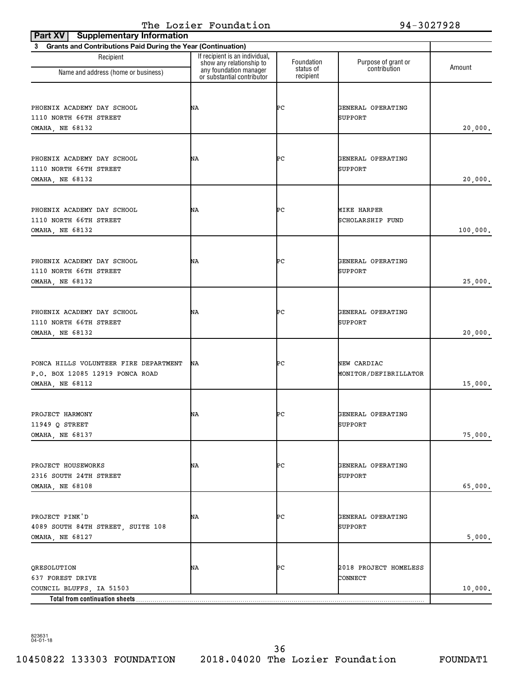| <b>Supplementary Information</b><br>Part XV                                                   |                                                                                      |                         |                                      |          |
|-----------------------------------------------------------------------------------------------|--------------------------------------------------------------------------------------|-------------------------|--------------------------------------|----------|
| 3 Grants and Contributions Paid During the Year (Continuation)                                |                                                                                      |                         |                                      |          |
| Recipient<br>Name and address (home or business)                                              | If recipient is an individual,<br>show any relationship to<br>any foundation manager | Foundation<br>status of | Purpose of grant or<br>contribution  | Amount   |
|                                                                                               | or substantial contributor                                                           | recipient               |                                      |          |
| PHOENIX ACADEMY DAY SCHOOL<br>1110 NORTH 66TH STREET<br><b>OMAHA, NE 68132</b>                | ΝA                                                                                   | ÞС                      | GENERAL OPERATING<br>SUPPORT         | 20,000.  |
| PHOENIX ACADEMY DAY SCHOOL<br>1110 NORTH 66TH STREET<br>OMAHA, NE 68132                       | ΝA                                                                                   | ÞС                      | GENERAL OPERATING<br><b>SUPPORT</b>  | 20,000.  |
| PHOENIX ACADEMY DAY SCHOOL<br>1110 NORTH 66TH STREET<br>OMAHA, NE 68132                       | ΝA                                                                                   | ÞС                      | MIKE HARPER<br>SCHOLARSHIP FUND      | 100,000. |
| PHOENIX ACADEMY DAY SCHOOL<br>1110 NORTH 66TH STREET<br>OMAHA, NE 68132                       | ΝA                                                                                   | ÞС                      | GENERAL OPERATING<br><b>SUPPORT</b>  | 25,000.  |
| PHOENIX ACADEMY DAY SCHOOL<br>1110 NORTH 66TH STREET<br>OMAHA, NE 68132                       | ΝA                                                                                   | ÞС                      | GENERAL OPERATING<br>SUPPORT         | 20,000.  |
| PONCA HILLS VOLUNTEER FIRE DEPARTMENT<br>P.O. BOX 12085 12919 PONCA ROAD<br>OMAHA, NE 68112   | ΝA                                                                                   | ÞС                      | NEW CARDIAC<br>MONITOR/DEFIBRILLATOR | 15,000.  |
| PROJECT HARMONY<br>11949 Q STREET<br>OMAHA, NE 68137                                          | NΑ                                                                                   | ÞС                      | GENERAL OPERATING<br>SUPPORT         | 75,000.  |
| PROJECT HOUSEWORKS<br>2316 SOUTH 24TH STREET<br>OMAHA, NE 68108                               | NA                                                                                   | ÞС                      | GENERAL OPERATING<br>SUPPORT         | 65,000.  |
| PROJECT PINK'D<br>4089 SOUTH 84TH STREET, SUITE 108<br>OMAHA, NE 68127                        | ΝA                                                                                   | ÞС                      | GENERAL OPERATING<br>SUPPORT         | 5,000.   |
| QRESOLUTION<br>637 FOREST DRIVE<br>COUNCIL BLUFFS, IA 51503<br>Total from continuation sheets | NA                                                                                   | ÞС                      | 2018 PROJECT HOMELESS<br>CONNECT     | 10,000.  |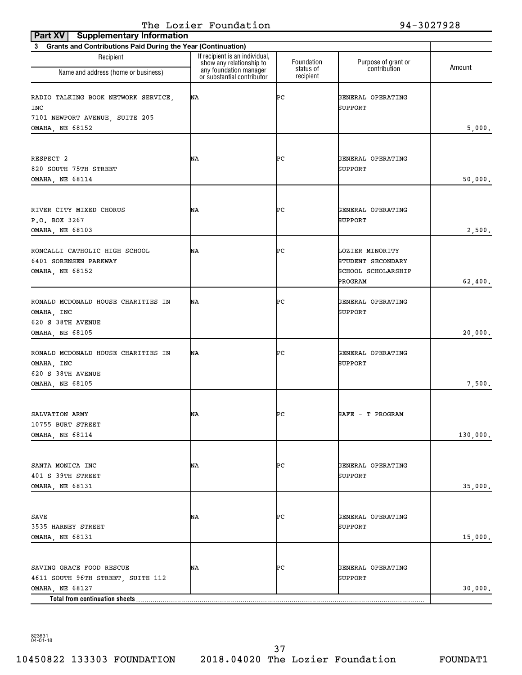| <b>Supplementary Information</b><br>Part XV                                  |                                                                                      |                         |                                                            |          |
|------------------------------------------------------------------------------|--------------------------------------------------------------------------------------|-------------------------|------------------------------------------------------------|----------|
| 3 Grants and Contributions Paid During the Year (Continuation)               |                                                                                      |                         |                                                            |          |
| Recipient                                                                    | If recipient is an individual,<br>show any relationship to<br>any foundation manager | Foundation<br>status of | Purpose of grant or<br>contribution                        | Amount   |
| Name and address (home or business)                                          | or substantial contributor                                                           | recipient               |                                                            |          |
| RADIO TALKING BOOK NETWORK SERVICE,<br>INC<br>7101 NEWPORT AVENUE, SUITE 205 | ΝA                                                                                   | ÞС                      | GENERAL OPERATING<br><b>SUPPORT</b>                        |          |
| OMAHA, NE 68152                                                              |                                                                                      |                         |                                                            | 5,000.   |
|                                                                              |                                                                                      |                         |                                                            |          |
| RESPECT 2<br>820 SOUTH 75TH STREET<br>OMAHA, NE 68114                        | ΝA                                                                                   | ÞС                      | GENERAL OPERATING<br>SUPPORT                               | 50,000.  |
|                                                                              |                                                                                      |                         |                                                            |          |
| RIVER CITY MIXED CHORUS<br>P.O. BOX 3267<br>OMAHA, NE 68103                  | ΝA                                                                                   | ÞС                      | GENERAL OPERATING<br><b>SUPPORT</b>                        | 2,500.   |
|                                                                              |                                                                                      |                         |                                                            |          |
| RONCALLI CATHOLIC HIGH SCHOOL<br>6401 SORENSEN PARKWAY<br>OMAHA, NE 68152    | ΝA                                                                                   | ÞС                      | LOZIER MINORITY<br>STUDENT SECONDARY<br>SCHOOL SCHOLARSHIP |          |
|                                                                              |                                                                                      |                         | PROGRAM                                                    | 62,400.  |
| RONALD MCDONALD HOUSE CHARITIES IN<br>OMAHA, INC<br>620 S 38TH AVENUE        | ΝA                                                                                   | ÞС                      | GENERAL OPERATING<br><b>SUPPORT</b>                        |          |
| OMAHA, NE 68105                                                              |                                                                                      |                         |                                                            | 20,000.  |
| RONALD MCDONALD HOUSE CHARITIES IN<br>OMAHA, INC<br>620 S 38TH AVENUE        | ΝA                                                                                   | ÞС                      | GENERAL OPERATING<br><b>SUPPORT</b>                        |          |
| OMAHA, NE 68105                                                              |                                                                                      |                         |                                                            | 7,500.   |
|                                                                              |                                                                                      |                         |                                                            |          |
| SALVATION ARMY<br>10755 BURT STREET                                          | ΝA                                                                                   | ÞС                      | SAFE - T PROGRAM                                           |          |
| OMAHA, NE 68114                                                              |                                                                                      |                         |                                                            | 130,000. |
|                                                                              |                                                                                      |                         |                                                            |          |
| SANTA MONICA INC<br>401 S 39TH STREET<br><b>OMAHA, NE 68131</b>              | NA                                                                                   | ÞС                      | GENERAL OPERATING<br><b>SUPPORT</b>                        | 35,000.  |
|                                                                              |                                                                                      |                         |                                                            |          |
| SAVE<br>3535 HARNEY STREET<br>OMAHA, NE 68131                                | NA                                                                                   | ÞС                      | GENERAL OPERATING<br>SUPPORT                               | 15,000.  |
|                                                                              |                                                                                      |                         |                                                            |          |
| SAVING GRACE FOOD RESCUE<br>4611 SOUTH 96TH STREET, SUITE 112                | ΝA                                                                                   | ÞС                      | GENERAL OPERATING<br>SUPPORT                               |          |
| OMAHA, NE 68127                                                              |                                                                                      |                         |                                                            | 30,000.  |
| Total from continuation sheets                                               |                                                                                      |                         |                                                            |          |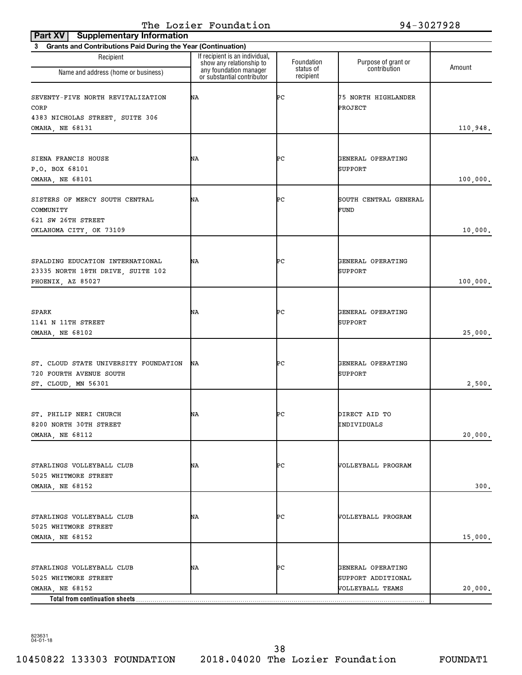| Part XV   Supplementary Information                                         |                                                            |                         |                                         |          |
|-----------------------------------------------------------------------------|------------------------------------------------------------|-------------------------|-----------------------------------------|----------|
| Grants and Contributions Paid During the Year (Continuation)<br>$3^{\circ}$ |                                                            |                         |                                         |          |
| Recipient                                                                   | If recipient is an individual,<br>show any relationship to | Foundation<br>status of | Purpose of grant or<br>contribution     | Amount   |
| Name and address (home or business)                                         | any foundation manager<br>or substantial contributor       | recipient               |                                         |          |
| SEVENTY-FIVE NORTH REVITALIZATION<br>CORP                                   | ΝA                                                         | ÞС                      | 75 NORTH HIGHLANDER<br>PROJECT          |          |
| 4383 NICHOLAS STREET, SUITE 306                                             |                                                            |                         |                                         |          |
| OMAHA, NE 68131                                                             |                                                            |                         |                                         | 110,948. |
|                                                                             |                                                            |                         |                                         |          |
| SIENA FRANCIS HOUSE                                                         | ΝA                                                         | ÞС                      | GENERAL OPERATING                       |          |
| P.O. BOX 68101<br>OMAHA, NE 68101                                           |                                                            |                         | <b>SUPPORT</b>                          | 100,000. |
|                                                                             |                                                            |                         |                                         |          |
| SISTERS OF MERCY SOUTH CENTRAL<br>COMMUNITY                                 | ΝA                                                         | ÞС                      | SOUTH CENTRAL GENERAL<br>FUND           |          |
| 621 SW 26TH STREET                                                          |                                                            |                         |                                         |          |
| OKLAHOMA CITY, OK 73109                                                     |                                                            |                         |                                         | 10,000.  |
|                                                                             |                                                            |                         |                                         |          |
| SPALDING EDUCATION INTERNATIONAL<br>23335 NORTH 18TH DRIVE, SUITE 102       | ΝA                                                         | ÞС                      | GENERAL OPERATING<br>SUPPORT            |          |
| PHOENIX, AZ 85027                                                           |                                                            |                         |                                         | 100,000. |
|                                                                             |                                                            |                         |                                         |          |
| SPARK                                                                       | ΝA                                                         | ÞС                      | GENERAL OPERATING                       |          |
| 1141 N 11TH STREET                                                          |                                                            |                         | SUPPORT                                 |          |
| OMAHA, NE 68102                                                             |                                                            |                         |                                         | 25,000.  |
|                                                                             |                                                            |                         |                                         |          |
| ST. CLOUD STATE UNIVERSITY FOUNDATION                                       | ΝA                                                         | ÞС                      | GENERAL OPERATING                       |          |
| 720 FOURTH AVENUE SOUTH                                                     |                                                            |                         | <b>SUPPORT</b>                          |          |
| ST. CLOUD, MN 56301                                                         |                                                            |                         |                                         | 2,500.   |
|                                                                             |                                                            |                         |                                         |          |
| ST. PHILIP NERI CHURCH<br>8200 NORTH 30TH STREET                            | ΝA                                                         | ÞС                      | DIRECT AID TO<br>INDIVIDUALS            |          |
| <b>OMAHA, NE 68112</b>                                                      |                                                            |                         |                                         | 20,000.  |
|                                                                             |                                                            |                         |                                         |          |
| STARLINGS VOLLEYBALL CLUB                                                   | ΝA                                                         | ÞС                      | VOLLEYBALL PROGRAM                      |          |
| 5025 WHITMORE STREET                                                        |                                                            |                         |                                         |          |
| OMAHA, NE 68152                                                             |                                                            |                         |                                         | 300.     |
|                                                                             |                                                            |                         |                                         |          |
| STARLINGS VOLLEYBALL CLUB                                                   | ΝA                                                         | ÞС                      | VOLLEYBALL PROGRAM                      |          |
| 5025 WHITMORE STREET                                                        |                                                            |                         |                                         |          |
| OMAHA, NE 68152                                                             |                                                            |                         |                                         | 15,000.  |
|                                                                             |                                                            |                         |                                         |          |
| STARLINGS VOLLEYBALL CLUB<br>5025 WHITMORE STREET                           | ΝA                                                         | ÞС                      | GENERAL OPERATING<br>SUPPORT ADDITIONAL |          |
| OMAHA, NE 68152                                                             |                                                            |                         | VOLLEYBALL TEAMS                        | 20,000.  |
|                                                                             |                                                            |                         |                                         |          |

10450822 133303 FOUNDATION 2018.04020 The Lozier Foundation FOUNDAT1 38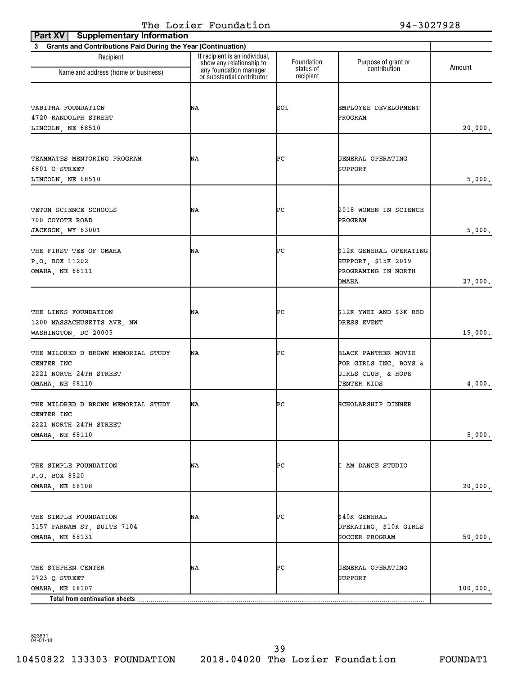| <b>Supplementary Information</b><br>Part XV                                                   |                                                                                      |                         |                                                                                       |          |
|-----------------------------------------------------------------------------------------------|--------------------------------------------------------------------------------------|-------------------------|---------------------------------------------------------------------------------------|----------|
| 3 Grants and Contributions Paid During the Year (Continuation)                                |                                                                                      |                         |                                                                                       |          |
| Recipient<br>Name and address (home or business)                                              | If recipient is an individual,<br>show any relationship to<br>any foundation manager | Foundation<br>status of | Purpose of grant or<br>contribution                                                   | Amount   |
|                                                                                               | or substantial contributor                                                           | recipient               |                                                                                       |          |
| TABITHA FOUNDATION<br>4720 RANDOLPH STREET<br>LINCOLN, NE 68510                               | ΝA                                                                                   | SOI                     | EMPLOYEE DEVELOPMENT<br>PROGRAM                                                       | 20,000.  |
| TEAMMATES MENTORING PROGRAM<br>6801 O STREET<br>LINCOLN, NE 68510                             | ΝA                                                                                   | ÞС                      | GENERAL OPERATING<br>SUPPORT                                                          | 5,000.   |
| TETON SCIENCE SCHOOLS<br>700 COYOTE ROAD<br>JACKSON, WY 83001                                 | ΝA                                                                                   | ÞС                      | 2018 WOMEN IN SCIENCE<br>PROGRAM                                                      | 5,000.   |
| THE FIRST TEE OF OMAHA<br>P.O. BOX 11202<br>OMAHA, NE 68111                                   | ΝA                                                                                   | ÞС                      | \$12K GENERAL OPERATING<br>SUPPORT, \$15K 2019<br>PROGRAMING IN NORTH<br><b>OMAHA</b> | 27,000.  |
| THE LINKS FOUNDATION<br>1200 MASSACHUSETTS AVE, NW<br>WASHINGTON, DC 20005                    | ΝA                                                                                   | ÞС                      | \$12K YWEI AND \$3K RED<br>DRESS EVENT                                                | 15,000.  |
| THE MILDRED D BROWN MEMORIAL STUDY<br>CENTER INC<br>2221 NORTH 24TH STREET<br>OMAHA, NE 68110 | ΝA                                                                                   | ÞС                      | BLACK PANTHER MOVIE<br>FOR GIRLS INC, BOYS &<br>GIRLS CLUB, & HOPE<br>CENTER KIDS     | 4,000.   |
| THE MILDRED D BROWN MEMORIAL STUDY<br>CENTER INC<br>2221 NORTH 24TH STREET                    | ΝA                                                                                   | ÞС                      | SCHOLARSHIP DINNER                                                                    |          |
| OMAHA, NE 68110                                                                               |                                                                                      |                         |                                                                                       | 5,000.   |
| THE SIMPLE FOUNDATION<br>P.O. BOX 8520<br>OMAHA, NE 68108                                     | NA                                                                                   | ÞС                      | I AM DANCE STUDIO                                                                     | 20,000.  |
| THE SIMPLE FOUNDATION<br>3157 FARNAM ST, SUITE 7104<br>OMAHA, NE 68131                        | NA                                                                                   | ÞС                      | \$40K GENERAL<br><b>OPERATING, \$10K GIRLS</b><br>SOCCER PROGRAM                      | 50,000.  |
| THE STEPHEN CENTER<br>2723 Q STREET<br>OMAHA, NE 68107                                        | ΝA                                                                                   | ÞС                      | GENERAL OPERATING<br>SUPPORT                                                          | 100,000. |
| Total from continuation sheets                                                                |                                                                                      |                         |                                                                                       |          |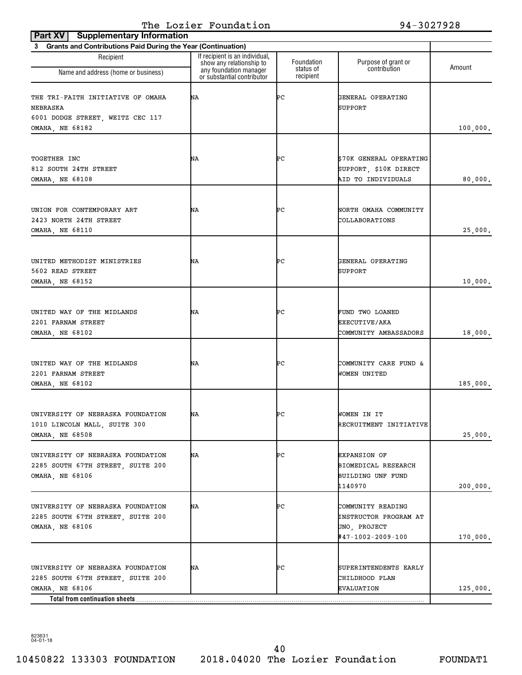| $S_{\alpha}$<br>3 Grants and Contributions Paid During the Year (Continuation) |                                                                                                                    |                         |                                                   |          |
|--------------------------------------------------------------------------------|--------------------------------------------------------------------------------------------------------------------|-------------------------|---------------------------------------------------|----------|
| Recipient<br>Name and address (home or business)                               | If recipient is an individual,<br>show any relationship to<br>any foundation manager<br>or substantial contributor | Foundation<br>status of | Purpose of grant or<br>contribution               | Amount   |
|                                                                                |                                                                                                                    | recipient               |                                                   |          |
| THE TRI-FAITH INITIATIVE OF OMAHA<br>NEBRASKA                                  | ΝA                                                                                                                 | ÞС                      | GENERAL OPERATING<br>SUPPORT                      |          |
| 6001 DODGE STREET, WEITZ CEC 117                                               |                                                                                                                    |                         |                                                   |          |
| OMAHA, NE 68182                                                                |                                                                                                                    |                         |                                                   | 100,000. |
|                                                                                |                                                                                                                    |                         |                                                   |          |
| TOGETHER INC                                                                   | ΝA                                                                                                                 | ÞС                      | \$70K GENERAL OPERATING                           |          |
| 812 SOUTH 24TH STREET                                                          |                                                                                                                    |                         | SUPPORT, \$10K DIRECT                             |          |
| OMAHA, NE 68108                                                                |                                                                                                                    |                         | AID TO INDIVIDUALS                                | 80,000.  |
|                                                                                |                                                                                                                    |                         |                                                   |          |
| UNION FOR CONTEMPORARY ART                                                     | ΝA                                                                                                                 | ÞС                      | NORTH OMAHA COMMUNITY                             |          |
| 2423 NORTH 24TH STREET                                                         |                                                                                                                    |                         | COLLABORATIONS                                    |          |
| OMAHA, NE 68110                                                                |                                                                                                                    |                         |                                                   | 25,000.  |
|                                                                                |                                                                                                                    |                         |                                                   |          |
| UNITED METHODIST MINISTRIES                                                    | ΝA                                                                                                                 | ÞС                      | GENERAL OPERATING                                 |          |
| 5602 READ STREET                                                               |                                                                                                                    |                         | SUPPORT                                           |          |
| OMAHA, NE 68152                                                                |                                                                                                                    |                         |                                                   | 10,000.  |
|                                                                                |                                                                                                                    |                         |                                                   |          |
| UNITED WAY OF THE MIDLANDS                                                     | ΝA                                                                                                                 | ÞС                      | FUND TWO LOANED                                   |          |
| 2201 FARNAM STREET                                                             |                                                                                                                    |                         | <b>EXECUTIVE/AKA</b>                              |          |
| OMAHA, NE 68102                                                                |                                                                                                                    |                         | COMMUNITY AMBASSADORS                             | 18,000.  |
|                                                                                |                                                                                                                    |                         |                                                   |          |
|                                                                                |                                                                                                                    |                         |                                                   |          |
| UNITED WAY OF THE MIDLANDS                                                     | ΝA                                                                                                                 | ÞС                      | COMMUNITY CARE FUND &                             |          |
| 2201 FARNAM STREET<br>OMAHA, NE 68102                                          |                                                                                                                    |                         | WOMEN UNITED                                      | 185,000. |
|                                                                                |                                                                                                                    |                         |                                                   |          |
|                                                                                |                                                                                                                    |                         |                                                   |          |
| UNIVERSITY OF NEBRASKA FOUNDATION                                              | ΝA                                                                                                                 | ÞС                      | WOMEN IN IT                                       |          |
| 1010 LINCOLN MALL, SUITE 300                                                   |                                                                                                                    |                         | RECRUITMENT INITIATIVE                            |          |
| OMAHA, NE 68508                                                                |                                                                                                                    |                         |                                                   | 25,000.  |
| UNIVERSITY OF NEBRASKA FOUNDATION                                              | NA                                                                                                                 | ÞС                      | <b>EXPANSION OF</b>                               |          |
| 2285 SOUTH 67TH STREET, SUITE 200                                              |                                                                                                                    |                         | BIOMEDICAL RESEARCH                               |          |
| OMAHA, NE 68106                                                                |                                                                                                                    |                         | BUILDING UNF FUND                                 |          |
|                                                                                |                                                                                                                    |                         | 1140970                                           | 200,000. |
| UNIVERSITY OF NEBRASKA FOUNDATION                                              | ΝA                                                                                                                 | ÞС                      |                                                   |          |
| 2285 SOUTH 67TH STREET, SUITE 200                                              |                                                                                                                    |                         | COMMUNITY READING<br><b>INSTRUCTOR PROGRAM AT</b> |          |
| OMAHA, NE 68106                                                                |                                                                                                                    |                         | UNO, PROJECT                                      |          |
|                                                                                |                                                                                                                    |                         | #47-1002-2009-100                                 | 170,000. |
|                                                                                |                                                                                                                    |                         |                                                   |          |
|                                                                                |                                                                                                                    |                         |                                                   |          |
| UNIVERSITY OF NEBRASKA FOUNDATION                                              | ΝA                                                                                                                 | ÞС                      | SUPERINTENDENTS EARLY<br>CHILDHOOD PLAN           |          |
| 2285 SOUTH 67TH STREET, SUITE 200<br>OMAHA, NE 68106                           |                                                                                                                    |                         | EVALUATION                                        | 125,000. |
| Total from continuation sheets                                                 |                                                                                                                    |                         |                                                   |          |

10450822 133303 FOUNDATION 2018.04020 The Lozier Foundation FOUNDAT1 40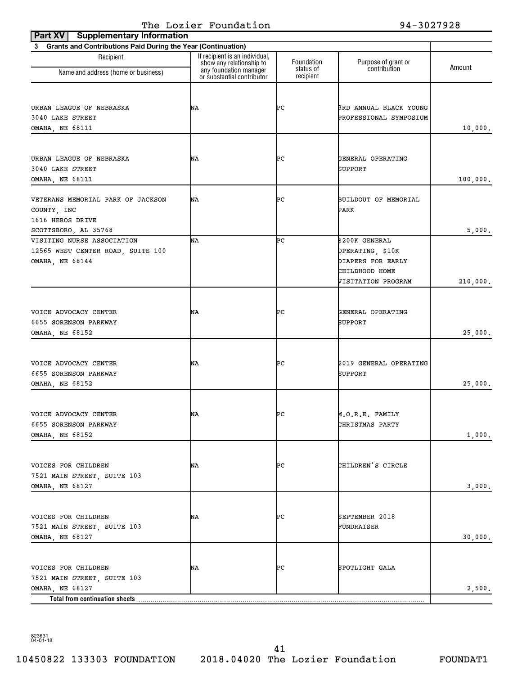| Part XV   Supplementary Information                            |                                                            |                        |                                   |          |
|----------------------------------------------------------------|------------------------------------------------------------|------------------------|-----------------------------------|----------|
| 3 Grants and Contributions Paid During the Year (Continuation) |                                                            |                        |                                   |          |
| Recipient                                                      | If recipient is an individual,<br>show any relationship to | Foundation             | Purpose of grant or               | Amount   |
| Name and address (home or business)                            | any foundation manager<br>or substantial contributor       | status of<br>recipient | contribution                      |          |
|                                                                |                                                            |                        |                                   |          |
|                                                                |                                                            |                        |                                   |          |
| URBAN LEAGUE OF NEBRASKA<br>3040 LAKE STREET                   | ΝA                                                         | ÞС                     | 3RD ANNUAL BLACK YOUNG            |          |
| <b>OMAHA, NE 68111</b>                                         |                                                            |                        | PROFESSIONAL SYMPOSIUM            | 10,000.  |
|                                                                |                                                            |                        |                                   |          |
|                                                                |                                                            |                        |                                   |          |
| URBAN LEAGUE OF NEBRASKA                                       | ΝA                                                         | ÞС                     | GENERAL OPERATING                 |          |
| 3040 LAKE STREET                                               |                                                            |                        | SUPPORT                           |          |
| <b>OMAHA, NE 68111</b>                                         |                                                            |                        |                                   | 100,000. |
| VETERANS MEMORIAL PARK OF JACKSON                              | ΝA                                                         | ÞС                     | BUILDOUT OF MEMORIAL              |          |
| COUNTY, INC                                                    |                                                            |                        | PARK                              |          |
| 1616 HEROS DRIVE                                               |                                                            |                        |                                   |          |
| SCOTTSBORO, AL 35768                                           |                                                            |                        |                                   | 5,000.   |
| VISITING NURSE ASSOCIATION                                     | ΝA                                                         | ÞС                     | \$200K GENERAL                    |          |
| 12565 WEST CENTER ROAD, SUITE 100                              |                                                            |                        | <b>OPERATING, \$10K</b>           |          |
| OMAHA, NE 68144                                                |                                                            |                        | DIAPERS FOR EARLY                 |          |
|                                                                |                                                            |                        | CHILDHOOD HOME                    |          |
|                                                                |                                                            |                        | VISITATION PROGRAM                | 210,000. |
|                                                                |                                                            |                        |                                   |          |
| VOICE ADVOCACY CENTER                                          | ΝA                                                         | ÞС                     | GENERAL OPERATING                 |          |
| 6655 SORENSON PARKWAY                                          |                                                            |                        | <b>SUPPORT</b>                    |          |
| OMAHA, NE 68152                                                |                                                            |                        |                                   | 25,000.  |
|                                                                |                                                            |                        |                                   |          |
|                                                                |                                                            |                        |                                   |          |
| VOICE ADVOCACY CENTER<br>6655 SORENSON PARKWAY                 | ΝA                                                         | ÞС                     | 2019 GENERAL OPERATING<br>SUPPORT |          |
| <b>OMAHA, NE 68152</b>                                         |                                                            |                        |                                   | 25,000.  |
|                                                                |                                                            |                        |                                   |          |
|                                                                |                                                            |                        |                                   |          |
| VOICE ADVOCACY CENTER                                          | NA                                                         | ÞС                     | M.O.R.E. FAMILY                   |          |
| 6655 SORENSON PARKWAY                                          |                                                            |                        | CHRISTMAS PARTY                   |          |
| OMAHA, NE 68152                                                |                                                            |                        |                                   | 1,000.   |
|                                                                |                                                            |                        |                                   |          |
| VOICES FOR CHILDREN                                            | NA                                                         | ÞС                     | CHILDREN'S CIRCLE                 |          |
| 7521 MAIN STREET, SUITE 103                                    |                                                            |                        |                                   |          |
| OMAHA, NE 68127                                                |                                                            |                        |                                   | 3,000.   |
|                                                                |                                                            |                        |                                   |          |
|                                                                |                                                            |                        |                                   |          |
| VOICES FOR CHILDREN                                            | NA                                                         | ÞС                     | SEPTEMBER 2018                    |          |
| 7521 MAIN STREET, SUITE 103                                    |                                                            |                        | FUNDRAISER                        |          |
| OMAHA, NE 68127                                                |                                                            |                        |                                   | 30,000.  |
|                                                                |                                                            |                        |                                   |          |
| VOICES FOR CHILDREN                                            | ΝA                                                         | ÞС                     | SPOTLIGHT GALA                    |          |
| 7521 MAIN STREET, SUITE 103                                    |                                                            |                        |                                   |          |
| OMAHA, NE 68127                                                |                                                            |                        |                                   | 2,500.   |
| Total from continuation sheets                                 |                                                            |                        |                                   |          |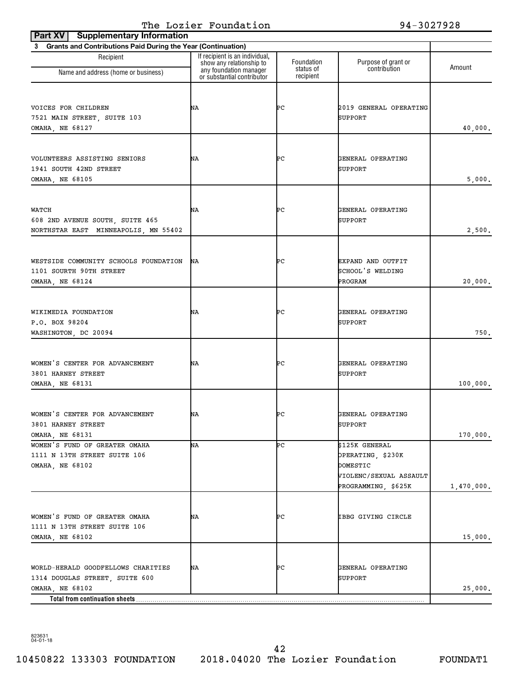| <b>Supplementary Information</b> |                                                                                                                                                          |                                                                                                  |            |
|----------------------------------|----------------------------------------------------------------------------------------------------------------------------------------------------------|--------------------------------------------------------------------------------------------------|------------|
|                                  |                                                                                                                                                          |                                                                                                  |            |
| show any relationship to         | Foundation<br>status of                                                                                                                                  | Purpose of grant or<br>contribution                                                              | Amount     |
|                                  |                                                                                                                                                          |                                                                                                  |            |
| ΝA                               | ÞС                                                                                                                                                       | 2019 GENERAL OPERATING<br><b>SUPPORT</b>                                                         | 40,000.    |
| ΝA                               | ÞС                                                                                                                                                       | GENERAL OPERATING<br>SUPPORT                                                                     | 5,000.     |
| ΝA                               | ÞС                                                                                                                                                       | GENERAL OPERATING<br><b>SUPPORT</b>                                                              | 2,500.     |
| ΝA                               | ÞС                                                                                                                                                       | EXPAND AND OUTFIT<br>SCHOOL'S WELDING<br>PROGRAM                                                 | 20,000.    |
| ΝA                               | ÞС                                                                                                                                                       | GENERAL OPERATING<br>SUPPORT                                                                     | 750.       |
| ΝA                               | ÞС                                                                                                                                                       | GENERAL OPERATING<br>SUPPORT                                                                     | 100,000.   |
| ΝA                               | ÞС                                                                                                                                                       | GENERAL OPERATING<br>SUPPORT                                                                     | 170,000.   |
| NΑ                               | ÞС                                                                                                                                                       | \$125K GENERAL<br>OPERATING, \$230K<br>DOMESTIC<br>VIOLENC/SEXUAL ASSAULT<br>PROGRAMMING, \$625K | 1,470,000. |
| NA                               | ÞС                                                                                                                                                       | IBBG GIVING CIRCLE                                                                               | 15,000.    |
| ΝA                               | ÞС                                                                                                                                                       | GENERAL OPERATING<br>SUPPORT                                                                     | 25,000.    |
|                                  | 3 Grants and Contributions Paid During the Year (Continuation)<br>If recipient is an individual,<br>any foundation manager<br>or substantial contributor | recipient                                                                                        |            |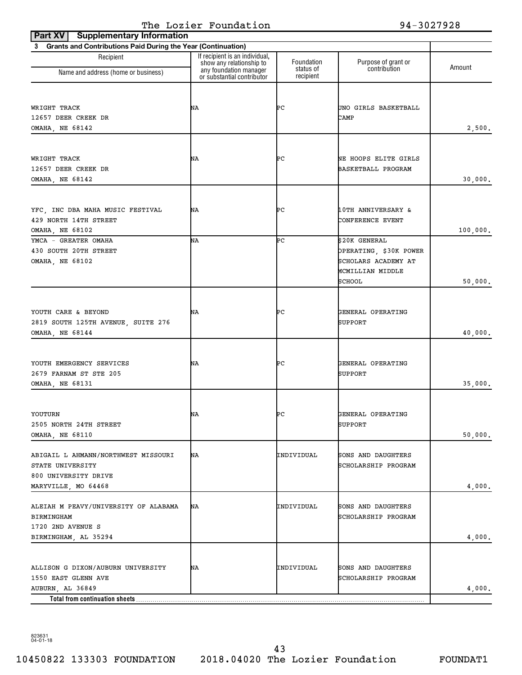| <b>Supplementary Information</b><br>Part XV                    |                                                                                      |                         |                                     |          |
|----------------------------------------------------------------|--------------------------------------------------------------------------------------|-------------------------|-------------------------------------|----------|
| 3 Grants and Contributions Paid During the Year (Continuation) |                                                                                      |                         |                                     |          |
| Recipient                                                      | If recipient is an individual,<br>show any relationship to<br>any foundation manager | Foundation<br>status of | Purpose of grant or<br>contribution | Amount   |
| Name and address (home or business)                            | or substantial contributor                                                           | recipient               |                                     |          |
|                                                                |                                                                                      |                         |                                     |          |
|                                                                |                                                                                      |                         |                                     |          |
| WRIGHT TRACK<br>12657 DEER CREEK DR                            | ΝA                                                                                   | ÞС                      | UNO GIRLS BASKETBALL<br>CAMP        |          |
| OMAHA, NE 68142                                                |                                                                                      |                         |                                     | 2,500.   |
|                                                                |                                                                                      |                         |                                     |          |
|                                                                |                                                                                      |                         |                                     |          |
| WRIGHT TRACK                                                   | ΝA                                                                                   | ÞС                      | NE HOOPS ELITE GIRLS                |          |
| 12657 DEER CREEK DR                                            |                                                                                      |                         | BASKETBALL PROGRAM                  |          |
| OMAHA, NE 68142                                                |                                                                                      |                         |                                     | 30,000.  |
|                                                                |                                                                                      |                         |                                     |          |
|                                                                | ΝA                                                                                   | ÞС                      | <b>10TH ANNIVERSARY &amp;</b>       |          |
| YFC, INC DBA MAHA MUSIC FESTIVAL<br>429 NORTH 14TH STREET      |                                                                                      |                         | CONFERENCE EVENT                    |          |
| OMAHA, NE 68102                                                |                                                                                      |                         |                                     | 100,000. |
| YMCA - GREATER OMAHA                                           | NΑ                                                                                   | ÞС                      | \$20K GENERAL                       |          |
| 430 SOUTH 20TH STREET                                          |                                                                                      |                         | OPERATING, \$30K POWER              |          |
| OMAHA, NE 68102                                                |                                                                                      |                         | SCHOLARS ACADEMY AT                 |          |
|                                                                |                                                                                      |                         | MCMILLIAN MIDDLE                    |          |
|                                                                |                                                                                      |                         | SCHOOL                              | 50,000.  |
|                                                                |                                                                                      |                         |                                     |          |
|                                                                |                                                                                      |                         |                                     |          |
| YOUTH CARE & BEYOND                                            | ΝA                                                                                   | ÞС                      | GENERAL OPERATING                   |          |
| 2819 SOUTH 125TH AVENUE, SUITE 276                             |                                                                                      |                         | SUPPORT                             |          |
| OMAHA, NE 68144                                                |                                                                                      |                         |                                     | 40,000.  |
|                                                                |                                                                                      |                         |                                     |          |
|                                                                |                                                                                      |                         |                                     |          |
| YOUTH EMERGENCY SERVICES<br>2679 FARNAM ST STE 205             | ΝA                                                                                   | ÞС                      | GENERAL OPERATING<br><b>SUPPORT</b> |          |
| OMAHA, NE 68131                                                |                                                                                      |                         |                                     | 35,000.  |
|                                                                |                                                                                      |                         |                                     |          |
|                                                                |                                                                                      |                         |                                     |          |
| YOUTURN                                                        | ΝA                                                                                   | ÞС                      | GENERAL OPERATING                   |          |
| 2505 NORTH 24TH STREET                                         |                                                                                      |                         | SUPPORT                             |          |
| <b>OMAHA, NE 68110</b>                                         |                                                                                      |                         |                                     | 50,000.  |
|                                                                |                                                                                      |                         |                                     |          |
| ABIGAIL L AHMANN/NORTHWEST MISSOURI                            | NA                                                                                   | INDIVIDUAL              | SONS AND DAUGHTERS                  |          |
| STATE UNIVERSITY<br>800 UNIVERSITY DRIVE                       |                                                                                      |                         | SCHOLARSHIP PROGRAM                 |          |
| MARYVILLE, MO 64468                                            |                                                                                      |                         |                                     | 4,000.   |
|                                                                |                                                                                      |                         |                                     |          |
| ALEIAH M PEAVY/UNIVERSITY OF ALABAMA                           | ΝA                                                                                   | INDIVIDUAL              | SONS AND DAUGHTERS                  |          |
| BIRMINGHAM                                                     |                                                                                      |                         | SCHOLARSHIP PROGRAM                 |          |
| 1720 2ND AVENUE S                                              |                                                                                      |                         |                                     |          |
| BIRMINGHAM, AL 35294                                           |                                                                                      |                         |                                     | 4,000.   |
|                                                                |                                                                                      |                         |                                     |          |
|                                                                |                                                                                      |                         |                                     |          |
| ALLISON G DIXON/AUBURN UNIVERSITY                              | NA                                                                                   | INDIVIDUAL              | SONS AND DAUGHTERS                  |          |
| 1550 EAST GLENN AVE                                            |                                                                                      |                         | SCHOLARSHIP PROGRAM                 |          |
| AUBURN, AL 36849                                               |                                                                                      |                         |                                     | 4,000.   |
| Total from continuation sheets                                 |                                                                                      |                         |                                     |          |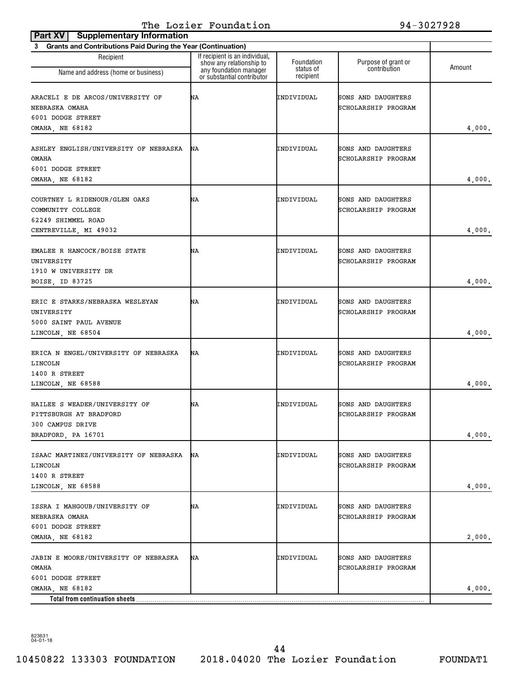| Part XV<br><b>Supplementary Information</b>                                                       |                                                                                      |                         |                                           |        |
|---------------------------------------------------------------------------------------------------|--------------------------------------------------------------------------------------|-------------------------|-------------------------------------------|--------|
| <b>Grants and Contributions Paid During the Year (Continuation)</b><br>3                          |                                                                                      |                         |                                           |        |
| Recipient<br>Name and address (home or business)                                                  | If recipient is an individual,<br>show any relationship to<br>any foundation manager | Foundation<br>status of | Purpose of grant or<br>contribution       | Amount |
| ARACELI E DE ARCOS/UNIVERSITY OF<br>NEBRASKA OMAHA<br>6001 DODGE STREET<br>OMAHA, NE 68182        | or substantial contributor<br>ΝA                                                     | recipient<br>INDIVIDUAL | SONS AND DAUGHTERS<br>SCHOLARSHIP PROGRAM | 4,000. |
| ASHLEY ENGLISH/UNIVERSITY OF NEBRASKA<br>OMAHA<br>6001 DODGE STREET<br>OMAHA, NE 68182            | ΝA                                                                                   | INDIVIDUAL              | SONS AND DAUGHTERS<br>SCHOLARSHIP PROGRAM | 4,000. |
| COURTNEY L RIDENOUR/GLEN OAKS<br>COMMUNITY COLLEGE<br>62249 SHIMMEL ROAD<br>CENTREVILLE, MI 49032 | ΝA                                                                                   | INDIVIDUAL              | SONS AND DAUGHTERS<br>SCHOLARSHIP PROGRAM | 4,000. |
| EMALEE R HANCOCK/BOISE STATE<br>UNIVERSITY<br>1910 W UNIVERSITY DR<br>BOISE, ID 83725             | ΝA                                                                                   | INDIVIDUAL              | SONS AND DAUGHTERS<br>SCHOLARSHIP PROGRAM | 4,000. |
| ERIC E STARKS/NEBRASKA WESLEYAN<br>UNIVERSITY<br>5000 SAINT PAUL AVENUE<br>LINCOLN, NE 68504      | ΝA                                                                                   | INDIVIDUAL              | SONS AND DAUGHTERS<br>SCHOLARSHIP PROGRAM | 4,000. |
| ERICA N ENGEL/UNIVERSITY OF NEBRASKA<br>LINCOLN<br>1400 R STREET<br>LINCOLN, NE 68588             | ΝA                                                                                   | INDIVIDUAL              | SONS AND DAUGHTERS<br>SCHOLARSHIP PROGRAM | 4,000. |
| HAILEE S WEADER/UNIVERSITY OF<br>PITTSBURGH AT BRADFORD<br>300 CAMPUS DRIVE<br>BRADFORD, PA 16701 | ΝA                                                                                   | INDIVIDUAL              | SONS AND DAUGHTERS<br>SCHOLARSHIP PROGRAM | 4,000. |
| ISAAC MARTINEZ/UNIVERSITY OF NEBRASKA<br>LINCOLN<br>1400 R STREET<br>LINCOLN, NE 68588            | NA                                                                                   | INDIVIDUAL              | SONS AND DAUGHTERS<br>SCHOLARSHIP PROGRAM | 4,000. |
| ISSRA I MAHGOUB/UNIVERSITY OF<br>NEBRASKA OMAHA<br>6001 DODGE STREET<br>OMAHA, NE 68182           | NA                                                                                   | INDIVIDUAL              | SONS AND DAUGHTERS<br>SCHOLARSHIP PROGRAM | 2,000. |
| <b>JABIN E MOORE/UNIVERSITY OF NEBRASKA</b><br><b>OMAHA</b><br>6001 DODGE STREET                  | NA                                                                                   | INDIVIDUAL              | SONS AND DAUGHTERS<br>SCHOLARSHIP PROGRAM |        |
| OMAHA, NE 68182<br>Total from continuation sheets                                                 |                                                                                      |                         |                                           | 4,000. |

10450822 133303 FOUNDATION 2018.04020 The Lozier Foundation FOUNDAT1 44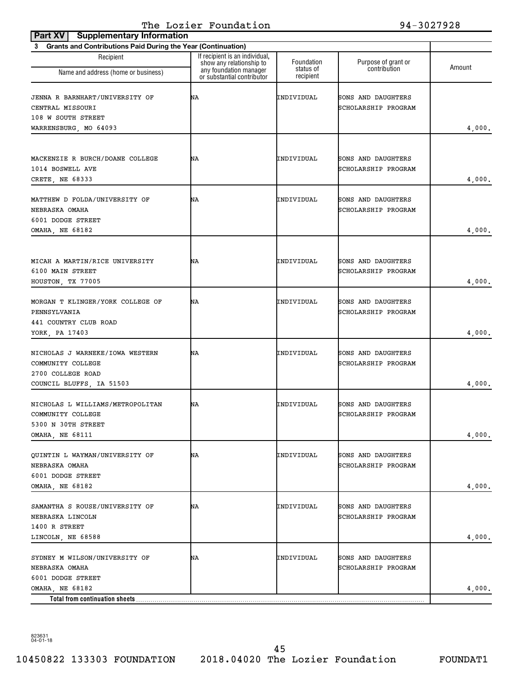| Part XV<br><b>Supplementary Information</b>                              |                                                                                      |                         |                                     |        |
|--------------------------------------------------------------------------|--------------------------------------------------------------------------------------|-------------------------|-------------------------------------|--------|
| <b>Grants and Contributions Paid During the Year (Continuation)</b><br>3 |                                                                                      |                         |                                     |        |
| Recipient                                                                | If recipient is an individual,<br>show any relationship to<br>any foundation manager | Foundation<br>status of | Purpose of grant or<br>contribution | Amount |
| Name and address (home or business)                                      | or substantial contributor                                                           | recipient               |                                     |        |
| <b>JENNA R BARNHART/UNIVERSITY OF</b>                                    | ΝA                                                                                   | INDIVIDUAL              | SONS AND DAUGHTERS                  |        |
| CENTRAL MISSOURI                                                         |                                                                                      |                         | SCHOLARSHIP PROGRAM                 |        |
| 108 W SOUTH STREET                                                       |                                                                                      |                         |                                     |        |
| WARRENSBURG, MO 64093                                                    |                                                                                      |                         |                                     | 4,000. |
|                                                                          |                                                                                      |                         |                                     |        |
| MACKENZIE R BURCH/DOANE COLLEGE                                          | ΝA                                                                                   | INDIVIDUAL              | SONS AND DAUGHTERS                  |        |
| 1014 BOSWELL AVE                                                         |                                                                                      |                         | SCHOLARSHIP PROGRAM                 |        |
| CRETE, NE 68333                                                          |                                                                                      |                         |                                     | 4,000. |
|                                                                          |                                                                                      |                         |                                     |        |
| MATTHEW D FOLDA/UNIVERSITY OF                                            | ΝA                                                                                   | INDIVIDUAL              | SONS AND DAUGHTERS                  |        |
| NEBRASKA OMAHA                                                           |                                                                                      |                         | SCHOLARSHIP PROGRAM                 |        |
| 6001 DODGE STREET                                                        |                                                                                      |                         |                                     |        |
| <b>OMAHA, NE 68182</b>                                                   |                                                                                      |                         |                                     | 4,000. |
|                                                                          |                                                                                      |                         |                                     |        |
| MICAH A MARTIN/RICE UNIVERSITY                                           | ΝA                                                                                   | INDIVIDUAL              | SONS AND DAUGHTERS                  |        |
| 6100 MAIN STREET                                                         |                                                                                      |                         | SCHOLARSHIP PROGRAM                 |        |
| HOUSTON, TX 77005                                                        |                                                                                      |                         |                                     | 4,000. |
| MORGAN T KLINGER/YORK COLLEGE OF                                         | ΝA                                                                                   | INDIVIDUAL              | SONS AND DAUGHTERS                  |        |
| PENNSYLVANIA                                                             |                                                                                      |                         | SCHOLARSHIP PROGRAM                 |        |
| 441 COUNTRY CLUB ROAD                                                    |                                                                                      |                         |                                     |        |
| YORK, PA 17403                                                           |                                                                                      |                         |                                     | 4,000. |
|                                                                          |                                                                                      |                         |                                     |        |
| NICHOLAS J WARNEKE/IOWA WESTERN                                          | ΝA                                                                                   | INDIVIDUAL              | SONS AND DAUGHTERS                  |        |
| COMMUNITY COLLEGE                                                        |                                                                                      |                         | SCHOLARSHIP PROGRAM                 |        |
| 2700 COLLEGE ROAD                                                        |                                                                                      |                         |                                     |        |
| COUNCIL BLUFFS, IA 51503                                                 |                                                                                      |                         |                                     | 4,000. |
| NICHOLAS L WILLIAMS/METROPOLITAN                                         | ΝA                                                                                   | INDIVIDUAL              | SONS AND DAUGHTERS                  |        |
| COMMUNITY COLLEGE                                                        |                                                                                      |                         | SCHOLARSHIP PROGRAM                 |        |
| 5300 N 30TH STREET                                                       |                                                                                      |                         |                                     |        |
| <b>OMAHA, NE 68111</b>                                                   |                                                                                      |                         |                                     | 4,000. |
| OUINTIN L WAYMAN/UNIVERSITY OF                                           | ΝA                                                                                   | INDIVIDUAL              | SONS AND DAUGHTERS                  |        |
| NEBRASKA OMAHA                                                           |                                                                                      |                         | SCHOLARSHIP PROGRAM                 |        |
| 6001 DODGE STREET                                                        |                                                                                      |                         |                                     |        |
| OMAHA, NE 68182                                                          |                                                                                      |                         |                                     | 4,000. |
|                                                                          |                                                                                      |                         |                                     |        |
| SAMANTHA S ROUSE/UNIVERSITY OF                                           | ΝA                                                                                   | INDIVIDUAL              | SONS AND DAUGHTERS                  |        |
| NEBRASKA LINCOLN                                                         |                                                                                      |                         | SCHOLARSHIP PROGRAM                 |        |
| 1400 R STREET                                                            |                                                                                      |                         |                                     |        |
| LINCOLN, NE 68588                                                        |                                                                                      |                         |                                     | 4,000. |
| SYDNEY M WILSON/UNIVERSITY OF                                            | ΝA                                                                                   | INDIVIDUAL              | SONS AND DAUGHTERS                  |        |
| NEBRASKA OMAHA                                                           |                                                                                      |                         | SCHOLARSHIP PROGRAM                 |        |
| 6001 DODGE STREET                                                        |                                                                                      |                         |                                     |        |
| OMAHA, NE 68182                                                          |                                                                                      |                         |                                     | 4,000. |
| Total from continuation sheets                                           |                                                                                      |                         |                                     |        |

10450822 133303 FOUNDATION 2018.04020 The Lozier Foundation FOUNDAT1 45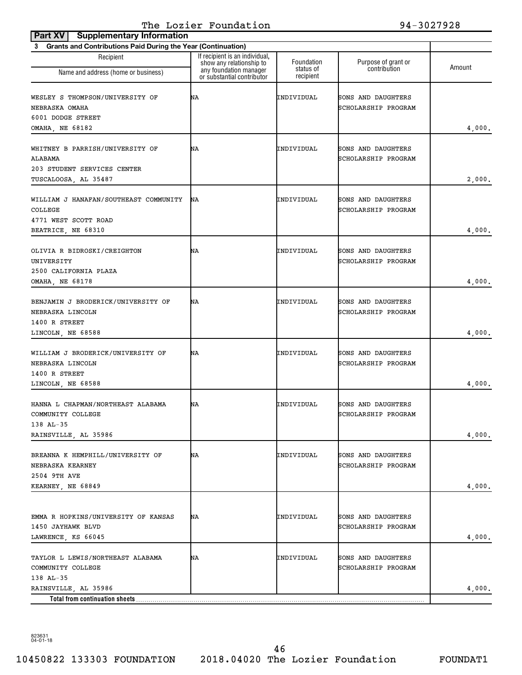| <b>Supplementary Information</b><br>Part XV                                                       |                                                                                                                    |                                      |                                           |        |
|---------------------------------------------------------------------------------------------------|--------------------------------------------------------------------------------------------------------------------|--------------------------------------|-------------------------------------------|--------|
| <b>Grants and Contributions Paid During the Year (Continuation)</b><br>3                          |                                                                                                                    |                                      |                                           |        |
| Recipient<br>Name and address (home or business)                                                  | If recipient is an individual,<br>show any relationship to<br>any foundation manager<br>or substantial contributor | Foundation<br>status of<br>recipient | Purpose of grant or<br>contribution       | Amount |
| WESLEY S THOMPSON/UNIVERSITY OF<br>NEBRASKA OMAHA<br>6001 DODGE STREET<br>OMAHA, NE 68182         | ΝA                                                                                                                 | INDIVIDUAL                           | SONS AND DAUGHTERS<br>SCHOLARSHIP PROGRAM | 4,000. |
| WHITNEY B PARRISH/UNIVERSITY OF<br>ALABAMA<br>203 STUDENT SERVICES CENTER<br>TUSCALOOSA, AL 35487 | ΝA                                                                                                                 | INDIVIDUAL                           | SONS AND DAUGHTERS<br>SCHOLARSHIP PROGRAM | 2,000. |
| WILLIAM J HANAFAN/SOUTHEAST COMMUNITY<br>COLLEGE<br>4771 WEST SCOTT ROAD<br>BEATRICE, NE 68310    | ΝA                                                                                                                 | INDIVIDUAL                           | SONS AND DAUGHTERS<br>SCHOLARSHIP PROGRAM | 4,000. |
| OLIVIA R BIDROSKI/CREIGHTON<br>UNIVERSITY<br>2500 CALIFORNIA PLAZA<br>OMAHA, NE 68178             | ΝA                                                                                                                 | INDIVIDUAL                           | SONS AND DAUGHTERS<br>SCHOLARSHIP PROGRAM | 4,000. |
| BENJAMIN J BRODERICK/UNIVERSITY OF<br>NEBRASKA LINCOLN<br>1400 R STREET<br>LINCOLN, NE 68588      | ΝA                                                                                                                 | INDIVIDUAL                           | SONS AND DAUGHTERS<br>SCHOLARSHIP PROGRAM | 4,000. |
| WILLIAM J BRODERICK/UNIVERSITY OF<br>NEBRASKA LINCOLN<br>1400 R STREET<br>LINCOLN, NE 68588       | ΝA                                                                                                                 | INDIVIDUAL                           | SONS AND DAUGHTERS<br>SCHOLARSHIP PROGRAM | 4,000. |
| HANNA L CHAPMAN/NORTHEAST ALABAMA<br>COMMUNITY COLLEGE<br>$138$ AL-35<br>RAINSVILLE, AL 35986     | ΝA                                                                                                                 | INDIVIDUAL                           | SONS AND DAUGHTERS<br>SCHOLARSHIP PROGRAM | 4,000. |
| BREANNA K HEMPHILL/UNIVERSITY OF<br>NEBRASKA KEARNEY<br>2504 9TH AVE<br>KEARNEY, NE 68849         | ΝA                                                                                                                 | INDIVIDUAL                           | SONS AND DAUGHTERS<br>SCHOLARSHIP PROGRAM | 4,000. |
| EMMA R HOPKINS/UNIVERSITY OF KANSAS<br>1450 JAYHAWK BLVD<br>LAWRENCE, KS 66045                    | ΝA                                                                                                                 | INDIVIDUAL                           | SONS AND DAUGHTERS<br>SCHOLARSHIP PROGRAM | 4,000. |
| TAYLOR L LEWIS/NORTHEAST ALABAMA<br>COMMUNITY COLLEGE<br>$138$ AL-35                              | ΝA                                                                                                                 | INDIVIDUAL                           | SONS AND DAUGHTERS<br>SCHOLARSHIP PROGRAM |        |
| RAINSVILLE, AL 35986<br>Total from continuation sheets                                            |                                                                                                                    |                                      |                                           | 4,000. |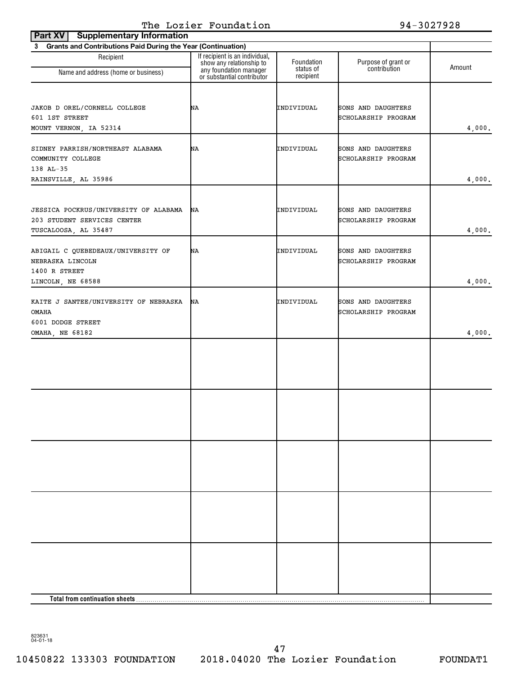| Part XV<br><b>Supplementary Information</b>                                                  |                                                                                                                    |                         |                                           |        |
|----------------------------------------------------------------------------------------------|--------------------------------------------------------------------------------------------------------------------|-------------------------|-------------------------------------------|--------|
| <b>Grants and Contributions Paid During the Year (Continuation)</b><br>3                     |                                                                                                                    |                         |                                           |        |
| Recipient<br>Name and address (home or business)                                             | If recipient is an individual,<br>show any relationship to<br>any foundation manager<br>or substantial contributor | Foundation<br>status of | Purpose of grant or<br>contribution       | Amount |
|                                                                                              |                                                                                                                    | recipient               |                                           |        |
| JAKOB D OREL/CORNELL COLLEGE<br>601 1ST STREET<br>MOUNT VERNON, IA 52314                     | ΝA                                                                                                                 | INDIVIDUAL              | SONS AND DAUGHTERS<br>SCHOLARSHIP PROGRAM | 4,000. |
| SIDNEY PARRISH/NORTHEAST ALABAMA<br>COMMUNITY COLLEGE<br>138 AL-35                           | ΝA                                                                                                                 | INDIVIDUAL              | SONS AND DAUGHTERS<br>SCHOLARSHIP PROGRAM |        |
| RAINSVILLE, AL 35986                                                                         |                                                                                                                    |                         |                                           | 4,000. |
| JESSICA POCKRUS/UNIVERSITY OF ALABAMA<br>203 STUDENT SERVICES CENTER<br>TUSCALOOSA, AL 35487 | ΝA                                                                                                                 | INDIVIDUAL              | SONS AND DAUGHTERS<br>SCHOLARSHIP PROGRAM | 4,000. |
| ABIGAIL C QUEBEDEAUX/UNIVERSITY OF<br>NEBRASKA LINCOLN<br>1400 R STREET                      | ΝA                                                                                                                 | INDIVIDUAL              | SONS AND DAUGHTERS<br>SCHOLARSHIP PROGRAM |        |
| LINCOLN, NE 68588                                                                            |                                                                                                                    |                         |                                           | 4,000. |
| KAITE J SANTEE/UNIVERSITY OF NEBRASKA<br><b>OMAHA</b><br>6001 DODGE STREET                   | ΝA                                                                                                                 | INDIVIDUAL              | SONS AND DAUGHTERS<br>SCHOLARSHIP PROGRAM |        |
| OMAHA, NE 68182                                                                              |                                                                                                                    |                         |                                           | 4,000. |
|                                                                                              |                                                                                                                    |                         |                                           |        |
|                                                                                              |                                                                                                                    |                         |                                           |        |
|                                                                                              |                                                                                                                    |                         |                                           |        |
|                                                                                              |                                                                                                                    |                         |                                           |        |
|                                                                                              |                                                                                                                    |                         |                                           |        |
| Total from continuation sheets                                                               |                                                                                                                    |                         |                                           |        |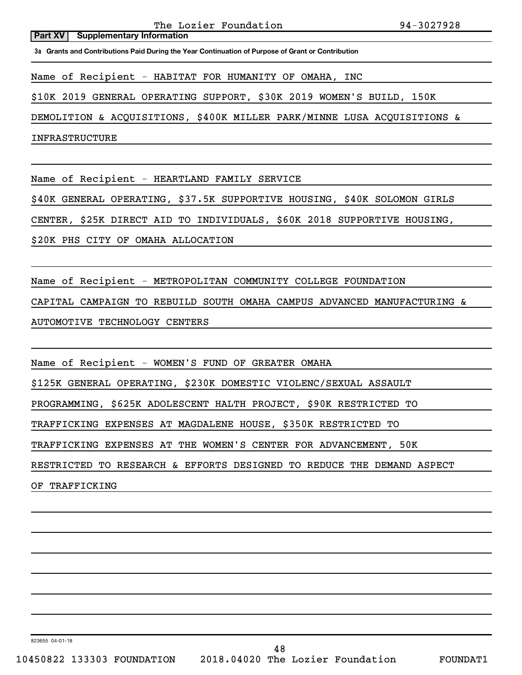The Lozier Foundation 94-3027928

**Part XV** | Supplementary Information

**3a Grants and Contributions Paid During the Year Continuation of Purpose of Grant or Contribution**

Name of Recipient - HABITAT FOR HUMANITY OF OMAHA, INC

\$10K 2019 GENERAL OPERATING SUPPORT, \$30K 2019 WOMEN'S BUILD, 150K

DEMOLITION & ACQUISITIONS, \$400K MILLER PARK/MINNE LUSA ACQUISITIONS &

INFRASTRUCTURE

Name of Recipient - HEARTLAND FAMILY SERVICE

\$40K GENERAL OPERATING, \$37.5K SUPPORTIVE HOUSING, \$40K SOLOMON GIRLS

CENTER, \$25K DIRECT AID TO INDIVIDUALS, \$60K 2018 SUPPORTIVE HOUSING,

\$20K PHS CITY OF OMAHA ALLOCATION

Name of Recipient - METROPOLITAN COMMUNITY COLLEGE FOUNDATION CAPITAL CAMPAIGN TO REBUILD SOUTH OMAHA CAMPUS ADVANCED MANUFACTURING & AUTOMOTIVE TECHNOLOGY CENTERS

Name of Recipient - WOMEN'S FUND OF GREATER OMAHA

\$125K GENERAL OPERATING, \$230K DOMESTIC VIOLENC/SEXUAL ASSAULT

PROGRAMMING, \$625K ADOLESCENT HALTH PROJECT, \$90K RESTRICTED TO

TRAFFICKING EXPENSES AT MAGDALENE HOUSE, \$350K RESTRICTED TO

TRAFFICKING EXPENSES AT THE WOMEN'S CENTER FOR ADVANCEMENT, 50K

RESTRICTED TO RESEARCH & EFFORTS DESIGNED TO REDUCE THE DEMAND ASPECT

OF TRAFFICKING

823655 04-01-18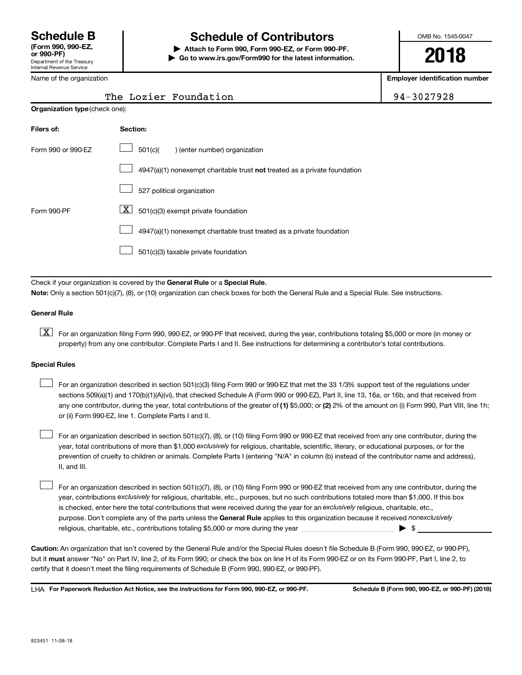Department of the Treasury Internal Revenue Service

# **Schedule B Schedule of Contributors**

**or 990-PF) | Attach to Form 990, Form 990-EZ, or Form 990-PF. | Go to www.irs.gov/Form990 for the latest information.** OMB No. 1545-0047

**2018**

**Employer identification number**

Name of the organization

|                                | The Lozier Foundation                                                              | 94-3027928 |
|--------------------------------|------------------------------------------------------------------------------------|------------|
| Organization type (check one): |                                                                                    |            |
| Filers of:                     | Section:                                                                           |            |
| Form 990 or 990-EZ             | 501(c)(<br>) (enter number) organization                                           |            |
|                                | $4947(a)(1)$ nonexempt charitable trust <b>not</b> treated as a private foundation |            |
|                                | 527 political organization                                                         |            |
| Form 990-PF                    | x<br>501(c)(3) exempt private foundation                                           |            |

4947(a)(1) nonexempt charitable trust treated as a private foundation  $\Box$ 

501(c)(3) taxable private foundation  $\Box$ 

Check if your organization is covered by the General Rule or a Special Rule.

**Note:**  Only a section 501(c)(7), (8), or (10) organization can check boxes for both the General Rule and a Special Rule. See instructions.

### **General Rule**

**K** For an organization filing Form 990, 990-EZ, or 990-PF that received, during the year, contributions totaling \$5,000 or more (in money or property) from any one contributor. Complete Parts I and II. See instructions for determining a contributor's total contributions.

#### **Special Rules**

 $\Box$ 

any one contributor, during the year, total contributions of the greater of (1) \$5,000; or (2) 2% of the amount on (i) Form 990, Part VIII, line 1h; For an organization described in section 501(c)(3) filing Form 990 or 990-EZ that met the 33 1/3% support test of the regulations under sections 509(a)(1) and 170(b)(1)(A)(vi), that checked Schedule A (Form 990 or 990-EZ), Part II, line 13, 16a, or 16b, and that received from or (ii) Form 990-EZ, line 1. Complete Parts I and II.  $\Box$ 

year, total contributions of more than \$1,000 *exclusively* for religious, charitable, scientific, literary, or educational purposes, or for the For an organization described in section 501(c)(7), (8), or (10) filing Form 990 or 990-EZ that received from any one contributor, during the prevention of cruelty to children or animals. Complete Parts I (entering "N/A" in column (b) instead of the contributor name and address), II, and III.  $\Box$ 

purpose. Don't complete any of the parts unless the General Rule applies to this organization because it received nonexclusively year, contributions exclusively for religious, charitable, etc., purposes, but no such contributions totaled more than \$1,000. If this box is checked, enter here the total contributions that were received during the year for an exclusively religious, charitable, etc., For an organization described in section 501(c)(7), (8), or (10) filing Form 990 or 990-EZ that received from any one contributor, during the religious, charitable, etc., contributions totaling \$5,000 or more during the year  $~\ldots\ldots\ldots\ldots\ldots\ldots\ldots\ldots\ldots\blacktriangleright~$ \$

**Caution:**  An organization that isn't covered by the General Rule and/or the Special Rules doesn't file Schedule B (Form 990, 990-EZ, or 990-PF),  **must** but it answer "No" on Part IV, line 2, of its Form 990; or check the box on line H of its Form 990-EZ or on its Form 990-PF, Part I, line 2, to certify that it doesn't meet the filing requirements of Schedule B (Form 990, 990-EZ, or 990-PF).

**For Paperwork Reduction Act Notice, see the instructions for Form 990, 990-EZ, or 990-PF. Schedule B (Form 990, 990-EZ, or 990-PF) (2018)** LHA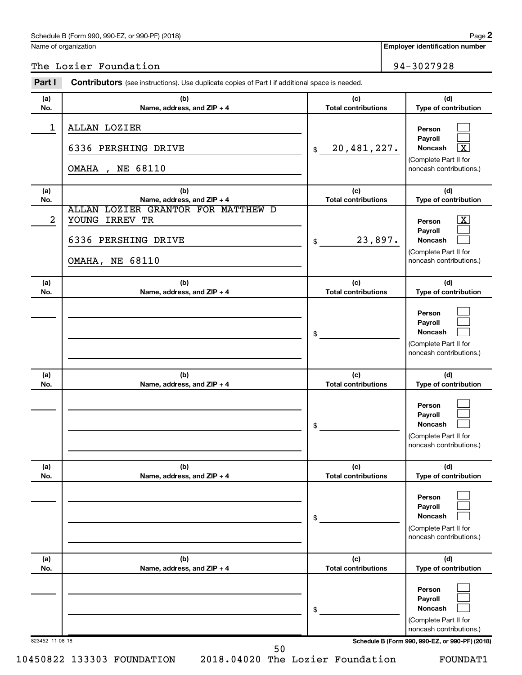## Schedule B (Form 990, 990-EZ, or 990-PF) (2018)

Name of organization

**Employer identification number 2**

The Lozier Foundation 94-3027928

| Part I          | <b>Contributors</b> (see instructions). Use duplicate copies of Part I if additional space is needed.                               |                                   |                                                                                                                                  |
|-----------------|-------------------------------------------------------------------------------------------------------------------------------------|-----------------------------------|----------------------------------------------------------------------------------------------------------------------------------|
| (a)<br>No.      | (b)<br>Name, address, and ZIP + 4                                                                                                   | (c)<br><b>Total contributions</b> | (d)<br>Type of contribution                                                                                                      |
| $\mathbf 1$     | ALLAN LOZIER<br>6336 PERSHING DRIVE<br><b>OMAHA</b> , NE 68110                                                                      | 20,481,227.<br>\$                 | Person<br>Payroll<br>$\boxed{\textbf{X}}$<br>Noncash<br>(Complete Part II for<br>noncash contributions.)                         |
| (a)             | (b)                                                                                                                                 | (c)<br><b>Total contributions</b> | (d)                                                                                                                              |
| No.<br>2        | Name, address, and ZIP + 4<br>ALLAN LOZIER GRANTOR FOR MATTHEW D<br>YOUNG IRREV TR<br>6336 PERSHING DRIVE<br><b>OMAHA, NE 68110</b> | 23,897.<br>\$                     | Type of contribution<br>$\boxed{\textbf{X}}$<br>Person<br>Payroll<br>Noncash<br>(Complete Part II for<br>noncash contributions.) |
| (a)<br>No.      | (b)<br>Name, address, and ZIP + 4                                                                                                   | (c)<br><b>Total contributions</b> | (d)<br>Type of contribution                                                                                                      |
|                 |                                                                                                                                     | \$                                | Person<br>Payroll<br>Noncash<br>(Complete Part II for<br>noncash contributions.)                                                 |
| (a)<br>No.      | (b)<br>Name, address, and ZIP + 4                                                                                                   | (c)<br><b>Total contributions</b> | (d)<br>Type of contribution                                                                                                      |
|                 |                                                                                                                                     | \$                                | Person<br>Payroll<br><b>Noncash</b><br>(Complete Part II for<br>noncash contributions.)                                          |
| (a)<br>No.      | (b)<br>Name, address, and ZIP + 4                                                                                                   | (c)<br><b>Total contributions</b> | (d)<br>Type of contribution                                                                                                      |
|                 |                                                                                                                                     | \$                                | Person<br>Payroll<br>Noncash<br>(Complete Part II for<br>noncash contributions.)                                                 |
| (a)<br>No.      | (b)<br>Name, address, and ZIP + 4                                                                                                   | (c)<br><b>Total contributions</b> | (d)<br>Type of contribution                                                                                                      |
|                 |                                                                                                                                     | \$                                | Person<br>Payroll<br>Noncash<br>(Complete Part II for<br>noncash contributions.)                                                 |
| 823452 11-08-18 |                                                                                                                                     |                                   | Schedule B (Form 990, 990-EZ, or 990-PF) (2018)                                                                                  |

50

10450822 133303 FOUNDATION 2018.04020 The Lozier Foundation FOUNDAT1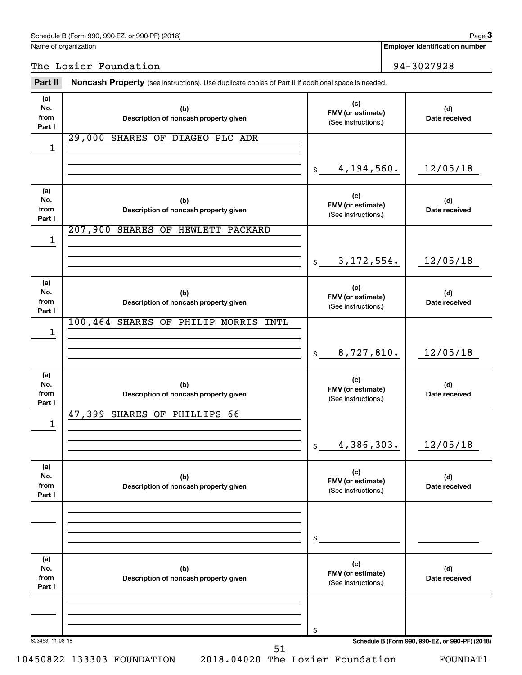Name of organization

823453 11-08-18 **Schedule B (Form 990, 990-EZ, or 990-PF) (2018) (a) No. from Part I (c) FMV (or estimate) (b) Description of noncash property given (d) Date received (a) No. from Part I (c) FMV (or estimate) (b) Description of noncash property given (d) Date received (a) No. from Part I (c) FMV (or estimate) (b) Description of noncash property given (d) Date received (a) No. from Part I (c) FMV (or estimate) (b) Description of noncash property given (d) Date received (a) No. from Part I (c) FMV (or estimate) (b) Description of noncash property given (d) Date received (a) No. from Part I (c) FMV (or estimate) (b) Description of noncash property given (d) Date received** Part II Noncash Property (see instructions). Use duplicate copies of Part II if additional space is needed. (See instructions.) \$ (See instructions.) \$ (See instructions.) \$ (See instructions.) \$ (See instructions.) \$ (See instructions.) \$ The Lozier Foundation 194-3027928 29,000 SHARES OF DIAGEO PLC ADR 1 4,194,560. 12/05/18 207,900 SHARES OF HEWLETT PACKARD 1 3,172,554. 12/05/18 100,464 SHARES OF PHILIP MORRIS INTL 1 8,727,810. 12/05/18 47,399 SHARES OF PHILLIPS 66 1 4,386,303. 12/05/18

10450822 133303 FOUNDATION 2018.04020 The Lozier Foundation FOUNDAT1

51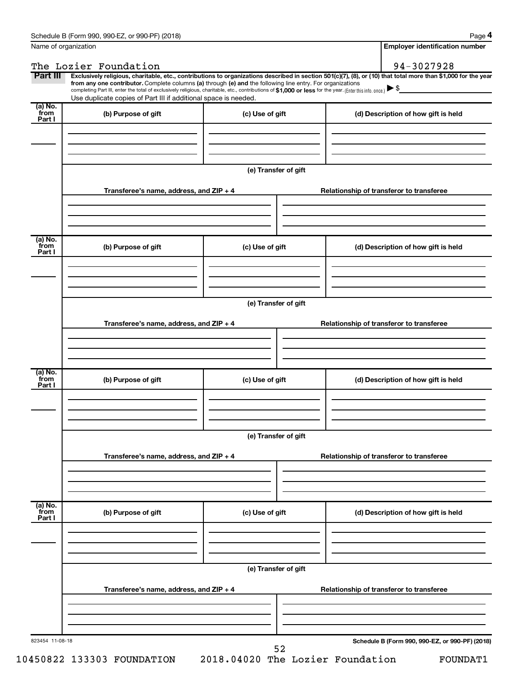**4**

| Exclusively religious, charitable, etc., contributions to organizations described in section 501(c)(7), (8), or (10) that total more than \$1,000 for the year<br>from any one contributor. Complete columns (a) through (e) and the following line entry. For organizations<br>completing Part III, enter the total of exclusively religious, charitable, etc., contributions of \$1,000 or less for the year. (Enter this info. once.)<br>Use duplicate copies of Part III if additional space is needed.<br>from<br>(b) Purpose of gift<br>(c) Use of gift<br>(d) Description of how gift is held<br>Part I<br>(e) Transfer of gift<br>Transferee's name, address, and ZIP + 4<br>Relationship of transferor to transferee<br>(a) No.<br>(b) Purpose of gift<br>(c) Use of gift<br>(d) Description of how gift is held<br>Part I<br>(e) Transfer of gift<br>Transferee's name, address, and ZIP + 4<br>Relationship of transferor to transferee<br>(a) No.<br>(b) Purpose of gift<br>(c) Use of gift<br>(d) Description of how gift is held<br>Part I<br>(e) Transfer of gift<br>Transferee's name, address, and ZIP + 4<br>Relationship of transferor to transferee<br>(a) No.<br>from<br>(b) Purpose of gift<br>(c) Use of gift<br>(d) Description of how gift is held<br>Part I<br>(e) Transfer of gift<br>Transferee's name, address, and ZIP + 4<br>Relationship of transferor to transferee | Part III | The Lozier Foundation |  |  | 94-3027928 |  |  |  |
|------------------------------------------------------------------------------------------------------------------------------------------------------------------------------------------------------------------------------------------------------------------------------------------------------------------------------------------------------------------------------------------------------------------------------------------------------------------------------------------------------------------------------------------------------------------------------------------------------------------------------------------------------------------------------------------------------------------------------------------------------------------------------------------------------------------------------------------------------------------------------------------------------------------------------------------------------------------------------------------------------------------------------------------------------------------------------------------------------------------------------------------------------------------------------------------------------------------------------------------------------------------------------------------------------------------------------------------------------------------------------------------------------|----------|-----------------------|--|--|------------|--|--|--|
|                                                                                                                                                                                                                                                                                                                                                                                                                                                                                                                                                                                                                                                                                                                                                                                                                                                                                                                                                                                                                                                                                                                                                                                                                                                                                                                                                                                                      |          |                       |  |  |            |  |  |  |
|                                                                                                                                                                                                                                                                                                                                                                                                                                                                                                                                                                                                                                                                                                                                                                                                                                                                                                                                                                                                                                                                                                                                                                                                                                                                                                                                                                                                      |          |                       |  |  |            |  |  |  |
|                                                                                                                                                                                                                                                                                                                                                                                                                                                                                                                                                                                                                                                                                                                                                                                                                                                                                                                                                                                                                                                                                                                                                                                                                                                                                                                                                                                                      | (a) No.  |                       |  |  |            |  |  |  |
|                                                                                                                                                                                                                                                                                                                                                                                                                                                                                                                                                                                                                                                                                                                                                                                                                                                                                                                                                                                                                                                                                                                                                                                                                                                                                                                                                                                                      |          |                       |  |  |            |  |  |  |
|                                                                                                                                                                                                                                                                                                                                                                                                                                                                                                                                                                                                                                                                                                                                                                                                                                                                                                                                                                                                                                                                                                                                                                                                                                                                                                                                                                                                      |          |                       |  |  |            |  |  |  |
|                                                                                                                                                                                                                                                                                                                                                                                                                                                                                                                                                                                                                                                                                                                                                                                                                                                                                                                                                                                                                                                                                                                                                                                                                                                                                                                                                                                                      |          |                       |  |  |            |  |  |  |
|                                                                                                                                                                                                                                                                                                                                                                                                                                                                                                                                                                                                                                                                                                                                                                                                                                                                                                                                                                                                                                                                                                                                                                                                                                                                                                                                                                                                      |          |                       |  |  |            |  |  |  |
|                                                                                                                                                                                                                                                                                                                                                                                                                                                                                                                                                                                                                                                                                                                                                                                                                                                                                                                                                                                                                                                                                                                                                                                                                                                                                                                                                                                                      |          |                       |  |  |            |  |  |  |
|                                                                                                                                                                                                                                                                                                                                                                                                                                                                                                                                                                                                                                                                                                                                                                                                                                                                                                                                                                                                                                                                                                                                                                                                                                                                                                                                                                                                      |          |                       |  |  |            |  |  |  |
|                                                                                                                                                                                                                                                                                                                                                                                                                                                                                                                                                                                                                                                                                                                                                                                                                                                                                                                                                                                                                                                                                                                                                                                                                                                                                                                                                                                                      |          |                       |  |  |            |  |  |  |
|                                                                                                                                                                                                                                                                                                                                                                                                                                                                                                                                                                                                                                                                                                                                                                                                                                                                                                                                                                                                                                                                                                                                                                                                                                                                                                                                                                                                      |          |                       |  |  |            |  |  |  |
|                                                                                                                                                                                                                                                                                                                                                                                                                                                                                                                                                                                                                                                                                                                                                                                                                                                                                                                                                                                                                                                                                                                                                                                                                                                                                                                                                                                                      |          |                       |  |  |            |  |  |  |
|                                                                                                                                                                                                                                                                                                                                                                                                                                                                                                                                                                                                                                                                                                                                                                                                                                                                                                                                                                                                                                                                                                                                                                                                                                                                                                                                                                                                      |          |                       |  |  |            |  |  |  |
|                                                                                                                                                                                                                                                                                                                                                                                                                                                                                                                                                                                                                                                                                                                                                                                                                                                                                                                                                                                                                                                                                                                                                                                                                                                                                                                                                                                                      |          |                       |  |  |            |  |  |  |
|                                                                                                                                                                                                                                                                                                                                                                                                                                                                                                                                                                                                                                                                                                                                                                                                                                                                                                                                                                                                                                                                                                                                                                                                                                                                                                                                                                                                      | from     |                       |  |  |            |  |  |  |
|                                                                                                                                                                                                                                                                                                                                                                                                                                                                                                                                                                                                                                                                                                                                                                                                                                                                                                                                                                                                                                                                                                                                                                                                                                                                                                                                                                                                      |          |                       |  |  |            |  |  |  |
|                                                                                                                                                                                                                                                                                                                                                                                                                                                                                                                                                                                                                                                                                                                                                                                                                                                                                                                                                                                                                                                                                                                                                                                                                                                                                                                                                                                                      |          |                       |  |  |            |  |  |  |
|                                                                                                                                                                                                                                                                                                                                                                                                                                                                                                                                                                                                                                                                                                                                                                                                                                                                                                                                                                                                                                                                                                                                                                                                                                                                                                                                                                                                      |          |                       |  |  |            |  |  |  |
|                                                                                                                                                                                                                                                                                                                                                                                                                                                                                                                                                                                                                                                                                                                                                                                                                                                                                                                                                                                                                                                                                                                                                                                                                                                                                                                                                                                                      |          |                       |  |  |            |  |  |  |
|                                                                                                                                                                                                                                                                                                                                                                                                                                                                                                                                                                                                                                                                                                                                                                                                                                                                                                                                                                                                                                                                                                                                                                                                                                                                                                                                                                                                      |          |                       |  |  |            |  |  |  |
|                                                                                                                                                                                                                                                                                                                                                                                                                                                                                                                                                                                                                                                                                                                                                                                                                                                                                                                                                                                                                                                                                                                                                                                                                                                                                                                                                                                                      |          |                       |  |  |            |  |  |  |
|                                                                                                                                                                                                                                                                                                                                                                                                                                                                                                                                                                                                                                                                                                                                                                                                                                                                                                                                                                                                                                                                                                                                                                                                                                                                                                                                                                                                      |          |                       |  |  |            |  |  |  |
|                                                                                                                                                                                                                                                                                                                                                                                                                                                                                                                                                                                                                                                                                                                                                                                                                                                                                                                                                                                                                                                                                                                                                                                                                                                                                                                                                                                                      |          |                       |  |  |            |  |  |  |
|                                                                                                                                                                                                                                                                                                                                                                                                                                                                                                                                                                                                                                                                                                                                                                                                                                                                                                                                                                                                                                                                                                                                                                                                                                                                                                                                                                                                      |          |                       |  |  |            |  |  |  |
|                                                                                                                                                                                                                                                                                                                                                                                                                                                                                                                                                                                                                                                                                                                                                                                                                                                                                                                                                                                                                                                                                                                                                                                                                                                                                                                                                                                                      |          |                       |  |  |            |  |  |  |
|                                                                                                                                                                                                                                                                                                                                                                                                                                                                                                                                                                                                                                                                                                                                                                                                                                                                                                                                                                                                                                                                                                                                                                                                                                                                                                                                                                                                      | from     |                       |  |  |            |  |  |  |
|                                                                                                                                                                                                                                                                                                                                                                                                                                                                                                                                                                                                                                                                                                                                                                                                                                                                                                                                                                                                                                                                                                                                                                                                                                                                                                                                                                                                      |          |                       |  |  |            |  |  |  |
|                                                                                                                                                                                                                                                                                                                                                                                                                                                                                                                                                                                                                                                                                                                                                                                                                                                                                                                                                                                                                                                                                                                                                                                                                                                                                                                                                                                                      |          |                       |  |  |            |  |  |  |
|                                                                                                                                                                                                                                                                                                                                                                                                                                                                                                                                                                                                                                                                                                                                                                                                                                                                                                                                                                                                                                                                                                                                                                                                                                                                                                                                                                                                      |          |                       |  |  |            |  |  |  |
|                                                                                                                                                                                                                                                                                                                                                                                                                                                                                                                                                                                                                                                                                                                                                                                                                                                                                                                                                                                                                                                                                                                                                                                                                                                                                                                                                                                                      |          |                       |  |  |            |  |  |  |
|                                                                                                                                                                                                                                                                                                                                                                                                                                                                                                                                                                                                                                                                                                                                                                                                                                                                                                                                                                                                                                                                                                                                                                                                                                                                                                                                                                                                      |          |                       |  |  |            |  |  |  |
|                                                                                                                                                                                                                                                                                                                                                                                                                                                                                                                                                                                                                                                                                                                                                                                                                                                                                                                                                                                                                                                                                                                                                                                                                                                                                                                                                                                                      |          |                       |  |  |            |  |  |  |
|                                                                                                                                                                                                                                                                                                                                                                                                                                                                                                                                                                                                                                                                                                                                                                                                                                                                                                                                                                                                                                                                                                                                                                                                                                                                                                                                                                                                      |          |                       |  |  |            |  |  |  |
|                                                                                                                                                                                                                                                                                                                                                                                                                                                                                                                                                                                                                                                                                                                                                                                                                                                                                                                                                                                                                                                                                                                                                                                                                                                                                                                                                                                                      |          |                       |  |  |            |  |  |  |
|                                                                                                                                                                                                                                                                                                                                                                                                                                                                                                                                                                                                                                                                                                                                                                                                                                                                                                                                                                                                                                                                                                                                                                                                                                                                                                                                                                                                      |          |                       |  |  |            |  |  |  |
|                                                                                                                                                                                                                                                                                                                                                                                                                                                                                                                                                                                                                                                                                                                                                                                                                                                                                                                                                                                                                                                                                                                                                                                                                                                                                                                                                                                                      |          |                       |  |  |            |  |  |  |
|                                                                                                                                                                                                                                                                                                                                                                                                                                                                                                                                                                                                                                                                                                                                                                                                                                                                                                                                                                                                                                                                                                                                                                                                                                                                                                                                                                                                      |          |                       |  |  |            |  |  |  |
|                                                                                                                                                                                                                                                                                                                                                                                                                                                                                                                                                                                                                                                                                                                                                                                                                                                                                                                                                                                                                                                                                                                                                                                                                                                                                                                                                                                                      |          |                       |  |  |            |  |  |  |
|                                                                                                                                                                                                                                                                                                                                                                                                                                                                                                                                                                                                                                                                                                                                                                                                                                                                                                                                                                                                                                                                                                                                                                                                                                                                                                                                                                                                      |          |                       |  |  |            |  |  |  |
|                                                                                                                                                                                                                                                                                                                                                                                                                                                                                                                                                                                                                                                                                                                                                                                                                                                                                                                                                                                                                                                                                                                                                                                                                                                                                                                                                                                                      |          |                       |  |  |            |  |  |  |
|                                                                                                                                                                                                                                                                                                                                                                                                                                                                                                                                                                                                                                                                                                                                                                                                                                                                                                                                                                                                                                                                                                                                                                                                                                                                                                                                                                                                      |          |                       |  |  |            |  |  |  |
|                                                                                                                                                                                                                                                                                                                                                                                                                                                                                                                                                                                                                                                                                                                                                                                                                                                                                                                                                                                                                                                                                                                                                                                                                                                                                                                                                                                                      |          |                       |  |  |            |  |  |  |
|                                                                                                                                                                                                                                                                                                                                                                                                                                                                                                                                                                                                                                                                                                                                                                                                                                                                                                                                                                                                                                                                                                                                                                                                                                                                                                                                                                                                      |          |                       |  |  |            |  |  |  |
|                                                                                                                                                                                                                                                                                                                                                                                                                                                                                                                                                                                                                                                                                                                                                                                                                                                                                                                                                                                                                                                                                                                                                                                                                                                                                                                                                                                                      |          |                       |  |  |            |  |  |  |
|                                                                                                                                                                                                                                                                                                                                                                                                                                                                                                                                                                                                                                                                                                                                                                                                                                                                                                                                                                                                                                                                                                                                                                                                                                                                                                                                                                                                      |          |                       |  |  |            |  |  |  |
|                                                                                                                                                                                                                                                                                                                                                                                                                                                                                                                                                                                                                                                                                                                                                                                                                                                                                                                                                                                                                                                                                                                                                                                                                                                                                                                                                                                                      |          |                       |  |  |            |  |  |  |
|                                                                                                                                                                                                                                                                                                                                                                                                                                                                                                                                                                                                                                                                                                                                                                                                                                                                                                                                                                                                                                                                                                                                                                                                                                                                                                                                                                                                      |          |                       |  |  |            |  |  |  |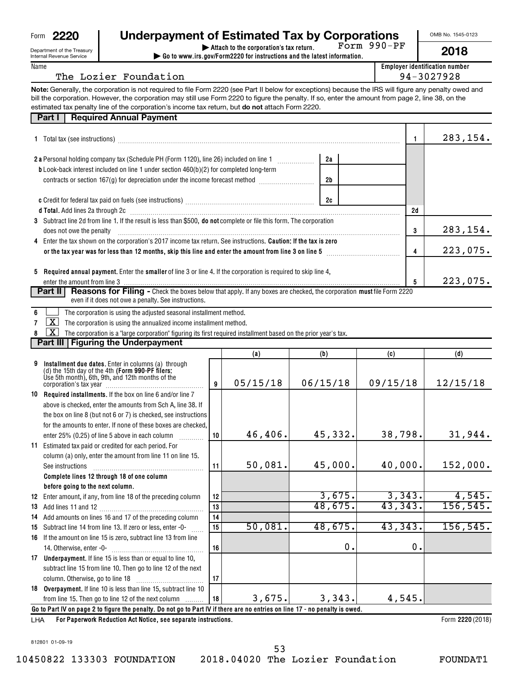| Form | חככי<br>m |
|------|-----------|
|      |           |

Department of the Treasury Internal Revenue Service

| 2220               | <b>Underpayment of Estimated Tax by Corporations</b>          |            |
|--------------------|---------------------------------------------------------------|------------|
| nt of the Treasury | $\blacktriangleright$ Attach to the corporation's tax return. | Form 990-P |

**| Go to www.irs.gov/Form2220 for instructions and the latest information.** Form 990-PF OMB No. 1545-0123

|--|--|--|--|

283,154.

223,075.

223,075.

46,406. 45,332. 38,798. 31,944.

152,000.

4,545. 156,545.

**Employer identification number**

| ame<br> |   |  |   |
|---------|---|--|---|
|         | _ |  | _ |

| Note: Generally, the corporation is not required to file Form 2220 (see Part II below for exceptions) because the IRS will figure any penalty owed and<br>bill the corporation. However, the corporation may still use Form 2220 to figure the penalty. If so, enter the amount from page 2, line 38, on the<br>estimated tax penalty line of the corporation's income tax return, but do not attach Form 2220.<br><b>Required Annual Payment</b><br>Part I<br>283,154<br>1<br>2a<br>b Look-back interest included on line 1 under section 460(b)(2) for completed long-term<br>contracts or section 167(g) for depreciation under the income forecast method [<br>2b<br>2c<br>d Total. Add lines 2a through 2c [11] matter contract the contract of the contract of the contract of the contract of the contract of the contract of the contract of the contract of the contract of the contract of the cont<br>2d<br>3 Subtract line 2d from line 1. If the result is less than \$500, do not complete or file this form. The corporation<br>283,154<br>3<br>does not owe the penalty<br>4 Enter the tax shown on the corporation's 2017 income tax return. See instructions. Caution: If the tax is zero<br>223,075<br>4<br>5 Required annual payment. Enter the smaller of line 3 or line 4. If the corporation is required to skip line 4,<br>223,075<br>5<br>Reasons for Filing - Check the boxes below that apply. If any boxes are checked, the corporation must file Form 2220<br>Part II<br>even if it does not owe a penalty. See instructions.<br>The corporation is using the adjusted seasonal installment method.<br>$\mathbf{X}$<br>The corporation is using the annualized income installment method.<br>7<br>X<br>The corporation is a "large corporation" figuring its first required installment based on the prior year's tax.<br>Part III   Figuring the Underpayment<br>(b)<br>(c)<br>(d)<br>(a)<br>Installment due dates. Enter in columns (a) through<br>9<br>(d) the 15th day of the 4th (Form 990-PF filers:<br>Use 5th month), 6th, 9th, and 12th months of the<br>05/15/18<br>06/15/18<br>09/15/18<br>12/15/18<br>9<br>10 Required installments. If the box on line 6 and/or line 7<br>above is checked, enter the amounts from Sch A, line 38. If<br>the box on line 8 (but not 6 or 7) is checked, see instructions<br>for the amounts to enter. If none of these boxes are checked,<br>38,798.<br>46,406.<br>45,332.<br>31,944<br>enter 25% (0.25) of line 5 above in each column<br>10<br>and a straight<br>11 Estimated tax paid or credited for each period. For<br>column (a) only, enter the amount from line 11 on line 15.<br>50,081.<br>45,000.<br>40,000.<br>152,000<br>11<br>See instructions<br>Complete lines 12 through 18 of one column<br>before going to the next column.<br>3,675.<br>3,343.<br>4,545.<br>12 Enter amount, if any, from line 18 of the preceding column<br>12<br>48,675.<br>43,343.<br>156,545.<br>13<br>14 Add amounts on lines 16 and 17 of the preceding column<br>14<br>50,081.<br>48,675.<br>43,343.<br>156, 545.<br>15<br>15 Subtract line 14 from line 13. If zero or less, enter -0-<br>16 If the amount on line 15 is zero, subtract line 13 from line<br>0.<br>0.<br>14. Otherwise, enter -0-<br>16<br>17 Underpayment. If line 15 is less than or equal to line 10,<br>subtract line 15 from line 10. Then go to line 12 of the next<br>column. Otherwise, go to line 18<br>17 | The Lozier Foundation                                             |  |  | 94-3027928 |
|------------------------------------------------------------------------------------------------------------------------------------------------------------------------------------------------------------------------------------------------------------------------------------------------------------------------------------------------------------------------------------------------------------------------------------------------------------------------------------------------------------------------------------------------------------------------------------------------------------------------------------------------------------------------------------------------------------------------------------------------------------------------------------------------------------------------------------------------------------------------------------------------------------------------------------------------------------------------------------------------------------------------------------------------------------------------------------------------------------------------------------------------------------------------------------------------------------------------------------------------------------------------------------------------------------------------------------------------------------------------------------------------------------------------------------------------------------------------------------------------------------------------------------------------------------------------------------------------------------------------------------------------------------------------------------------------------------------------------------------------------------------------------------------------------------------------------------------------------------------------------------------------------------------------------------------------------------------------------------------------------------------------------------------------------------------------------------------------------------------------------------------------------------------------------------------------------------------------------------------------------------------------------------------------------------------------------------------------------------------------------------------------------------------------------------------------------------------------------------------------------------------------------------------------------------------------------------------------------------------------------------------------------------------------------------------------------------------------------------------------------------------------------------------------------------------------------------------------------------------------------------------------------------------------------------------------------------------------------------------------------------------------------------------------------------------------------------------------------------------------------------------------------------------------------------------------------------------------------------------------------------------------------------------------------------------------------------------------------------------------------------------------------------------------------------------------------------|-------------------------------------------------------------------|--|--|------------|
|                                                                                                                                                                                                                                                                                                                                                                                                                                                                                                                                                                                                                                                                                                                                                                                                                                                                                                                                                                                                                                                                                                                                                                                                                                                                                                                                                                                                                                                                                                                                                                                                                                                                                                                                                                                                                                                                                                                                                                                                                                                                                                                                                                                                                                                                                                                                                                                                                                                                                                                                                                                                                                                                                                                                                                                                                                                                                                                                                                                                                                                                                                                                                                                                                                                                                                                                                                                                                                                            |                                                                   |  |  |            |
|                                                                                                                                                                                                                                                                                                                                                                                                                                                                                                                                                                                                                                                                                                                                                                                                                                                                                                                                                                                                                                                                                                                                                                                                                                                                                                                                                                                                                                                                                                                                                                                                                                                                                                                                                                                                                                                                                                                                                                                                                                                                                                                                                                                                                                                                                                                                                                                                                                                                                                                                                                                                                                                                                                                                                                                                                                                                                                                                                                                                                                                                                                                                                                                                                                                                                                                                                                                                                                                            |                                                                   |  |  |            |
|                                                                                                                                                                                                                                                                                                                                                                                                                                                                                                                                                                                                                                                                                                                                                                                                                                                                                                                                                                                                                                                                                                                                                                                                                                                                                                                                                                                                                                                                                                                                                                                                                                                                                                                                                                                                                                                                                                                                                                                                                                                                                                                                                                                                                                                                                                                                                                                                                                                                                                                                                                                                                                                                                                                                                                                                                                                                                                                                                                                                                                                                                                                                                                                                                                                                                                                                                                                                                                                            |                                                                   |  |  |            |
|                                                                                                                                                                                                                                                                                                                                                                                                                                                                                                                                                                                                                                                                                                                                                                                                                                                                                                                                                                                                                                                                                                                                                                                                                                                                                                                                                                                                                                                                                                                                                                                                                                                                                                                                                                                                                                                                                                                                                                                                                                                                                                                                                                                                                                                                                                                                                                                                                                                                                                                                                                                                                                                                                                                                                                                                                                                                                                                                                                                                                                                                                                                                                                                                                                                                                                                                                                                                                                                            |                                                                   |  |  |            |
|                                                                                                                                                                                                                                                                                                                                                                                                                                                                                                                                                                                                                                                                                                                                                                                                                                                                                                                                                                                                                                                                                                                                                                                                                                                                                                                                                                                                                                                                                                                                                                                                                                                                                                                                                                                                                                                                                                                                                                                                                                                                                                                                                                                                                                                                                                                                                                                                                                                                                                                                                                                                                                                                                                                                                                                                                                                                                                                                                                                                                                                                                                                                                                                                                                                                                                                                                                                                                                                            |                                                                   |  |  |            |
|                                                                                                                                                                                                                                                                                                                                                                                                                                                                                                                                                                                                                                                                                                                                                                                                                                                                                                                                                                                                                                                                                                                                                                                                                                                                                                                                                                                                                                                                                                                                                                                                                                                                                                                                                                                                                                                                                                                                                                                                                                                                                                                                                                                                                                                                                                                                                                                                                                                                                                                                                                                                                                                                                                                                                                                                                                                                                                                                                                                                                                                                                                                                                                                                                                                                                                                                                                                                                                                            |                                                                   |  |  |            |
|                                                                                                                                                                                                                                                                                                                                                                                                                                                                                                                                                                                                                                                                                                                                                                                                                                                                                                                                                                                                                                                                                                                                                                                                                                                                                                                                                                                                                                                                                                                                                                                                                                                                                                                                                                                                                                                                                                                                                                                                                                                                                                                                                                                                                                                                                                                                                                                                                                                                                                                                                                                                                                                                                                                                                                                                                                                                                                                                                                                                                                                                                                                                                                                                                                                                                                                                                                                                                                                            |                                                                   |  |  |            |
|                                                                                                                                                                                                                                                                                                                                                                                                                                                                                                                                                                                                                                                                                                                                                                                                                                                                                                                                                                                                                                                                                                                                                                                                                                                                                                                                                                                                                                                                                                                                                                                                                                                                                                                                                                                                                                                                                                                                                                                                                                                                                                                                                                                                                                                                                                                                                                                                                                                                                                                                                                                                                                                                                                                                                                                                                                                                                                                                                                                                                                                                                                                                                                                                                                                                                                                                                                                                                                                            |                                                                   |  |  |            |
|                                                                                                                                                                                                                                                                                                                                                                                                                                                                                                                                                                                                                                                                                                                                                                                                                                                                                                                                                                                                                                                                                                                                                                                                                                                                                                                                                                                                                                                                                                                                                                                                                                                                                                                                                                                                                                                                                                                                                                                                                                                                                                                                                                                                                                                                                                                                                                                                                                                                                                                                                                                                                                                                                                                                                                                                                                                                                                                                                                                                                                                                                                                                                                                                                                                                                                                                                                                                                                                            |                                                                   |  |  |            |
|                                                                                                                                                                                                                                                                                                                                                                                                                                                                                                                                                                                                                                                                                                                                                                                                                                                                                                                                                                                                                                                                                                                                                                                                                                                                                                                                                                                                                                                                                                                                                                                                                                                                                                                                                                                                                                                                                                                                                                                                                                                                                                                                                                                                                                                                                                                                                                                                                                                                                                                                                                                                                                                                                                                                                                                                                                                                                                                                                                                                                                                                                                                                                                                                                                                                                                                                                                                                                                                            |                                                                   |  |  |            |
|                                                                                                                                                                                                                                                                                                                                                                                                                                                                                                                                                                                                                                                                                                                                                                                                                                                                                                                                                                                                                                                                                                                                                                                                                                                                                                                                                                                                                                                                                                                                                                                                                                                                                                                                                                                                                                                                                                                                                                                                                                                                                                                                                                                                                                                                                                                                                                                                                                                                                                                                                                                                                                                                                                                                                                                                                                                                                                                                                                                                                                                                                                                                                                                                                                                                                                                                                                                                                                                            |                                                                   |  |  |            |
|                                                                                                                                                                                                                                                                                                                                                                                                                                                                                                                                                                                                                                                                                                                                                                                                                                                                                                                                                                                                                                                                                                                                                                                                                                                                                                                                                                                                                                                                                                                                                                                                                                                                                                                                                                                                                                                                                                                                                                                                                                                                                                                                                                                                                                                                                                                                                                                                                                                                                                                                                                                                                                                                                                                                                                                                                                                                                                                                                                                                                                                                                                                                                                                                                                                                                                                                                                                                                                                            |                                                                   |  |  |            |
|                                                                                                                                                                                                                                                                                                                                                                                                                                                                                                                                                                                                                                                                                                                                                                                                                                                                                                                                                                                                                                                                                                                                                                                                                                                                                                                                                                                                                                                                                                                                                                                                                                                                                                                                                                                                                                                                                                                                                                                                                                                                                                                                                                                                                                                                                                                                                                                                                                                                                                                                                                                                                                                                                                                                                                                                                                                                                                                                                                                                                                                                                                                                                                                                                                                                                                                                                                                                                                                            |                                                                   |  |  |            |
|                                                                                                                                                                                                                                                                                                                                                                                                                                                                                                                                                                                                                                                                                                                                                                                                                                                                                                                                                                                                                                                                                                                                                                                                                                                                                                                                                                                                                                                                                                                                                                                                                                                                                                                                                                                                                                                                                                                                                                                                                                                                                                                                                                                                                                                                                                                                                                                                                                                                                                                                                                                                                                                                                                                                                                                                                                                                                                                                                                                                                                                                                                                                                                                                                                                                                                                                                                                                                                                            |                                                                   |  |  |            |
|                                                                                                                                                                                                                                                                                                                                                                                                                                                                                                                                                                                                                                                                                                                                                                                                                                                                                                                                                                                                                                                                                                                                                                                                                                                                                                                                                                                                                                                                                                                                                                                                                                                                                                                                                                                                                                                                                                                                                                                                                                                                                                                                                                                                                                                                                                                                                                                                                                                                                                                                                                                                                                                                                                                                                                                                                                                                                                                                                                                                                                                                                                                                                                                                                                                                                                                                                                                                                                                            |                                                                   |  |  |            |
|                                                                                                                                                                                                                                                                                                                                                                                                                                                                                                                                                                                                                                                                                                                                                                                                                                                                                                                                                                                                                                                                                                                                                                                                                                                                                                                                                                                                                                                                                                                                                                                                                                                                                                                                                                                                                                                                                                                                                                                                                                                                                                                                                                                                                                                                                                                                                                                                                                                                                                                                                                                                                                                                                                                                                                                                                                                                                                                                                                                                                                                                                                                                                                                                                                                                                                                                                                                                                                                            |                                                                   |  |  |            |
|                                                                                                                                                                                                                                                                                                                                                                                                                                                                                                                                                                                                                                                                                                                                                                                                                                                                                                                                                                                                                                                                                                                                                                                                                                                                                                                                                                                                                                                                                                                                                                                                                                                                                                                                                                                                                                                                                                                                                                                                                                                                                                                                                                                                                                                                                                                                                                                                                                                                                                                                                                                                                                                                                                                                                                                                                                                                                                                                                                                                                                                                                                                                                                                                                                                                                                                                                                                                                                                            |                                                                   |  |  |            |
|                                                                                                                                                                                                                                                                                                                                                                                                                                                                                                                                                                                                                                                                                                                                                                                                                                                                                                                                                                                                                                                                                                                                                                                                                                                                                                                                                                                                                                                                                                                                                                                                                                                                                                                                                                                                                                                                                                                                                                                                                                                                                                                                                                                                                                                                                                                                                                                                                                                                                                                                                                                                                                                                                                                                                                                                                                                                                                                                                                                                                                                                                                                                                                                                                                                                                                                                                                                                                                                            |                                                                   |  |  |            |
|                                                                                                                                                                                                                                                                                                                                                                                                                                                                                                                                                                                                                                                                                                                                                                                                                                                                                                                                                                                                                                                                                                                                                                                                                                                                                                                                                                                                                                                                                                                                                                                                                                                                                                                                                                                                                                                                                                                                                                                                                                                                                                                                                                                                                                                                                                                                                                                                                                                                                                                                                                                                                                                                                                                                                                                                                                                                                                                                                                                                                                                                                                                                                                                                                                                                                                                                                                                                                                                            |                                                                   |  |  |            |
|                                                                                                                                                                                                                                                                                                                                                                                                                                                                                                                                                                                                                                                                                                                                                                                                                                                                                                                                                                                                                                                                                                                                                                                                                                                                                                                                                                                                                                                                                                                                                                                                                                                                                                                                                                                                                                                                                                                                                                                                                                                                                                                                                                                                                                                                                                                                                                                                                                                                                                                                                                                                                                                                                                                                                                                                                                                                                                                                                                                                                                                                                                                                                                                                                                                                                                                                                                                                                                                            |                                                                   |  |  |            |
|                                                                                                                                                                                                                                                                                                                                                                                                                                                                                                                                                                                                                                                                                                                                                                                                                                                                                                                                                                                                                                                                                                                                                                                                                                                                                                                                                                                                                                                                                                                                                                                                                                                                                                                                                                                                                                                                                                                                                                                                                                                                                                                                                                                                                                                                                                                                                                                                                                                                                                                                                                                                                                                                                                                                                                                                                                                                                                                                                                                                                                                                                                                                                                                                                                                                                                                                                                                                                                                            |                                                                   |  |  |            |
|                                                                                                                                                                                                                                                                                                                                                                                                                                                                                                                                                                                                                                                                                                                                                                                                                                                                                                                                                                                                                                                                                                                                                                                                                                                                                                                                                                                                                                                                                                                                                                                                                                                                                                                                                                                                                                                                                                                                                                                                                                                                                                                                                                                                                                                                                                                                                                                                                                                                                                                                                                                                                                                                                                                                                                                                                                                                                                                                                                                                                                                                                                                                                                                                                                                                                                                                                                                                                                                            |                                                                   |  |  |            |
|                                                                                                                                                                                                                                                                                                                                                                                                                                                                                                                                                                                                                                                                                                                                                                                                                                                                                                                                                                                                                                                                                                                                                                                                                                                                                                                                                                                                                                                                                                                                                                                                                                                                                                                                                                                                                                                                                                                                                                                                                                                                                                                                                                                                                                                                                                                                                                                                                                                                                                                                                                                                                                                                                                                                                                                                                                                                                                                                                                                                                                                                                                                                                                                                                                                                                                                                                                                                                                                            |                                                                   |  |  |            |
|                                                                                                                                                                                                                                                                                                                                                                                                                                                                                                                                                                                                                                                                                                                                                                                                                                                                                                                                                                                                                                                                                                                                                                                                                                                                                                                                                                                                                                                                                                                                                                                                                                                                                                                                                                                                                                                                                                                                                                                                                                                                                                                                                                                                                                                                                                                                                                                                                                                                                                                                                                                                                                                                                                                                                                                                                                                                                                                                                                                                                                                                                                                                                                                                                                                                                                                                                                                                                                                            |                                                                   |  |  |            |
|                                                                                                                                                                                                                                                                                                                                                                                                                                                                                                                                                                                                                                                                                                                                                                                                                                                                                                                                                                                                                                                                                                                                                                                                                                                                                                                                                                                                                                                                                                                                                                                                                                                                                                                                                                                                                                                                                                                                                                                                                                                                                                                                                                                                                                                                                                                                                                                                                                                                                                                                                                                                                                                                                                                                                                                                                                                                                                                                                                                                                                                                                                                                                                                                                                                                                                                                                                                                                                                            |                                                                   |  |  |            |
|                                                                                                                                                                                                                                                                                                                                                                                                                                                                                                                                                                                                                                                                                                                                                                                                                                                                                                                                                                                                                                                                                                                                                                                                                                                                                                                                                                                                                                                                                                                                                                                                                                                                                                                                                                                                                                                                                                                                                                                                                                                                                                                                                                                                                                                                                                                                                                                                                                                                                                                                                                                                                                                                                                                                                                                                                                                                                                                                                                                                                                                                                                                                                                                                                                                                                                                                                                                                                                                            |                                                                   |  |  |            |
|                                                                                                                                                                                                                                                                                                                                                                                                                                                                                                                                                                                                                                                                                                                                                                                                                                                                                                                                                                                                                                                                                                                                                                                                                                                                                                                                                                                                                                                                                                                                                                                                                                                                                                                                                                                                                                                                                                                                                                                                                                                                                                                                                                                                                                                                                                                                                                                                                                                                                                                                                                                                                                                                                                                                                                                                                                                                                                                                                                                                                                                                                                                                                                                                                                                                                                                                                                                                                                                            |                                                                   |  |  |            |
|                                                                                                                                                                                                                                                                                                                                                                                                                                                                                                                                                                                                                                                                                                                                                                                                                                                                                                                                                                                                                                                                                                                                                                                                                                                                                                                                                                                                                                                                                                                                                                                                                                                                                                                                                                                                                                                                                                                                                                                                                                                                                                                                                                                                                                                                                                                                                                                                                                                                                                                                                                                                                                                                                                                                                                                                                                                                                                                                                                                                                                                                                                                                                                                                                                                                                                                                                                                                                                                            |                                                                   |  |  |            |
|                                                                                                                                                                                                                                                                                                                                                                                                                                                                                                                                                                                                                                                                                                                                                                                                                                                                                                                                                                                                                                                                                                                                                                                                                                                                                                                                                                                                                                                                                                                                                                                                                                                                                                                                                                                                                                                                                                                                                                                                                                                                                                                                                                                                                                                                                                                                                                                                                                                                                                                                                                                                                                                                                                                                                                                                                                                                                                                                                                                                                                                                                                                                                                                                                                                                                                                                                                                                                                                            |                                                                   |  |  |            |
|                                                                                                                                                                                                                                                                                                                                                                                                                                                                                                                                                                                                                                                                                                                                                                                                                                                                                                                                                                                                                                                                                                                                                                                                                                                                                                                                                                                                                                                                                                                                                                                                                                                                                                                                                                                                                                                                                                                                                                                                                                                                                                                                                                                                                                                                                                                                                                                                                                                                                                                                                                                                                                                                                                                                                                                                                                                                                                                                                                                                                                                                                                                                                                                                                                                                                                                                                                                                                                                            |                                                                   |  |  |            |
|                                                                                                                                                                                                                                                                                                                                                                                                                                                                                                                                                                                                                                                                                                                                                                                                                                                                                                                                                                                                                                                                                                                                                                                                                                                                                                                                                                                                                                                                                                                                                                                                                                                                                                                                                                                                                                                                                                                                                                                                                                                                                                                                                                                                                                                                                                                                                                                                                                                                                                                                                                                                                                                                                                                                                                                                                                                                                                                                                                                                                                                                                                                                                                                                                                                                                                                                                                                                                                                            |                                                                   |  |  |            |
|                                                                                                                                                                                                                                                                                                                                                                                                                                                                                                                                                                                                                                                                                                                                                                                                                                                                                                                                                                                                                                                                                                                                                                                                                                                                                                                                                                                                                                                                                                                                                                                                                                                                                                                                                                                                                                                                                                                                                                                                                                                                                                                                                                                                                                                                                                                                                                                                                                                                                                                                                                                                                                                                                                                                                                                                                                                                                                                                                                                                                                                                                                                                                                                                                                                                                                                                                                                                                                                            |                                                                   |  |  |            |
|                                                                                                                                                                                                                                                                                                                                                                                                                                                                                                                                                                                                                                                                                                                                                                                                                                                                                                                                                                                                                                                                                                                                                                                                                                                                                                                                                                                                                                                                                                                                                                                                                                                                                                                                                                                                                                                                                                                                                                                                                                                                                                                                                                                                                                                                                                                                                                                                                                                                                                                                                                                                                                                                                                                                                                                                                                                                                                                                                                                                                                                                                                                                                                                                                                                                                                                                                                                                                                                            |                                                                   |  |  |            |
|                                                                                                                                                                                                                                                                                                                                                                                                                                                                                                                                                                                                                                                                                                                                                                                                                                                                                                                                                                                                                                                                                                                                                                                                                                                                                                                                                                                                                                                                                                                                                                                                                                                                                                                                                                                                                                                                                                                                                                                                                                                                                                                                                                                                                                                                                                                                                                                                                                                                                                                                                                                                                                                                                                                                                                                                                                                                                                                                                                                                                                                                                                                                                                                                                                                                                                                                                                                                                                                            |                                                                   |  |  |            |
|                                                                                                                                                                                                                                                                                                                                                                                                                                                                                                                                                                                                                                                                                                                                                                                                                                                                                                                                                                                                                                                                                                                                                                                                                                                                                                                                                                                                                                                                                                                                                                                                                                                                                                                                                                                                                                                                                                                                                                                                                                                                                                                                                                                                                                                                                                                                                                                                                                                                                                                                                                                                                                                                                                                                                                                                                                                                                                                                                                                                                                                                                                                                                                                                                                                                                                                                                                                                                                                            |                                                                   |  |  |            |
|                                                                                                                                                                                                                                                                                                                                                                                                                                                                                                                                                                                                                                                                                                                                                                                                                                                                                                                                                                                                                                                                                                                                                                                                                                                                                                                                                                                                                                                                                                                                                                                                                                                                                                                                                                                                                                                                                                                                                                                                                                                                                                                                                                                                                                                                                                                                                                                                                                                                                                                                                                                                                                                                                                                                                                                                                                                                                                                                                                                                                                                                                                                                                                                                                                                                                                                                                                                                                                                            |                                                                   |  |  |            |
|                                                                                                                                                                                                                                                                                                                                                                                                                                                                                                                                                                                                                                                                                                                                                                                                                                                                                                                                                                                                                                                                                                                                                                                                                                                                                                                                                                                                                                                                                                                                                                                                                                                                                                                                                                                                                                                                                                                                                                                                                                                                                                                                                                                                                                                                                                                                                                                                                                                                                                                                                                                                                                                                                                                                                                                                                                                                                                                                                                                                                                                                                                                                                                                                                                                                                                                                                                                                                                                            |                                                                   |  |  |            |
|                                                                                                                                                                                                                                                                                                                                                                                                                                                                                                                                                                                                                                                                                                                                                                                                                                                                                                                                                                                                                                                                                                                                                                                                                                                                                                                                                                                                                                                                                                                                                                                                                                                                                                                                                                                                                                                                                                                                                                                                                                                                                                                                                                                                                                                                                                                                                                                                                                                                                                                                                                                                                                                                                                                                                                                                                                                                                                                                                                                                                                                                                                                                                                                                                                                                                                                                                                                                                                                            |                                                                   |  |  |            |
|                                                                                                                                                                                                                                                                                                                                                                                                                                                                                                                                                                                                                                                                                                                                                                                                                                                                                                                                                                                                                                                                                                                                                                                                                                                                                                                                                                                                                                                                                                                                                                                                                                                                                                                                                                                                                                                                                                                                                                                                                                                                                                                                                                                                                                                                                                                                                                                                                                                                                                                                                                                                                                                                                                                                                                                                                                                                                                                                                                                                                                                                                                                                                                                                                                                                                                                                                                                                                                                            |                                                                   |  |  |            |
|                                                                                                                                                                                                                                                                                                                                                                                                                                                                                                                                                                                                                                                                                                                                                                                                                                                                                                                                                                                                                                                                                                                                                                                                                                                                                                                                                                                                                                                                                                                                                                                                                                                                                                                                                                                                                                                                                                                                                                                                                                                                                                                                                                                                                                                                                                                                                                                                                                                                                                                                                                                                                                                                                                                                                                                                                                                                                                                                                                                                                                                                                                                                                                                                                                                                                                                                                                                                                                                            |                                                                   |  |  |            |
|                                                                                                                                                                                                                                                                                                                                                                                                                                                                                                                                                                                                                                                                                                                                                                                                                                                                                                                                                                                                                                                                                                                                                                                                                                                                                                                                                                                                                                                                                                                                                                                                                                                                                                                                                                                                                                                                                                                                                                                                                                                                                                                                                                                                                                                                                                                                                                                                                                                                                                                                                                                                                                                                                                                                                                                                                                                                                                                                                                                                                                                                                                                                                                                                                                                                                                                                                                                                                                                            |                                                                   |  |  |            |
|                                                                                                                                                                                                                                                                                                                                                                                                                                                                                                                                                                                                                                                                                                                                                                                                                                                                                                                                                                                                                                                                                                                                                                                                                                                                                                                                                                                                                                                                                                                                                                                                                                                                                                                                                                                                                                                                                                                                                                                                                                                                                                                                                                                                                                                                                                                                                                                                                                                                                                                                                                                                                                                                                                                                                                                                                                                                                                                                                                                                                                                                                                                                                                                                                                                                                                                                                                                                                                                            |                                                                   |  |  |            |
|                                                                                                                                                                                                                                                                                                                                                                                                                                                                                                                                                                                                                                                                                                                                                                                                                                                                                                                                                                                                                                                                                                                                                                                                                                                                                                                                                                                                                                                                                                                                                                                                                                                                                                                                                                                                                                                                                                                                                                                                                                                                                                                                                                                                                                                                                                                                                                                                                                                                                                                                                                                                                                                                                                                                                                                                                                                                                                                                                                                                                                                                                                                                                                                                                                                                                                                                                                                                                                                            |                                                                   |  |  |            |
|                                                                                                                                                                                                                                                                                                                                                                                                                                                                                                                                                                                                                                                                                                                                                                                                                                                                                                                                                                                                                                                                                                                                                                                                                                                                                                                                                                                                                                                                                                                                                                                                                                                                                                                                                                                                                                                                                                                                                                                                                                                                                                                                                                                                                                                                                                                                                                                                                                                                                                                                                                                                                                                                                                                                                                                                                                                                                                                                                                                                                                                                                                                                                                                                                                                                                                                                                                                                                                                            |                                                                   |  |  |            |
|                                                                                                                                                                                                                                                                                                                                                                                                                                                                                                                                                                                                                                                                                                                                                                                                                                                                                                                                                                                                                                                                                                                                                                                                                                                                                                                                                                                                                                                                                                                                                                                                                                                                                                                                                                                                                                                                                                                                                                                                                                                                                                                                                                                                                                                                                                                                                                                                                                                                                                                                                                                                                                                                                                                                                                                                                                                                                                                                                                                                                                                                                                                                                                                                                                                                                                                                                                                                                                                            |                                                                   |  |  |            |
|                                                                                                                                                                                                                                                                                                                                                                                                                                                                                                                                                                                                                                                                                                                                                                                                                                                                                                                                                                                                                                                                                                                                                                                                                                                                                                                                                                                                                                                                                                                                                                                                                                                                                                                                                                                                                                                                                                                                                                                                                                                                                                                                                                                                                                                                                                                                                                                                                                                                                                                                                                                                                                                                                                                                                                                                                                                                                                                                                                                                                                                                                                                                                                                                                                                                                                                                                                                                                                                            |                                                                   |  |  |            |
|                                                                                                                                                                                                                                                                                                                                                                                                                                                                                                                                                                                                                                                                                                                                                                                                                                                                                                                                                                                                                                                                                                                                                                                                                                                                                                                                                                                                                                                                                                                                                                                                                                                                                                                                                                                                                                                                                                                                                                                                                                                                                                                                                                                                                                                                                                                                                                                                                                                                                                                                                                                                                                                                                                                                                                                                                                                                                                                                                                                                                                                                                                                                                                                                                                                                                                                                                                                                                                                            |                                                                   |  |  |            |
|                                                                                                                                                                                                                                                                                                                                                                                                                                                                                                                                                                                                                                                                                                                                                                                                                                                                                                                                                                                                                                                                                                                                                                                                                                                                                                                                                                                                                                                                                                                                                                                                                                                                                                                                                                                                                                                                                                                                                                                                                                                                                                                                                                                                                                                                                                                                                                                                                                                                                                                                                                                                                                                                                                                                                                                                                                                                                                                                                                                                                                                                                                                                                                                                                                                                                                                                                                                                                                                            | 18 Overpayment. If line 10 is less than line 15, subtract line 10 |  |  |            |

**For Paperwork Reduction Act Notice, see separate instructions.** LHA

from line 15. Then go to line 12 of the next column

Form 2220 (2018)

3,675. 3,343. 4,545.

**18**

**Go to Part IV on page 2 to figure the penalty. Do not go to Part IV if there are no entries on line 17 - no penalty is owed.**

10450822 133303 FOUNDATION 2018.04020 The Lozier Foundation FOUNDAT1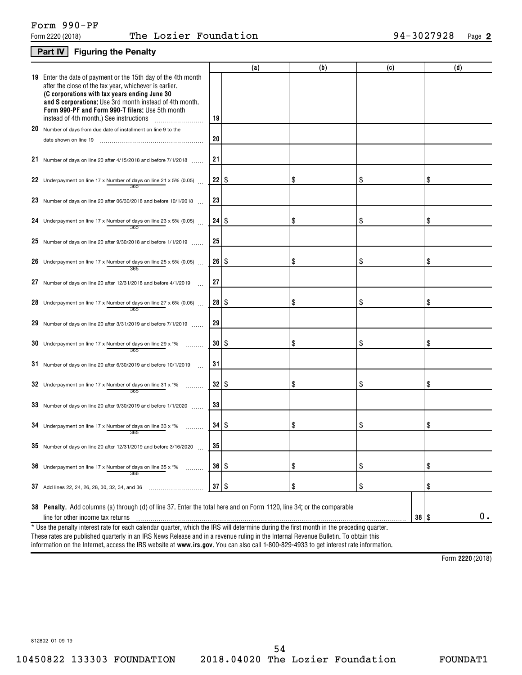## **Part IV Figuring the Penalty**

|                                                                                                                                                                                                                                                                                                                                    |                      | (a) | (b) | (c)       | (d) |
|------------------------------------------------------------------------------------------------------------------------------------------------------------------------------------------------------------------------------------------------------------------------------------------------------------------------------------|----------------------|-----|-----|-----------|-----|
| 19 Enter the date of payment or the 15th day of the 4th month<br>after the close of the tax year, whichever is earlier.<br>(C corporations with tax years ending June 30<br>and S corporations: Use 3rd month instead of 4th month.<br>Form 990-PF and Form 990-T filers; Use 5th month<br>instead of 4th month.) See instructions | 19                   |     |     |           |     |
| 20 Number of days from due date of installment on line 9 to the                                                                                                                                                                                                                                                                    |                      |     |     |           |     |
| date shown on line 19                                                                                                                                                                                                                                                                                                              | 20                   |     |     |           |     |
| 21 Number of days on line 20 after 4/15/2018 and before 7/1/2018                                                                                                                                                                                                                                                                   | 21                   |     |     |           |     |
| 22 Underpayment on line 17 x Number of days on line 21 x 5% (0.05) $\ldots$                                                                                                                                                                                                                                                        | $22$   \$            |     | \$  | \$        | \$  |
| 23 Number of days on line 20 after 06/30/2018 and before 10/1/2018                                                                                                                                                                                                                                                                 | 23                   |     |     |           |     |
| 24 Underpayment on line 17 x Number of days on line 23 x 5% (0.05)<br>365                                                                                                                                                                                                                                                          |                      |     | \$  | \$        | \$  |
| 25 Number of days on line 20 after 9/30/2018 and before 1/1/2019                                                                                                                                                                                                                                                                   | 25                   |     |     |           |     |
| 26 Underpayment on line 17 x Number of days on line 25 x 5% (0.05)<br>365                                                                                                                                                                                                                                                          | $26 \mid$ \$         |     | \$  | \$        | \$  |
| 27 Number of days on line 20 after 12/31/2018 and before 4/1/2019                                                                                                                                                                                                                                                                  | 27                   |     |     |           |     |
| 28 Underpayment on line 17 x Number of days on line 27 x 6% (0.06).<br>365                                                                                                                                                                                                                                                         | $28$   \$            |     | \$  | \$        | \$  |
| 29 Number of days on line 20 after 3/31/2019 and before 7/1/2019                                                                                                                                                                                                                                                                   | 29                   |     |     |           |     |
| 30 Underpayment on line 17 x Number of days on line 29 x $*$ %<br>365                                                                                                                                                                                                                                                              | $30$   \$            |     | \$  | \$        | \$  |
| 31 Number of days on line 20 after 6/30/2019 and before 10/1/2019                                                                                                                                                                                                                                                                  | 31                   |     |     |           |     |
| 32 Underpayment on line 17 x Number of days on line 31 x $*$ %<br>365                                                                                                                                                                                                                                                              | $32$   \$            |     | \$  | \$        | \$  |
| 33 Number of days on line 20 after $9/30/2019$ and before $1/1/2020$                                                                                                                                                                                                                                                               | 33                   |     |     |           |     |
| 34 Underpayment on line 17 x Number of days on line 33 x $*$ %<br>365                                                                                                                                                                                                                                                              | $34$ $\frac{8}{3}$   |     | \$  | \$        | \$  |
| 35 Number of days on line 20 after 12/31/2019 and before 3/16/2020                                                                                                                                                                                                                                                                 | 35                   |     |     |           |     |
| 36 Underpayment on line 17 x Number of days on line 35 x $*$ %<br>1, 1, 1, 1, 1, 1<br>366                                                                                                                                                                                                                                          | $36 \mid$ \$         |     | \$  | \$        | \$  |
| 37 Add lines 22, 24, 26, 28, 30, 32, 34, and 36                                                                                                                                                                                                                                                                                    | $37$ \ $\frac{6}{3}$ |     | \$  | \$        | \$  |
| 38 Penalty. Add columns (a) through (d) of line 37. Enter the total here and on Form 1120, line 34; or the comparable                                                                                                                                                                                                              |                      |     |     |           |     |
| line for other income tax returns                                                                                                                                                                                                                                                                                                  |                      |     |     | $38  $ \$ | 0.  |
| * Use the penalty interest rate for each calendar quarter, which the IRS will determine during the first month in the preceding quarter.                                                                                                                                                                                           |                      |     |     |           |     |

information on the Internet, access the IRS website at **www.irs.gov**. You can also call 1-800-829-4933 to get interest rate information. These rates are published quarterly in an IRS News Release and in a revenue ruling in the Internal Revenue Bulletin. To obtain this

**2220**  Form (2018)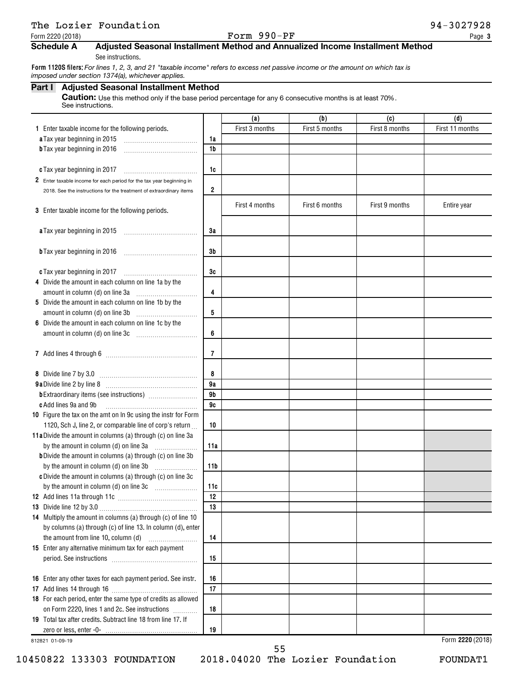## The Lozier Foundation and the set of the set of the set of the set of the set of the set of the set of the set of the set of the set of the set of the set of the set of the set of the set of the set of the set of the set o

#### Form 2220 (2018) Page Page Providence of the control of  $\bf{Form}$   $\bf{990-PF}$  Page Page Page Providence of the control of  $\bf{Form}$   $\bf{990-PF}$

## **Schedule A Adjusted Seasonal Installment Method and Annualized Income Installment Method**

See instructions.

**Form 1120S filers:**  *For lines 1, 2, 3, and 21 "taxable income" refers to excess net passive income or the amount on which tax is imposed under section 1374(a), whichever applies.*

#### **Part I Adjusted Seasonal Installment Method**

Caution: Use this method only if the base period percentage for any 6 consecutive months is at least 70%. See instructions.

|                                                                                |                         | (a)            | (b)            | (c)            | (d)              |
|--------------------------------------------------------------------------------|-------------------------|----------------|----------------|----------------|------------------|
| 1 Enter taxable income for the following periods.                              |                         | First 3 months | First 5 months | First 8 months | First 11 months  |
| a Tax year beginning in 2015                                                   | 1a                      |                |                |                |                  |
| <b>b</b> Tax year beginning in 2016                                            | 1 <sub>b</sub>          |                |                |                |                  |
|                                                                                |                         |                |                |                |                  |
| c Tax year beginning in 2017                                                   | 1c                      |                |                |                |                  |
| 2 Enter taxable income for each period for the tax year beginning in           |                         |                |                |                |                  |
| 2018. See the instructions for the treatment of extraordinary items            | $\overline{\mathbf{2}}$ |                |                |                |                  |
|                                                                                |                         | First 4 months | First 6 months | First 9 months | Entire year      |
| 3 Enter taxable income for the following periods.                              |                         |                |                |                |                  |
|                                                                                |                         |                |                |                |                  |
| a Tax year beginning in 2015                                                   | 3a                      |                |                |                |                  |
|                                                                                | 3b                      |                |                |                |                  |
| <b>b</b> Tax year beginning in 2016                                            |                         |                |                |                |                  |
| c Tax year beginning in 2017                                                   | 3c                      |                |                |                |                  |
| 4 Divide the amount in each column on line 1a by the                           |                         |                |                |                |                  |
| amount in column (d) on line 3a                                                | 4                       |                |                |                |                  |
| 5 Divide the amount in each column on line 1b by the                           |                         |                |                |                |                  |
| amount in column (d) on line 3b                                                | 5                       |                |                |                |                  |
| 6 Divide the amount in each column on line 1c by the                           |                         |                |                |                |                  |
| amount in column (d) on line 3c [11] [11] [11] amount in column (d) on line 3c | 6                       |                |                |                |                  |
|                                                                                |                         |                |                |                |                  |
|                                                                                | 7                       |                |                |                |                  |
|                                                                                |                         |                |                |                |                  |
|                                                                                | 8                       |                |                |                |                  |
|                                                                                | 9a                      |                |                |                |                  |
|                                                                                | 9 <sub>b</sub>          |                |                |                |                  |
| c Add lines 9a and 9b                                                          | 9c                      |                |                |                |                  |
| 10 Figure the tax on the amt on In 9c using the instr for Form                 |                         |                |                |                |                  |
| 1120, Sch J, line 2, or comparable line of corp's return                       | 10                      |                |                |                |                  |
| 11a Divide the amount in columns (a) through (c) on line 3a                    |                         |                |                |                |                  |
| by the amount in column (d) on line 3a                                         | 11a                     |                |                |                |                  |
| <b>b</b> Divide the amount in columns (a) through (c) on line 3b               |                         |                |                |                |                  |
| by the amount in column (d) on line 3b                                         | 11 <sub>b</sub>         |                |                |                |                  |
| c Divide the amount in columns (a) through (c) on line 3c                      |                         |                |                |                |                  |
|                                                                                | 11c<br>12               |                |                |                |                  |
|                                                                                | 13                      |                |                |                |                  |
| 14 Multiply the amount in columns (a) through (c) of line 10                   |                         |                |                |                |                  |
| by columns (a) through (c) of line 13. In column (d), enter                    |                         |                |                |                |                  |
|                                                                                | 14                      |                |                |                |                  |
| 15 Enter any alternative minimum tax for each payment                          |                         |                |                |                |                  |
|                                                                                | 15                      |                |                |                |                  |
|                                                                                |                         |                |                |                |                  |
| 16 Enter any other taxes for each payment period. See instr.                   | 16                      |                |                |                |                  |
|                                                                                | 17                      |                |                |                |                  |
| 18 For each period, enter the same type of credits as allowed                  |                         |                |                |                |                  |
| on Form 2220, lines 1 and 2c. See instructions                                 | 18                      |                |                |                |                  |
| 19 Total tax after credits. Subtract line 18 from line 17. If                  |                         |                |                |                |                  |
|                                                                                | 19                      |                |                |                |                  |
| 812821 01-09-19                                                                |                         |                |                |                | Form 2220 (2018) |

10450822 133303 FOUNDATION 2018.04020 The Lozier Foundation FOUNDAT1

55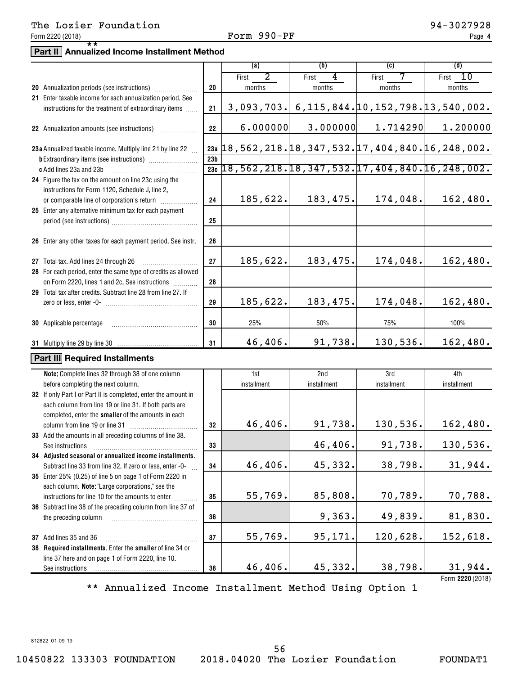## The Lozier Foundation and the set of the set of the set of the set of the set of the set of the set of the set of the set of the set of the set of the set of the set of the set of the set of the set of the set of the set o

# **Part II Annualized Income Installment Method** \*\*

|                                                                |                 | (a)                                                           | (b)                                           | (c)         | (d)         |
|----------------------------------------------------------------|-----------------|---------------------------------------------------------------|-----------------------------------------------|-------------|-------------|
|                                                                |                 | 2<br>First                                                    | 4<br>First                                    | 7<br>First  | 10<br>First |
| 20 Annualization periods (see instructions)                    | 20              | months                                                        | months                                        | months      | months      |
| 21 Enter taxable income for each annualization period. See     |                 |                                                               |                                               |             |             |
| instructions for the treatment of extraordinary items          | 21              |                                                               | 3,093,703. 6,115,844. 10,152,798. 13,540,002. |             |             |
|                                                                |                 |                                                               |                                               |             |             |
| 22 Annualization amounts (see instructions)                    | 22              | 6.000000                                                      | 3.000000                                      | 1.714290    | 1.200000    |
|                                                                |                 |                                                               |                                               |             |             |
| 23a Annualized taxable income. Multiply line 21 by line 22     |                 | 23a $18, 562, 218.18, 347, 532.17, 404, 840.16, 248, 002.$    |                                               |             |             |
|                                                                | 23 <sub>b</sub> |                                                               |                                               |             |             |
| c Add lines 23a and 23b                                        |                 | $23c$ 18, 562, 218. 18, 347, 532. 17, 404, 840. 16, 248, 002. |                                               |             |             |
| 24 Figure the tax on the amount on line 23c using the          |                 |                                                               |                                               |             |             |
| instructions for Form 1120, Schedule J, line 2,                |                 |                                                               |                                               |             |             |
| or comparable line of corporation's return                     | 24              | 185,622.                                                      | 183,475.                                      | 174,048.    | 162,480.    |
| 25 Enter any alternative minimum tax for each payment          |                 |                                                               |                                               |             |             |
|                                                                | 25              |                                                               |                                               |             |             |
|                                                                |                 |                                                               |                                               |             |             |
| 26 Enter any other taxes for each payment period. See instr.   | 26              |                                                               |                                               |             |             |
|                                                                | 27              | 185,622.                                                      | 183,475.                                      | 174,048.    | 162,480.    |
| 27 Total tax. Add lines 24 through 26                          |                 |                                                               |                                               |             |             |
| 28 For each period, enter the same type of credits as allowed  | 28              |                                                               |                                               |             |             |
| on Form 2220, lines 1 and 2c. See instructions                 |                 |                                                               |                                               |             |             |
| 29 Total tax after credits. Subtract line 28 from line 27. If  | 29              | 185,622.                                                      | 183,475.                                      | 174,048.    | 162,480.    |
|                                                                |                 |                                                               |                                               |             |             |
| <b>30</b> Applicable percentage                                | 30              | 25%                                                           | 50%                                           | 75%         | 100%        |
|                                                                |                 |                                                               |                                               |             |             |
|                                                                | 31              | 46,406.                                                       | 91,738.                                       | 130,536.    | 162,480.    |
|                                                                |                 |                                                               |                                               |             |             |
| Part III Required Installments                                 |                 |                                                               |                                               |             |             |
| Note: Complete lines 32 through 38 of one column               |                 | 1st                                                           | 2nd                                           | 3rd         | 4th         |
| before completing the next column.                             |                 | installment                                                   | installment                                   | installment | installment |
| 32 If only Part I or Part II is completed, enter the amount in |                 |                                                               |                                               |             |             |
| each column from line 19 or line 31. If both parts are         |                 |                                                               |                                               |             |             |
| completed, enter the smaller of the amounts in each            |                 |                                                               |                                               |             |             |
| column from line 19 or line 31                                 | 32              | 46,406.                                                       | 91,738.                                       | 130,536.    | 162,480.    |
| 33 Add the amounts in all preceding columns of line 38.        |                 |                                                               |                                               |             |             |
| See instructions                                               | 33              |                                                               | 46,406.                                       | 91,738.     | 130,536.    |
| 34 Adjusted seasonal or annualized income installments.        |                 |                                                               |                                               |             |             |
| Subtract line 33 from line 32. If zero or less, enter -0-      | 34              | 46,406.                                                       | 45,332.                                       | 38,798.     | 31,944.     |
| 35 Enter 25% (0.25) of line 5 on page 1 of Form 2220 in        |                 |                                                               |                                               |             |             |
| each column. Note: "Large corporations," see the               |                 |                                                               |                                               |             |             |
| instructions for line 10 for the amounts to enter              | 35              | 55,769.                                                       | 85,808.                                       | 70,789.     | 70,788.     |
| 36 Subtract line 38 of the preceding column from line 37 of    |                 |                                                               |                                               |             |             |
| the preceding column                                           | 36              |                                                               | 9,363.                                        | 49,839.     | 81,830.     |

**38** line 37 here and on page 1 of Form 2220, line 10. See instructions 46,406. 45,332. 38,798. 31,944.

**37**

**2220**  Form (2018)

\*\* Annualized Income Installment Method Using Option 1

812822 01-09-19

55,769. 95,171. 120,628. 152,618.

10450822 133303 FOUNDATION 2018.04020 The Lozier Foundation FOUNDAT1

**37** Add lines 35 and 36 ~~~~~~~~~~~~~~~ **38** Required installments. Enter the smaller of line 34 or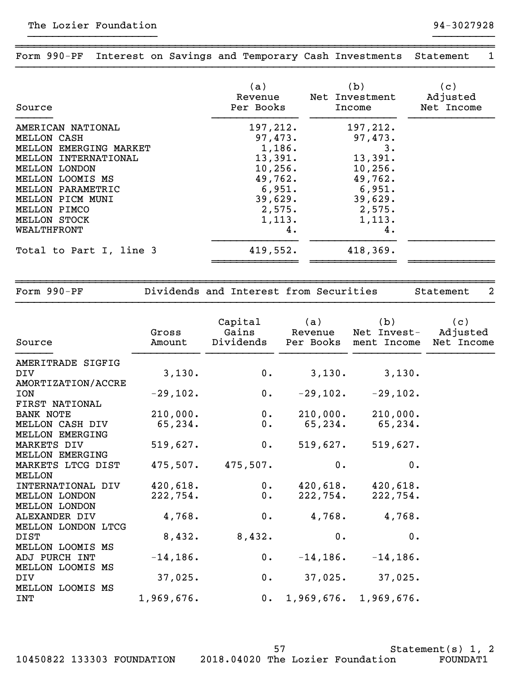| Source                  | (a)<br>Revenue<br>Per Books | (b)<br>Net Investment<br>Income | $\vert c \rangle$<br>Adjusted<br>Net Income |
|-------------------------|-----------------------------|---------------------------------|---------------------------------------------|
| AMERICAN NATIONAL       | 197,212.                    | 197,212.                        |                                             |
| MELLON CASH             | 97,473.                     | 97,473.                         |                                             |
| MELLON EMERGING MARKET  | 1,186.                      | 3.                              |                                             |
| MELLON INTERNATIONAL    | 13,391.                     | 13,391.                         |                                             |
| MELLON LONDON           | 10, 256.                    | 10, 256.                        |                                             |
| MELLON LOOMIS MS        | 49,762.                     | 49,762.                         |                                             |
| MELLON PARAMETRIC       | 6,951.                      | 6,951.                          |                                             |
| MELLON PICM MUNI        | 39,629.                     | 39,629.                         |                                             |
| MELLON PIMCO            | 2,575.                      | 2,575.                          |                                             |
| MELLON STOCK            | 1,113.                      | 1,113.                          |                                             |
| WEALTHFRONT             | 4.                          | 4.                              |                                             |
| Total to Part I, line 3 | 419,552.                    | 418,369.                        |                                             |
|                         |                             |                                 |                                             |

}}}}}}}}}}}}}}}}}}}}}}}}}}}}}}}}}}}}}}}}}}}}}}}}}}}}}}}}}}}}}}}}}}}}}}}}}}}}}}

~~~~~~~~~~~~~~~~~~~~~~~~~~~~~~~~~~~~~~~~~~~~~~~~~~~~~~~~~~~~~~~~~~~~~~~~~~~~~~ Form 990-PF Interest on Savings and Temporary Cash Investments Statement 1 }}}}}}}}}}}}}}}}}}}}}}}}}}}}}}}}}}}}}}}}}}}}}}}}}}}}}}}}}}}}}}}}}}}}}}}}}}}}}}

}}}}}}}}}}}}}}}}}}}}} }}}}}}}}}}

Form 990-PF **Dividends and Interest from Securities** Statement 2

~~~~~~~~~~~~~~~~~~~~~~~~~~~~~~~~~~~~~~~~~~~~~~~~~~~~~~~~~~~~~~~~~~~~~~~~~~~~~~

| Source                 | Gross<br>Amount | Capital<br>Gains | (a)<br>Revenue | (b)<br>Net Invest-<br>Dividends Per Books ment Income Net Income | (c)<br>Adjusted |  |
|------------------------|-----------------|------------------|----------------|------------------------------------------------------------------|-----------------|--|
| AMERITRADE SIGFIG      |                 |                  |                |                                                                  |                 |  |
| DIV                    | 3,130.          | 0.               | 3,130.         | 3,130.                                                           |                 |  |
| AMORTIZATION/ACCRE     |                 |                  |                |                                                                  |                 |  |
| <b>ION</b>             | $-29,102.$      | 0.               | $-29,102$ .    | $-29,102.$                                                       |                 |  |
| FIRST NATIONAL         |                 |                  |                |                                                                  |                 |  |
| BANK NOTE              | 210,000.        | 0.               |                | $210,000.$ 210,000.                                              |                 |  |
| MELLON CASH DIV        | 65,234.         | $0$ .            | 65,234.        | 65,234.                                                          |                 |  |
| <b>MELLON EMERGING</b> |                 |                  |                |                                                                  |                 |  |
| MARKETS DIV            | 519,627.        | $0$ .            | 519,627.       | 519,627.                                                         |                 |  |
| MELLON EMERGING        |                 |                  |                |                                                                  |                 |  |
| MARKETS LTCG DIST      | 475,507.        | $475,507$ .      | 0.             | 0.                                                               |                 |  |
| <b>MELLON</b>          |                 |                  |                |                                                                  |                 |  |
| INTERNATIONAL DIV      | 420,618.        | 0.               | 420,618.       | 420,618.                                                         |                 |  |
| <b>MELLON LONDON</b>   | 222,754.        | 0.               | 222,754.       | 222,754.                                                         |                 |  |
| <b>MELLON LONDON</b>   |                 |                  |                |                                                                  |                 |  |
| ALEXANDER DIV          | 4,768.          | 0.               | 4,768.         | 4,768.                                                           |                 |  |
| MELLON LONDON LTCG     |                 |                  |                |                                                                  |                 |  |
| <b>DIST</b>            | 8,432.          | 8,432.           | 0.             | 0.                                                               |                 |  |
| MELLON LOOMIS MS       |                 |                  |                |                                                                  |                 |  |
| ADJ PURCH INT          | $-14, 186.$     | $0$ .            | $-14, 186$ .   | $-14, 186.$                                                      |                 |  |
| MELLON LOOMIS MS       |                 |                  |                |                                                                  |                 |  |
| DIV                    | 37,025.         | 0.               |                | $37,025.$ $37,025.$                                              |                 |  |
| MELLON LOOMIS MS       |                 |                  |                |                                                                  |                 |  |
| INT                    | 1,969,676.      |                  |                | 0. 1,969,676. 1,969,676.                                         |                 |  |

10450822 133303 FOUNDATION 2018.04020 The Lozier Foundation FOUNDAT1

Statement(s) 1, 2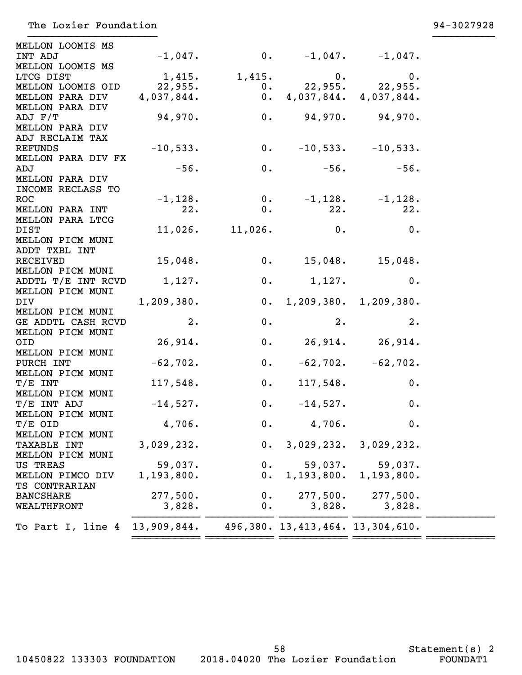| MELLON LOOMIS MS               |              |                       |                                       |                         |  |
|--------------------------------|--------------|-----------------------|---------------------------------------|-------------------------|--|
| INT ADJ                        | $-1,047$ .   |                       | 0. $-1,047$ . $-1,047$ .              |                         |  |
| MELLON LOOMIS MS               |              |                       |                                       |                         |  |
| LTCG DIST                      | 1,415.       | 1,415.                | 0.                                    | 0.                      |  |
| MELLON LOOMIS OID              | 22,955.      | 0.                    |                                       | $22,955.$ 22,955.       |  |
| MELLON PARA DIV                | 4,037,844.   |                       | 0.4,037,844.4,037,844.                |                         |  |
| MELLON PARA DIV                |              |                       |                                       |                         |  |
| ADJ F/T                        | 94,970.      | 0.                    |                                       | $94,970.$ 94,970.       |  |
| MELLON PARA DIV                |              |                       |                                       |                         |  |
| ADJ RECLAIM TAX                |              |                       |                                       |                         |  |
| <b>REFUNDS</b>                 | $-10,533.$   | 0.                    |                                       | $-10,533. -10,533.$     |  |
| MELLON PARA DIV FX             |              |                       |                                       |                         |  |
| ADJ                            | $-56.$       | 0.                    | $-56.$                                | $-56.$                  |  |
| MELLON PARA DIV                |              |                       |                                       |                         |  |
| INCOME RECLASS TO              |              |                       |                                       |                         |  |
| <b>ROC</b>                     | $-1,128.$    | 0.                    |                                       | $-1,128.$ $-1,128.$     |  |
| MELLON PARA INT                | 22.          | $0$ .                 | 22.                                   | 22.                     |  |
| MELLON PARA LTCG               |              |                       |                                       |                         |  |
| <b>DIST</b>                    |              | $11,026$ . $11,026$ . | 0.                                    | 0.                      |  |
| MELLON PICM MUNI               |              |                       |                                       |                         |  |
| ADDT TXBL INT                  |              |                       |                                       |                         |  |
| <b>RECEIVED</b>                | 15,048.      | 0.                    | $15,048.$ $15,048.$                   |                         |  |
| MELLON PICM MUNI               |              | 0.                    |                                       | 0.                      |  |
| ADDTL T/E INT RCVD             | 1,127.       |                       | 1,127.                                |                         |  |
| MELLON PICM MUNI<br><b>DIV</b> | 1, 209, 380. |                       | 0. 1, 209, 380. 1, 209, 380.          |                         |  |
| MELLON PICM MUNI               |              |                       |                                       |                         |  |
| GE ADDTL CASH RCVD             | 2.           | 0.                    | 2.                                    | 2.                      |  |
| MELLON PICM MUNI               |              |                       |                                       |                         |  |
| OID                            | 26,914.      | 0.                    |                                       | $26,914.$ $26,914.$     |  |
| MELLON PICM MUNI               |              |                       |                                       |                         |  |
| PURCH INT                      | $-62,702.$   | 0.                    |                                       | $-62, 702.$ $-62, 702.$ |  |
| MELLON PICM MUNI               |              |                       |                                       |                         |  |
| $T/E$ INT                      | 117,548.     | 0.                    | 117,548.                              | 0.                      |  |
| MELLON PICM MUNI               |              |                       |                                       |                         |  |
| T/E INT ADJ                    | $-14,527.$   | 0.                    | $-14,527.$                            | 0.                      |  |
| MELLON PICM MUNI               |              |                       |                                       |                         |  |
| T/E OID                        | 4,706.       |                       | 0. 4,706.                             | 0.                      |  |
| MELLON PICM MUNI               |              |                       |                                       |                         |  |
| <b>TAXABLE INT</b>             | 3,029,232.   | 0.                    | 3,029,232.                            | 3,029,232.              |  |
| MELLON PICM MUNI               |              |                       |                                       |                         |  |
| US TREAS                       | 59,037.      | $0$ .                 | 59,037.                               | 59,037.                 |  |
| MELLON PIMCO DIV               | 1, 193, 800. | $0$ .                 | 1,193,800.                            | 1,193,800.              |  |
| TS CONTRARIAN                  |              |                       |                                       |                         |  |
| <b>BANCSHARE</b>               | 277,500.     | $0$ .                 | 277,500.                              | 277,500.                |  |
| WEALTHFRONT                    | 3,828.       | $0$ .                 | 3,828.                                | 3,828.                  |  |
|                                |              |                       |                                       |                         |  |
| To Part I, line 4              | 13,909,844.  |                       | 496, 380. 13, 413, 464. 13, 304, 610. |                         |  |
|                                |              |                       |                                       |                         |  |

10450822 133303 FOUNDATION 2018.04020 The Lozier Foundation FOUNDAT1

58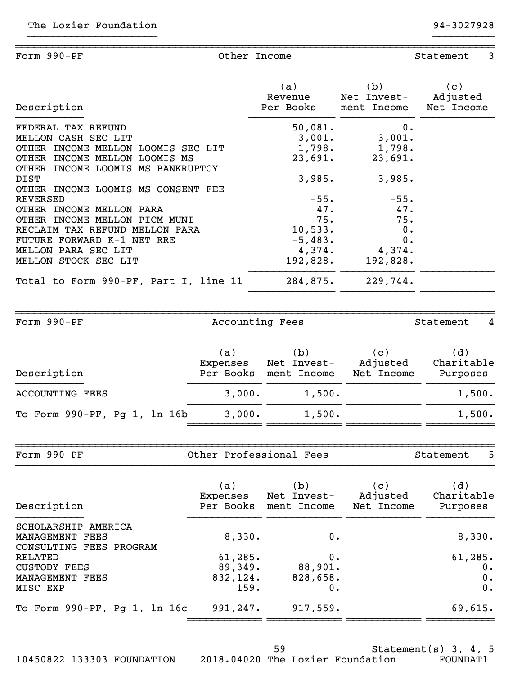| Form 990-PF                                                                                                                                                                                                                                                                                                                                                                                                                                        | Other Income                                      |                                                                                                                                    |                                                                                                                   | 3<br>Statement                          |
|----------------------------------------------------------------------------------------------------------------------------------------------------------------------------------------------------------------------------------------------------------------------------------------------------------------------------------------------------------------------------------------------------------------------------------------------------|---------------------------------------------------|------------------------------------------------------------------------------------------------------------------------------------|-------------------------------------------------------------------------------------------------------------------|-----------------------------------------|
| Description                                                                                                                                                                                                                                                                                                                                                                                                                                        |                                                   | (a)<br>Revenue<br>Per Books                                                                                                        | (b)<br>Net Invest-<br>ment Income                                                                                 | (c)<br>Adjusted<br>Net Income           |
| FEDERAL TAX REFUND<br>MELLON CASH SEC LIT<br>OTHER INCOME MELLON LOOMIS SEC LIT<br>OTHER INCOME MELLON LOOMIS MS<br>OTHER INCOME LOOMIS MS BANKRUPTCY<br><b>DIST</b><br>OTHER INCOME LOOMIS MS CONSENT FEE<br><b>REVERSED</b><br>OTHER INCOME MELLON PARA<br>OTHER INCOME MELLON PICM MUNI<br>RECLAIM TAX REFUND MELLON PARA<br>FUTURE FORWARD K-1 NET RRE<br>MELLON PARA SEC LIT<br>MELLON STOCK SEC LIT<br>Total to Form 990-PF, Part I, line 11 |                                                   | 50,081.<br>3,001.<br>1,798.<br>23,691.<br>3,985.<br>$-55.$<br>47.<br>75.<br>10,533.<br>$-5,483.$<br>4,374.<br>192,828.<br>284,875. | 0.<br>3,001.<br>1,798.<br>23,691.<br>3,985.<br>$-55.$<br>47.<br>75.<br>0.<br>0.<br>4,374.<br>192,828.<br>229,744. |                                         |
| Form 990-PF                                                                                                                                                                                                                                                                                                                                                                                                                                        | Accounting Fees                                   |                                                                                                                                    |                                                                                                                   | Statement<br>4                          |
| Description<br><b>ACCOUNTING FEES</b>                                                                                                                                                                                                                                                                                                                                                                                                              | (a)<br>Expenses<br>Per Books<br>3,000.            | (b)<br>Net Invest-<br>ment Income<br>1,500.                                                                                        | (c)<br>Adjusted<br>Net Income                                                                                     | (d)<br>Charitable<br>Purposes<br>1,500. |
| To Form 990-PF, Pg 1, 1n 16b                                                                                                                                                                                                                                                                                                                                                                                                                       | 3,000.                                            | 1,500.                                                                                                                             |                                                                                                                   | 1,500.                                  |
| Form 990-PF                                                                                                                                                                                                                                                                                                                                                                                                                                        | Other Professional Fees                           |                                                                                                                                    |                                                                                                                   | Statement<br>5                          |
| Description                                                                                                                                                                                                                                                                                                                                                                                                                                        | (a)<br>Expenses<br>Per Books                      | (b)<br>Net Invest-<br>ment Income                                                                                                  | (c)<br>Adjusted<br>Net Income                                                                                     | (d)<br>Charitable<br>Purposes           |
| SCHOLARSHIP AMERICA<br>MANAGEMENT FEES<br>CONSULTING FEES PROGRAM<br><b>RELATED</b><br><b>CUSTODY FEES</b><br>MANAGEMENT FEES<br>MISC EXP                                                                                                                                                                                                                                                                                                          | 8,330.<br>61, 285.<br>89,349.<br>832,124.<br>159. | 0.<br>0.<br>88,901.<br>828,658.<br>0.                                                                                              |                                                                                                                   | 8,330.<br>61, 285.<br>0.<br>0.<br>0.    |
| To Form 990-PF, Pg 1, 1n 16c                                                                                                                                                                                                                                                                                                                                                                                                                       | 991,247.                                          | 917,559.                                                                                                                           |                                                                                                                   | 69,615.                                 |

Statement(s) 3, 4, 5 10450822 133303 FOUNDATION 2018.04020 The Lozier Foundation FOUNDAT1 59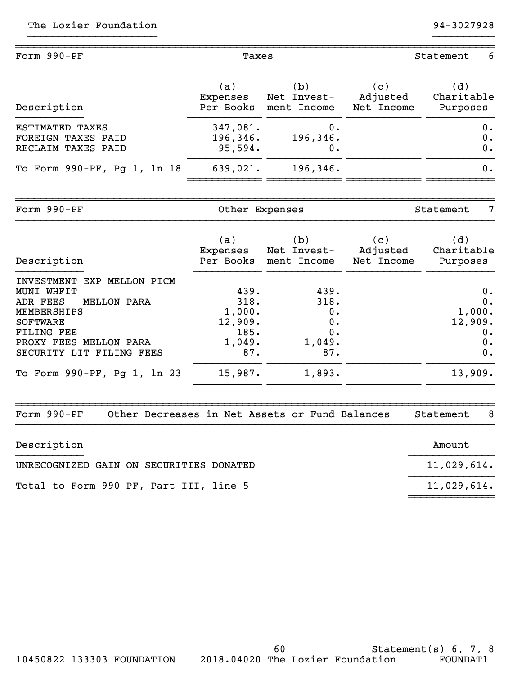| Form 990-PF                 | Taxes     |             |            | 6<br>Statement |  |  |
|-----------------------------|-----------|-------------|------------|----------------|--|--|
| Description                 | (a)       | (b)         | (c)        | (d)            |  |  |
|                             | Expenses  | Net Invest- | Adjusted   | Charitable     |  |  |
|                             | Per Books | ment Income | Net Income | Purposes       |  |  |
| ESTIMATED TAXES             | 347,081.  | 0.          |            | $0$ .          |  |  |
| FOREIGN TAXES PAID          | 196, 346. | 196,346.    |            | 0.             |  |  |
| RECLAIM TAXES PAID          | 95,594.   | 0.          |            | 0.             |  |  |
| To Form 990-PF, Pg 1, 1n 18 | 639,021.  | 196, 346.   |            | $0$ .          |  |  |

| Form 990-PF                   | Other Expenses               |                                   |                               | -7<br>Statement               |  |  |
|-------------------------------|------------------------------|-----------------------------------|-------------------------------|-------------------------------|--|--|
| Description                   | (a)<br>Expenses<br>Per Books | (b)<br>Net Invest-<br>ment Income | (c)<br>Adjusted<br>Net Income | (d)<br>Charitable<br>Purposes |  |  |
| MELLON PICM<br>INVESTMENT EXP |                              |                                   |                               |                               |  |  |
| MUNI WHFIT                    | 439.                         | 439.                              |                               | 0.                            |  |  |
| ADR FEES - MELLON PARA        | 318.                         | 318.                              |                               | 0.                            |  |  |
| MEMBERSHIPS                   | 1,000.                       | $0$ .                             |                               | 1,000.                        |  |  |
| <b>SOFTWARE</b>               | 12,909.                      | 0.                                |                               | 12,909.                       |  |  |
| <b>FILING FEE</b>             | 185.                         | 0.                                |                               | $0$ .                         |  |  |
| PROXY FEES MELLON PARA        | 1,049.                       | 1,049.                            |                               | 0.                            |  |  |
| SECURITY LIT FILING FEES      | 87.                          | 87.                               |                               | 0.                            |  |  |
| To Form 990-PF, Pg 1, 1n 23   | 15,987.                      | 1,893.                            |                               | 13,909.                       |  |  |
|                               |                              |                                   |                               |                               |  |  |

| Form $990-PF$ | Other Decreases in Net Assets or Fund Balances |  |  |  | Statement |  |
|---------------|------------------------------------------------|--|--|--|-----------|--|
|               |                                                |  |  |  |           |  |

| Description                             | Amount      |
|-----------------------------------------|-------------|
| UNRECOGNIZED GAIN ON SECURITIES DONATED | 11,029,614. |
| Total to Form 990-PF, Part III, line 5  | 11,029,614. |
|                                         |             |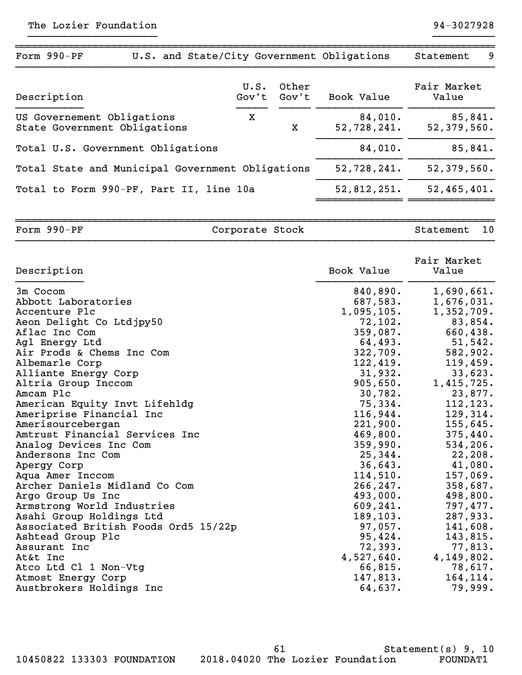| Form 990-PF<br>U.S. and State/City Government Obligations  |      |                      |                        | Statement<br>9         |
|------------------------------------------------------------|------|----------------------|------------------------|------------------------|
| Description                                                | U.S. | Other<br>Gov't Gov't | Book Value             | Fair Market<br>Value   |
| US Governement Obligations<br>State Government Obligations | x    | x                    | 84,010.<br>52,728,241. | 85,841.<br>52,379,560. |
| Total U.S. Government Obligations                          |      |                      | 84,010.                | 85,841.                |
| Total State and Municipal Government Obligations           |      |                      | 52,728,241.            | 52,379,560.            |
| Total to Form 990-PF, Part II, line 10a                    |      |                      | 52,812,251.            | 52,465,401.            |
|                                                            |      |                      |                        |                        |

Form 990-PF Corporate Stock Stock Statement 10 }}}}}}}}}}}}}}}}}}}}}}}}}}}}}}}}}}}}}}}}}}}}}}}}}}}}}}}}}}}}}}}}}}}}}}}}}}}}}}

~~~~~~~~~~~~~~~~~~~~~~~~~~~~~~~~~~~~~~~~~~~~~~~~~~~~~~~~~~~~~~~~~~~~~~~~~~~~~~

| Description                          | Book Value | Fair Market<br>Value |
|--------------------------------------|------------|----------------------|
| 3m Cocom                             | 840,890.   | 1,690,661.           |
| Abbott Laboratories                  | 687,583.   | 1,676,031.           |
| Accenture Plc                        | 1,095,105. | 1,352,709.           |
| Aeon Delight Co Ltdjpy50             | 72,102.    | 83,854.              |
| Aflac Inc Com                        | 359,087.   | 660,438.             |
| Agl Energy Ltd                       | 64,493.    | 51,542.              |
| Air Prods & Chems Inc Com            | 322,709.   | 582,902.             |
| Albemarle Corp                       | 122,419.   | 119,459.             |
| Alliante Energy Corp                 | 31,932.    | 33,623.              |
| Altria Group Inccom                  | 905,650.   | 1,415,725.           |
| Amcam Plc                            | 30,782.    | 23,877.              |
| American Equity Invt Lifehldg        | 75,334.    | 112, 123.            |
| Ameriprise Financial Inc             | 116,944.   | 129,314.             |
| Amerisourcebergan                    | 221,900.   | 155,645.             |
| Amtrust Financial Services Inc       | 469,800.   | 375,440.             |
| Analog Devices Inc Com               | 359,990.   | 534,206.             |
| Andersons Inc Com                    | 25, 344.   | 22, 208.             |
| Apergy Corp                          | 36,643.    | 41,080.              |
| Aqua Amer Inccom                     | 114,510.   | 157,069.             |
| Archer Daniels Midland Co Com        | 266, 247.  | 358,687.             |
| Argo Group Us Inc                    | 493,000.   | 498,800.             |
| Armstrong World Industries           | 609, 241.  | 797,477.             |
| Asahi Group Holdings Ltd             | 189, 103.  | 287,933.             |
| Associated British Foods Ord5 15/22p | 97,057.    | 141,608.             |
| Ashtead Group Plc                    | 95,424.    | 143,815.             |
| Assurant Inc                         | 72,393.    | 77,813.              |
| At&t Inc                             | 4,527,640. | 4,149,802.           |
| Atco Ltd Cl 1 Non-Vtg                | 66,815.    | 78,617.              |
| Atmost Energy Corp                   | 147,813.   | 164,114.             |
| Austbrokers Holdings Inc             | 64,637.    | 79,999.              |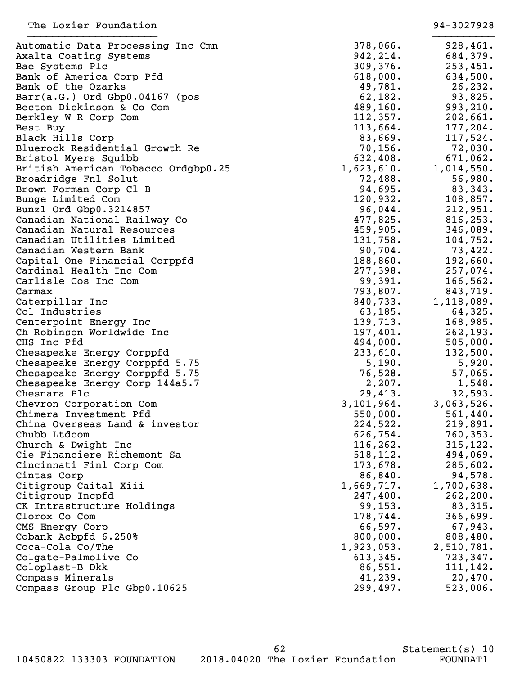| Automatic Data Processing Inc Cmn   | 378,066.   | 928,461.   |
|-------------------------------------|------------|------------|
| Axalta Coating Systems              | 942,214.   | 684,379.   |
| Bae Systems Plc                     | 309, 376.  | 253,451.   |
| Bank of America Corp Pfd            | 618,000.   | 634,500.   |
| Bank of the Ozarks                  | 49,781.    | 26, 232.   |
| Barr(a.G.) Ord Gbp0.04167 (pos      | 62,182.    | 93,825.    |
| Becton Dickinson & Co Com           | 489,160.   | 993, 210.  |
| Berkley W R Corp Com                | 112,357.   | 202,661.   |
| Best Buy                            | 113,664.   | 177, 204.  |
| Black Hills Corp                    | 83,669.    | 117,524.   |
| Bluerock Residential Growth Re      | 70, 156.   | $72,030$ . |
| Bristol Myers Squibb                | 632,408.   | 671,062.   |
| British American Tobacco Ordgbp0.25 | 1,623,610. | 1,014,550. |
| Broadridge Fnl Solut                | 72,488.    | 56,980.    |
| Brown Forman Corp Cl B              | 94,695.    | 83,343.    |
| Bunge Limited Com                   | 120,932.   | 108,857.   |
| Bunzl Ord Gbp0.3214857              | 96,044.    | 212,951.   |
| Canadian National Railway Co        | 477,825.   | 816, 253.  |
| Canadian Natural Resources          | 459,905.   | 346,089.   |
| Canadian Utilities Limited          | 131,758.   | 104,752.   |
| Canadian Western Bank               | 90,704.    | 73,422.    |
| Capital One Financial Corppfd       | 188, 860.  | 192,660.   |
| Cardinal Health Inc Com             | 277,398.   | 257,074.   |
| Carlisle Cos Inc Com                | 99,391.    | 166, 562.  |
| Carmax                              | 793,807.   | 843,719.   |
| Caterpillar Inc                     | 840,733.   | 1,118,089. |
| Ccl Industries                      | 63, 185.   | 64,325.    |
| Centerpoint Energy Inc              | 139,713.   | 168,985.   |
| Ch Robinson Worldwide Inc           | 197,401.   | 262, 193.  |
| CHS Inc Pfd                         | 494,000.   | 505,000.   |
| Chesapeake Energy Corppfd           | 233,610.   | 132,500.   |
| Chesapeake Energy Corppfd 5.75      | 5,190.     | 5,920.     |
| Chesapeake Energy Corppfd 5.75      | 76,528.    | 57,065.    |
| Chesapeake Energy Corp 144a5.7      | 2,207.     | 1,548.     |
| Chesnara Plc                        | 29,413.    | 32,593.    |
| Chevron Corporation Com             | 3,101,964. | 3,063,526. |
| Chimera Investment Pfd              | 550,000.   | 561,440.   |
| China Overseas Land & investor      | 224,522.   | 219,891.   |
| Chubb Ltdcom                        | 626,754.   | 760, 353.  |
| Church & Dwight Inc                 | 116, 262.  | 315, 122.  |
| Cie Financiere Richemont Sa         | 518, 112.  | 494,069.   |
| Cincinnati Finl Corp Com            | 173,678.   | 285,602.   |
| Cintas Corp                         | 86,840.    | 94,578.    |
| Citigroup Caital Xiii               | 1,669,717. | 1,700,638. |
| Citigroup Incpfd                    | 247,400.   | 262, 200.  |
| CK Intrastructure Holdings          | 99, 153.   | 83,315.    |
| Clorox Co Com                       | 178,744.   | 366,699.   |
| CMS Energy Corp                     | 66,597.    | 67,943.    |
| Cobank Acbpfd 6.250%                | 800,000.   | 808,480.   |
| Coca-Cola Co/The                    | 1,923,053. | 2,510,781. |
| Colgate-Palmolive Co                | 613,345.   | 723, 347.  |
| Coloplast-B Dkk                     | 86,551.    | 111, 142.  |
| Compass Minerals                    | 41,239.    | 20,470.    |
| Compass Group Plc Gbp0.10625        | 299,497.   | 523,006.   |
|                                     |            |            |

62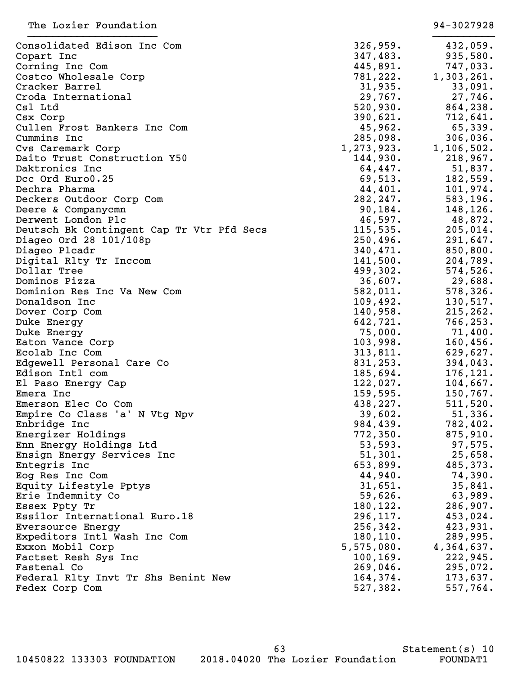| Consolidated Edison Inc Com               | 326,959.   | 432,059.     |
|-------------------------------------------|------------|--------------|
| Copart Inc                                | 347,483.   | 935,580.     |
| Corning Inc Com                           | 445,891.   | 747,033.     |
| Costco Wholesale Corp                     | 781,222.   | 1,303,261.   |
| Cracker Barrel                            | 31,935.    | 33,091.      |
| Croda International                       | 29,767.    | 27,746.      |
| Csl Ltd                                   | 520,930.   | 864, 238.    |
| Csx Corp                                  | 390,621.   | 712,641.     |
| Cullen Frost Bankers Inc Com              | 45,962.    | 65,339.      |
| Cummins Inc                               | 285,098.   | 306,036.     |
| Cvs Caremark Corp                         | 1,273,923. | 1, 106, 502. |
| Daito Trust Construction Y50              | 144,930.   | 218,967.     |
| Daktronics Inc                            | 64,447.    | 51,837.      |
| Dcc Ord Euro0.25                          | 69,513.    | 182,559.     |
| Dechra Pharma                             | 44,401.    | 101,974.     |
| Deckers Outdoor Corp Com                  | 282, 247.  | 583,196.     |
| Deere & Companycmn                        | 90, 184.   | 148,126.     |
| Derwent London Plc                        | 46,597.    | 48,872.      |
| Deutsch Bk Contingent Cap Tr Vtr Pfd Secs | 115,535.   | 205,014.     |
| Diageo Ord 28 101/108p                    | 250,496.   | 291,647.     |
| Diageo Plcadr                             | 340,471.   | 850, 800.    |
| Digital Rlty Tr Inccom                    | 141,500.   | 204,789.     |
| Dollar Tree                               | 499,302.   | 574,526.     |
| Dominos Pizza                             | 36,607.    | 29,688.      |
| Dominion Res Inc Va New Com               | 582,011.   | 578, 326.    |
| Donaldson Inc                             | 109,492.   | 130,517.     |
| Dover Corp Com                            | 140,958.   | 215, 262.    |
| Duke Energy                               | 642,721.   | 766, 253.    |
| Duke Energy                               | 75,000.    | $71,400$ .   |
| Eaton Vance Corp                          | 103,998.   | 160,456.     |
| Ecolab Inc Com                            | 313,811.   | 629,627.     |
| Edgewell Personal Care Co                 | 831, 253.  | 394,043.     |
| Edison Intl com                           | 185,694.   | 176,121.     |
| El Paso Energy Cap                        | 122,027.   | 104,667.     |
| Emera Inc                                 | 159,595.   | 150, 767.    |
| Emerson Elec Co Com                       | 438,227.   | 511,520.     |
| Empire Co Class 'a' N Vtg Npv             | 39,602.    | 51,336.      |
| Enbridge Inc                              | 984,439.   | 782,402.     |
| Energizer Holdings                        | 772, 350.  | 875,910.     |
| Enn Energy Holdings Ltd                   | 53,593.    | 97,575.      |
| Ensign Energy Services Inc                | 51,301.    | 25,658.      |
| Entegris Inc                              | 653,899.   | 485,373.     |
| Eog Res Inc Com                           | 44,940.    | 74,390.      |
| Equity Lifestyle Pptys                    | 31,651.    | 35,841.      |
| Erie Indemnity Co                         | 59,626.    | 63,989.      |
| Essex Ppty Tr                             | 180,122.   | 286,907.     |
| Essilor International Euro.18             | 296, 117.  | 453,024.     |
| Eversource Energy                         | 256, 342.  | 423,931.     |
| Expeditors Intl Wash Inc Com              | 180, 110.  | 289,995.     |
| Exxon Mobil Corp                          | 5,575,080. | 4,364,637.   |
| Factset Resh Sys Inc                      | 100, 169.  | 222,945.     |
| Fastenal Co                               | 269,046.   | 295,072.     |
| Federal Rlty Invt Tr Shs Benint New       | 164,374.   | 173,637.     |
| Fedex Corp Com                            | 527,382.   | 557,764.     |
|                                           |            |              |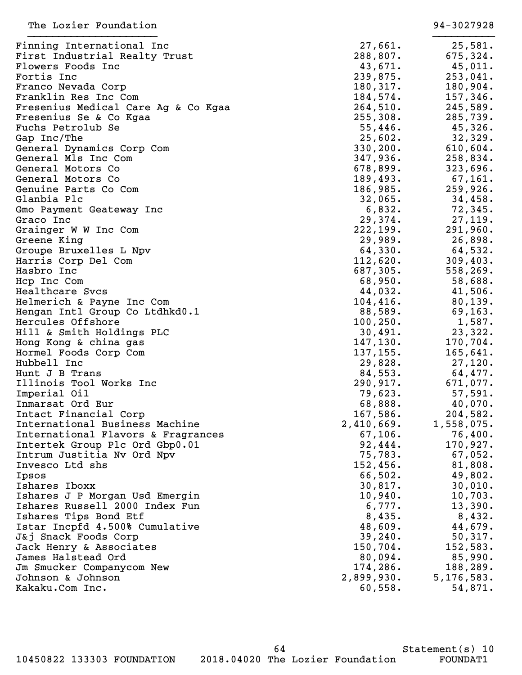| Finning International Inc                       | 27,661.    | 25,581.             |
|-------------------------------------------------|------------|---------------------|
| First Industrial Realty Trust                   | 288,807.   | 675, 324.           |
| Flowers Foods Inc                               | 43,671.    | 45,011.             |
| Fortis Inc                                      | 239,875.   | 253,041.            |
| Franco Nevada Corp                              | 180,317.   | 180,904.            |
| Franklin Res Inc Com                            | 184,574.   | 157,346.            |
| Fresenius Medical Care Ag & Co Kgaa             | 264,510.   | 245,589.            |
| Fresenius Se & Co Kgaa                          | 255,308.   | 285,739.            |
| Fuchs Petrolub Se                               | 55,446.    | 45,326.             |
| Gap Inc/The                                     | 25,602.    | 32,329.             |
| General Dynamics Corp Com                       | 330, 200.  | 610,604.            |
| General Mls Inc Com                             | 347,936.   | 258,834.            |
| General Motors Co                               | 678,899.   | 323,696.            |
| General Motors Co                               | 189,493.   | 67,161.             |
| Genuine Parts Co Com                            | 186,985.   | 259,926.            |
| Glanbia Plc                                     | 32,065.    | 34,458.             |
| Gmo Payment Geateway Inc                        | 6,832.     | 72,345.             |
| Graco Inc                                       | 29,374.    | 27,119.             |
| Grainger W W Inc Com                            | 222, 199.  | 291,960.            |
| Greene King                                     | 29,989.    | 26,898.             |
| Groupe Bruxelles L Npv                          | 64,330.    | 64,532.             |
| Harris Corp Del Com                             | 112,620.   | 309, 403.           |
| Hasbro Inc                                      | 687,305.   | 558,269.            |
| Hcp Inc Com                                     | 68,950.    | 58,688.             |
| Healthcare Svcs                                 | 44,032.    | 41,506.             |
| Helmerich & Payne Inc Com                       | 104,416.   | 80, 139.            |
| Hengan Intl Group Co Ltdhkd0.1                  | 88,589.    | 69, 163.            |
| Hercules Offshore                               | 100, 250.  | 1,587.              |
| Hill & Smith Holdings PLC                       | 30,491.    | 23,322.             |
| Hong Kong & china gas                           | 147, 130.  | 170, 704.           |
| Hormel Foods Corp Com                           | 137, 155.  | 165,641.            |
| Hubbell Inc                                     | 29,828.    | 27,120.             |
| Hunt J B Trans                                  | 84,553.    | 64,477.             |
| Illinois Tool Works Inc                         | 290,917.   | 671,077.            |
| Imperial Oil                                    | 79,623.    | 57,591.             |
| Inmarsat Ord Eur                                | 68,888.    | 40,070.             |
| Intact Financial Corp                           | 167,586.   | 204,582.            |
| International Business Machine                  | 2,410,669. | 1,558,075.          |
| International Flavors & Fragrances              | 67, 106.   | 76,400.             |
| Intertek Group Plc Ord Gbp0.01                  | 92,444.    | 170,927.            |
| Intrum Justitia Nv Ord Npv                      | 75,783.    | 67,052.             |
| Invesco Ltd shs                                 | 152,456.   | 81,808.             |
| Ipsos                                           | 66,502.    | 49,802.             |
| Ishares Iboxx                                   | 30,817.    | 30,010.             |
| Ishares J P Morgan Usd Emergin                  | 10,940.    | 10,703.             |
| Ishares Russell 2000 Index Fun                  | 6,777.     | 13,390.             |
| Ishares Tips Bond Etf                           | 8,435.     | 8,432.              |
| Istar Incpfd 4.500% Cumulative                  | 48,609.    | 44,679.             |
|                                                 | 39, 240.   |                     |
| J&j Snack Foods Corp<br>Jack Henry & Associates | 150,704.   | 50,317.<br>152,583. |
| James Halstead Ord                              | 80,094.    |                     |
|                                                 | 174,286.   | 85,990.             |
| Jm Smucker Companycom New<br>Johnson & Johnson  | 2,899,930. | 188,289.            |
|                                                 |            | 5, 176, 583.        |
| Kakaku.Com Inc.                                 | 60,558.    | 54,871.             |

64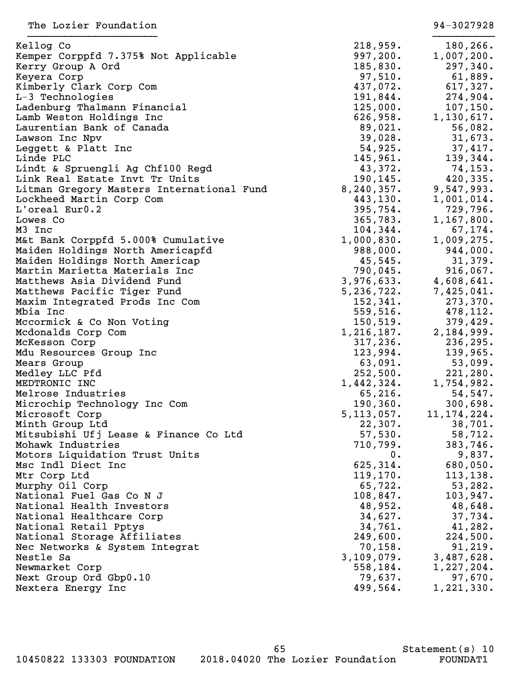| Kellog Co                                 | 218,959.     | 180,266.      |
|-------------------------------------------|--------------|---------------|
| Kemper Corppfd 7.375% Not Applicable      | 997, 200.    | 1,007,200.    |
| Kerry Group A Ord                         | 185,830.     | 297,340.      |
| Keyera Corp                               | 97,510.      | 61,889.       |
| Kimberly Clark Corp Com                   | 437,072.     | 617,327.      |
| L-3 Technologies                          | 191,844.     | 274,904.      |
| Ladenburg Thalmann Financial              | 125,000.     | 107, 150.     |
| Lamb Weston Holdings Inc                  | 626,958.     | 1,130,617.    |
| Laurentian Bank of Canada                 | 89,021.      | 56,082.       |
| Lawson Inc Npv                            | 39,028.      | 31,673.       |
| Leggett & Platt Inc                       | 54,925.      | 37,417.       |
| Linde PLC                                 | 145,961.     | 139,344.      |
| Lindt & Spruengli Ag Chf100 Regd          | 43,372.      | 74, 153.      |
| Link Real Estate Invt Tr Units            | 190, 145.    | 420,335.      |
| Litman Gregory Masters International Fund | 8, 240, 357. | 9,547,993.    |
| Lockheed Martin Corp Com                  | 443,130.     | 1,001,014.    |
| L'oreal Eur0.2                            | 395,754.     | 729,796.      |
| Lowes Co                                  | 365,783.     | 1,167,800.    |
| M3 Inc                                    | 104,344.     | 67,174.       |
| M&t Bank Corppfd 5.000% Cumulative        | 1,000,830.   | 1,009,275.    |
| Maiden Holdings North Americapfd          | 988,000.     | 944,000.      |
| Maiden Holdings North Americap            | 45,545.      | 31,379.       |
| Martin Marietta Materials Inc             | 790,045.     | 916,067.      |
| Matthews Asia Dividend Fund               | 3,976,633.   | 4,608,641.    |
| Matthews Pacific Tiger Fund               | 5, 236, 722. | 7,425,041.    |
| Maxim Integrated Prods Inc Com            | 152, 341.    | 273, 370.     |
| Mbia Inc                                  | 559,516.     | 478,112.      |
| Mccormick & Co Non Voting                 | 150,519.     | 379,429.      |
| Mcdonalds Corp Com                        | 1,216,187.   | 2,184,999.    |
| McKesson Corp                             | 317, 236.    | 236,295.      |
| Mdu Resources Group Inc                   | 123,994.     | 139,965.      |
| Mears Group                               | 63,091.      | 53,099.       |
| Medley LLC Pfd                            | 252,500.     | 221,280.      |
| MEDTRONIC INC                             | 1,442,324.   | 1,754,982.    |
| Melrose Industries                        | 65, 216.     | 54,547.       |
| Microchip Technology Inc Com              | 190, 360.    | 300,698.      |
| Microsoft Corp                            | 5, 113, 057. | 11, 174, 224. |
| Minth Group Ltd                           | 22,307.      | 38,701.       |
| Mitsubishi Ufj Lease & Finance Co Ltd     | 57,530.      | 58,712.       |
| Mohawk Industries                         | 710,799.     | 383,746.      |
| Motors Liquidation Trust Units            | $0$ .        | 9,837.        |
| Msc Indl Diect Inc                        | 625,314.     | 680,050.      |
| Mtr Corp Ltd                              | 119, 170.    | 113, 138.     |
| Murphy Oil Corp                           | 65,722.      | 53,282.       |
| National Fuel Gas Co N J                  | 108,847.     | 103,947.      |
| National Health Investors                 | 48,952.      | 48,648.       |
| National Healthcare Corp                  | 34,627.      | 37,734.       |
| National Retail Pptys                     | 34,761.      | 41,282.       |
| National Storage Affiliates               | 249,600.     | 224,500.      |
| Nec Networks & System Integrat            | 70, 158.     | 91, 219.      |
| Nestle Sa                                 | 3,109,079.   | 3,487,628.    |
| Newmarket Corp                            | 558,184.     | 1,227,204.    |
| Next Group Ord Gbp0.10                    | 79,637.      | 97,670.       |
| Nextera Energy Inc                        | 499,564.     | 1, 221, 330.  |
|                                           |              |               |

|   | 218,959.<br>997,200.           | 180,266.<br>1,007,200.   |
|---|--------------------------------|--------------------------|
|   | 185,830.<br>97,510.            | 297,340.<br>61,889.      |
|   | 437,072.                       | 617,327.                 |
|   | 191,844.<br>$125,000$ .        | 274,904.<br>107,150.     |
|   | 626,958.<br>89,021.            | 1,130,617.<br>56,082.    |
|   | 39,028.                        | 31,673.                  |
|   | 54,925.<br>145,961.            | 37,417.<br>139,344.      |
|   | 43,372.<br>190,145.            | 74,153.<br>420,335.      |
|   | 3,240,357.                     | 9,547,993.               |
|   | 443,130.<br>395,754.           | 1,001,014.<br>729,796.   |
|   | 365,783.                       | $1,167,800$ .            |
|   | 104,344.<br>$1,000,830$ .      | 67,174.<br>$1,009,275$ . |
|   | 988,000.<br>$45,545$ .         | 944,000.<br>31,379.      |
|   | 790,045.                       | 916,067.                 |
|   | 3,976,633.<br>5,236,722.       | 4,608,641.<br>7,425,041. |
|   | 152,341.<br>$559,516$ .        | 273,370.<br>478,112.     |
|   | 150, 519.                      | 379,429.                 |
|   | 1,216,187 <b>.</b><br>317,236. | 2,184,999.<br>236,295.   |
|   | 123,994.<br>63,091.            | 139,965.<br>53,099.      |
|   | 252,500.                       | 221,280.                 |
|   | 1,442,324.<br>$65,216$ .       | 1,754,982.<br>54,547.    |
|   | 190,360.<br>$5,113,057$ .      | 300,698.<br>11,174,224.  |
|   | 22,307.                        | 38,701.                  |
|   | 57,530.<br>710,799.            | 58,712.<br>383,746.      |
|   | О.<br>625,314.                 | 9,837.<br>680,050.       |
|   | 119,170.                       | 113,138.                 |
|   | 65,722.<br>108,847.            | 53,282.<br>103,947.      |
|   | 48,952.<br>34,627.             | 48,648.<br>37,734.       |
|   | 34,761.                        | 41,282.                  |
|   | 249,600.<br>70,158.            | 224,500.<br>91,219.      |
| 3 | 109,079.<br>558,184.           | 3,487,628.<br>1,227,204. |
|   | 79,637.                        | 97,670.                  |
|   | 499,564.                       | 1,221,330.               |

10450822 133303 FOUNDATION 2018.04020 The Lozier Foundation FOUNDAT1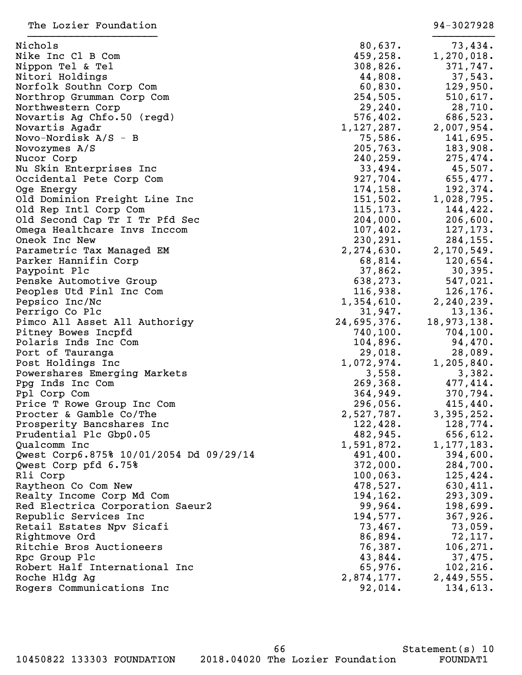| The Lozier Foundation                   |              | 94-3027928    |
|-----------------------------------------|--------------|---------------|
| Nichols                                 | 80,637.      | 73,434.       |
| Nike Inc C1 B Com                       | 459,258.     | 1,270,018.    |
| Nippon Tel & Tel                        | 308,826.     | 371,747.      |
| Nitori Holdings                         | 44,808.      | 37,543.       |
| Norfolk Southn Corp Com                 | 60,830.      | 129,950.      |
| Northrop Grumman Corp Com               | 254,505.     | 510,617.      |
| Northwestern Corp                       | 29, 240.     | 28,710.       |
| Novartis Ag Chfo.50 (regd)              | 576,402.     | 686,523.      |
| Novartis Agadr                          | 1,127,287.   | 2,007,954.    |
| Novo-Nordisk $A/S - B$                  | 75,586.      | 141,695.      |
| Novozymes A/S                           | 205,763.     | 183,908.      |
| Nucor Corp                              | 240,259.     | 275,474.      |
| Nu Skin Enterprises Inc                 | 33,494.      | 45,507.       |
| Occidental Pete Corp Com                | 927,704.     | 655,477.      |
| Oge Energy                              | 174, 158.    | 192,374.      |
| Old Dominion Freight Line Inc           | 151,502.     | 1,028,795.    |
| Old Rep Intl Corp Com                   | 115, 173.    | 144,422.      |
| Old Second Cap Tr I Tr Pfd Sec          | 204,000.     | 206,600.      |
| Omega Healthcare Invs Inccom            | 107,402.     | 127, 173.     |
| Oneok Inc New                           | 230,291.     | 284, 155.     |
| Parametric Tax Managed EM               | 2, 274, 630. | 2,170,549.    |
| Parker Hannifin Corp                    | 68,814.      | 120,654.      |
| Paypoint Plc                            | 37,862.      | 30, 395.      |
| Penske Automotive Group                 | 638,273.     | 547,021.      |
| Peoples Utd Finl Inc Com                | 116,938.     | 126,176.      |
| Pepsico Inc/Nc                          | 1,354,610.   | 2, 240, 239.  |
| Perrigo Co Plc                          | 31,947.      | 13, 136.      |
| Pimco All Asset All Authorigy           | 24,695,376.  | 18,973,138.   |
| Pitney Bowes Incpfd                     | 740, 100.    | 704, 100.     |
| Polaris Inds Inc Com                    | 104,896.     | 94,470.       |
| Port of Tauranga                        | 29,018.      | 28,089.       |
| Post Holdings Inc                       | 1,072,974.   | $1,205,840$ . |
| Powershares Emerging Markets            | 3,558.       | 3,382.        |
| Ppg Inds Inc Com                        | 269, 368.    | 477,414.      |
| Ppl Corp Com                            | 364,949.     | 370,794.      |
| Price T Rowe Group Inc Com              | 296,056.     | 415,440.      |
| Procter & Gamble Co/The                 | 2,527,787.   | 3,395,252.    |
| Prosperity Bancshares Inc               | 122,428.     | 128,774.      |
| Prudential Plc Gbp0.05                  | 482,945.     | 656,612.      |
| Qualcomm Inc                            | 1,591,872.   | 1, 177, 183.  |
| Qwest Corp6.875% 10/01/2054 Dd 09/29/14 | 491,400.     | 394,600.      |
| Qwest Corp pfd 6.75%                    | 372,000.     | 284,700.      |
| Rli Corp                                | 100,063.     | 125,424.      |
| Raytheon Co Com New                     | 478,527.     | 630,411.      |
| Realty Income Corp Md Com               | 194,162.     | 293,309.      |
| Red Electrica Corporation Saeur2        | 99,964.      | 198,699.      |
| Republic Services Inc                   | 194,577.     | 367,926.      |
| Retail Estates Npv Sicafi               | 73,467.      | 73,059.       |
| Rightmove Ord                           | 86,894.      | 72,117.       |
| Ritchie Bros Auctioneers                | 76,387.      | 106, 271.     |
| Rpc Group Plc                           | 43,844.      | 37,475.       |
| Robert Half International Inc           | 65,976.      | 102, 216.     |
| Roche Hldg Ag                           | 2,874,177.   | 2,449,555.    |
| Rogers Communications Inc               | 92,014.      | 134,613.      |
|                                         |              |               |

10450822 133303 FOUNDATION 2018.04020 The Lozier Foundation FOUNDAT1

66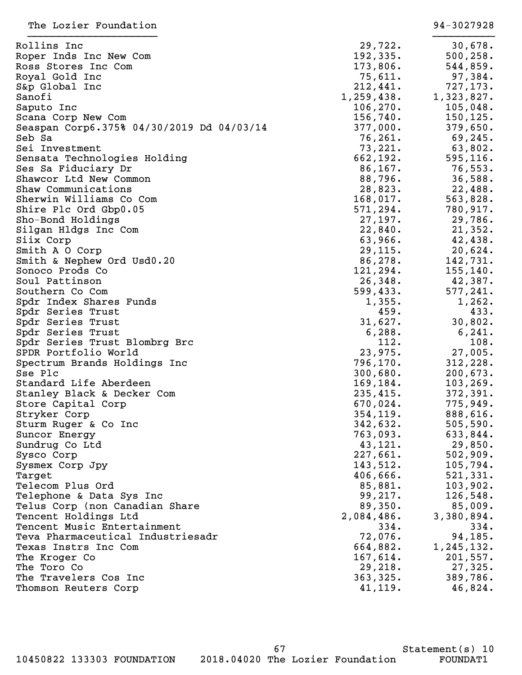| Rollins Inc                               | 29,722.    | 30,678.    |
|-------------------------------------------|------------|------------|
| Roper Inds Inc New Com                    | 192, 335.  | 500, 258.  |
| Ross Stores Inc Com                       | 173,806.   | 544,859.   |
| Royal Gold Inc                            | 75,611.    | 97,384.    |
| S&p Global Inc                            | 212,441.   | 727,173.   |
| Sanofi                                    | 1,259,438. | 1,323,827. |
| Saputo Inc                                | 106, 270.  | 105,048.   |
| Scana Corp New Com                        | 156,740.   | 150, 125.  |
| Seaspan Corp6.375% 04/30/2019 Dd 04/03/14 | 377,000.   | 379,650.   |
| Seb Sa                                    | 76, 261.   | 69,245.    |
| Sei Investment                            | 73,221.    | 63,802.    |
| Sensata Technologies Holding              | 662,192.   | 595, 116.  |
| Ses Sa Fiduciary Dr                       | 86, 167.   | 76,553.    |
| Shawcor Ltd New Common                    | 88,796.    | 36,588.    |
| Shaw Communications                       | 28,823.    | 22,488.    |
| Sherwin Williams Co Com                   | 168,017.   | 563,828.   |
| Shire Plc Ord Gbp0.05                     | 571, 294.  | 780,917.   |
| Sho-Bond Holdings                         | 27,197.    | 29,786.    |
| Silgan Hldgs Inc Com                      | 22,840.    | 21,352.    |
| Siix Corp                                 | 63,966.    | 42,438.    |
| Smith A O Corp                            | 29,115.    | 20,624.    |
| Smith & Nephew Ord Usd0.20                | 86,278.    | 142,731.   |
| Sonoco Prods Co                           | 121, 294.  | 155,140.   |
| Soul Pattinson                            | 26,348.    | 42,387.    |
| Southern Co Com                           | 599,433.   | 577,241.   |
| Spdr Index Shares Funds                   | 1,355.     | 1,262.     |
| Spdr Series Trust                         | 459.       | 433.       |
| Spdr Series Trust                         | 31,627.    | 30,802.    |
| Spdr Series Trust                         | 6,288.     | 6, 241.    |
| Spdr Series Trust Blombrg Brc             | 112.       | 108.       |
| SPDR Portfolio World                      | 23,975.    | 27,005.    |
|                                           | 796,170.   | 312,228.   |
| Spectrum Brands Holdings Inc<br>Sse Plc   | 300,680.   | 200, 673.  |
| Standard Life Aberdeen                    | 169,184.   | 103, 269.  |
| Stanley Black & Decker Com                | 235,415.   | 372, 391.  |
| Store Capital Corp                        | 670,024.   | 775,949.   |
|                                           | 354, 119.  | 888,616.   |
| Stryker Corp                              | 342,632.   | 505, 590.  |
| Sturm Ruger & Co Inc                      | 763,093.   | 633,844.   |
| Suncor Energy<br>Sundrug Co Ltd           | 43,121.    | 29,850.    |
|                                           | 227,661.   | 502,909.   |
| Sysco Corp                                | 143,512.   | 105,794.   |
| Sysmex Corp Jpy                           | 406,666.   | 521, 331.  |
| Target<br>Telecom Plus Ord                | 85,881.    | 103,902.   |
| Telephone & Data Sys Inc                  | 99,217.    | 126,548.   |
| Telus Corp (non Canadian Share            | 89,350.    | 85,009.    |
| Tencent Holdings Ltd                      | 2,084,486. | 3,380,894. |
| Tencent Music Entertainment               | 334.       | 334.       |
| Teva Pharmaceutical Industriesadr         | 72,076.    | 94,185.    |
| Texas Instrs Inc Com                      | 664,882.   | 1,245,132. |
|                                           | 167,614.   | 201,557.   |
| The Kroger Co<br>The Toro Co              | 29,218.    | 27,325.    |
| The Travelers Cos Inc                     | 363,325.   | 389,786.   |
| Thomson Reuters Corp                      | 41, 119.   | 46,824.    |
|                                           |            |            |

10450822 133303 FOUNDATION 2018.04020 The Lozier Foundation FOUNDAT1

67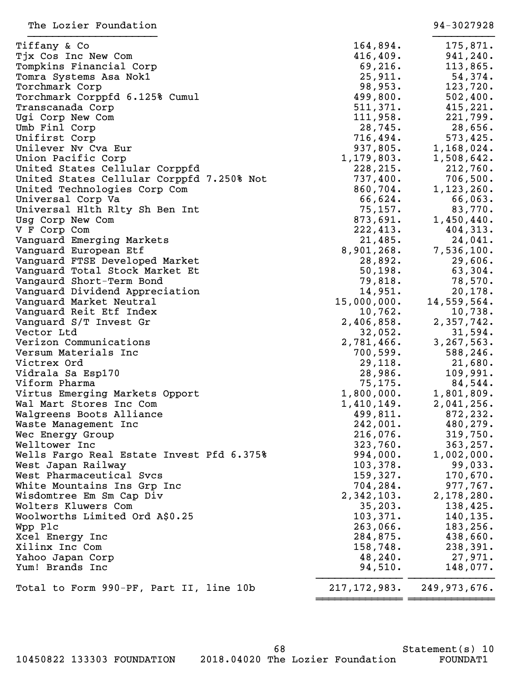| Tiffany & Co                              | 164,894.       | 175,871.       |
|-------------------------------------------|----------------|----------------|
| Tjx Cos Inc New Com                       | 416, 409.      | 941,240.       |
| Tompkins Financial Corp                   | 69, 216.       | 113,865.       |
| Tomra Systems Asa Nok1                    | 25,911.        | 54,374.        |
| Torchmark Corp                            | 98,953.        | 123,720.       |
| Torchmark Corppfd 6.125% Cumul            | 499,800.       | 502,400.       |
| Transcanada Corp                          | 511,371.       | 415,221.       |
| Ugi Corp New Com                          | 111,958.       | 221,799.       |
| Umb Finl Corp                             | 28,745.        | 28,656.        |
| Unifirst Corp                             | 716,494.       | 573,425.       |
| Unilever Nv Cva Eur                       | 937,805.       | 1,168,024.     |
| Union Pacific Corp                        | 1,179,803.     | 1,508,642.     |
| United States Cellular Corppfd            | 228, 215.      | 212,760.       |
| United States Cellular Corppfd 7.250% Not | 737,400.       | 706,500.       |
| United Technologies Corp Com              | 860,704.       | 1,123,260.     |
| Universal Corp Va                         | 66,624.        | 66,063.        |
| Universal H1th R1ty Sh Ben Int            | 75, 157.       | 83,770.        |
| Usg Corp New Com                          | 873,691.       | 1,450,440.     |
| V F Corp Com                              | 222,413.       | 404,313.       |
| Vanguard Emerging Markets                 | 21,485.        | 24,041.        |
| Vanguard European Etf                     | 8,901,268.     | 7,536,100.     |
| Vanguard FTSE Developed Market            | 28,892.        | 29,606.        |
| Vanguard Total Stock Market Et            | 50, 198.       | 63,304.        |
| Vangaurd Short-Term Bond                  | 79,818.        | 78,570.        |
| Vanguard Dividend Appreciation            | 14,951.        | 20, 178.       |
| Vanguard Market Neutral                   | 15,000,000.    | 14,559,564.    |
| Vanguard Reit Etf Index                   | 10,762.        | 10,738.        |
| Vanguard S/T Invest Gr                    | 2,406,858.     | 2,357,742.     |
| Vector Ltd                                | 32,052.        | 31,594.        |
| Verizon Communications                    | 2,781,466.     | 3, 267, 563.   |
| Versum Materials Inc                      | 700, 599.      | 588,246.       |
| Victrex Ord                               | 29,118.        | 21,680.        |
| Vidrala Sa Esp170                         | 28,986.        | 109,991.       |
| Viform Pharma                             | 75, 175.       | 84,544.        |
| Virtus Emerging Markets Opport            | 1,800,000.     | 1,801,809.     |
| Wal Mart Stores Inc Com                   | 1,410,149.     | 2,041,256.     |
| Walgreens Boots Alliance                  | 499,811.       | 872,232.       |
| Waste Management Inc                      | 242,001.       | 480,279.       |
| Wec Energy Group                          | 216,076.       | 319,750.       |
| Welltower Inc                             | 323,760.       | 363, 257.      |
| Wells Fargo Real Estate Invest Pfd 6.375% | 994,000.       | 1,002,000.     |
| West Japan Railway                        | 103,378.       | 99,033.        |
| West Pharmaceutical Svcs                  | 159,327.       | 170,670.       |
| White Mountains Ins Grp Inc               | 704,284.       | 977,767.       |
| Wisdomtree Em Sm Cap Div                  | 2,342,103.     | 2,178,280.     |
| Wolters Kluwers Com                       | 35, 203.       | 138,425.       |
| Woolworths Limited Ord A\$0.25            | 103,371.       | 140, 135.      |
|                                           | 263,066.       | 183, 256.      |
| Wpp Plc<br>Xcel Energy Inc                | 284,875.       | 438,660.       |
| Xilinx Inc Com                            | 158,748.       | 238,391.       |
| Yahoo Japan Corp                          | 48,240.        | 27,971.        |
| Yum! Brands Inc                           | 94,510.        | 148,077.       |
|                                           |                |                |
| Total to Form 990-PF, Part II, line 10b   | 217, 172, 983. | 249, 973, 676. |
|                                           |                |                |
|                                           |                |                |

The Lozier Foundation 34-3027928

10450822 133303 FOUNDATION 2018.04020 The Lozier Foundation FOUNDAT1

68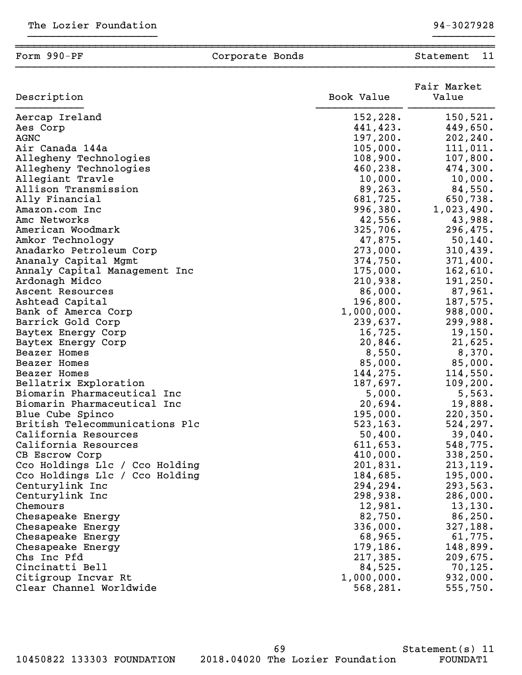| 152,228.<br>150, 521.<br>441,423.<br>449,650.<br>197,200.<br>202, 240.<br>105,000.<br>111,011.<br>108,900.<br>107,800.<br>474,300.<br>460,238.<br>Allegiant Travle<br>10,000.<br>10,000.<br>89,263.<br>84,550.<br>Allison Transmission<br>681,725.<br>Ally Financial<br>996,380.<br>1,023,490.<br>Amazon.com Inc<br>42,556.<br>43,988.<br>325,706.<br>American Woodmark<br>47,875.<br>50, 140.<br>Amkor Technology<br>273,000.<br>310,439.<br>Anadarko Petroleum Corp<br>374,750.<br>371,400.<br>Ananaly Capital Mgmt<br>175,000.<br>162,610.<br>Annaly Capital Management Inc<br>210,938.<br>Ardonagh Midco<br>87,961.<br>86,000.<br>Ascent Resources<br>187,575.<br>Ashtead Capital<br>196,800.<br>Bank of Amerca Corp<br>1,000,000.<br>Barrick Gold Corp<br>239,637.<br>16,725.<br>Baytex Energy Corp<br>20,846.<br>Baytex Energy Corp<br>8,550.<br>8,370.<br><b>Beazer Homes</b><br>85,000.<br>85,000.<br>Beazer Homes<br>144,275.<br>114,550.<br>Beazer Homes<br>187,697.<br>Bellatrix Exploration<br>Biomarin Pharmaceutical Inc<br>5,000.<br>Biomarin Pharmaceutical Inc<br>20,694.<br>195,000.<br>Blue Cube Spinco<br>British Telecommunications Plc<br>523, 163.<br>524, 297.<br>California Resources<br>50,400.<br>39,040.<br>548,775.<br>California Resources<br>611,653.<br>338,250.<br>410,000.<br>CB Escrow Corp<br>201,831.<br>Cco Holdings Llc / Cco Holding<br>213,119.<br>184,685.<br>195,000.<br>Cco Holdings Llc / Cco Holding<br>294,294.<br>293,563.<br>Centurylink Inc<br>298,938.<br>Centurylink Inc<br>286,000.<br>12,981.<br>Chemours<br>82,750.<br>86, 250.<br>Chesapeake Energy<br>327,188.<br>336,000.<br>Chesapeake Energy<br>Chesapeake Energy<br>68,965.<br>61,775.<br>179,186.<br>148,899.<br>Chesapeake Energy<br>217,385.<br>209,675.<br>84,525.<br>70, 125.<br>932,000.<br>1,000,000.<br>555,750.<br>568,281. | Description             | Book Value | Fair Market<br>Value |
|---------------------------------------------------------------------------------------------------------------------------------------------------------------------------------------------------------------------------------------------------------------------------------------------------------------------------------------------------------------------------------------------------------------------------------------------------------------------------------------------------------------------------------------------------------------------------------------------------------------------------------------------------------------------------------------------------------------------------------------------------------------------------------------------------------------------------------------------------------------------------------------------------------------------------------------------------------------------------------------------------------------------------------------------------------------------------------------------------------------------------------------------------------------------------------------------------------------------------------------------------------------------------------------------------------------------------------------------------------------------------------------------------------------------------------------------------------------------------------------------------------------------------------------------------------------------------------------------------------------------------------------------------------------------------------------------------------------------------------------------------------------------------------------------------------------------------------------------------|-------------------------|------------|----------------------|
|                                                                                                                                                                                                                                                                                                                                                                                                                                                                                                                                                                                                                                                                                                                                                                                                                                                                                                                                                                                                                                                                                                                                                                                                                                                                                                                                                                                                                                                                                                                                                                                                                                                                                                                                                                                                                                                   | Aercap Ireland          |            |                      |
|                                                                                                                                                                                                                                                                                                                                                                                                                                                                                                                                                                                                                                                                                                                                                                                                                                                                                                                                                                                                                                                                                                                                                                                                                                                                                                                                                                                                                                                                                                                                                                                                                                                                                                                                                                                                                                                   | Aes Corp                |            |                      |
|                                                                                                                                                                                                                                                                                                                                                                                                                                                                                                                                                                                                                                                                                                                                                                                                                                                                                                                                                                                                                                                                                                                                                                                                                                                                                                                                                                                                                                                                                                                                                                                                                                                                                                                                                                                                                                                   | AGNC                    |            |                      |
|                                                                                                                                                                                                                                                                                                                                                                                                                                                                                                                                                                                                                                                                                                                                                                                                                                                                                                                                                                                                                                                                                                                                                                                                                                                                                                                                                                                                                                                                                                                                                                                                                                                                                                                                                                                                                                                   | Air Canada 144a         |            |                      |
| 650,738.<br>296,475.<br>191,250.<br>988,000.<br>299,988.<br>19,150.<br>21,625.<br>109, 200.<br>5,563.<br>19,888.<br>220, 350.<br>13,130.                                                                                                                                                                                                                                                                                                                                                                                                                                                                                                                                                                                                                                                                                                                                                                                                                                                                                                                                                                                                                                                                                                                                                                                                                                                                                                                                                                                                                                                                                                                                                                                                                                                                                                          | Allegheny Technologies  |            |                      |
|                                                                                                                                                                                                                                                                                                                                                                                                                                                                                                                                                                                                                                                                                                                                                                                                                                                                                                                                                                                                                                                                                                                                                                                                                                                                                                                                                                                                                                                                                                                                                                                                                                                                                                                                                                                                                                                   | Allegheny Technologies  |            |                      |
|                                                                                                                                                                                                                                                                                                                                                                                                                                                                                                                                                                                                                                                                                                                                                                                                                                                                                                                                                                                                                                                                                                                                                                                                                                                                                                                                                                                                                                                                                                                                                                                                                                                                                                                                                                                                                                                   |                         |            |                      |
|                                                                                                                                                                                                                                                                                                                                                                                                                                                                                                                                                                                                                                                                                                                                                                                                                                                                                                                                                                                                                                                                                                                                                                                                                                                                                                                                                                                                                                                                                                                                                                                                                                                                                                                                                                                                                                                   |                         |            |                      |
|                                                                                                                                                                                                                                                                                                                                                                                                                                                                                                                                                                                                                                                                                                                                                                                                                                                                                                                                                                                                                                                                                                                                                                                                                                                                                                                                                                                                                                                                                                                                                                                                                                                                                                                                                                                                                                                   |                         |            |                      |
|                                                                                                                                                                                                                                                                                                                                                                                                                                                                                                                                                                                                                                                                                                                                                                                                                                                                                                                                                                                                                                                                                                                                                                                                                                                                                                                                                                                                                                                                                                                                                                                                                                                                                                                                                                                                                                                   |                         |            |                      |
|                                                                                                                                                                                                                                                                                                                                                                                                                                                                                                                                                                                                                                                                                                                                                                                                                                                                                                                                                                                                                                                                                                                                                                                                                                                                                                                                                                                                                                                                                                                                                                                                                                                                                                                                                                                                                                                   | Amc Networks            |            |                      |
|                                                                                                                                                                                                                                                                                                                                                                                                                                                                                                                                                                                                                                                                                                                                                                                                                                                                                                                                                                                                                                                                                                                                                                                                                                                                                                                                                                                                                                                                                                                                                                                                                                                                                                                                                                                                                                                   |                         |            |                      |
|                                                                                                                                                                                                                                                                                                                                                                                                                                                                                                                                                                                                                                                                                                                                                                                                                                                                                                                                                                                                                                                                                                                                                                                                                                                                                                                                                                                                                                                                                                                                                                                                                                                                                                                                                                                                                                                   |                         |            |                      |
|                                                                                                                                                                                                                                                                                                                                                                                                                                                                                                                                                                                                                                                                                                                                                                                                                                                                                                                                                                                                                                                                                                                                                                                                                                                                                                                                                                                                                                                                                                                                                                                                                                                                                                                                                                                                                                                   |                         |            |                      |
|                                                                                                                                                                                                                                                                                                                                                                                                                                                                                                                                                                                                                                                                                                                                                                                                                                                                                                                                                                                                                                                                                                                                                                                                                                                                                                                                                                                                                                                                                                                                                                                                                                                                                                                                                                                                                                                   |                         |            |                      |
|                                                                                                                                                                                                                                                                                                                                                                                                                                                                                                                                                                                                                                                                                                                                                                                                                                                                                                                                                                                                                                                                                                                                                                                                                                                                                                                                                                                                                                                                                                                                                                                                                                                                                                                                                                                                                                                   |                         |            |                      |
|                                                                                                                                                                                                                                                                                                                                                                                                                                                                                                                                                                                                                                                                                                                                                                                                                                                                                                                                                                                                                                                                                                                                                                                                                                                                                                                                                                                                                                                                                                                                                                                                                                                                                                                                                                                                                                                   |                         |            |                      |
|                                                                                                                                                                                                                                                                                                                                                                                                                                                                                                                                                                                                                                                                                                                                                                                                                                                                                                                                                                                                                                                                                                                                                                                                                                                                                                                                                                                                                                                                                                                                                                                                                                                                                                                                                                                                                                                   |                         |            |                      |
|                                                                                                                                                                                                                                                                                                                                                                                                                                                                                                                                                                                                                                                                                                                                                                                                                                                                                                                                                                                                                                                                                                                                                                                                                                                                                                                                                                                                                                                                                                                                                                                                                                                                                                                                                                                                                                                   |                         |            |                      |
|                                                                                                                                                                                                                                                                                                                                                                                                                                                                                                                                                                                                                                                                                                                                                                                                                                                                                                                                                                                                                                                                                                                                                                                                                                                                                                                                                                                                                                                                                                                                                                                                                                                                                                                                                                                                                                                   |                         |            |                      |
|                                                                                                                                                                                                                                                                                                                                                                                                                                                                                                                                                                                                                                                                                                                                                                                                                                                                                                                                                                                                                                                                                                                                                                                                                                                                                                                                                                                                                                                                                                                                                                                                                                                                                                                                                                                                                                                   |                         |            |                      |
|                                                                                                                                                                                                                                                                                                                                                                                                                                                                                                                                                                                                                                                                                                                                                                                                                                                                                                                                                                                                                                                                                                                                                                                                                                                                                                                                                                                                                                                                                                                                                                                                                                                                                                                                                                                                                                                   |                         |            |                      |
|                                                                                                                                                                                                                                                                                                                                                                                                                                                                                                                                                                                                                                                                                                                                                                                                                                                                                                                                                                                                                                                                                                                                                                                                                                                                                                                                                                                                                                                                                                                                                                                                                                                                                                                                                                                                                                                   |                         |            |                      |
|                                                                                                                                                                                                                                                                                                                                                                                                                                                                                                                                                                                                                                                                                                                                                                                                                                                                                                                                                                                                                                                                                                                                                                                                                                                                                                                                                                                                                                                                                                                                                                                                                                                                                                                                                                                                                                                   |                         |            |                      |
|                                                                                                                                                                                                                                                                                                                                                                                                                                                                                                                                                                                                                                                                                                                                                                                                                                                                                                                                                                                                                                                                                                                                                                                                                                                                                                                                                                                                                                                                                                                                                                                                                                                                                                                                                                                                                                                   |                         |            |                      |
|                                                                                                                                                                                                                                                                                                                                                                                                                                                                                                                                                                                                                                                                                                                                                                                                                                                                                                                                                                                                                                                                                                                                                                                                                                                                                                                                                                                                                                                                                                                                                                                                                                                                                                                                                                                                                                                   |                         |            |                      |
|                                                                                                                                                                                                                                                                                                                                                                                                                                                                                                                                                                                                                                                                                                                                                                                                                                                                                                                                                                                                                                                                                                                                                                                                                                                                                                                                                                                                                                                                                                                                                                                                                                                                                                                                                                                                                                                   |                         |            |                      |
|                                                                                                                                                                                                                                                                                                                                                                                                                                                                                                                                                                                                                                                                                                                                                                                                                                                                                                                                                                                                                                                                                                                                                                                                                                                                                                                                                                                                                                                                                                                                                                                                                                                                                                                                                                                                                                                   |                         |            |                      |
|                                                                                                                                                                                                                                                                                                                                                                                                                                                                                                                                                                                                                                                                                                                                                                                                                                                                                                                                                                                                                                                                                                                                                                                                                                                                                                                                                                                                                                                                                                                                                                                                                                                                                                                                                                                                                                                   |                         |            |                      |
|                                                                                                                                                                                                                                                                                                                                                                                                                                                                                                                                                                                                                                                                                                                                                                                                                                                                                                                                                                                                                                                                                                                                                                                                                                                                                                                                                                                                                                                                                                                                                                                                                                                                                                                                                                                                                                                   |                         |            |                      |
|                                                                                                                                                                                                                                                                                                                                                                                                                                                                                                                                                                                                                                                                                                                                                                                                                                                                                                                                                                                                                                                                                                                                                                                                                                                                                                                                                                                                                                                                                                                                                                                                                                                                                                                                                                                                                                                   |                         |            |                      |
|                                                                                                                                                                                                                                                                                                                                                                                                                                                                                                                                                                                                                                                                                                                                                                                                                                                                                                                                                                                                                                                                                                                                                                                                                                                                                                                                                                                                                                                                                                                                                                                                                                                                                                                                                                                                                                                   |                         |            |                      |
|                                                                                                                                                                                                                                                                                                                                                                                                                                                                                                                                                                                                                                                                                                                                                                                                                                                                                                                                                                                                                                                                                                                                                                                                                                                                                                                                                                                                                                                                                                                                                                                                                                                                                                                                                                                                                                                   |                         |            |                      |
|                                                                                                                                                                                                                                                                                                                                                                                                                                                                                                                                                                                                                                                                                                                                                                                                                                                                                                                                                                                                                                                                                                                                                                                                                                                                                                                                                                                                                                                                                                                                                                                                                                                                                                                                                                                                                                                   |                         |            |                      |
|                                                                                                                                                                                                                                                                                                                                                                                                                                                                                                                                                                                                                                                                                                                                                                                                                                                                                                                                                                                                                                                                                                                                                                                                                                                                                                                                                                                                                                                                                                                                                                                                                                                                                                                                                                                                                                                   |                         |            |                      |
|                                                                                                                                                                                                                                                                                                                                                                                                                                                                                                                                                                                                                                                                                                                                                                                                                                                                                                                                                                                                                                                                                                                                                                                                                                                                                                                                                                                                                                                                                                                                                                                                                                                                                                                                                                                                                                                   |                         |            |                      |
|                                                                                                                                                                                                                                                                                                                                                                                                                                                                                                                                                                                                                                                                                                                                                                                                                                                                                                                                                                                                                                                                                                                                                                                                                                                                                                                                                                                                                                                                                                                                                                                                                                                                                                                                                                                                                                                   |                         |            |                      |
|                                                                                                                                                                                                                                                                                                                                                                                                                                                                                                                                                                                                                                                                                                                                                                                                                                                                                                                                                                                                                                                                                                                                                                                                                                                                                                                                                                                                                                                                                                                                                                                                                                                                                                                                                                                                                                                   |                         |            |                      |
|                                                                                                                                                                                                                                                                                                                                                                                                                                                                                                                                                                                                                                                                                                                                                                                                                                                                                                                                                                                                                                                                                                                                                                                                                                                                                                                                                                                                                                                                                                                                                                                                                                                                                                                                                                                                                                                   |                         |            |                      |
|                                                                                                                                                                                                                                                                                                                                                                                                                                                                                                                                                                                                                                                                                                                                                                                                                                                                                                                                                                                                                                                                                                                                                                                                                                                                                                                                                                                                                                                                                                                                                                                                                                                                                                                                                                                                                                                   |                         |            |                      |
|                                                                                                                                                                                                                                                                                                                                                                                                                                                                                                                                                                                                                                                                                                                                                                                                                                                                                                                                                                                                                                                                                                                                                                                                                                                                                                                                                                                                                                                                                                                                                                                                                                                                                                                                                                                                                                                   |                         |            |                      |
|                                                                                                                                                                                                                                                                                                                                                                                                                                                                                                                                                                                                                                                                                                                                                                                                                                                                                                                                                                                                                                                                                                                                                                                                                                                                                                                                                                                                                                                                                                                                                                                                                                                                                                                                                                                                                                                   |                         |            |                      |
|                                                                                                                                                                                                                                                                                                                                                                                                                                                                                                                                                                                                                                                                                                                                                                                                                                                                                                                                                                                                                                                                                                                                                                                                                                                                                                                                                                                                                                                                                                                                                                                                                                                                                                                                                                                                                                                   | Chs Inc Pfd             |            |                      |
|                                                                                                                                                                                                                                                                                                                                                                                                                                                                                                                                                                                                                                                                                                                                                                                                                                                                                                                                                                                                                                                                                                                                                                                                                                                                                                                                                                                                                                                                                                                                                                                                                                                                                                                                                                                                                                                   | Cincinatti Bell         |            |                      |
|                                                                                                                                                                                                                                                                                                                                                                                                                                                                                                                                                                                                                                                                                                                                                                                                                                                                                                                                                                                                                                                                                                                                                                                                                                                                                                                                                                                                                                                                                                                                                                                                                                                                                                                                                                                                                                                   | Citigroup Incvar Rt     |            |                      |
|                                                                                                                                                                                                                                                                                                                                                                                                                                                                                                                                                                                                                                                                                                                                                                                                                                                                                                                                                                                                                                                                                                                                                                                                                                                                                                                                                                                                                                                                                                                                                                                                                                                                                                                                                                                                                                                   | Clear Channel Worldwide |            |                      |

69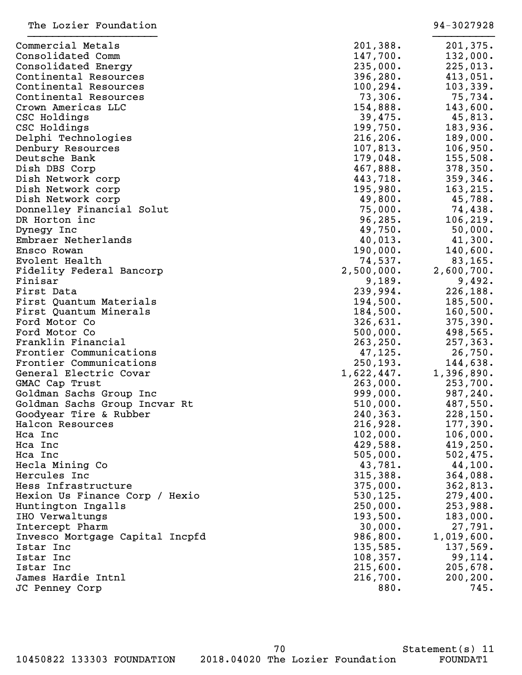| Commercial Metals               | 201,388.   | 201,375.   |
|---------------------------------|------------|------------|
| Consolidated Comm               | 147,700.   | 132,000.   |
| Consolidated Energy             | 235,000.   | 225,013.   |
| Continental Resources           | 396, 280.  | 413,051.   |
| Continental Resources           | 100, 294.  | 103, 339.  |
| Continental Resources           | 73,306.    | 75,734.    |
| Crown Americas LLC              | 154,888.   | 143,600.   |
| CSC Holdings                    | 39,475.    | 45,813.    |
| CSC Holdings                    | 199,750.   | 183,936.   |
| Delphi Technologies             | 216, 206.  | 189,000.   |
| Denbury Resources               | 107,813.   | 106,950.   |
| Deutsche Bank                   | 179,048.   | 155,508.   |
| Dish DBS Corp                   | 467,888.   | 378, 350.  |
| Dish Network corp               | 443,718.   | 359,346.   |
| Dish Network corp               | 195,980.   | 163,215.   |
| Dish Network corp               | 49,800.    | 45,788.    |
| Donnelley Financial Solut       | 75,000.    | 74,438.    |
| DR Horton inc                   | 96, 285.   | 106, 219.  |
| Dynegy Inc                      | 49,750.    | 50,000.    |
| Embraer Netherlands             | 40,013.    | 41,300.    |
| Ensco Rowan                     | 190,000.   | 140,600.   |
| Evolent Health                  | 74,537.    | 83,165.    |
| Fidelity Federal Bancorp        | 2,500,000. | 2,600,700. |
| Finisar                         | 9,189.     | 9,492.     |
| First Data                      | 239,994.   | 226,188.   |
| First Quantum Materials         | 194,500.   | 185,500.   |
| First Quantum Minerals          | 184,500.   | 160, 500.  |
| Ford Motor Co                   | 326,631.   | 375, 390.  |
| Ford Motor Co                   | 500,000.   | 498,565.   |
| Franklin Financial              | 263, 250.  | 257,363.   |
| Frontier Communications         | 47, 125.   | 26,750.    |
| Frontier Communications         | 250, 193.  | 144,638.   |
| General Electric Covar          | 1,622,447. | 1,396,890. |
| GMAC Cap Trust                  | 263,000.   | 253,700.   |
| Goldman Sachs Group Inc         | 999,000.   | 987,240.   |
| Goldman Sachs Group Incvar Rt   | 510,000.   | 487,550.   |
| Goodyear Tire & Rubber          | 240,363.   | 228,150.   |
| Halcon Resources                | 216,928.   | 177,390.   |
| Hca Inc                         | 102,000.   | 106,000.   |
| Hca Inc                         | 429,588.   | 419,250.   |
| Hca Inc                         | 505,000.   | 502, 475.  |
| Hecla Mining Co                 | 43,781.    | 44,100.    |
| Hercules Inc                    | 315,388.   | 364,088.   |
| Hess Infrastructure             | 375,000.   | 362,813.   |
| Hexion Us Finance Corp / Hexio  | 530, 125.  | 279,400.   |
| Huntington Ingalls              | 250,000.   | 253,988.   |
| IHO Verwaltungs                 | 193,500.   | 183,000.   |
| Intercept Pharm                 | 30,000.    | 27,791.    |
| Invesco Mortgage Capital Incpfd | 986,800.   | 1,019,600. |
| Istar Inc                       | 135,585.   | 137,569.   |
| Istar Inc                       | 108, 357.  | 99,114.    |
| Istar Inc                       | 215,600.   | 205,678.   |
| James Hardie Intnl              | 216,700.   | 200, 200.  |
| JC Penney Corp                  | 880.       | 745.       |
|                                 |            |            |
|                                 |            |            |

The Lozier Foundation 34-3027928

70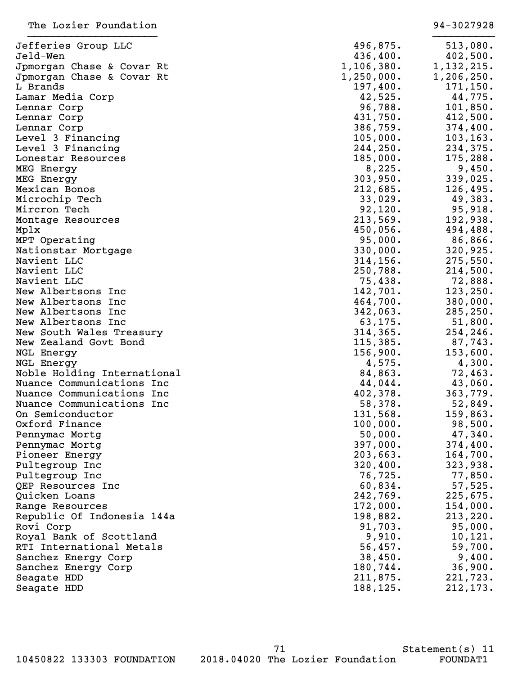| Jefferies Group LLC         | 496,875.   | 513,080.     |
|-----------------------------|------------|--------------|
| Jeld-Wen                    | 436,400.   | 402,500.     |
| Jpmorgan Chase & Covar Rt   | 1,106,380. | 1, 132, 215. |
| Jpmorgan Chase & Covar Rt   | 1,250,000. | 1,206,250.   |
| L Brands                    | 197,400.   | 171, 150.    |
| Lamar Media Corp            | 42,525.    | 44,775.      |
| Lennar Corp                 | 96,788.    | 101,850.     |
| Lennar Corp                 | 431,750.   | 412,500.     |
| Lennar Corp                 | 386,759.   | 374,400.     |
| Level 3 Financing           | 105,000.   | 103, 163.    |
| Level 3 Financing           | 244,250.   | 234,375.     |
| Lonestar Resources          | 185,000.   | 175,288.     |
| MEG Energy                  | 8,225.     | 9,450.       |
| MEG Energy                  | 303,950.   | 339,025.     |
| Mexican Bonos               | 212,685.   | 126,495.     |
| Microchip Tech              | 33,029.    | 49,383.      |
| Mircron Tech                | 92,120.    | 95,918.      |
| Montage Resources           | 213,569.   | 192,938.     |
| Mplx                        | 450,056.   | 494,488.     |
| MPT Operating               | 95,000.    | 86,866.      |
| Nationstar Mortgage         | 330,000.   | 320,925.     |
| Navient LLC                 | 314, 156.  | 275,550.     |
| Navient LLC                 | 250,788.   | 214,500.     |
| Navient LLC                 | 75,438.    | 72,888.      |
| New Albertsons Inc          | 142,701.   | 123, 250.    |
| New Albertsons Inc          | 464,700.   | 380,000.     |
| New Albertsons Inc          | 342,063.   | 285, 250.    |
| New Albertsons Inc          | 63, 175.   | 51,800.      |
| New South Wales Treasury    | 314, 365.  | 254,246.     |
| New Zealand Govt Bond       | 115,385.   | 87,743.      |
| NGL Energy                  | 156,900.   | 153,600.     |
| NGL Energy                  | 4,575.     | 4,300.       |
| Noble Holding International | 84,863.    | 72,463.      |
| Nuance Communications Inc   | 44,044.    | 43,060.      |
| Nuance Communications Inc   | 402,378.   | 363,779.     |
| Nuance Communications Inc   | 58,378.    | 52,849.      |
| On Semiconductor            | 131,568.   | 159,863.     |
| Oxford Finance              | 100,000.   | 98,500.      |
| Pennymac Mortg              | 50,000.    | 47,340.      |
| Pennymac Mortg              | 397,000.   | 374,400.     |
| Pioneer Energy              | 203,663.   | 164,700.     |
| Pultegroup Inc              | 320,400.   | 323,938.     |
| Pultegroup Inc              | 76,725.    | 77,850.      |
| QEP Resources Inc           | 60,834.    | 57,525.      |
| Quicken Loans               | 242,769.   | 225,675.     |
| Range Resources             | 172,000.   | 154,000.     |
| Republic Of Indonesia 144a  | 198,882.   | 213,220.     |
| Rovi Corp                   | 91,703.    | 95,000.      |
| Royal Bank of Scottland     | 9,910.     | 10,121.      |
| RTI International Metals    | 56,457.    | 59,700.      |
| Sanchez Energy Corp         | 38,450.    | 9,400.       |
| Sanchez Energy Corp         | 180,744.   | 36,900.      |
| Seagate HDD                 | 211,875.   | 221,723.     |
| Seagate HDD                 | 188,125.   | 212,173.     |

71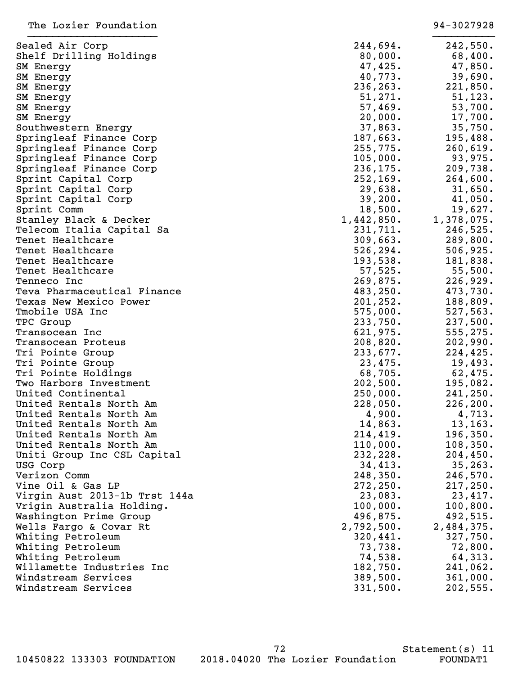| Sealed Air Corp                                    | 244,694.           | 242,550.   |
|----------------------------------------------------|--------------------|------------|
| Shelf Drilling Holdings                            | 80,000.            | 68,400.    |
| SM Energy                                          | 47,425.            | 47,850.    |
| SM Energy                                          | 40,773.            | 39,690.    |
| SM Energy                                          | 236, 263.          | 221,850.   |
| SM Energy                                          | 51,271.            | 51, 123.   |
| SM Energy                                          | 57,469.            | 53,700.    |
| SM Energy                                          | 20,000.            | 17,700.    |
| Southwestern Energy                                | 37,863.            | 35,750.    |
| Springleaf Finance Corp                            | 187,663.           | 195,488.   |
| Springleaf Finance Corp                            | 255,775.           | 260, 619.  |
| Springleaf Finance Corp                            | 105,000.           | 93,975.    |
| Springleaf Finance Corp                            | 236, 175.          | 209,738.   |
| Sprint Capital Corp                                | 252, 169.          | 264,600.   |
| Sprint Capital Corp                                | 29,638.            | 31,650.    |
| Sprint Capital Corp                                | 39,200.            | 41,050.    |
| Sprint Comm                                        | 18,500.            | 19,627.    |
| Stanley Black & Decker                             | 1,442,850.         | 1,378,075. |
| Telecom Italia Capital Sa                          | 231,711.           | 246,525.   |
| Tenet Healthcare                                   | 309,663.           | 289,800.   |
| Tenet Healthcare                                   | 526, 294.          | 506, 925.  |
| Tenet Healthcare                                   | 193,538.           | 181,838.   |
| Tenet Healthcare                                   | 57,525.            | 55,500.    |
| Tenneco Inc                                        | 269,875.           | 226,929.   |
| Teva Pharmaceutical Finance                        | 483,250.           | 473,730.   |
| Texas New Mexico Power                             | 201, 252.          | 188,809.   |
| Tmobile USA Inc                                    | 575,000.           | 527,563.   |
| TPC Group                                          | 233,750.           | 237,500.   |
| Transocean Inc                                     | 621,975.           | 555, 275.  |
| Transocean Proteus                                 | 208,820.           | 202,990.   |
| Tri Pointe Group                                   | 233,677.           | 224, 425.  |
| Tri Pointe Group                                   | 23,475.            | 19,493.    |
| Tri Pointe Holdings                                | 68,705.            | 62,475.    |
| Two Harbors Investment                             | 202,500.           | 195,082.   |
| United Continental                                 | 250,000.           |            |
| United Rentals North Am                            |                    | 241, 250.  |
|                                                    | 228,050.<br>4,900. | 226, 200.  |
| United Rentals North Am<br>United Rentals North Am |                    | 4,713.     |
| United Rentals North Am                            | 14,863.            | 13, 163.   |
| United Rentals North Am                            | 214, 419.          | 196, 350.  |
|                                                    | 110,000.           | 108, 350.  |
| Uniti Group Inc CSL Capital                        | 232,228.           | 204,450.   |
| USG Corp                                           | 34,413.            | 35, 263.   |
| Verizon Comm                                       | 248,350.           | 246,570.   |
| Vine Oil & Gas LP                                  | 272, 250.          | 217,250.   |
| Virgin Aust 2013-1b Trst 144a                      | 23,083.            | 23,417.    |
| Vrigin Australia Holding.                          | 100,000.           | 100, 800.  |
| Washington Prime Group                             | 496,875.           | 492,515.   |
| Wells Fargo & Covar Rt                             | 2,792,500.         | 2,484,375. |
| Whiting Petroleum                                  | 320,441.           | 327,750.   |
| Whiting Petroleum                                  | 73,738.            | 72,800.    |
| Whiting Petroleum                                  | 74,538.            | 64,313.    |
| Willamette Industries Inc                          | 182,750.           | 241,062.   |
| Windstream Services                                | 389,500.           | 361,000.   |
| Windstream Services                                | 331,500.           | 202,555.   |

72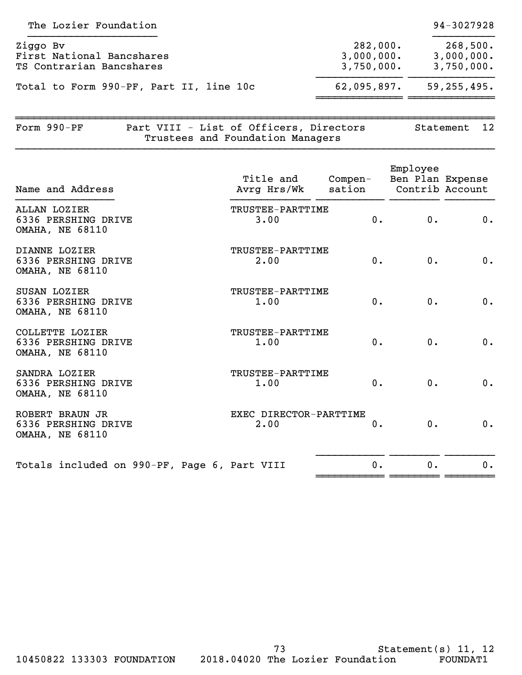|                                      | 94-3027928                           |
|--------------------------------------|--------------------------------------|
| 282,000.<br>3,000,000.<br>3,750,000. | 268,500.<br>3,000,000.<br>3,750,000. |
| 62,095,897.                          | 59, 255, 495.                        |
|                                      |                                      |

~~~~~~~~~~~~~~~~~~~~~~~~~~~~~~~~~~~~~~~~~~~~~~~~~~~~~~~~~~~~~~~~~~~~~~~~~~~~~~ Form 990-PF Part VIII - List of Officers, Directors Statement 12 Trustees and Foundation Managers }}}}}}}}}}}}}}}}}}}}}}}}}}}}}}}}}}}}}}}}}}}}}}}}}}}}}}}}}}}}}}}}}}}}}}}}}}}}}}

| Name and Address                                                     | Title and<br>Avrg Hrs/Wk       | Compen-<br>sation | Employee<br>Ben Plan Expense<br>Contrib Account |    |
|----------------------------------------------------------------------|--------------------------------|-------------------|-------------------------------------------------|----|
| ALLAN LOZIER<br>6336 PERSHING DRIVE<br><b>OMAHA, NE 68110</b>        | TRUSTEE-PARTTIME<br>3.00       | $0$ .             | 0.                                              | 0. |
| DIANNE LOZIER<br>6336 PERSHING DRIVE<br><b>OMAHA, NE 68110</b>       | TRUSTEE-PARTTIME<br>2.00       | $0$ .             | 0.                                              | 0. |
| <b>SUSAN LOZIER</b><br>6336 PERSHING DRIVE<br><b>OMAHA, NE 68110</b> | TRUSTEE-PARTTIME<br>1.00       | $0$ .             | 0.                                              | 0. |
| COLLETTE LOZIER<br>6336 PERSHING DRIVE<br><b>OMAHA, NE 68110</b>     | TRUSTEE-PARTTIME<br>1.00       | $0$ .             | 0.                                              | 0. |
| SANDRA LOZIER<br>6336 PERSHING DRIVE<br><b>OMAHA, NE 68110</b>       | TRUSTEE-PARTTIME<br>1.00       | 0.                | $0$ .                                           | 0. |
| ROBERT BRAUN JR<br>6336 PERSHING DRIVE<br><b>OMAHA, NE 68110</b>     | EXEC DIRECTOR-PARTTIME<br>2.00 | $0$ .             | 0.                                              | 0. |
| Totals included on 990-PF, Page 6, Part VIII                         |                                | 0.                | 0.                                              | 0. |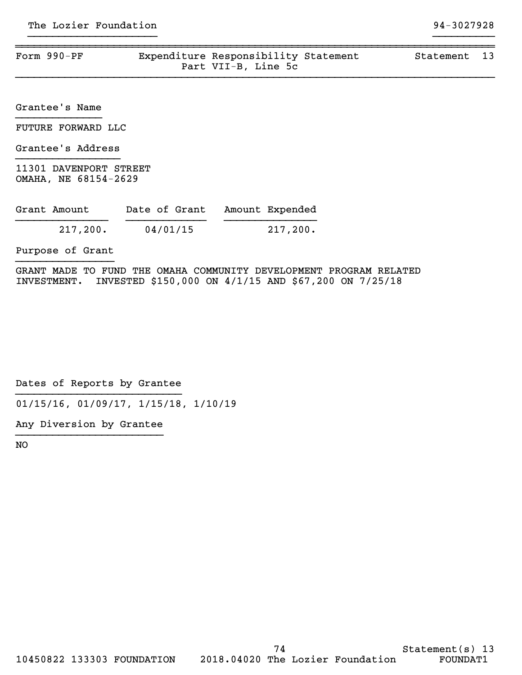| Form $990-PF$ | Expenditure Responsibility Statement |                     | Statement 13 |  |
|---------------|--------------------------------------|---------------------|--------------|--|
|               |                                      | Part VII-B, Line 5c |              |  |

}}}}}}}}}}}}}}}}}}}}} }}}}}}}}}}

}}}}}}}}}}}}}}}}}}}}}}}}}}}}}}}}}}}}}}}}}}}}}}}}}}}}}}}}}}}}}}}}}}}}}}}}}}}}}}

Grantee's Name }}}}}}}}}}}}}}

FUTURE FORWARD LLC

Grantee's Address }}}}}}}}}}}}}}}}}

11301 DAVENPORT STREET OMAHA, NE 68154-2629

| Grant Amount | Date of Grant | Amount Expended |
|--------------|---------------|-----------------|
| 217,200.     | 04/01/15      | $217,200$ .     |

Purpose of Grant }}}}}}}}}}}}}}}}

GRANT MADE TO FUND THE OMAHA COMMUNITY DEVELOPMENT PROGRAM RELATED INVESTMENT. INVESTED \$150,000 ON 4/1/15 AND \$67,200 ON 7/25/18

Dates of Reports by Grantee }}}}}}}}}}}}}}}}}}}}}}}}}}}

01/15/16, 01/09/17, 1/15/18, 1/10/19

Any Diversion by Grantee }}}}}}}}}}}}}}}}}}}}}}}}

NO